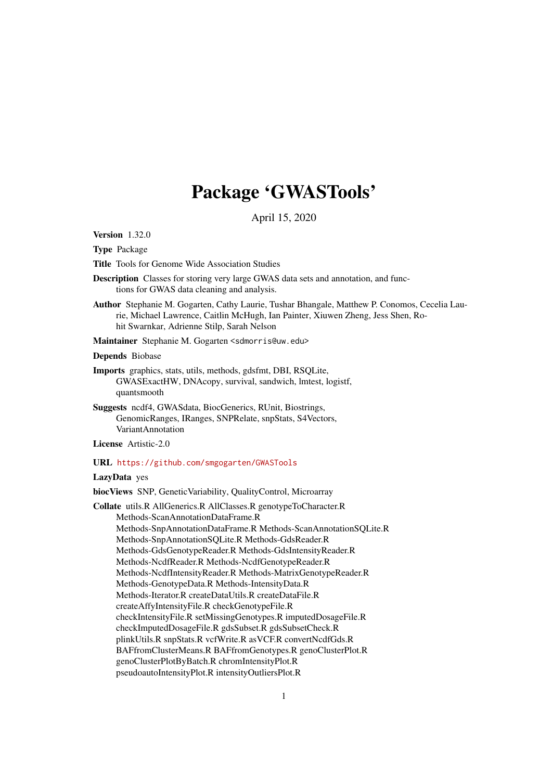# Package 'GWASTools'

April 15, 2020

<span id="page-0-0"></span>Version 1.32.0

Type Package

Title Tools for Genome Wide Association Studies

Description Classes for storing very large GWAS data sets and annotation, and functions for GWAS data cleaning and analysis.

Author Stephanie M. Gogarten, Cathy Laurie, Tushar Bhangale, Matthew P. Conomos, Cecelia Laurie, Michael Lawrence, Caitlin McHugh, Ian Painter, Xiuwen Zheng, Jess Shen, Rohit Swarnkar, Adrienne Stilp, Sarah Nelson

Maintainer Stephanie M. Gogarten <sdmorris@uw.edu>

Depends Biobase

- Imports graphics, stats, utils, methods, gdsfmt, DBI, RSQLite, GWASExactHW, DNAcopy, survival, sandwich, lmtest, logistf, quantsmooth
- Suggests ncdf4, GWASdata, BiocGenerics, RUnit, Biostrings, GenomicRanges, IRanges, SNPRelate, snpStats, S4Vectors, VariantAnnotation

License Artistic-2.0

#### URL <https://github.com/smgogarten/GWASTools>

#### LazyData yes

biocViews SNP, GeneticVariability, QualityControl, Microarray

Collate utils.R AllGenerics.R AllClasses.R genotypeToCharacter.R Methods-ScanAnnotationDataFrame.R Methods-SnpAnnotationDataFrame.R Methods-ScanAnnotationSQLite.R Methods-SnpAnnotationSQLite.R Methods-GdsReader.R Methods-GdsGenotypeReader.R Methods-GdsIntensityReader.R Methods-NcdfReader.R Methods-NcdfGenotypeReader.R Methods-NcdfIntensityReader.R Methods-MatrixGenotypeReader.R Methods-GenotypeData.R Methods-IntensityData.R Methods-Iterator.R createDataUtils.R createDataFile.R createAffyIntensityFile.R checkGenotypeFile.R checkIntensityFile.R setMissingGenotypes.R imputedDosageFile.R checkImputedDosageFile.R gdsSubset.R gdsSubsetCheck.R plinkUtils.R snpStats.R vcfWrite.R asVCF.R convertNcdfGds.R BAFfromClusterMeans.R BAFfromGenotypes.R genoClusterPlot.R genoClusterPlotByBatch.R chromIntensityPlot.R pseudoautoIntensityPlot.R intensityOutliersPlot.R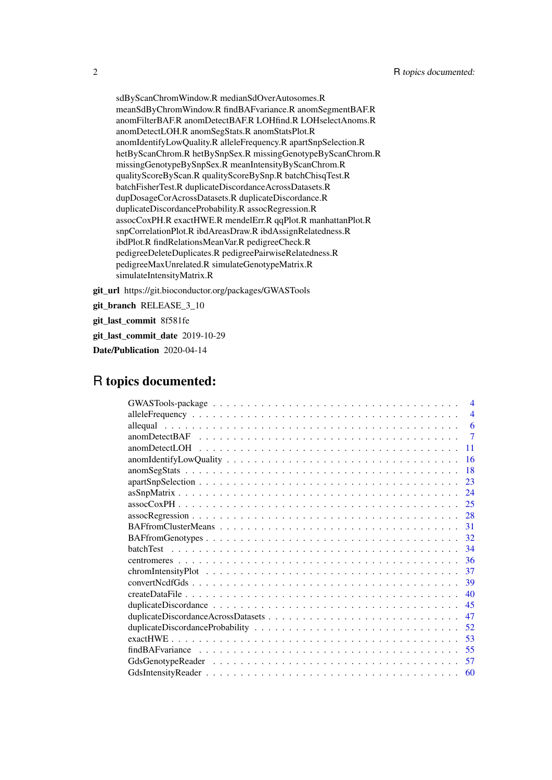sdByScanChromWindow.R medianSdOverAutosomes.R meanSdByChromWindow.R findBAFvariance.R anomSegmentBAF.R anomFilterBAF.R anomDetectBAF.R LOHfind.R LOHselectAnoms.R anomDetectLOH.R anomSegStats.R anomStatsPlot.R anomIdentifyLowQuality.R alleleFrequency.R apartSnpSelection.R hetByScanChrom.R hetBySnpSex.R missingGenotypeByScanChrom.R missingGenotypeBySnpSex.R meanIntensityByScanChrom.R qualityScoreByScan.R qualityScoreBySnp.R batchChisqTest.R batchFisherTest.R duplicateDiscordanceAcrossDatasets.R dupDosageCorAcrossDatasets.R duplicateDiscordance.R duplicateDiscordanceProbability.R assocRegression.R assocCoxPH.R exactHWE.R mendelErr.R qqPlot.R manhattanPlot.R snpCorrelationPlot.R ibdAreasDraw.R ibdAssignRelatedness.R ibdPlot.R findRelationsMeanVar.R pedigreeCheck.R pedigreeDeleteDuplicates.R pedigreePairwiseRelatedness.R pedigreeMaxUnrelated.R simulateGenotypeMatrix.R simulateIntensityMatrix.R

git\_url https://git.bioconductor.org/packages/GWASTools

git\_branch RELEASE\_3\_10

git\_last\_commit 8f581fe

git last commit date 2019-10-29

Date/Publication 2020-04-14

# R topics documented:

| $\overline{4}$                                                                                                                                                                                                                      |
|-------------------------------------------------------------------------------------------------------------------------------------------------------------------------------------------------------------------------------------|
| $\overline{4}$                                                                                                                                                                                                                      |
| allequal distribution of the contract of the contract of the contract of the contract of the contract of the contract of the contract of the contract of the contract of the contract of the contract of the contract of the c<br>6 |
| 7                                                                                                                                                                                                                                   |
| 11                                                                                                                                                                                                                                  |
| -16                                                                                                                                                                                                                                 |
| -18                                                                                                                                                                                                                                 |
|                                                                                                                                                                                                                                     |
|                                                                                                                                                                                                                                     |
|                                                                                                                                                                                                                                     |
| $assoc Regression \ldots \ldots \ldots \ldots \ldots \ldots \ldots \ldots \ldots \ldots \ldots \ldots \ldots 28$                                                                                                                    |
|                                                                                                                                                                                                                                     |
|                                                                                                                                                                                                                                     |
|                                                                                                                                                                                                                                     |
|                                                                                                                                                                                                                                     |
|                                                                                                                                                                                                                                     |
|                                                                                                                                                                                                                                     |
|                                                                                                                                                                                                                                     |
|                                                                                                                                                                                                                                     |
|                                                                                                                                                                                                                                     |
|                                                                                                                                                                                                                                     |
|                                                                                                                                                                                                                                     |
|                                                                                                                                                                                                                                     |
|                                                                                                                                                                                                                                     |
|                                                                                                                                                                                                                                     |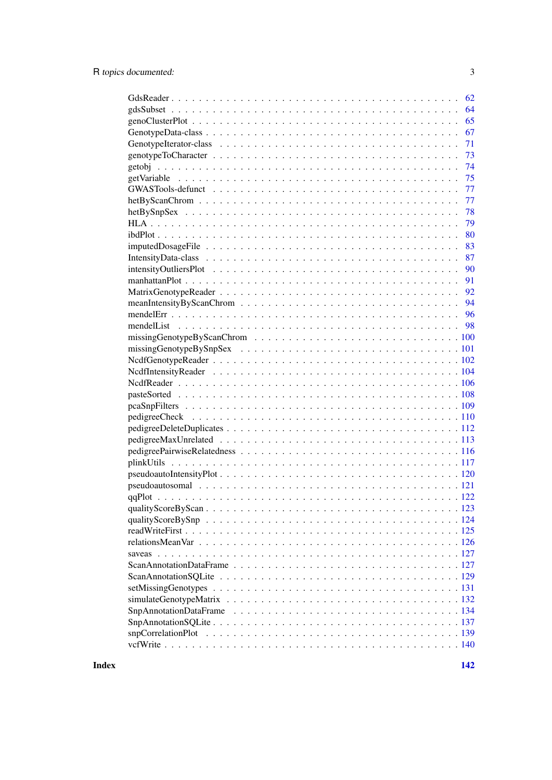| 62 |
|----|
| 64 |
| 65 |
| 67 |
| 71 |
| 73 |
| 74 |
| 75 |
| 77 |
| 77 |
| 78 |
| 79 |
| 80 |
| 83 |
| 87 |
| 90 |
| 91 |
|    |
|    |
|    |
|    |
|    |
|    |
|    |
|    |
|    |
|    |
|    |
|    |
|    |
|    |
|    |
|    |
|    |
|    |
|    |
|    |
|    |
|    |
|    |
|    |
|    |
|    |
|    |
|    |
|    |
|    |
|    |
|    |
|    |

**Index** 2003 **[142](#page-141-0)**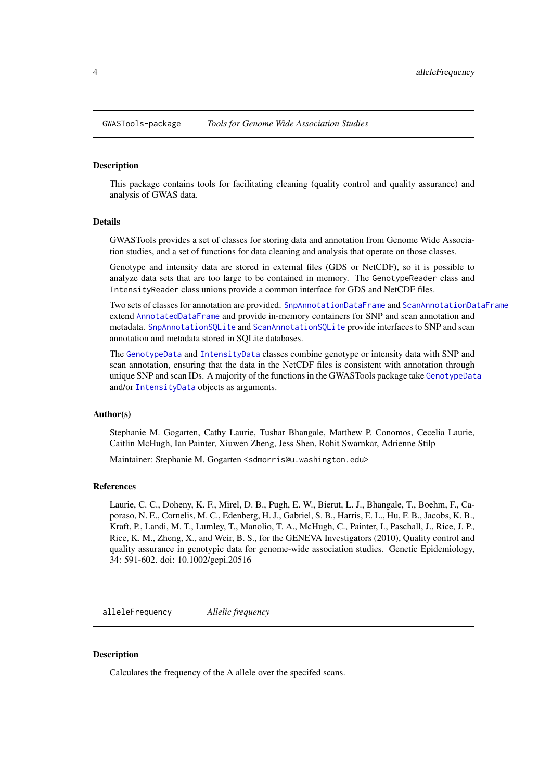<span id="page-3-0"></span>GWASTools-package *Tools for Genome Wide Association Studies*

#### Description

This package contains tools for facilitating cleaning (quality control and quality assurance) and analysis of GWAS data.

#### Details

GWASTools provides a set of classes for storing data and annotation from Genome Wide Association studies, and a set of functions for data cleaning and analysis that operate on those classes.

Genotype and intensity data are stored in external files (GDS or NetCDF), so it is possible to analyze data sets that are too large to be contained in memory. The GenotypeReader class and IntensityReader class unions provide a common interface for GDS and NetCDF files.

Two sets of classes for annotation are provided. [SnpAnnotationDataFrame](#page-133-1) and [ScanAnnotationDataFrame](#page-126-1) extend [AnnotatedDataFrame](#page-0-0) and provide in-memory containers for SNP and scan annotation and metadata. [SnpAnnotationSQLite](#page-136-1) and [ScanAnnotationSQLite](#page-128-1) provide interfaces to SNP and scan annotation and metadata stored in SQLite databases.

The [GenotypeData](#page-66-1) and [IntensityData](#page-86-1) classes combine genotype or intensity data with SNP and scan annotation, ensuring that the data in the NetCDF files is consistent with annotation through unique SNP and scan IDs. A majority of the functions in the GWASTools package take [GenotypeData](#page-66-1) and/or [IntensityData](#page-86-1) objects as arguments.

#### Author(s)

Stephanie M. Gogarten, Cathy Laurie, Tushar Bhangale, Matthew P. Conomos, Cecelia Laurie, Caitlin McHugh, Ian Painter, Xiuwen Zheng, Jess Shen, Rohit Swarnkar, Adrienne Stilp

Maintainer: Stephanie M. Gogarten <sdmorris@u.washington.edu>

#### References

Laurie, C. C., Doheny, K. F., Mirel, D. B., Pugh, E. W., Bierut, L. J., Bhangale, T., Boehm, F., Caporaso, N. E., Cornelis, M. C., Edenberg, H. J., Gabriel, S. B., Harris, E. L., Hu, F. B., Jacobs, K. B., Kraft, P., Landi, M. T., Lumley, T., Manolio, T. A., McHugh, C., Painter, I., Paschall, J., Rice, J. P., Rice, K. M., Zheng, X., and Weir, B. S., for the GENEVA Investigators (2010), Quality control and quality assurance in genotypic data for genome-wide association studies. Genetic Epidemiology, 34: 591-602. doi: 10.1002/gepi.20516

alleleFrequency *Allelic frequency*

#### Description

Calculates the frequency of the A allele over the specifed scans.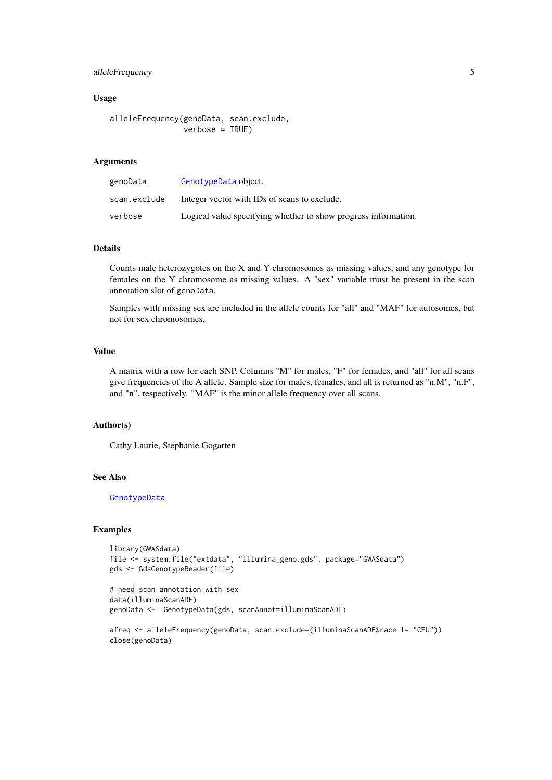#### alleleFrequency 5

#### Usage

```
alleleFrequency(genoData, scan.exclude,
                verbose = TRUE)
```
### Arguments

| genoData     | GenotypeData object.                                           |
|--------------|----------------------------------------------------------------|
| scan.exclude | Integer vector with IDs of scans to exclude.                   |
| verbose      | Logical value specifying whether to show progress information. |

# Details

Counts male heterozygotes on the X and Y chromosomes as missing values, and any genotype for females on the Y chromosome as missing values. A "sex" variable must be present in the scan annotation slot of genoData.

Samples with missing sex are included in the allele counts for "all" and "MAF" for autosomes, but not for sex chromosomes.

### Value

A matrix with a row for each SNP. Columns "M" for males, "F" for females, and "all" for all scans give frequencies of the A allele. Sample size for males, females, and all is returned as "n.M", "n.F", and "n", respectively. "MAF" is the minor allele frequency over all scans.

#### Author(s)

Cathy Laurie, Stephanie Gogarten

#### See Also

[GenotypeData](#page-66-1)

#### Examples

```
library(GWASdata)
file <- system.file("extdata", "illumina_geno.gds", package="GWASdata")
gds <- GdsGenotypeReader(file)
# need scan annotation with sex
data(illuminaScanADF)
genoData <- GenotypeData(gds, scanAnnot=illuminaScanADF)
afreq <- alleleFrequency(genoData, scan.exclude=(illuminaScanADF$race != "CEU"))
close(genoData)
```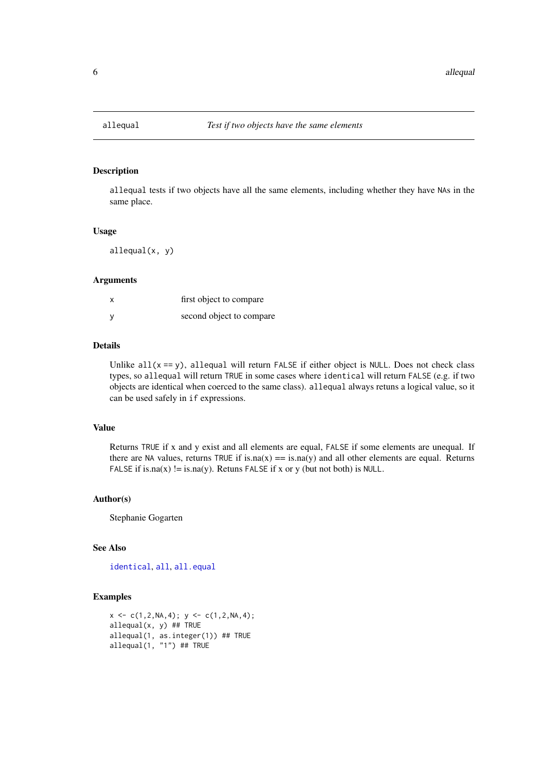<span id="page-5-0"></span>

### Description

allequal tests if two objects have all the same elements, including whether they have NAs in the same place.

#### Usage

allequal(x, y)

#### Arguments

| first object to compare  |
|--------------------------|
| second object to compare |

#### Details

Unlike  $all(x == y)$ , allequal will return FALSE if either object is NULL. Does not check class types, so allequal will return TRUE in some cases where identical will return FALSE (e.g. if two objects are identical when coerced to the same class). allequal always retuns a logical value, so it can be used safely in if expressions.

### Value

Returns TRUE if x and y exist and all elements are equal, FALSE if some elements are unequal. If there are NA values, returns TRUE if is.na(x) =  $\sin(xy)$  and all other elements are equal. Returns FALSE if is.na(x)  $!=$  is.na(y). Retuns FALSE if x or y (but not both) is NULL.

#### Author(s)

Stephanie Gogarten

### See Also

[identical](#page-0-0), [all](#page-0-0), [all.equal](#page-0-0)

#### Examples

```
x \leftarrow c(1, 2, NA, 4); y \leftarrow c(1, 2, NA, 4);allequal(x, y) ## TRUE
allequal(1, as.integer(1)) ## TRUE
allequal(1, "1") ## TRUE
```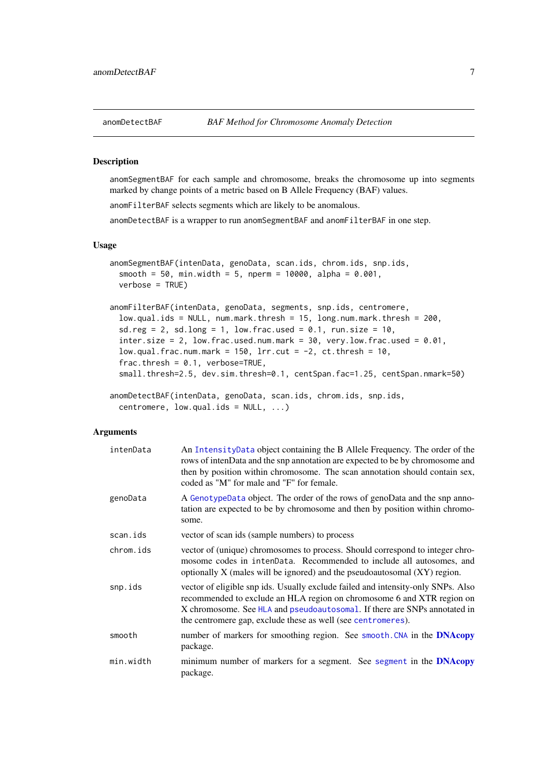<span id="page-6-1"></span><span id="page-6-0"></span>

### Description

anomSegmentBAF for each sample and chromosome, breaks the chromosome up into segments marked by change points of a metric based on B Allele Frequency (BAF) values.

anomFilterBAF selects segments which are likely to be anomalous.

anomDetectBAF is a wrapper to run anomSegmentBAF and anomFilterBAF in one step.

#### Usage

```
anomSegmentBAF(intenData, genoData, scan.ids, chrom.ids, snp.ids,
  smooth = 50, min.width = 5, nperm = 10000, alpha = 0.001,
 verbose = TRUE)
anomFilterBAF(intenData, genoData, segments, snp.ids, centromere,
  low.qual.ids = NULL, num.mark.thresh = 15, long.num.mark.thresh = 200,
  sd.reg = 2, sd.long = 1, low.frac.used = 0.1, run.size = 10,
  inter.size = 2, low.frac.used.num.mark = 30, very.low.frac.used = 0.01.
 low.qual.frac.num.mark = 150, 1rr.cut = -2, ct.thresh = 10,
  frac.thresh = 0.1, verbose=TRUE,
  small.thresh=2.5, dev.sim.thresh=0.1, centSpan.fac=1.25, centSpan.nmark=50)
anomDetectBAF(intenData, genoData, scan.ids, chrom.ids, snp.ids,
  centromere, low.qual.ids = NULL, ...)
```
### Arguments

| intenData | An IntensityData object containing the B Allele Frequency. The order of the<br>rows of intenData and the snp annotation are expected to be by chromosome and<br>then by position within chromosome. The scan annotation should contain sex,<br>coded as "M" for male and "F" for female.                |
|-----------|---------------------------------------------------------------------------------------------------------------------------------------------------------------------------------------------------------------------------------------------------------------------------------------------------------|
| genoData  | A GenotypeData object. The order of the rows of genoData and the snp anno-<br>tation are expected to be by chromosome and then by position within chromo-<br>some.                                                                                                                                      |
| scan.ids  | vector of scan ids (sample numbers) to process                                                                                                                                                                                                                                                          |
| chrom.ids | vector of (unique) chromosomes to process. Should correspond to integer chro-<br>mosome codes in intendata. Recommended to include all autosomes, and<br>optionally X (males will be ignored) and the pseudoautosomal $(XY)$ region.                                                                    |
| snp.ids   | vector of eligible snp ids. Usually exclude failed and intensity-only SNPs. Also<br>recommended to exclude an HLA region on chromosome 6 and XTR region on<br>X chromosome. See HLA and pseudoautosomal. If there are SNPs annotated in<br>the centromere gap, exclude these as well (see centromeres). |
| smooth    | number of markers for smoothing region. See smooth. CNA in the <b>DNAcopy</b><br>package.                                                                                                                                                                                                               |
| min.width | minimum number of markers for a segment. See segment in the <b>DNAcopy</b><br>package.                                                                                                                                                                                                                  |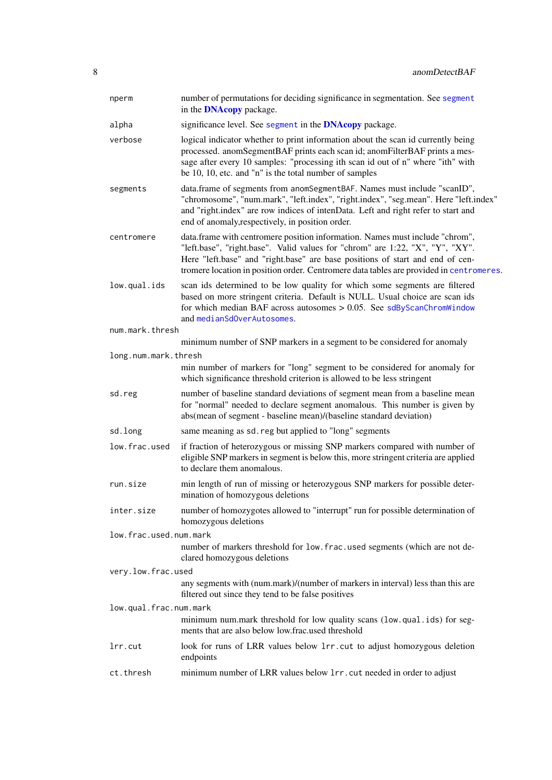| nperm                  | number of permutations for deciding significance in segmentation. See segment<br>in the <b>DNAcopy</b> package.                                                                                                                                                                                                                           |
|------------------------|-------------------------------------------------------------------------------------------------------------------------------------------------------------------------------------------------------------------------------------------------------------------------------------------------------------------------------------------|
| alpha                  | significance level. See segment in the <b>DNAcopy</b> package.                                                                                                                                                                                                                                                                            |
| verbose                | logical indicator whether to print information about the scan id currently being<br>processed. anomSegmentBAF prints each scan id; anomFilterBAF prints a mes-<br>sage after every 10 samples: "processing ith scan id out of n" where "ith" with<br>be 10, 10, etc. and "n" is the total number of samples                               |
| segments               | data.frame of segments from anomSegmentBAF. Names must include "scanID",<br>"chromosome", "num.mark", "left.index", "right.index", "seg.mean". Here "left.index"<br>and "right.index" are row indices of intenData. Left and right refer to start and<br>end of anomaly, respectively, in position order.                                 |
| centromere             | data.frame with centromere position information. Names must include "chrom",<br>"left.base", "right.base". Valid values for "chrom" are 1:22, "X", "Y", "XY".<br>Here "left.base" and "right.base" are base positions of start and end of cen-<br>tromere location in position order. Centromere data tables are provided in centromeres. |
| low.qual.ids           | scan ids determined to be low quality for which some segments are filtered<br>based on more stringent criteria. Default is NULL. Usual choice are scan ids<br>for which median BAF across autosomes $> 0.05$ . See sdByScanChromWindow<br>and medianSdOverAutosomes.                                                                      |
| num.mark.thresh        |                                                                                                                                                                                                                                                                                                                                           |
|                        | minimum number of SNP markers in a segment to be considered for anomaly                                                                                                                                                                                                                                                                   |
| long.num.mark.thresh   | min number of markers for "long" segment to be considered for anomaly for<br>which significance threshold criterion is allowed to be less stringent                                                                                                                                                                                       |
| sd.reg                 | number of baseline standard deviations of segment mean from a baseline mean<br>for "normal" needed to declare segment anomalous. This number is given by<br>abs(mean of segment - baseline mean)/(baseline standard deviation)                                                                                                            |
| sd.long                | same meaning as sd. reg but applied to "long" segments                                                                                                                                                                                                                                                                                    |
| low.frac.used          | if fraction of heterozygous or missing SNP markers compared with number of<br>eligible SNP markers in segment is below this, more stringent criteria are applied<br>to declare them anomalous.                                                                                                                                            |
| run.size               | min length of run of missing or heterozygous SNP markers for possible deter-<br>mination of homozygous deletions                                                                                                                                                                                                                          |
| inter.size             | number of homozygotes allowed to "interrupt" run for possible determination of<br>homozygous deletions                                                                                                                                                                                                                                    |
| low.frac.used.num.mark |                                                                                                                                                                                                                                                                                                                                           |
|                        | number of markers threshold for low. frac. used segments (which are not de-<br>clared homozygous deletions                                                                                                                                                                                                                                |
| very.low.frac.used     |                                                                                                                                                                                                                                                                                                                                           |
|                        | any segments with (num.mark)/(number of markers in interval) less than this are<br>filtered out since they tend to be false positives                                                                                                                                                                                                     |
| low.qual.frac.num.mark |                                                                                                                                                                                                                                                                                                                                           |
|                        | minimum num.mark threshold for low quality scans (low.qual.ids) for seg-<br>ments that are also below low.frac.used threshold                                                                                                                                                                                                             |
| lrr.cut                | look for runs of LRR values below 1rr. cut to adjust homozygous deletion<br>endpoints                                                                                                                                                                                                                                                     |
| ct.thresh              | minimum number of LRR values below 1rr. cut needed in order to adjust                                                                                                                                                                                                                                                                     |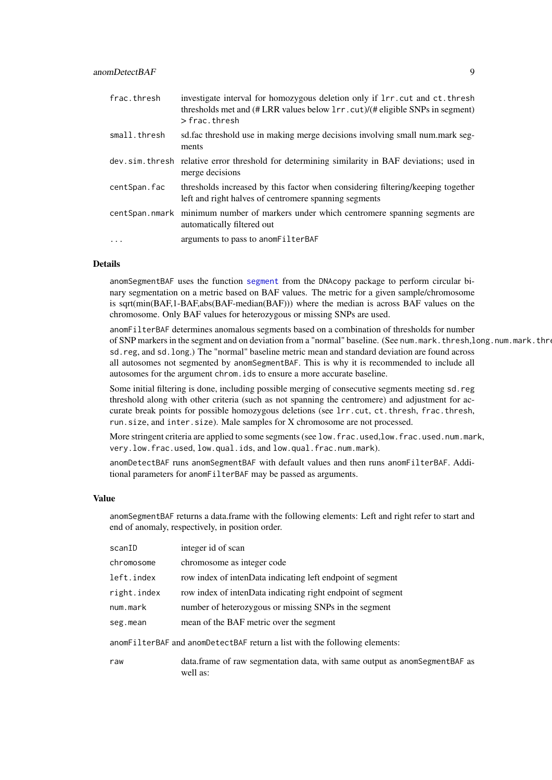| frac.thresh  | investigate interval for homozygous deletion only if $\text{Irr}$ . cut and ct. thresh<br>thresholds met and (#LRR values below 1rr. cut)/(# eligible SNPs in segment)<br>$>$ frac. thresh |
|--------------|--------------------------------------------------------------------------------------------------------------------------------------------------------------------------------------------|
| small.thresh | sd. fac threshold use in making merge decisions involving small num. mark seg-<br>ments                                                                                                    |
|              | dev. sim. thresh relative error threshold for determining similarity in BAF deviations; used in<br>merge decisions                                                                         |
| centSpan.fac | thresholds increased by this factor when considering filtering/keeping together<br>left and right halves of centromere spanning segments                                                   |
|              | centSpan.nmark minimum number of markers under which centromere spanning segments are<br>automatically filtered out                                                                        |
| .            | arguments to pass to anomFilterBAF                                                                                                                                                         |

### Details

anomSegmentBAF uses the function [segment](#page-0-0) from the DNAcopy package to perform circular binary segmentation on a metric based on BAF values. The metric for a given sample/chromosome is sqrt(min(BAF,1-BAF,abs(BAF-median(BAF))) where the median is across BAF values on the chromosome. Only BAF values for heterozygous or missing SNPs are used.

anomFilterBAF determines anomalous segments based on a combination of thresholds for number of SNP markers in the segment and on deviation from a "normal" baseline. (See num.mark.thresh,long.num.mark.thresh, sd.reg, and sd.long.) The "normal" baseline metric mean and standard deviation are found across all autosomes not segmented by anomSegmentBAF. This is why it is recommended to include all autosomes for the argument chrom.ids to ensure a more accurate baseline.

Some initial filtering is done, including possible merging of consecutive segments meeting sd.reg threshold along with other criteria (such as not spanning the centromere) and adjustment for accurate break points for possible homozygous deletions (see lrr.cut, ct.thresh, frac.thresh, run.size, and inter.size). Male samples for X chromosome are not processed.

More stringent criteria are applied to some segments (see low.frac.used,low.frac.used.num.mark, very.low.frac.used, low.qual.ids, and low.qual.frac.num.mark).

anomDetectBAF runs anomSegmentBAF with default values and then runs anomFilterBAF. Additional parameters for anomFilterBAF may be passed as arguments.

#### Value

anomSegmentBAF returns a data.frame with the following elements: Left and right refer to start and end of anomaly, respectively, in position order.

| scanID                                                                     | integer id of scan                                                                        |  |  |  |  |
|----------------------------------------------------------------------------|-------------------------------------------------------------------------------------------|--|--|--|--|
| chromosome                                                                 | chromosome as integer code                                                                |  |  |  |  |
| left.index                                                                 | row index of intenData indicating left endpoint of segment                                |  |  |  |  |
| right.index                                                                | row index of intenData indicating right endpoint of segment                               |  |  |  |  |
| num.mark                                                                   | number of heterozygous or missing SNPs in the segment                                     |  |  |  |  |
| seg.mean                                                                   | mean of the BAF metric over the segment                                                   |  |  |  |  |
| anomFilterBAF and anomDetectBAF return a list with the following elements: |                                                                                           |  |  |  |  |
| raw                                                                        | data. frame of raw segmentation data, with same output as anom Segment BAF as<br>well as: |  |  |  |  |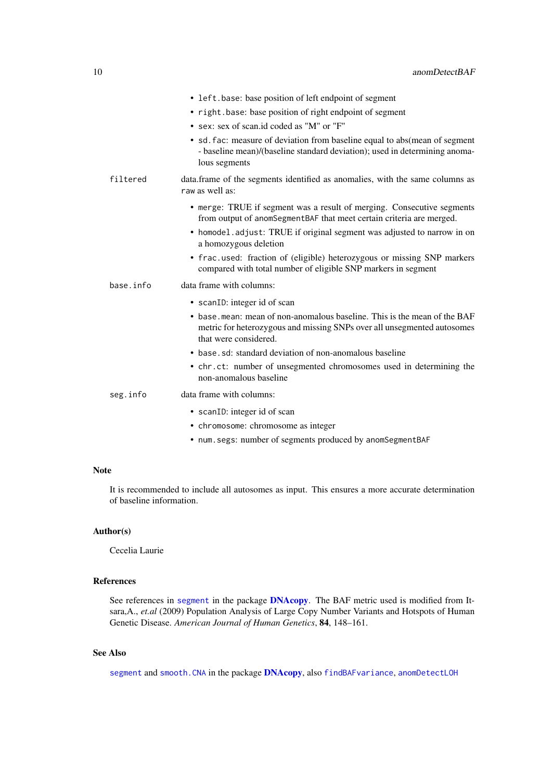|           | • left.base: base position of left endpoint of segment                                                                                                                        |
|-----------|-------------------------------------------------------------------------------------------------------------------------------------------------------------------------------|
|           | • right.base: base position of right endpoint of segment                                                                                                                      |
|           | • sex: sex of scan.id coded as "M" or "F"                                                                                                                                     |
|           | • sd. fac: measure of deviation from baseline equal to abs(mean of segment<br>- baseline mean)/(baseline standard deviation); used in determining anoma-<br>lous segments     |
| filtered  | data.frame of the segments identified as anomalies, with the same columns as<br>raw as well as:                                                                               |
|           | • merge: TRUE if segment was a result of merging. Consecutive segments<br>from output of anomSegmentBAF that meet certain criteria are merged.                                |
|           | • homodel.adjust: TRUE if original segment was adjusted to narrow in on<br>a homozygous deletion                                                                              |
|           | • frac.used: fraction of (eligible) heterozygous or missing SNP markers<br>compared with total number of eligible SNP markers in segment                                      |
| base.info | data frame with columns:                                                                                                                                                      |
|           | • scanID: integer id of scan                                                                                                                                                  |
|           | • base. mean: mean of non-anomalous baseline. This is the mean of the BAF<br>metric for heterozygous and missing SNPs over all unsegmented autosomes<br>that were considered. |
|           | • base, sd: standard deviation of non-anomalous baseline                                                                                                                      |
|           | • chr.ct: number of unsegmented chromosomes used in determining the<br>non-anomalous baseline                                                                                 |
| seg.info  | data frame with columns:                                                                                                                                                      |
|           | • scanID: integer id of scan<br>• chromosome: chromosome as integer                                                                                                           |

• num.segs: number of segments produced by anomSegmentBAF

# Note

It is recommended to include all autosomes as input. This ensures a more accurate determination of baseline information.

# Author(s)

Cecelia Laurie

### References

See references in [segment](#page-0-0) in the package [DNAcopy](#page-0-0). The BAF metric used is modified from Itsara,A., *et.al* (2009) Population Analysis of Large Copy Number Variants and Hotspots of Human Genetic Disease. *American Journal of Human Genetics*, 84, 148–161.

# See Also

[segment](#page-0-0) and [smooth.CNA](#page-0-0) in the package [DNAcopy](#page-0-0), also [findBAFvariance](#page-54-2), [anomDetectLOH](#page-10-1)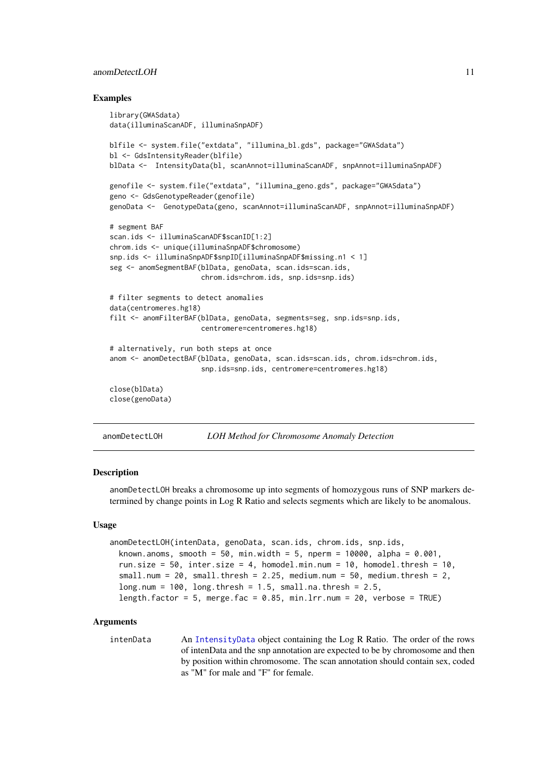#### <span id="page-10-0"></span>anomDetectLOH 11

#### Examples

```
library(GWASdata)
data(illuminaScanADF, illuminaSnpADF)
blfile <- system.file("extdata", "illumina_bl.gds", package="GWASdata")
bl <- GdsIntensityReader(blfile)
blData <- IntensityData(bl, scanAnnot=illuminaScanADF, snpAnnot=illuminaSnpADF)
genofile <- system.file("extdata", "illumina_geno.gds", package="GWASdata")
geno <- GdsGenotypeReader(genofile)
genoData <- GenotypeData(geno, scanAnnot=illuminaScanADF, snpAnnot=illuminaSnpADF)
# segment BAF
scan.ids <- illuminaScanADF$scanID[1:2]
chrom.ids <- unique(illuminaSnpADF$chromosome)
snp.ids <- illuminaSnpADF$snpID[illuminaSnpADF$missing.n1 < 1]
seg <- anomSegmentBAF(blData, genoData, scan.ids=scan.ids,
                      chrom.ids=chrom.ids, snp.ids=snp.ids)
# filter segments to detect anomalies
data(centromeres.hg18)
filt <- anomFilterBAF(blData, genoData, segments=seg, snp.ids=snp.ids,
                      centromere=centromeres.hg18)
# alternatively, run both steps at once
anom <- anomDetectBAF(blData, genoData, scan.ids=scan.ids, chrom.ids=chrom.ids,
                      snp.ids=snp.ids, centromere=centromeres.hg18)
close(blData)
close(genoData)
```
<span id="page-10-1"></span>anomDetectLOH *LOH Method for Chromosome Anomaly Detection*

#### Description

anomDetectLOH breaks a chromosome up into segments of homozygous runs of SNP markers determined by change points in Log R Ratio and selects segments which are likely to be anomalous.

#### Usage

```
anomDetectLOH(intenData, genoData, scan.ids, chrom.ids, snp.ids,
 known.anoms, smooth = 50, min.width = 5, nperm = 10000, alpha = 0.001.
 run.size = 50, inter.size = 4, homodel.min.num = 10, homodel.thresh = 10,
  small.num = 20, small.thresh = 2.25, medium.num = 50, medium.thresh = 2,
 long.num = 100, long.thresh = 1.5, small.na.thresh = 2.5,
  length.factor = 5, merge.fac = 0.85, min.lrr.num = 20, verbose = TRUE)
```
### Arguments

intenData An [IntensityData](#page-86-1) object containing the Log R Ratio. The order of the rows of intenData and the snp annotation are expected to be by chromosome and then by position within chromosome. The scan annotation should contain sex, coded as "M" for male and "F" for female.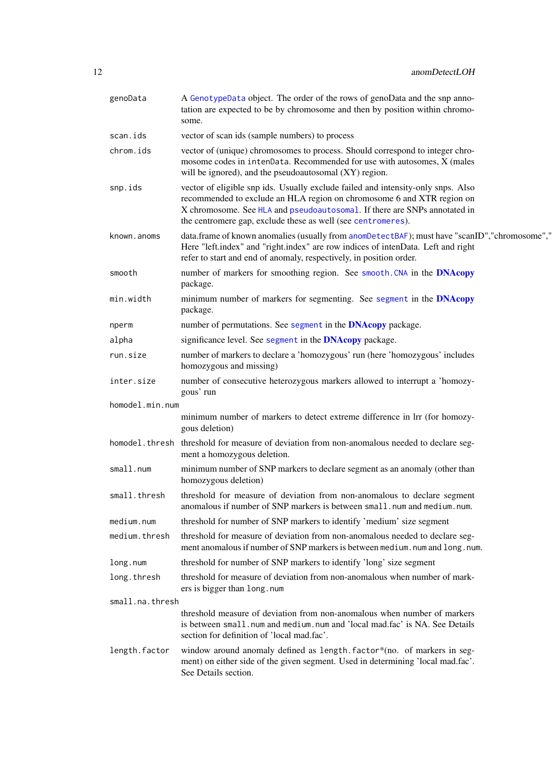| genoData        | A GenotypeData object. The order of the rows of genoData and the snp anno-<br>tation are expected to be by chromosome and then by position within chromo-<br>some.                                                                                                                                      |
|-----------------|---------------------------------------------------------------------------------------------------------------------------------------------------------------------------------------------------------------------------------------------------------------------------------------------------------|
| scan.ids        | vector of scan ids (sample numbers) to process                                                                                                                                                                                                                                                          |
| chrom.ids       | vector of (unique) chromosomes to process. Should correspond to integer chro-<br>mosome codes in intenData. Recommended for use with autosomes, X (males<br>will be ignored), and the pseudoautosomal (XY) region.                                                                                      |
| snp.ids         | vector of eligible snp ids. Usually exclude failed and intensity-only snps. Also<br>recommended to exclude an HLA region on chromosome 6 and XTR region on<br>X chromosome. See HLA and pseudoautosomal. If there are SNPs annotated in<br>the centromere gap, exclude these as well (see centromeres). |
| known.anoms     | data.frame of known anomalies (usually from anomDetectBAF); must have "scanID", "chromosome","<br>Here "left.index" and "right.index" are row indices of intenData. Left and right<br>refer to start and end of anomaly, respectively, in position order.                                               |
| smooth          | number of markers for smoothing region. See smooth. CNA in the DNAcopy<br>package.                                                                                                                                                                                                                      |
| min.width       | minimum number of markers for segmenting. See segment in the <b>DNAcopy</b><br>package.                                                                                                                                                                                                                 |
| nperm           | number of permutations. See segment in the <b>DNAcopy</b> package.                                                                                                                                                                                                                                      |
| alpha           | significance level. See segment in the <b>DNAcopy</b> package.                                                                                                                                                                                                                                          |
| run.size        | number of markers to declare a 'homozygous' run (here 'homozygous' includes<br>homozygous and missing)                                                                                                                                                                                                  |
| inter.size      | number of consecutive heterozygous markers allowed to interrupt a 'homozy-<br>gous' run                                                                                                                                                                                                                 |
| homodel.min.num |                                                                                                                                                                                                                                                                                                         |
|                 | minimum number of markers to detect extreme difference in lrr (for homozy-<br>gous deletion)                                                                                                                                                                                                            |
|                 | homodel. thresh threshold for measure of deviation from non-anomalous needed to declare seg-<br>ment a homozygous deletion.                                                                                                                                                                             |
| small.num       | minimum number of SNP markers to declare segment as an anomaly (other than<br>homozygous deletion)                                                                                                                                                                                                      |
| small.thresh    | threshold for measure of deviation from non-anomalous to declare segment<br>anomalous if number of SNP markers is between small.num and medium.num.                                                                                                                                                     |
| medium.num      | threshold for number of SNP markers to identify 'medium' size segment                                                                                                                                                                                                                                   |
| medium.thresh   | threshold for measure of deviation from non-anomalous needed to declare seg-<br>ment anomalous if number of SNP markers is between medium. num and long. num.                                                                                                                                           |
| long.num        | threshold for number of SNP markers to identify 'long' size segment                                                                                                                                                                                                                                     |
| long.thresh     | threshold for measure of deviation from non-anomalous when number of mark-<br>ers is bigger than long.num                                                                                                                                                                                               |
| small.na.thresh |                                                                                                                                                                                                                                                                                                         |
|                 | threshold measure of deviation from non-anomalous when number of markers<br>is between small.num and medium.num and 'local mad.fac' is NA. See Details<br>section for definition of 'local mad.fac'.                                                                                                    |
| length.factor   | window around anomaly defined as length.factor*(no. of markers in seg-<br>ment) on either side of the given segment. Used in determining 'local mad.fac'.<br>See Details section.                                                                                                                       |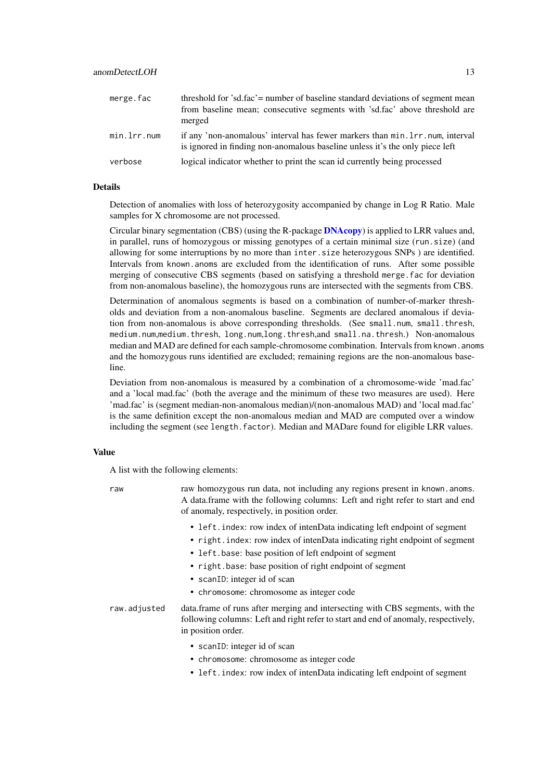| merge.fac   | threshold for 'sd.fac' = number of baseline standard deviations of segment mean<br>from baseline mean; consecutive segments with 'sd.fac' above threshold are<br>merged |
|-------------|-------------------------------------------------------------------------------------------------------------------------------------------------------------------------|
| min.lrr.num | if any 'non-anomalous' interval has fewer markers than min. 1rr. num, interval<br>is ignored in finding non-anomalous baseline unless it's the only piece left          |
| verbose     | logical indicator whether to print the scan id currently being processed                                                                                                |

### Details

Detection of anomalies with loss of heterozygosity accompanied by change in Log R Ratio. Male samples for X chromosome are not processed.

Circular binary segmentation (CBS) (using the R-package [DNAcopy](#page-0-0)) is applied to LRR values and, in parallel, runs of homozygous or missing genotypes of a certain minimal size (run.size) (and allowing for some interruptions by no more than inter.size heterozygous SNPs ) are identified. Intervals from known.anoms are excluded from the identification of runs. After some possible merging of consecutive CBS segments (based on satisfying a threshold merge.fac for deviation from non-anomalous baseline), the homozygous runs are intersected with the segments from CBS.

Determination of anomalous segments is based on a combination of number-of-marker thresholds and deviation from a non-anomalous baseline. Segments are declared anomalous if deviation from non-anomalous is above corresponding thresholds. (See small.num, small.thresh, medium.num,medium.thresh, long.num,long.thresh,and small.na.thresh.) Non-anomalous median and MAD are defined for each sample-chromosome combination. Intervals from known.anoms and the homozygous runs identified are excluded; remaining regions are the non-anomalous baseline.

Deviation from non-anomalous is measured by a combination of a chromosome-wide 'mad.fac' and a 'local mad.fac' (both the average and the minimum of these two measures are used). Here 'mad.fac' is (segment median-non-anomalous median)/(non-anomalous MAD) and 'local mad.fac' is the same definition except the non-anomalous median and MAD are computed over a window including the segment (see length.factor). Median and MADare found for eligible LRR values.

#### Value

A list with the following elements:

raw raw homozygous run data, not including any regions present in known.anoms. A data.frame with the following columns: Left and right refer to start and end of anomaly, respectively, in position order.

- left.index: row index of intenData indicating left endpoint of segment
- right.index: row index of intenData indicating right endpoint of segment
- left.base: base position of left endpoint of segment
- right.base: base position of right endpoint of segment
- scanID: integer id of scan
- chromosome: chromosome as integer code

raw.adjusted data.frame of runs after merging and intersecting with CBS segments, with the following columns: Left and right refer to start and end of anomaly, respectively, in position order.

- scanID: integer id of scan
- chromosome: chromosome as integer code
- left.index: row index of intenData indicating left endpoint of segment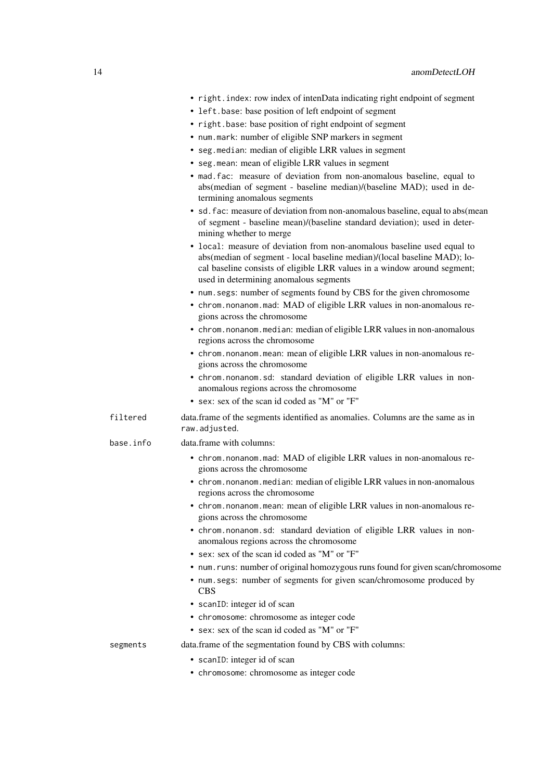|  | • right.index: row index of intenData indicating right endpoint of segment |  |  |  |
|--|----------------------------------------------------------------------------|--|--|--|
|  |                                                                            |  |  |  |

- left.base: base position of left endpoint of segment
- right.base: base position of right endpoint of segment
- num.mark: number of eligible SNP markers in segment
- seg.median: median of eligible LRR values in segment
- seg.mean: mean of eligible LRR values in segment
- mad.fac: measure of deviation from non-anomalous baseline, equal to abs(median of segment - baseline median)/(baseline MAD); used in determining anomalous segments
- sd.fac: measure of deviation from non-anomalous baseline, equal to abs(mean of segment - baseline mean)/(baseline standard deviation); used in determining whether to merge
- local: measure of deviation from non-anomalous baseline used equal to abs(median of segment - local baseline median)/(local baseline MAD); local baseline consists of eligible LRR values in a window around segment; used in determining anomalous segments
- num.segs: number of segments found by CBS for the given chromosome
- chrom.nonanom.mad: MAD of eligible LRR values in non-anomalous regions across the chromosome
- chrom.nonanom.median: median of eligible LRR values in non-anomalous regions across the chromosome
- chrom.nonanom.mean: mean of eligible LRR values in non-anomalous regions across the chromosome
- chrom.nonanom.sd: standard deviation of eligible LRR values in nonanomalous regions across the chromosome
- sex: sex of the scan id coded as "M" or "F"
- filtered data.frame of the segments identified as anomalies. Columns are the same as in raw.adjusted.
- base.info data.frame with columns:
	- chrom.nonanom.mad: MAD of eligible LRR values in non-anomalous regions across the chromosome
	- chrom.nonanom.median: median of eligible LRR values in non-anomalous regions across the chromosome
	- chrom.nonanom.mean: mean of eligible LRR values in non-anomalous regions across the chromosome
	- chrom.nonanom.sd: standard deviation of eligible LRR values in nonanomalous regions across the chromosome
	- sex: sex of the scan id coded as "M" or "F"
	- num. runs: number of original homozygous runs found for given scan/chromosome
	- num.segs: number of segments for given scan/chromosome produced by **CBS**
	- scanID: integer id of scan
	- chromosome: chromosome as integer code
	- sex: sex of the scan id coded as "M" or "F"

segments data.frame of the segmentation found by CBS with columns:

- 
- scanID: integer id of scan
- chromosome: chromosome as integer code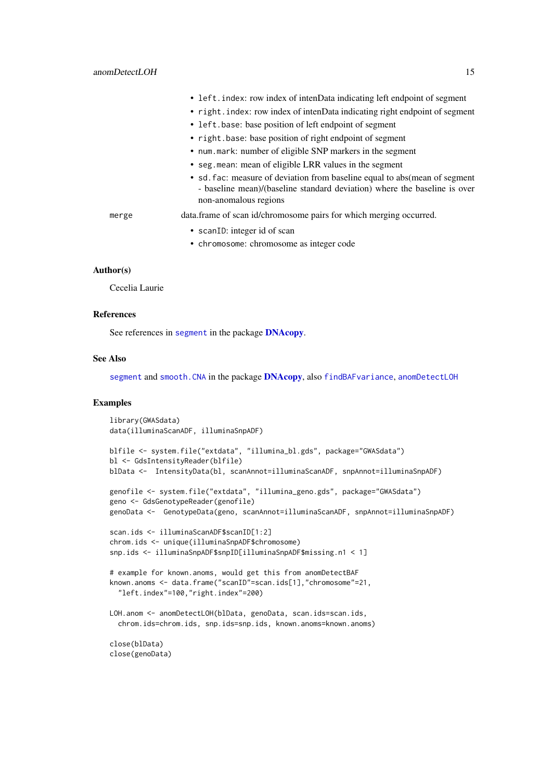|       | • left. index: row index of intenData indicating left endpoint of segment                                                                                                         |
|-------|-----------------------------------------------------------------------------------------------------------------------------------------------------------------------------------|
|       | • right index: row index of intenData indicating right endpoint of segment                                                                                                        |
|       | • left, base: base position of left endpoint of segment                                                                                                                           |
|       | • right.base: base position of right endpoint of segment                                                                                                                          |
|       | • num. mark: number of eligible SNP markers in the segment                                                                                                                        |
|       | • seg. mean: mean of eligible LRR values in the segment                                                                                                                           |
|       | • sd. fac: measure of deviation from baseline equal to abs (mean of segment<br>- baseline mean)/(baseline standard deviation) where the baseline is over<br>non-anomalous regions |
| merge | data.frame of scan id/chromosome pairs for which merging occurred.                                                                                                                |
|       | • scanID: integer id of scan                                                                                                                                                      |
|       | • chromosome: chromosome as integer code                                                                                                                                          |

### Author(s)

Cecelia Laurie

#### References

See references in [segment](#page-0-0) in the package [DNAcopy](#page-0-0).

#### See Also

[segment](#page-0-0) and [smooth.CNA](#page-0-0) in the package [DNAcopy](#page-0-0), also [findBAFvariance](#page-54-2), [anomDetectLOH](#page-10-1)

#### Examples

```
library(GWASdata)
data(illuminaScanADF, illuminaSnpADF)
blfile <- system.file("extdata", "illumina_bl.gds", package="GWASdata")
bl <- GdsIntensityReader(blfile)
blData <- IntensityData(bl, scanAnnot=illuminaScanADF, snpAnnot=illuminaSnpADF)
genofile <- system.file("extdata", "illumina_geno.gds", package="GWASdata")
geno <- GdsGenotypeReader(genofile)
genoData <- GenotypeData(geno, scanAnnot=illuminaScanADF, snpAnnot=illuminaSnpADF)
scan.ids <- illuminaScanADF$scanID[1:2]
chrom.ids <- unique(illuminaSnpADF$chromosome)
snp.ids <- illuminaSnpADF$snpID[illuminaSnpADF$missing.n1 < 1]
# example for known.anoms, would get this from anomDetectBAF
known.anoms <- data.frame("scanID"=scan.ids[1],"chromosome"=21,
  "left.index"=100,"right.index"=200)
LOH.anom <- anomDetectLOH(blData, genoData, scan.ids=scan.ids,
  chrom.ids=chrom.ids, snp.ids=snp.ids, known.anoms=known.anoms)
close(blData)
close(genoData)
```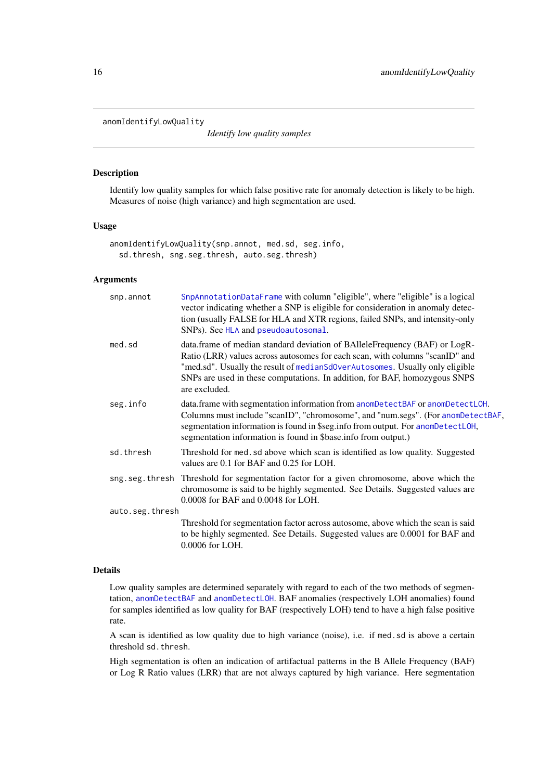<span id="page-15-0"></span>anomIdentifyLowQuality

*Identify low quality samples*

### Description

Identify low quality samples for which false positive rate for anomaly detection is likely to be high. Measures of noise (high variance) and high segmentation are used.

#### Usage

anomIdentifyLowQuality(snp.annot, med.sd, seg.info, sd.thresh, sng.seg.thresh, auto.seg.thresh)

### Arguments

| snp.annot       | SnpAnnotationDataFrame with column "eligible", where "eligible" is a logical<br>vector indicating whether a SNP is eligible for consideration in anomaly detec-<br>tion (usually FALSE for HLA and XTR regions, failed SNPs, and intensity-only<br>SNPs). See HLA and pseudoautosomal.                                                    |
|-----------------|-------------------------------------------------------------------------------------------------------------------------------------------------------------------------------------------------------------------------------------------------------------------------------------------------------------------------------------------|
| med.sd          | data.frame of median standard deviation of BAlleleFrequency (BAF) or LogR-<br>Ratio (LRR) values across autosomes for each scan, with columns "scanID" and<br>"med.sd". Usually the result of medianSdOverAutosomes. Usually only eligible<br>SNPs are used in these computations. In addition, for BAF, homozygous SNPS<br>are excluded. |
| seg.info        | data.frame with segmentation information from anomDetectBAF or anomDetectLOH.<br>Columns must include "scanID", "chromosome", and "num.segs". (For anomDetectBAF,<br>segmentation information is found in \$seg.info from output. For anomDetectLOH,<br>segmentation information is found in \$base.info from output.)                    |
| sd.thresh       | Threshold for med. sd above which scan is identified as low quality. Suggested<br>values are 0.1 for BAF and 0.25 for LOH.                                                                                                                                                                                                                |
|                 | sng seg thresh Threshold for segmentation factor for a given chromosome, above which the<br>chromosome is said to be highly segmented. See Details. Suggested values are<br>0.0008 for BAF and 0.0048 for LOH.                                                                                                                            |
| auto.seg.thresh |                                                                                                                                                                                                                                                                                                                                           |
|                 | Threshold for segmentation factor across autosome, above which the scan is said<br>to be highly segmented. See Details. Suggested values are 0.0001 for BAF and<br>0.0006 for LOH.                                                                                                                                                        |

### Details

Low quality samples are determined separately with regard to each of the two methods of segmentation, [anomDetectBAF](#page-6-1) and [anomDetectLOH](#page-10-1). BAF anomalies (respectively LOH anomalies) found for samples identified as low quality for BAF (respectively LOH) tend to have a high false positive rate.

A scan is identified as low quality due to high variance (noise), i.e. if med.sd is above a certain threshold sd.thresh.

High segmentation is often an indication of artifactual patterns in the B Allele Frequency (BAF) or Log R Ratio values (LRR) that are not always captured by high variance. Here segmentation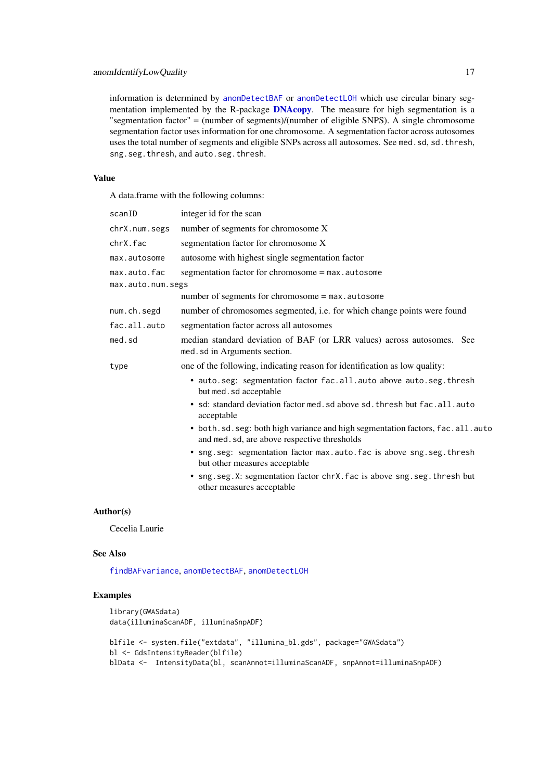information is determined by [anomDetectBAF](#page-6-1) or [anomDetectLOH](#page-10-1) which use circular binary seg-mentation implemented by the R-package [DNAcopy](#page-0-0). The measure for high segmentation is a "segmentation factor" = (number of segments)/(number of eligible SNPS). A single chromosome segmentation factor uses information for one chromosome. A segmentation factor across autosomes uses the total number of segments and eligible SNPs across all autosomes. See med.sd, sd.thresh, sng.seg.thresh, and auto.seg.thresh.

# Value

A data.frame with the following columns:

| scanID            | integer id for the scan                                                                                                       |
|-------------------|-------------------------------------------------------------------------------------------------------------------------------|
| chrX.num.segs     | number of segments for chromosome X                                                                                           |
| chrX.fac          | segmentation factor for chromosome X                                                                                          |
| max.autosome      | autosome with highest single segmentation factor                                                                              |
| max.auto.fac      | segmentation factor for chromosome = max.autosome                                                                             |
| max.auto.num.segs |                                                                                                                               |
|                   | number of segments for chromosome = max.autosome                                                                              |
| num.ch.segd       | number of chromosomes segmented, i.e. for which change points were found                                                      |
| fac.all.auto      | segmentation factor across all autosomes                                                                                      |
| med.sd            | median standard deviation of BAF (or LRR values) across autosomes. See<br>med. sd in Arguments section.                       |
| type              | one of the following, indicating reason for identification as low quality:                                                    |
|                   | • auto.seg: segmentation factor fac.all.auto above auto.seg.thresh<br>but med.sd acceptable                                   |
|                   | · sd: standard deviation factor med. sd above sd. thresh but fac.all.auto<br>acceptable                                       |
|                   | • both.sd.seg: both high variance and high segmentation factors, fac.all.auto<br>and med. sd, are above respective thresholds |
|                   | · sng.seg: segmentation factor max.auto.fac is above sng.seg.thresh<br>but other measures acceptable                          |
|                   | • sng. seg. X: segmentation factor chrX. fac is above sng. seg. thresh but<br>other measures acceptable                       |
|                   |                                                                                                                               |

### Author(s)

Cecelia Laurie

#### See Also

[findBAFvariance](#page-54-2), [anomDetectBAF](#page-6-1), [anomDetectLOH](#page-10-1)

### Examples

```
library(GWASdata)
data(illuminaScanADF, illuminaSnpADF)
blfile <- system.file("extdata", "illumina_bl.gds", package="GWASdata")
bl <- GdsIntensityReader(blfile)
```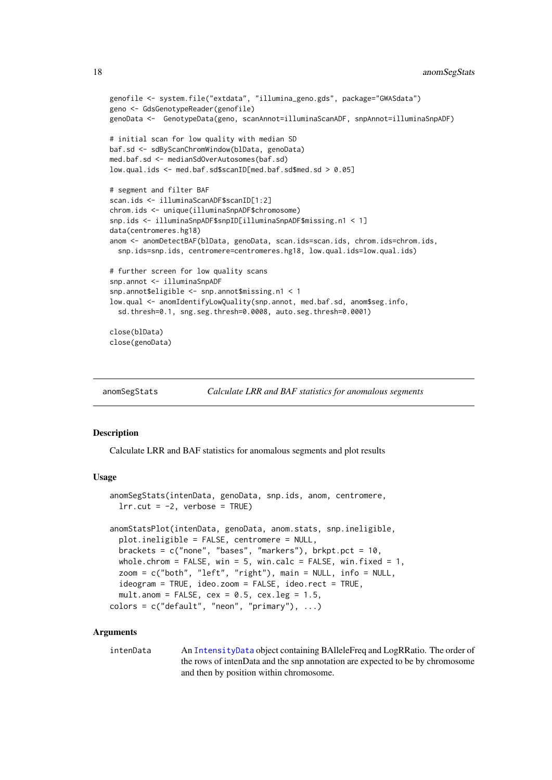```
genofile <- system.file("extdata", "illumina_geno.gds", package="GWASdata")
geno <- GdsGenotypeReader(genofile)
genoData <- GenotypeData(geno, scanAnnot=illuminaScanADF, snpAnnot=illuminaSnpADF)
# initial scan for low quality with median SD
baf.sd <- sdByScanChromWindow(blData, genoData)
med.baf.sd <- medianSdOverAutosomes(baf.sd)
low.qual.ids <- med.baf.sd$scanID[med.baf.sd$med.sd > 0.05]
# segment and filter BAF
scan.ids <- illuminaScanADF$scanID[1:2]
chrom.ids <- unique(illuminaSnpADF$chromosome)
snp.ids <- illuminaSnpADF$snpID[illuminaSnpADF$missing.n1 < 1]
data(centromeres.hg18)
anom <- anomDetectBAF(blData, genoData, scan.ids=scan.ids, chrom.ids=chrom.ids,
  snp.ids=snp.ids, centromere=centromeres.hg18, low.qual.ids=low.qual.ids)
# further screen for low quality scans
snp.annot <- illuminaSnpADF
snp.annot$eligible <- snp.annot$missing.n1 < 1
low.qual <- anomIdentifyLowQuality(snp.annot, med.baf.sd, anom$seg.info,
  sd.thresh=0.1, sng.seg.thresh=0.0008, auto.seg.thresh=0.0001)
close(blData)
close(genoData)
```

| anomSegStats | Calculate LRR and BAF statistics for anomalous segments |
|--------------|---------------------------------------------------------|
|              |                                                         |

#### Description

Calculate LRR and BAF statistics for anomalous segments and plot results

#### Usage

```
anomSegStats(intenData, genoData, snp.ids, anom, centromere,
 lrr.cut = -2, verbose = TRUE)
anomStatsPlot(intenData, genoData, anom.stats, snp.ineligible,
 plot.ineligible = FALSE, centromere = NULL,
 brackets = c("none", "bases", "markers"), brkpt.pct = 10,
 whole.chrom = FALSE, win = 5, win.calc = FALSE, win.fixed = 1,
 zoom = c("both", "left", "right"), main = NULL, info = NULL,
 ideogram = TRUE, ideo.zoom = FALSE, ideo.rect = TRUE,
 mult.anom = FALSE, cex = 0.5, cex.leg = 1.5,
colors = c("default", "neon", "primary"), ...)
```
### Arguments

intenData An [IntensityData](#page-86-1) object containing BAlleleFreq and LogRRatio. The order of the rows of intenData and the snp annotation are expected to be by chromosome and then by position within chromosome.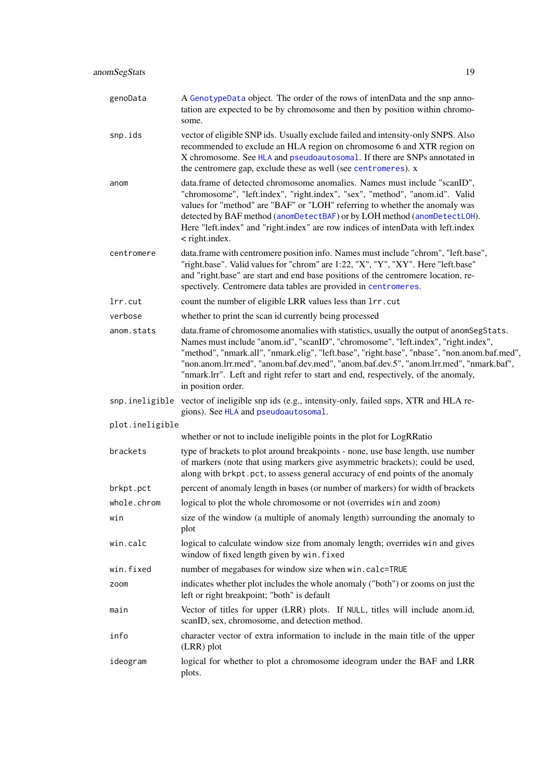| genoData        | A GenotypeData object. The order of the rows of intenData and the snp anno-<br>tation are expected to be by chromosome and then by position within chromo-<br>some.                                                                                                                                                                                                                                                                                                                |
|-----------------|------------------------------------------------------------------------------------------------------------------------------------------------------------------------------------------------------------------------------------------------------------------------------------------------------------------------------------------------------------------------------------------------------------------------------------------------------------------------------------|
| snp.ids         | vector of eligible SNP ids. Usually exclude failed and intensity-only SNPS. Also<br>recommended to exclude an HLA region on chromosome 6 and XTR region on<br>X chromosome. See HLA and pseudoautosomal. If there are SNPs annotated in<br>the centromere gap, exclude these as well (see centromeres). x                                                                                                                                                                          |
| anom            | data.frame of detected chromosome anomalies. Names must include "scanID",<br>"chromosome", "left.index", "right.index", "sex", "method", "anom.id". Valid<br>values for "method" are "BAF" or "LOH" referring to whether the anomaly was<br>detected by BAF method (anomDetectBAF) or by LOH method (anomDetectLOH).<br>Here "left.index" and "right.index" are row indices of intenData with left.index<br>$\langle$ right.index.                                                 |
| centromere      | data.frame with centromere position info. Names must include "chrom", "left.base",<br>"right.base". Valid values for "chrom" are 1:22, "X", "Y", "XY". Here "left.base"<br>and "right.base" are start and end base positions of the centromere location, re-<br>spectively. Centromere data tables are provided in centromeres.                                                                                                                                                    |
| lrr.cut         | count the number of eligible LRR values less than 1rr. cut                                                                                                                                                                                                                                                                                                                                                                                                                         |
| verbose         | whether to print the scan id currently being processed                                                                                                                                                                                                                                                                                                                                                                                                                             |
| anom.stats      | data.frame of chromosome anomalies with statistics, usually the output of anomSegStats.<br>Names must include "anom.id", "scanID", "chromosome", "left.index", "right.index",<br>"method", "nmark.all", "nmark.elig", "left.base", "right.base", "nbase", "non.anom.baf.med",<br>"non.anom.lrr.med", "anom.baf.dev.med", "anom.baf.dev.5", "anom.lrr.med", "nmark.baf",<br>"nmark.lrr". Left and right refer to start and end, respectively, of the anomaly,<br>in position order. |
|                 | snp. ineligible vector of ineligible snp ids (e.g., intensity-only, failed snps, XTR and HLA re-<br>gions). See HLA and pseudoautosomal.                                                                                                                                                                                                                                                                                                                                           |
| plot.ineligible |                                                                                                                                                                                                                                                                                                                                                                                                                                                                                    |
|                 | whether or not to include ineligible points in the plot for LogRRatio                                                                                                                                                                                                                                                                                                                                                                                                              |
| brackets        | type of brackets to plot around breakpoints - none, use base length, use number<br>of markers (note that using markers give asymmetric brackets); could be used,<br>along with brkpt.pct, to assess general accuracy of end points of the anomaly                                                                                                                                                                                                                                  |
| brkpt.pct       | percent of anomaly length in bases (or number of markers) for width of brackets                                                                                                                                                                                                                                                                                                                                                                                                    |
| whole.chrom     | logical to plot the whole chromosome or not (overrides win and zoom)                                                                                                                                                                                                                                                                                                                                                                                                               |
| win             | size of the window (a multiple of anomaly length) surrounding the anomaly to<br>plot                                                                                                                                                                                                                                                                                                                                                                                               |
| win.calc        | logical to calculate window size from anomaly length; overrides win and gives<br>window of fixed length given by win. fixed                                                                                                                                                                                                                                                                                                                                                        |
| win.fixed       | number of megabases for window size when win.calc=TRUE                                                                                                                                                                                                                                                                                                                                                                                                                             |
| zoom            | indicates whether plot includes the whole anomaly ("both") or zooms on just the<br>left or right breakpoint; "both" is default                                                                                                                                                                                                                                                                                                                                                     |
| main            | Vector of titles for upper (LRR) plots. If NULL, titles will include anom.id,<br>scanID, sex, chromosome, and detection method.                                                                                                                                                                                                                                                                                                                                                    |
| info            | character vector of extra information to include in the main title of the upper<br>(LRR) plot                                                                                                                                                                                                                                                                                                                                                                                      |
| ideogram        | logical for whether to plot a chromosome ideogram under the BAF and LRR<br>plots.                                                                                                                                                                                                                                                                                                                                                                                                  |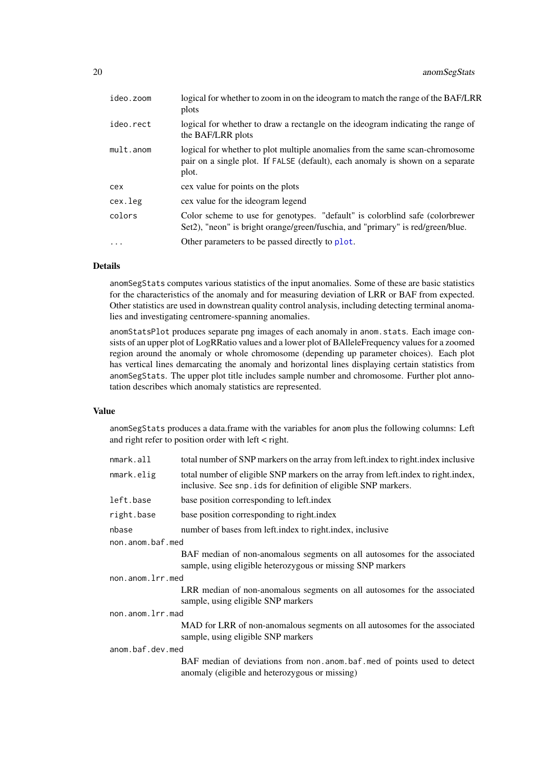| ideo.zoom | logical for whether to zoom in on the ideogram to match the range of the BAF/LRR<br>plots                                                                               |
|-----------|-------------------------------------------------------------------------------------------------------------------------------------------------------------------------|
| ideo.rect | logical for whether to draw a rectangle on the ideogram indicating the range of<br>the BAF/LRR plots                                                                    |
| mult.anom | logical for whether to plot multiple anomalies from the same scan-chromosome<br>pair on a single plot. If FALSE (default), each anomaly is shown on a separate<br>plot. |
| cex       | cex value for points on the plots                                                                                                                                       |
| cex.leg   | cex value for the ideogram legend                                                                                                                                       |
| colors    | Color scheme to use for genotypes. "default" is colorblind safe (colorbrewer<br>Set2), "neon" is bright orange/green/fuschia, and "primary" is red/green/blue.          |
| .         | Other parameters to be passed directly to plot.                                                                                                                         |
|           |                                                                                                                                                                         |

### Details

anomSegStats computes various statistics of the input anomalies. Some of these are basic statistics for the characteristics of the anomaly and for measuring deviation of LRR or BAF from expected. Other statistics are used in downstrean quality control analysis, including detecting terminal anomalies and investigating centromere-spanning anomalies.

anomStatsPlot produces separate png images of each anomaly in anom.stats. Each image consists of an upper plot of LogRRatio values and a lower plot of BAlleleFrequency values for a zoomed region around the anomaly or whole chromosome (depending up parameter choices). Each plot has vertical lines demarcating the anomaly and horizontal lines displaying certain statistics from anomSegStats. The upper plot title includes sample number and chromosome. Further plot annotation describes which anomaly statistics are represented.

### Value

anomSegStats produces a data.frame with the variables for anom plus the following columns: Left and right refer to position order with left < right.

| nmark.all        | total number of SNP markers on the array from left index to right index inclusive                                                                    |
|------------------|------------------------------------------------------------------------------------------------------------------------------------------------------|
| nmark.elig       | total number of eligible SNP markers on the array from left index to right index,<br>inclusive. See snp. ids for definition of eligible SNP markers. |
| left.base        | base position corresponding to left.index                                                                                                            |
| right.base       | base position corresponding to right.index                                                                                                           |
| nbase            | number of bases from left index to right index, inclusive                                                                                            |
| non.anom.baf.med |                                                                                                                                                      |
|                  | BAF median of non-anomalous segments on all autosomes for the associated<br>sample, using eligible heterozygous or missing SNP markers               |
| non.anom.lrr.med |                                                                                                                                                      |
|                  | LRR median of non-anomalous segments on all autosomes for the associated<br>sample, using eligible SNP markers                                       |
| non.anom.lrr.mad |                                                                                                                                                      |
|                  | MAD for LRR of non-anomalous segments on all autosomes for the associated<br>sample, using eligible SNP markers                                      |
| anom.baf.dev.med |                                                                                                                                                      |
|                  | BAF median of deviations from non.anom.baf.med of points used to detect<br>anomaly (eligible and heterozygous or missing)                            |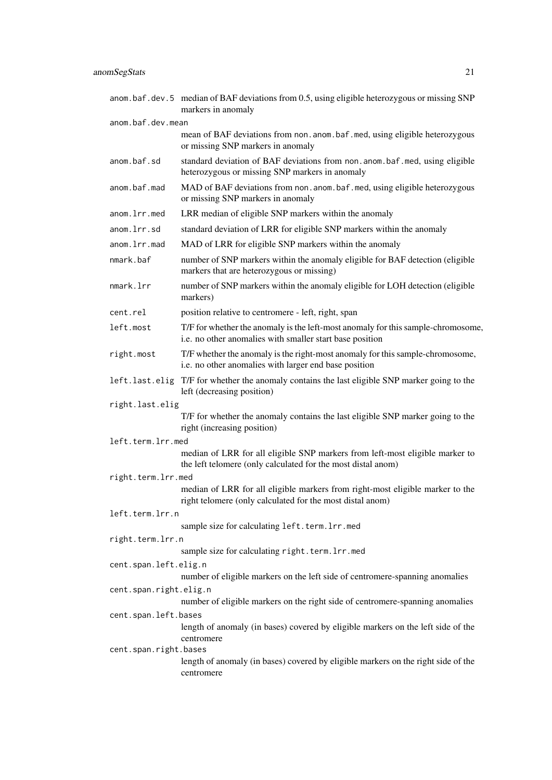|                        | anom.baf.dev.5 median of BAF deviations from 0.5, using eligible heterozygous or missing SNP<br>markers in anomaly                           |
|------------------------|----------------------------------------------------------------------------------------------------------------------------------------------|
| anom.baf.dev.mean      |                                                                                                                                              |
|                        | mean of BAF deviations from non. anom. baf. med, using eligible heterozygous<br>or missing SNP markers in anomaly                            |
| anom.baf.sd            | standard deviation of BAF deviations from non. anom. baf. med, using eligible<br>heterozygous or missing SNP markers in anomaly              |
| anom.baf.mad           | MAD of BAF deviations from non. anom. baf. med, using eligible heterozygous<br>or missing SNP markers in anomaly                             |
| anom.lrr.med           | LRR median of eligible SNP markers within the anomaly                                                                                        |
| anom.lrr.sd            | standard deviation of LRR for eligible SNP markers within the anomaly                                                                        |
| anom.lrr.mad           | MAD of LRR for eligible SNP markers within the anomaly                                                                                       |
| nmark.baf              | number of SNP markers within the anomaly eligible for BAF detection (eligible<br>markers that are heterozygous or missing)                   |
| nmark.lrr              | number of SNP markers within the anomaly eligible for LOH detection (eligible<br>markers)                                                    |
| cent.rel               | position relative to centromere - left, right, span                                                                                          |
| left.most              | T/F for whether the anomaly is the left-most anomaly for this sample-chromosome,<br>i.e. no other anomalies with smaller start base position |
| right.most             | T/F whether the anomaly is the right-most anomaly for this sample-chromosome,<br>i.e. no other anomalies with larger end base position       |
|                        | left.last.elig T/F for whether the anomaly contains the last eligible SNP marker going to the<br>left (decreasing position)                  |
| right.last.elig        |                                                                                                                                              |
|                        | T/F for whether the anomaly contains the last eligible SNP marker going to the<br>right (increasing position)                                |
| left.term.lrr.med      |                                                                                                                                              |
|                        | median of LRR for all eligible SNP markers from left-most eligible marker to<br>the left telomere (only calculated for the most distal anom) |
| right.term.lrr.med     |                                                                                                                                              |
|                        | median of LRR for all eligible markers from right-most eligible marker to the<br>right telomere (only calculated for the most distal anom)   |
| left.term.lrr.n        |                                                                                                                                              |
|                        | sample size for calculating left.term.lrr.med                                                                                                |
| right.term.lrr.n       | sample size for calculating right.term.lrr.med                                                                                               |
| cent.span.left.elig.n  |                                                                                                                                              |
|                        | number of eligible markers on the left side of centromere-spanning anomalies                                                                 |
| cent.span.right.elig.n | number of eligible markers on the right side of centromere-spanning anomalies                                                                |
| cent.span.left.bases   |                                                                                                                                              |
|                        | length of anomaly (in bases) covered by eligible markers on the left side of the<br>centromere                                               |
| cent.span.right.bases  | length of anomaly (in bases) covered by eligible markers on the right side of the<br>centromere                                              |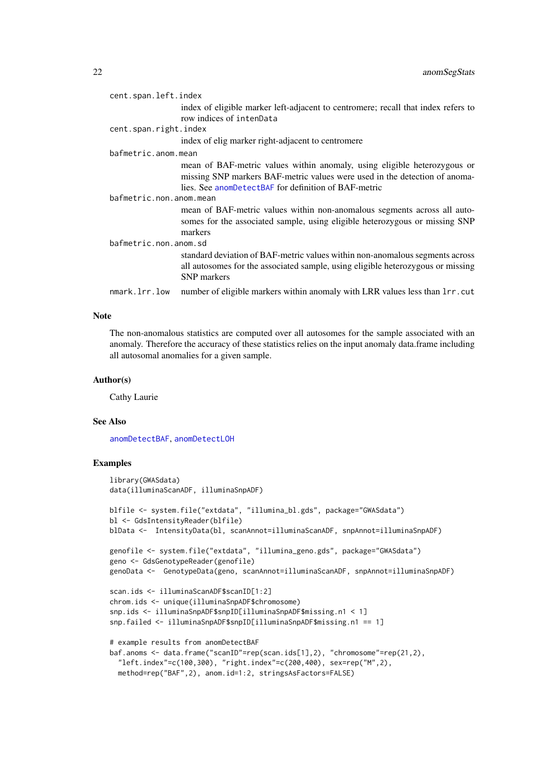| cent.span.left.index    |                                                                                                                                                                                                                |
|-------------------------|----------------------------------------------------------------------------------------------------------------------------------------------------------------------------------------------------------------|
|                         | index of eligible marker left-adjacent to centromere; recall that index refers to                                                                                                                              |
|                         | row indices of intenData                                                                                                                                                                                       |
| cent.span.right.index   |                                                                                                                                                                                                                |
|                         | index of elig marker right-adjacent to centromere                                                                                                                                                              |
| bafmetric.anom.mean     |                                                                                                                                                                                                                |
|                         | mean of BAF-metric values within anomaly, using eligible heterozygous or<br>missing SNP markers BAF-metric values were used in the detection of anoma-<br>lies. See anomDetectBAF for definition of BAF-metric |
| bafmetric.non.anom.mean |                                                                                                                                                                                                                |
|                         | mean of BAF-metric values within non-anomalous segments across all auto-<br>somes for the associated sample, using eligible heterozygous or missing SNP<br>markers                                             |
| bafmetric.non.anom.sd   |                                                                                                                                                                                                                |
|                         | standard deviation of BAF-metric values within non-anomalous segments across<br>all autosomes for the associated sample, using eligible heterozygous or missing<br><b>SNP</b> markers                          |
| nmark.lrr.low           | number of eligible markers within anomaly with LRR values less than 1rr. cut                                                                                                                                   |

#### Note

The non-anomalous statistics are computed over all autosomes for the sample associated with an anomaly. Therefore the accuracy of these statistics relies on the input anomaly data.frame including all autosomal anomalies for a given sample.

### Author(s)

Cathy Laurie

### See Also

[anomDetectBAF](#page-6-1), [anomDetectLOH](#page-10-1)

### Examples

```
library(GWASdata)
data(illuminaScanADF, illuminaSnpADF)
blfile <- system.file("extdata", "illumina_bl.gds", package="GWASdata")
bl <- GdsIntensityReader(blfile)
blData <- IntensityData(bl, scanAnnot=illuminaScanADF, snpAnnot=illuminaSnpADF)
genofile <- system.file("extdata", "illumina_geno.gds", package="GWASdata")
geno <- GdsGenotypeReader(genofile)
genoData <- GenotypeData(geno, scanAnnot=illuminaScanADF, snpAnnot=illuminaSnpADF)
scan.ids <- illuminaScanADF$scanID[1:2]
chrom.ids <- unique(illuminaSnpADF$chromosome)
snp.ids <- illuminaSnpADF$snpID[illuminaSnpADF$missing.n1 < 1]
snp.failed <- illuminaSnpADF$snpID[illuminaSnpADF$missing.n1 == 1]
# example results from anomDetectBAF
baf.anoms <- data.frame("scanID"=rep(scan.ids[1],2), "chromosome"=rep(21,2),
  "left.index"=c(100,300), "right.index"=c(200,400), sex=rep("M",2),
  method=rep("BAF",2), anom.id=1:2, stringsAsFactors=FALSE)
```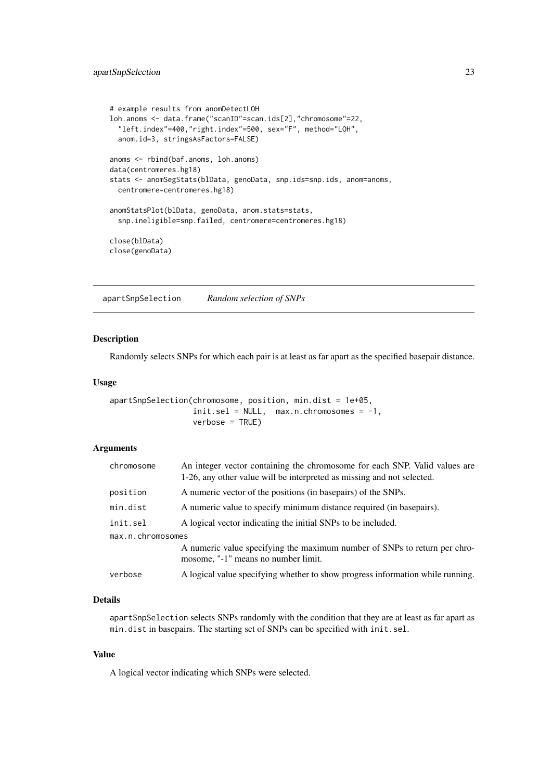#### <span id="page-22-0"></span>apartSnpSelection 23

```
# example results from anomDetectLOH
loh.anoms <- data.frame("scanID"=scan.ids[2],"chromosome"=22,
  "left.index"=400,"right.index"=500, sex="F", method="LOH",
  anom.id=3, stringsAsFactors=FALSE)
anoms <- rbind(baf.anoms, loh.anoms)
data(centromeres.hg18)
stats <- anomSegStats(blData, genoData, snp.ids=snp.ids, anom=anoms,
 centromere=centromeres.hg18)
anomStatsPlot(blData, genoData, anom.stats=stats,
  snp.ineligible=snp.failed, centromere=centromeres.hg18)
close(blData)
close(genoData)
```
apartSnpSelection *Random selection of SNPs*

### Description

Randomly selects SNPs for which each pair is at least as far apart as the specified basepair distance.

#### Usage

```
apartSnpSelection(chromosome, position, min.dist = 1e+05,
                  init.set = NULL, max.n. chromosomes = -1,verbose = TRUE)
```
#### Arguments

| chromosome        | An integer vector containing the chromosome for each SNP. Valid values are<br>1-26, any other value will be interpreted as missing and not selected. |
|-------------------|------------------------------------------------------------------------------------------------------------------------------------------------------|
| position          | A numeric vector of the positions (in basepairs) of the SNPs.                                                                                        |
| min.dist          | A numeric value to specify minimum distance required (in basepairs).                                                                                 |
| init.sel          | A logical vector indicating the initial SNPs to be included.                                                                                         |
| max.n.chromosomes |                                                                                                                                                      |
|                   | A numeric value specifying the maximum number of SNPs to return per chro-<br>mosome, "-1" means no number limit.                                     |
| verbose           | A logical value specifying whether to show progress information while running.                                                                       |

#### Details

apartSnpSelection selects SNPs randomly with the condition that they are at least as far apart as min.dist in basepairs. The starting set of SNPs can be specified with init.sel.

### Value

A logical vector indicating which SNPs were selected.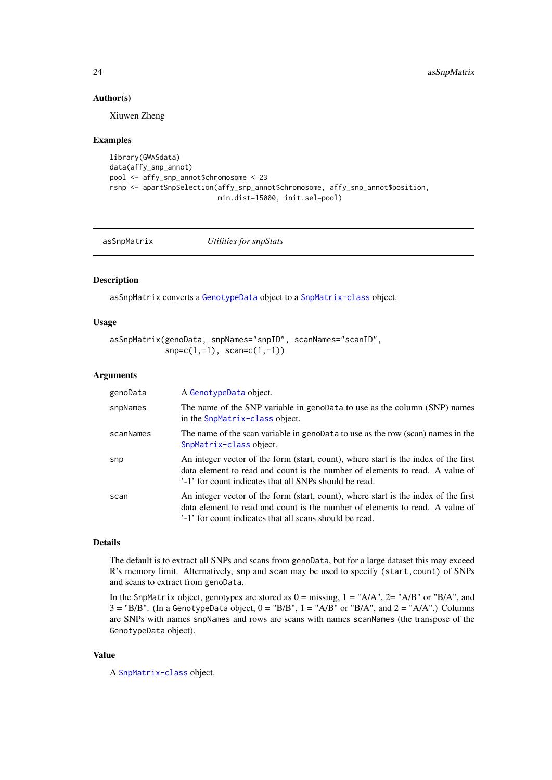### Author(s)

Xiuwen Zheng

### Examples

```
library(GWASdata)
data(affy_snp_annot)
pool <- affy_snp_annot$chromosome < 23
rsnp <- apartSnpSelection(affy_snp_annot$chromosome, affy_snp_annot$position,
                          min.dist=15000, init.sel=pool)
```
asSnpMatrix *Utilities for snpStats*

### Description

asSnpMatrix converts a [GenotypeData](#page-66-1) object to a [SnpMatrix-class](#page-0-0) object.

### Usage

```
asSnpMatrix(genoData, snpNames="snpID", scanNames="scanID",
           snp=c(1,-1), scan=c(1,-1))
```
#### Arguments

| genoData  | A GenotypeData object.                                                                                                                                                                                                         |
|-----------|--------------------------------------------------------------------------------------------------------------------------------------------------------------------------------------------------------------------------------|
| snpNames  | The name of the SNP variable in genoData to use as the column (SNP) names<br>in the SnpMatrix-class object.                                                                                                                    |
| scanNames | The name of the scan variable in genoData to use as the row (scan) names in the<br>SnpMatrix-class object.                                                                                                                     |
| snp       | An integer vector of the form (start, count), where start is the index of the first<br>data element to read and count is the number of elements to read. A value of<br>'-1' for count indicates that all SNPs should be read.  |
| scan      | An integer vector of the form (start, count), where start is the index of the first<br>data element to read and count is the number of elements to read. A value of<br>'-1' for count indicates that all scans should be read. |

### Details

The default is to extract all SNPs and scans from genoData, but for a large dataset this may exceed R's memory limit. Alternatively, snp and scan may be used to specify (start,count) of SNPs and scans to extract from genoData.

In the SnpMatrix object, genotypes are stored as  $0 = \text{missing}$ ,  $1 = "A/A", 2 = "A/B"$  or "B/A", and  $3 = "B/B"$ . (In a GenotypeData object,  $0 = "B/B"$ ,  $1 = "A/B"$  or " $B/A"$ , and  $2 = "A/A"$ .) Columns are SNPs with names snpNames and rows are scans with names scanNames (the transpose of the GenotypeData object).

### Value

A [SnpMatrix-class](#page-0-0) object.

<span id="page-23-0"></span>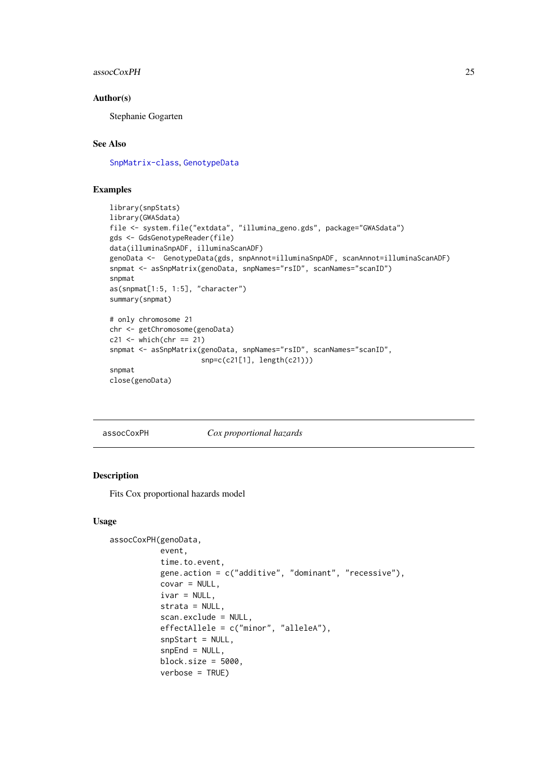#### <span id="page-24-0"></span>assocCoxPH 25

#### Author(s)

Stephanie Gogarten

### See Also

[SnpMatrix-class](#page-0-0), [GenotypeData](#page-66-1)

### Examples

```
library(snpStats)
library(GWASdata)
file <- system.file("extdata", "illumina_geno.gds", package="GWASdata")
gds <- GdsGenotypeReader(file)
data(illuminaSnpADF, illuminaScanADF)
genoData <- GenotypeData(gds, snpAnnot=illuminaSnpADF, scanAnnot=illuminaScanADF)
snpmat <- asSnpMatrix(genoData, snpNames="rsID", scanNames="scanID")
snpmat
as(snpmat[1:5, 1:5], "character")
summary(snpmat)
# only chromosome 21
chr <- getChromosome(genoData)
c21 <- which(chr == 21)
snpmat <- asSnpMatrix(genoData, snpNames="rsID", scanNames="scanID",
                     snp=c(c21[1], length(c21)))
snpmat
close(genoData)
```
#### assocCoxPH *Cox proportional hazards*

#### Description

Fits Cox proportional hazards model

### Usage

```
assocCoxPH(genoData,
           event,
           time.to.event,
           gene.action = c("additive", "dominant", "recessive"),
           covar = NULL,ivar = NULL,
           strata = NULL,
           scan.exclude = NULL,
           effectAllele = c("minor", "alleleA"),
           snpStart = NULL,
           snpEnd = NULL,block.size = 5000,
           verbose = TRUE)
```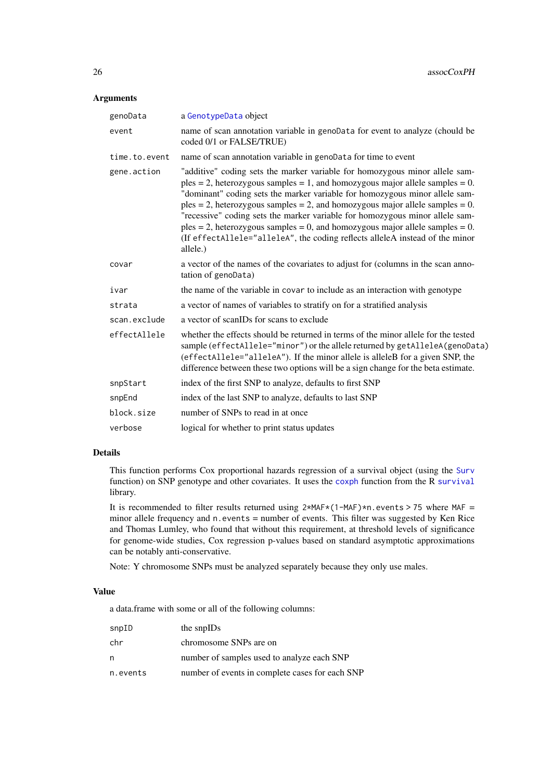### Arguments

| genoData      | a GenotypeData object                                                                                                                                                                                                                                                                                                                                                                                                                                                                                                                                                                           |
|---------------|-------------------------------------------------------------------------------------------------------------------------------------------------------------------------------------------------------------------------------------------------------------------------------------------------------------------------------------------------------------------------------------------------------------------------------------------------------------------------------------------------------------------------------------------------------------------------------------------------|
| event         | name of scan annotation variable in genoData for event to analyze (chould be<br>coded 0/1 or FALSE/TRUE)                                                                                                                                                                                                                                                                                                                                                                                                                                                                                        |
| time.to.event | name of scan annotation variable in genoData for time to event                                                                                                                                                                                                                                                                                                                                                                                                                                                                                                                                  |
| gene.action   | "additive" coding sets the marker variable for homozygous minor allele sam-<br>$p$ les = 2, heterozygous samples = 1, and homozygous major allele samples = 0.<br>"dominant" coding sets the marker variable for homozygous minor allele sam-<br>$ples = 2$ , heterozygous samples = 2, and homozygous major allele samples = 0.<br>"recessive" coding sets the marker variable for homozygous minor allele sam-<br>$p$ les = 2, heterozygous samples = 0, and homozygous major allele samples = 0.<br>(If effectAllele="alleleA", the coding reflects alleleA instead of the minor<br>allele.) |
| covar         | a vector of the names of the covariates to adjust for (columns in the scan anno-<br>tation of genoData)                                                                                                                                                                                                                                                                                                                                                                                                                                                                                         |
| ivar          | the name of the variable in covar to include as an interaction with genotype                                                                                                                                                                                                                                                                                                                                                                                                                                                                                                                    |
| strata        | a vector of names of variables to stratify on for a stratified analysis                                                                                                                                                                                                                                                                                                                                                                                                                                                                                                                         |
| scan.exclude  | a vector of scanIDs for scans to exclude                                                                                                                                                                                                                                                                                                                                                                                                                                                                                                                                                        |
| effectAllele  | whether the effects should be returned in terms of the minor allele for the tested<br>sample (effectAllele="minor") or the allele returned by getAlleleA(genoData)<br>(effectAllele="alleleA"). If the minor allele is alleleB for a given SNP, the<br>difference between these two options will be a sign change for the beta estimate.                                                                                                                                                                                                                                                        |
| snpStart      | index of the first SNP to analyze, defaults to first SNP                                                                                                                                                                                                                                                                                                                                                                                                                                                                                                                                        |
| snpEnd        | index of the last SNP to analyze, defaults to last SNP                                                                                                                                                                                                                                                                                                                                                                                                                                                                                                                                          |
| block.size    | number of SNPs to read in at once                                                                                                                                                                                                                                                                                                                                                                                                                                                                                                                                                               |
| verbose       | logical for whether to print status updates                                                                                                                                                                                                                                                                                                                                                                                                                                                                                                                                                     |

### Details

This function performs Cox proportional hazards regression of a survival object (using the [Surv](#page-0-0) function) on SNP genotype and other covariates. It uses the [coxph](#page-0-0) function from the R [survival](#page-0-0) library.

It is recommended to filter results returned using 2\*MAF\*(1-MAF)\*n.events > 75 where MAF = minor allele frequency and n.events = number of events. This filter was suggested by Ken Rice and Thomas Lumley, who found that without this requirement, at threshold levels of significance for genome-wide studies, Cox regression p-values based on standard asymptotic approximations can be notably anti-conservative.

Note: Y chromosome SNPs must be analyzed separately because they only use males.

#### Value

a data.frame with some or all of the following columns:

| snpID    | the snpIDs                                      |
|----------|-------------------------------------------------|
| chr      | chromosome SNPs are on                          |
| n        | number of samples used to analyze each SNP      |
| n.events | number of events in complete cases for each SNP |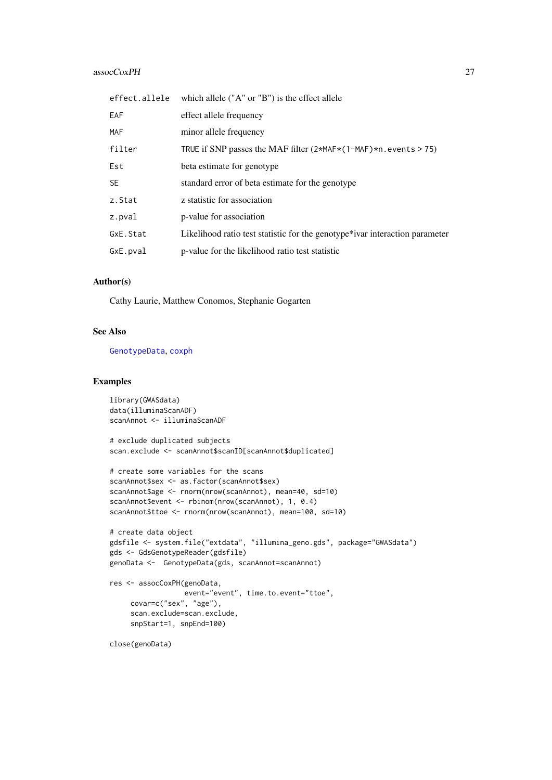### assocCoxPH 27

| effect.allele | which allele $("A" or "B")$ is the effect allele                            |
|---------------|-----------------------------------------------------------------------------|
| <b>EAF</b>    | effect allele frequency                                                     |
| <b>MAF</b>    | minor allele frequency                                                      |
| filter        | TRUE if SNP passes the MAF filter $(2*MAF*(1-MAF)*n$ . events > 75)         |
| Est           | beta estimate for genotype                                                  |
| <b>SE</b>     | standard error of beta estimate for the genotype                            |
| z.Stat        | z statistic for association                                                 |
| z.pval        | p-value for association                                                     |
| GxE.Stat      | Likelihood ratio test statistic for the genotype*ivar interaction parameter |
| GxE.pval      | p-value for the likelihood ratio test statistic                             |

### Author(s)

Cathy Laurie, Matthew Conomos, Stephanie Gogarten

# See Also

[GenotypeData](#page-66-1), [coxph](#page-0-0)

# Examples

```
library(GWASdata)
data(illuminaScanADF)
scanAnnot <- illuminaScanADF
# exclude duplicated subjects
scan.exclude <- scanAnnot$scanID[scanAnnot$duplicated]
# create some variables for the scans
scanAnnot$sex <- as.factor(scanAnnot$sex)
scanAnnot$age <- rnorm(nrow(scanAnnot), mean=40, sd=10)
scanAnnot$event <- rbinom(nrow(scanAnnot), 1, 0.4)
scanAnnot$ttoe <- rnorm(nrow(scanAnnot), mean=100, sd=10)
# create data object
gdsfile <- system.file("extdata", "illumina_geno.gds", package="GWASdata")
gds <- GdsGenotypeReader(gdsfile)
genoData <- GenotypeData(gds, scanAnnot=scanAnnot)
res <- assocCoxPH(genoData,
                 event="event", time.to.event="ttoe",
     covar=c("sex", "age"),
     scan.exclude=scan.exclude,
     snpStart=1, snpEnd=100)
```
close(genoData)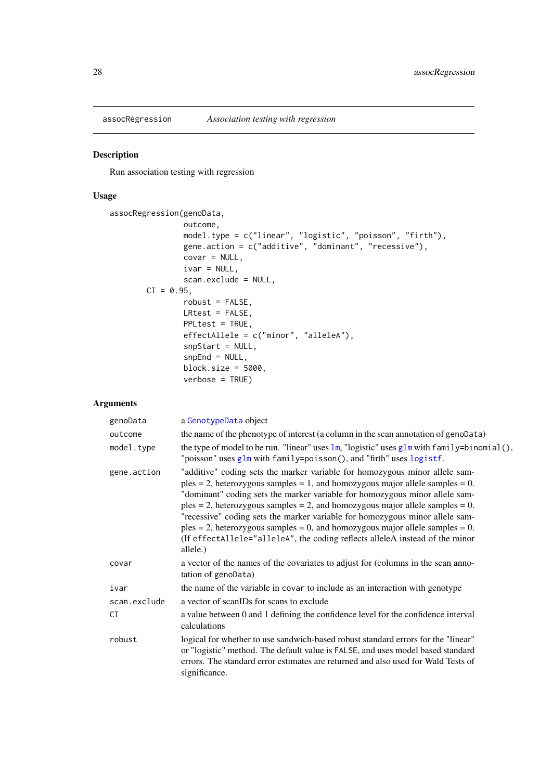<span id="page-27-0"></span>

### Description

Run association testing with regression

# Usage

```
assocRegression(genoData,
                outcome,
                model.type = c("linear", "logistic", "poisson", "firth"),
                gene.action = c("additive", "dominant", "recessive"),
                covar = NULL,
                ivar = NULL,scan.exclude = NULL,
       CI = 0.95,
                robust = FALSE,LRtest = FALSE,
                PPLtest = TRUE,
                effectAllele = c("minor", "alleleA"),
                snpStart = NULL,
                snpEnd = NULL,
                block.size = 5000,
                verbose = TRUE)
```
### Arguments

| genoData     | a GenotypeData object                                                                                                                                                                                                                                                                                                                                                                                                                                                                                                                                                                           |
|--------------|-------------------------------------------------------------------------------------------------------------------------------------------------------------------------------------------------------------------------------------------------------------------------------------------------------------------------------------------------------------------------------------------------------------------------------------------------------------------------------------------------------------------------------------------------------------------------------------------------|
| outcome      | the name of the phenotype of interest (a column in the scan annotation of genoData)                                                                                                                                                                                                                                                                                                                                                                                                                                                                                                             |
| model.type   | the type of model to be run. "linear" uses $\text{lm}$ , "logistic" uses $\text{glm}$ with family=binomial(),<br>"poisson" uses glm with family=poisson(), and "firth" uses logistf.                                                                                                                                                                                                                                                                                                                                                                                                            |
| gene.action  | "additive" coding sets the marker variable for homozygous minor allele sam-<br>$p$ les = 2, heterozygous samples = 1, and homozygous major allele samples = 0.<br>"dominant" coding sets the marker variable for homozygous minor allele sam-<br>$p$ les = 2, heterozygous samples = 2, and homozygous major allele samples = 0.<br>"recessive" coding sets the marker variable for homozygous minor allele sam-<br>$p$ les = 2, heterozygous samples = 0, and homozygous major allele samples = 0.<br>(If effectAllele="alleleA", the coding reflects alleleA instead of the minor<br>allele.) |
| covar        | a vector of the names of the covariates to adjust for (columns in the scan anno-<br>tation of genoData)                                                                                                                                                                                                                                                                                                                                                                                                                                                                                         |
| ivar         | the name of the variable in covar to include as an interaction with genotype                                                                                                                                                                                                                                                                                                                                                                                                                                                                                                                    |
| scan.exclude | a vector of scanIDs for scans to exclude                                                                                                                                                                                                                                                                                                                                                                                                                                                                                                                                                        |
| CI           | a value between 0 and 1 defining the confidence level for the confidence interval<br>calculations                                                                                                                                                                                                                                                                                                                                                                                                                                                                                               |
| robust       | logical for whether to use sandwich-based robust standard errors for the "linear"<br>or "logistic" method. The default value is FALSE, and uses model based standard<br>errors. The standard error estimates are returned and also used for Wald Tests of<br>significance.                                                                                                                                                                                                                                                                                                                      |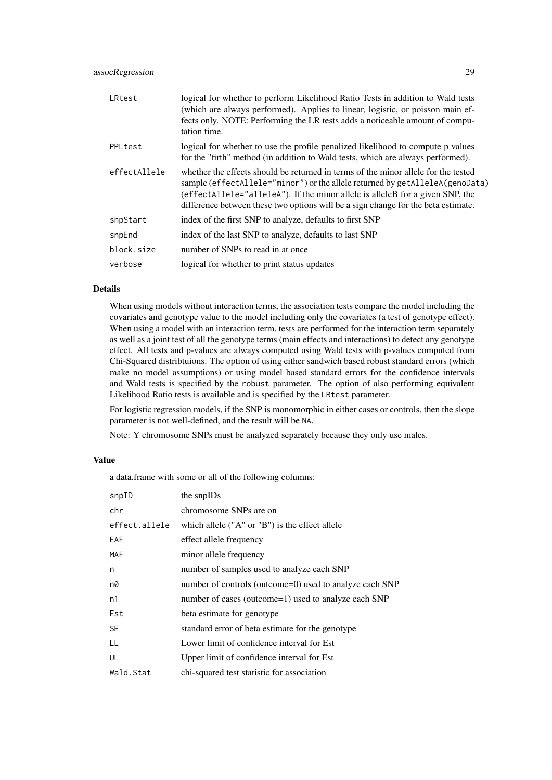#### assocRegression 29

| LRtest       | logical for whether to perform Likelihood Ratio Tests in addition to Wald tests<br>(which are always performed). Applies to linear, logistic, or poisson main ef-<br>fects only. NOTE: Performing the LR tests adds a noticeable amount of compu-<br>tation time.                                                                        |
|--------------|------------------------------------------------------------------------------------------------------------------------------------------------------------------------------------------------------------------------------------------------------------------------------------------------------------------------------------------|
| PPLtest      | logical for whether to use the profile penalized likelihood to compute p values<br>for the "firth" method (in addition to Wald tests, which are always performed).                                                                                                                                                                       |
| effectAllele | whether the effects should be returned in terms of the minor allele for the tested<br>sample (effectAllele="minor") or the allele returned by getAlleleA(genoData)<br>(effectAllele="alleleA"). If the minor allele is alleleB for a given SNP, the<br>difference between these two options will be a sign change for the beta estimate. |
| snpStart     | index of the first SNP to analyze, defaults to first SNP                                                                                                                                                                                                                                                                                 |
| snpEnd       | index of the last SNP to analyze, defaults to last SNP                                                                                                                                                                                                                                                                                   |
| block.size   | number of SNPs to read in at once                                                                                                                                                                                                                                                                                                        |
| verbose      | logical for whether to print status updates                                                                                                                                                                                                                                                                                              |

### Details

When using models without interaction terms, the association tests compare the model including the covariates and genotype value to the model including only the covariates (a test of genotype effect). When using a model with an interaction term, tests are performed for the interaction term separately as well as a joint test of all the genotype terms (main effects and interactions) to detect any genotype effect. All tests and p-values are always computed using Wald tests with p-values computed from Chi-Squared distribtuions. The option of using either sandwich based robust standard errors (which make no model assumptions) or using model based standard errors for the confidence intervals and Wald tests is specified by the robust parameter. The option of also performing equivalent Likelihood Ratio tests is available and is specified by the LRtest parameter.

For logistic regression models, if the SNP is monomorphic in either cases or controls, then the slope parameter is not well-defined, and the result will be NA.

Note: Y chromosome SNPs must be analyzed separately because they only use males.

#### Value

a data.frame with some or all of the following columns:

| snpID         | the snpIDs                                              |
|---------------|---------------------------------------------------------|
| chr           | chromosome SNPs are on                                  |
| effect.allele | which allele $("A" or "B")$ is the effect allele        |
| EAF           | effect allele frequency                                 |
| MAF           | minor allele frequency                                  |
| n             | number of samples used to analyze each SNP              |
| n0            | number of controls (outcome=0) used to analyze each SNP |
| n1            | number of cases (outcome=1) used to analyze each SNP    |
| Est           | beta estimate for genotype                              |
| <b>SE</b>     | standard error of beta estimate for the genotype        |
| LL            | Lower limit of confidence interval for Est              |
| UL            | Upper limit of confidence interval for Est              |
| Wald.Stat     | chi-squared test statistic for association              |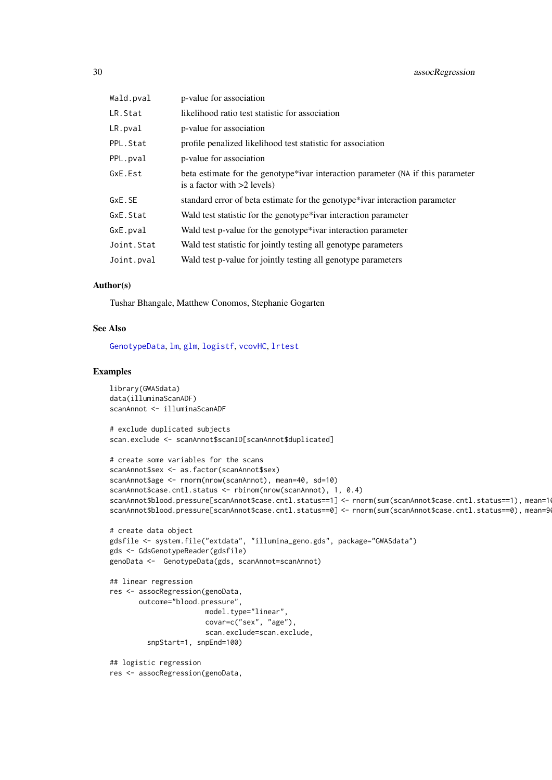| Wald.pval  | p-value for association                                                                                          |
|------------|------------------------------------------------------------------------------------------------------------------|
| LR.Stat    | likelihood ratio test statistic for association                                                                  |
| LR.pval    | p-value for association                                                                                          |
| PPL.Stat   | profile penalized likelihood test statistic for association                                                      |
| PPL.pval   | p-value for association                                                                                          |
| GxE.Est    | beta estimate for the genotype*ivar interaction parameter (NA if this parameter<br>is a factor with $>2$ levels) |
| GxE.SE     | standard error of beta estimate for the genotype*ivar interaction parameter                                      |
| GxE.Stat   | Wald test statistic for the genotype <sup>*</sup> ivar interaction parameter                                     |
| GxE.pval   | Wald test p-value for the genotype*ivar interaction parameter                                                    |
| Joint.Stat | Wald test statistic for jointly testing all genotype parameters                                                  |
| Joint.pval | Wald test p-value for jointly testing all genotype parameters                                                    |

#### Author(s)

Tushar Bhangale, Matthew Conomos, Stephanie Gogarten

### See Also

[GenotypeData](#page-66-1), [lm](#page-0-0), [glm](#page-0-0), [logistf](#page-0-0), [vcovHC](#page-0-0), [lrtest](#page-0-0)

### Examples

```
library(GWASdata)
data(illuminaScanADF)
scanAnnot <- illuminaScanADF
```
# exclude duplicated subjects scan.exclude <- scanAnnot\$scanID[scanAnnot\$duplicated]

```
# create some variables for the scans
scanAnnot$sex <- as.factor(scanAnnot$sex)
scanAnnot$age <- rnorm(nrow(scanAnnot), mean=40, sd=10)
scanAnnot$case.cntl.status <- rbinom(nrow(scanAnnot), 1, 0.4)
scanAnnot$blood.pressure[scanAnnot$case.cntl.status==1] <- rnorm(sum(scanAnnot$case.cntl.status==1), mean=10
scanAnnot$blood.pressure[scanAnnot$case.cntl.status==0] <- rnorm(sum(scanAnnot$case.cntl.status==0), mean=9
```

```
# create data object
gdsfile <- system.file("extdata", "illumina_geno.gds", package="GWASdata")
gds <- GdsGenotypeReader(gdsfile)
genoData <- GenotypeData(gds, scanAnnot=scanAnnot)
```

```
## linear regression
res <- assocRegression(genoData,
       outcome="blood.pressure",
                       model.type="linear",
                       covar=c("sex", "age"),
                       scan.exclude=scan.exclude,
         snpStart=1, snpEnd=100)
```
## logistic regression res <- assocRegression(genoData,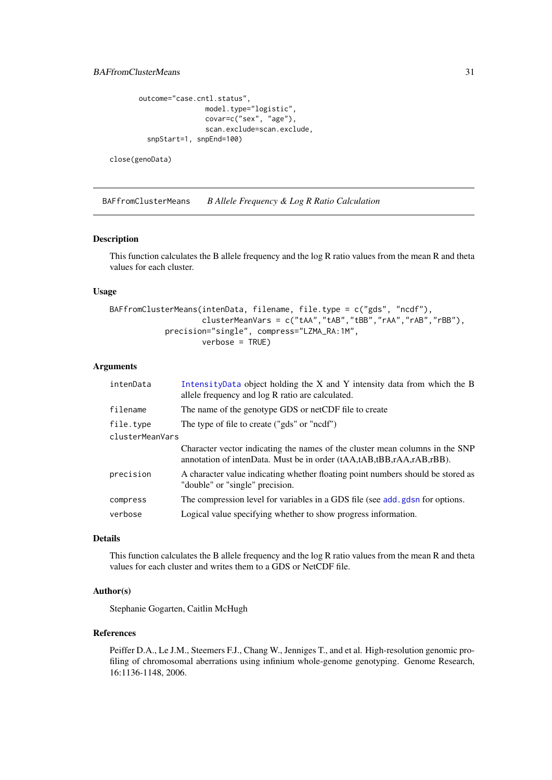```
outcome="case.cntl.status",
                model.type="logistic",
                covar=c("sex", "age"),
                scan.exclude=scan.exclude,
  snpStart=1, snpEnd=100)
```
close(genoData)

<span id="page-30-1"></span>BAFfromClusterMeans *B Allele Frequency & Log R Ratio Calculation*

#### Description

This function calculates the B allele frequency and the log R ratio values from the mean R and theta values for each cluster.

### Usage

```
BAFfromClusterMeans(intenData, filename, file.type = c("gds", "ncdf"),
                    clusterMeanVars = c("tAA","tAB","tBB","rAA","rAB","rBB"),
            precision="single", compress="LZMA_RA:1M",
                    verbose = TRUE)
```
#### Arguments

| intenData       | IntensityData object holding the X and Y intensity data from which the B<br>allele frequency and log R ratio are calculated.                         |  |
|-----------------|------------------------------------------------------------------------------------------------------------------------------------------------------|--|
| filename        | The name of the genotype GDS or netCDF file to create                                                                                                |  |
| file.type       | The type of file to create ("gds" or "ncdf")                                                                                                         |  |
| clusterMeanVars |                                                                                                                                                      |  |
|                 | Character vector indicating the names of the cluster mean columns in the SNP<br>annotation of intenData. Must be in order (tAA,tAB,tBB,rAA,rAB,rBB). |  |
| precision       | A character value indicating whether floating point numbers should be stored as<br>"double" or "single" precision.                                   |  |
| compress        | The compression level for variables in a GDS file (see add, gdsn for options.                                                                        |  |
| verbose         | Logical value specifying whether to show progress information.                                                                                       |  |

#### Details

This function calculates the B allele frequency and the log R ratio values from the mean R and theta values for each cluster and writes them to a GDS or NetCDF file.

### Author(s)

Stephanie Gogarten, Caitlin McHugh

### References

Peiffer D.A., Le J.M., Steemers F.J., Chang W., Jenniges T., and et al. High-resolution genomic profiling of chromosomal aberrations using infinium whole-genome genotyping. Genome Research, 16:1136-1148, 2006.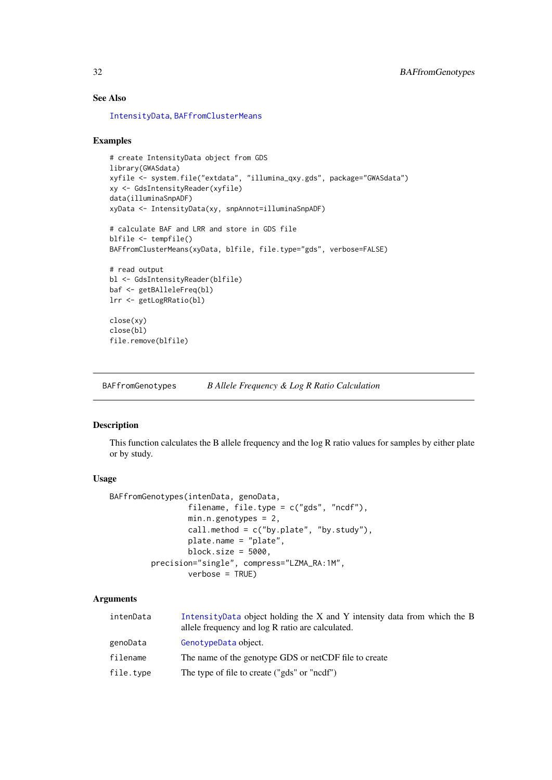### See Also

[IntensityData](#page-86-1), [BAFfromClusterMeans](#page-30-1)

### Examples

```
# create IntensityData object from GDS
library(GWASdata)
xyfile <- system.file("extdata", "illumina_qxy.gds", package="GWASdata")
xy <- GdsIntensityReader(xyfile)
data(illuminaSnpADF)
xyData <- IntensityData(xy, snpAnnot=illuminaSnpADF)
# calculate BAF and LRR and store in GDS file
blfile <- tempfile()
BAFfromClusterMeans(xyData, blfile, file.type="gds", verbose=FALSE)
```

```
# read output
bl <- GdsIntensityReader(blfile)
baf <- getBAlleleFreq(bl)
lrr <- getLogRRatio(bl)
```
close(xy) close(bl) file.remove(blfile)

BAFfromGenotypes *B Allele Frequency & Log R Ratio Calculation*

### Description

This function calculates the B allele frequency and the log R ratio values for samples by either plate or by study.

#### Usage

```
BAFfromGenotypes(intenData, genoData,
                 filename, file.type = c("gds", "ncdf"),
                 min.n.genotypes = 2,
                 call.method = c("by.plote", "by.stdout"),
                 plate.name = "plate",
                 block.size = 5000,
         precision="single", compress="LZMA_RA:1M",
                 verbose = TRUE)
```
#### Arguments

| intenData | Intensity Data object holding the X and Y intensity data from which the B<br>allele frequency and log R ratio are calculated. |
|-----------|-------------------------------------------------------------------------------------------------------------------------------|
| genoData  | GenotypeData object.                                                                                                          |
| filename  | The name of the genotype GDS or netCDF file to create                                                                         |
| file.type | The type of file to create ("gds" or "ncdf")                                                                                  |

<span id="page-31-0"></span>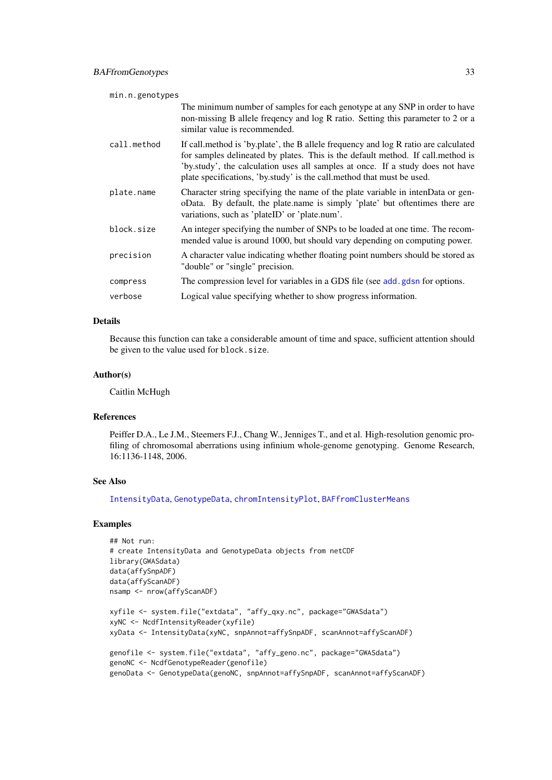| min.n.genotypes |                                                                                                                                                                                                                                                                                                                                       |  |
|-----------------|---------------------------------------------------------------------------------------------------------------------------------------------------------------------------------------------------------------------------------------------------------------------------------------------------------------------------------------|--|
|                 | The minimum number of samples for each genotype at any SNP in order to have<br>non-missing B allele frequency and log R ratio. Setting this parameter to 2 or a<br>similar value is recommended.                                                                                                                                      |  |
| call.method     | If call, method is 'by, plate', the B allele frequency and log R ratio are calculated<br>for samples delineated by plates. This is the default method. If call, method is<br>'by.study', the calculation uses all samples at once. If a study does not have<br>plate specifications, 'by.study' is the call.method that must be used. |  |
| plate.name      | Character string specifying the name of the plate variable in intenData or gen-<br>oData. By default, the plate.name is simply 'plate' but oftentimes there are<br>variations, such as 'plateID' or 'plate.num'.                                                                                                                      |  |
| block.size      | An integer specifying the number of SNPs to be loaded at one time. The recom-<br>mended value is around 1000, but should vary depending on computing power.                                                                                                                                                                           |  |
| precision       | A character value indicating whether floating point numbers should be stored as<br>"double" or "single" precision.                                                                                                                                                                                                                    |  |
| compress        | The compression level for variables in a GDS file (see add, gdsn for options.                                                                                                                                                                                                                                                         |  |
| verbose         | Logical value specifying whether to show progress information.                                                                                                                                                                                                                                                                        |  |

### Details

Because this function can take a considerable amount of time and space, sufficient attention should be given to the value used for block.size.

### Author(s)

Caitlin McHugh

### References

Peiffer D.A., Le J.M., Steemers F.J., Chang W., Jenniges T., and et al. High-resolution genomic profiling of chromosomal aberrations using infinium whole-genome genotyping. Genome Research, 16:1136-1148, 2006.

# See Also

[IntensityData](#page-86-1), [GenotypeData](#page-66-1), [chromIntensityPlot](#page-36-1), [BAFfromClusterMeans](#page-30-1)

### Examples

```
## Not run:
# create IntensityData and GenotypeData objects from netCDF
library(GWASdata)
data(affySnpADF)
data(affyScanADF)
nsamp <- nrow(affyScanADF)
xyfile <- system.file("extdata", "affy_qxy.nc", package="GWASdata")
xyNC <- NcdfIntensityReader(xyfile)
xyData <- IntensityData(xyNC, snpAnnot=affySnpADF, scanAnnot=affyScanADF)
genofile <- system.file("extdata", "affy_geno.nc", package="GWASdata")
genoNC <- NcdfGenotypeReader(genofile)
genoData <- GenotypeData(genoNC, snpAnnot=affySnpADF, scanAnnot=affyScanADF)
```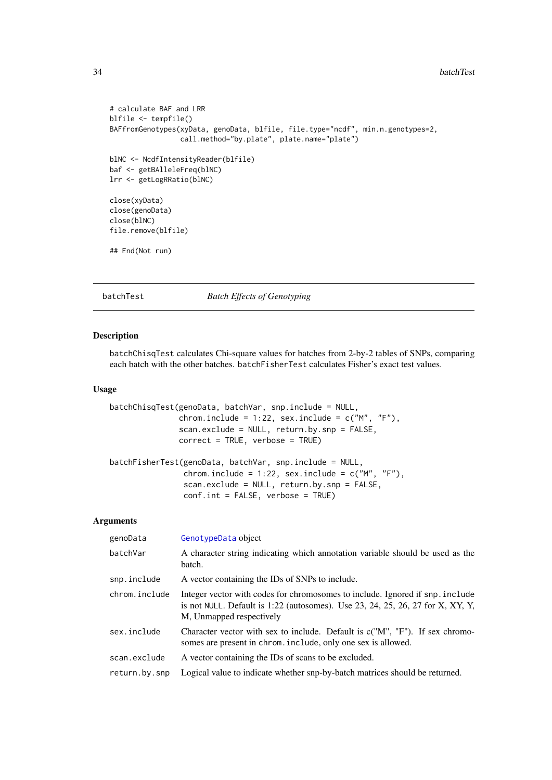```
# calculate BAF and LRR
blfile <- tempfile()
BAFfromGenotypes(xyData, genoData, blfile, file.type="ncdf", min.n.genotypes=2,
                 call.method="by.plate", plate.name="plate")
blNC <- NcdfIntensityReader(blfile)
baf <- getBAlleleFreq(blNC)
lrr <- getLogRRatio(blNC)
close(xyData)
close(genoData)
close(blNC)
file.remove(blfile)
## End(Not run)
```
batchTest *Batch Effects of Genotyping*

### Description

batchChisqTest calculates Chi-square values for batches from 2-by-2 tables of SNPs, comparing each batch with the other batches. batchFisherTest calculates Fisher's exact test values.

scan.exclude = NULL, return.by.snp = FALSE,

### Usage

```
batchChisqTest(genoData, batchVar, snp.include = NULL,
               chrom.include = 1:22, sex.include = c("M", "F"),
               scan.exclude = NULL, return.by.snp = FALSE,
               correct = TRUE, verbose = TRUE)
batchFisherTest(genoData, batchVar, snp.include = NULL,
                chrom.include = 1:22, sex.include = c("M", "F"),
```
conf.int = FALSE, verbose = TRUE)

# Arguments

| genoData      | GenotypeData object                                                                                                                                                                           |
|---------------|-----------------------------------------------------------------------------------------------------------------------------------------------------------------------------------------------|
| batchVar      | A character string indicating which annotation variable should be used as the<br>batch.                                                                                                       |
| snp.include   | A vector containing the IDs of SNPs to include.                                                                                                                                               |
| chrom.include | Integer vector with codes for chromosomes to include. Ignored if snp. include<br>is not NULL. Default is $1:22$ (autosomes). Use 23, 24, 25, 26, 27 for X, XY, Y,<br>M, Unmapped respectively |
| sex.include   | Character vector with sex to include. Default is $c("M", "F")$ . If sex chromo-<br>somes are present in chrom. include, only one sex is allowed.                                              |
| scan.exclude  | A vector containing the IDs of scans to be excluded.                                                                                                                                          |
| return.by.snp | Logical value to indicate whether snp-by-batch matrices should be returned.                                                                                                                   |
|               |                                                                                                                                                                                               |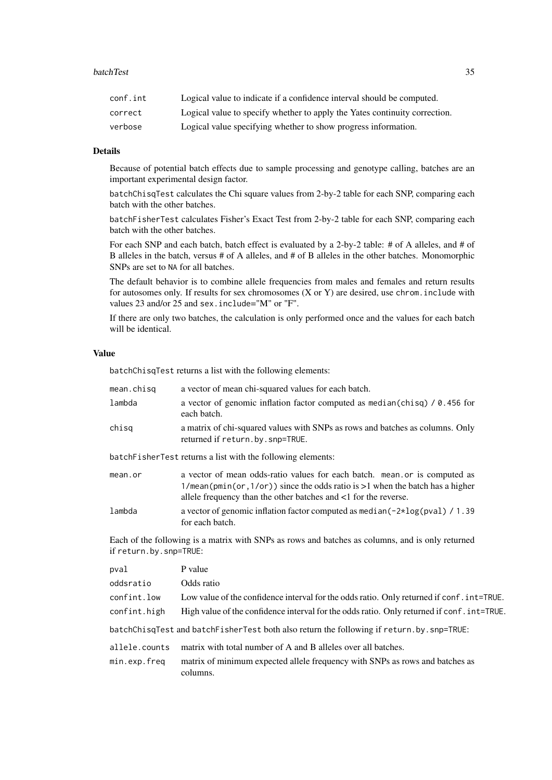#### **batchTest** 35

| conf.int | Logical value to indicate if a confidence interval should be computed.     |
|----------|----------------------------------------------------------------------------|
| correct  | Logical value to specify whether to apply the Yates continuity correction. |
| verbose  | Logical value specifying whether to show progress information.             |

### Details

Because of potential batch effects due to sample processing and genotype calling, batches are an important experimental design factor.

batchChisqTest calculates the Chi square values from 2-by-2 table for each SNP, comparing each batch with the other batches.

batchFisherTest calculates Fisher's Exact Test from 2-by-2 table for each SNP, comparing each batch with the other batches.

For each SNP and each batch, batch effect is evaluated by a 2-by-2 table: # of A alleles, and # of B alleles in the batch, versus # of A alleles, and # of B alleles in the other batches. Monomorphic SNPs are set to NA for all batches.

The default behavior is to combine allele frequencies from males and females and return results for autosomes only. If results for sex chromosomes (X or Y) are desired, use chrom.include with values 23 and/or 25 and sex.include="M" or "F".

If there are only two batches, the calculation is only performed once and the values for each batch will be identical.

#### Value

batchChisqTest returns a list with the following elements:

| mean.chisq                                                  | a vector of mean chi-squared values for each batch.                                                                                                                                                                             |  |
|-------------------------------------------------------------|---------------------------------------------------------------------------------------------------------------------------------------------------------------------------------------------------------------------------------|--|
| lambda                                                      | a vector of genomic inflation factor computed as median(chisq) $\ell$ 0.456 for<br>each batch.                                                                                                                                  |  |
| chisg                                                       | a matrix of chi-squared values with SNPs as rows and batches as columns. Only<br>returned if return.by.snp=TRUE.                                                                                                                |  |
| batchFisherTest returns a list with the following elements: |                                                                                                                                                                                                                                 |  |
| mean.or                                                     | a vector of mean odds-ratio values for each batch. mean or is computed as<br>$1/mean(pmin(or, 1/or))$ since the odds ratio is >1 when the batch has a higher<br>allele frequency than the other batches and <1 for the reverse. |  |
| lambda                                                      | a vector of genomic inflation factor computed as median( $-2 \times \log(p \vee a)$ ) / 1.39<br>for each batch.                                                                                                                 |  |

Each of the following is a matrix with SNPs as rows and batches as columns, and is only returned if return.by.snp=TRUE:

| pval                                                                                     | P value                                                                                                                                                   |
|------------------------------------------------------------------------------------------|-----------------------------------------------------------------------------------------------------------------------------------------------------------|
| oddsratio                                                                                | Odds ratio                                                                                                                                                |
| confint.low                                                                              | Low value of the confidence interval for the odds ratio. Only returned if conf. int=TRUE.                                                                 |
| confint.high                                                                             | High value of the confidence interval for the odds ratio. Only returned if conf. int=TRUE.                                                                |
| batchChisqTest and batchFisherTest both also return the following if return.by.snp=TRUE: |                                                                                                                                                           |
| allele.counts<br>min.exp.freq                                                            | matrix with total number of A and B alleles over all batches.<br>matrix of minimum expected allele frequency with SNPs as rows and batches as<br>columns. |
|                                                                                          |                                                                                                                                                           |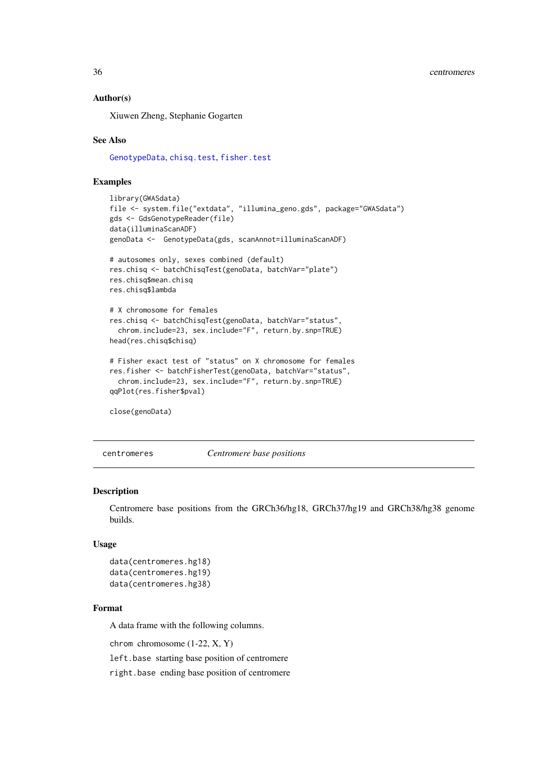### Author(s)

Xiuwen Zheng, Stephanie Gogarten

#### See Also

[GenotypeData](#page-66-1), [chisq.test](#page-0-0), [fisher.test](#page-0-0)

#### Examples

```
library(GWASdata)
file <- system.file("extdata", "illumina_geno.gds", package="GWASdata")
gds <- GdsGenotypeReader(file)
data(illuminaScanADF)
genoData <- GenotypeData(gds, scanAnnot=illuminaScanADF)
# autosomes only, sexes combined (default)
res.chisq <- batchChisqTest(genoData, batchVar="plate")
res.chisq$mean.chisq
res.chisq$lambda
# X chromosome for females
res.chisq <- batchChisqTest(genoData, batchVar="status",
 chrom.include=23, sex.include="F", return.by.snp=TRUE)
head(res.chisq$chisq)
# Fisher exact test of "status" on X chromosome for females
res.fisher <- batchFisherTest(genoData, batchVar="status",
  chrom.include=23, sex.include="F", return.by.snp=TRUE)
qqPlot(res.fisher$pval)
close(genoData)
```
<span id="page-35-1"></span>

centromeres *Centromere base positions*

### Description

Centromere base positions from the GRCh36/hg18, GRCh37/hg19 and GRCh38/hg38 genome builds.

### Usage

```
data(centromeres.hg18)
data(centromeres.hg19)
data(centromeres.hg38)
```
#### Format

A data frame with the following columns.

chrom chromosome (1-22, X, Y)

left.base starting base position of centromere

right.base ending base position of centromere

<span id="page-35-0"></span>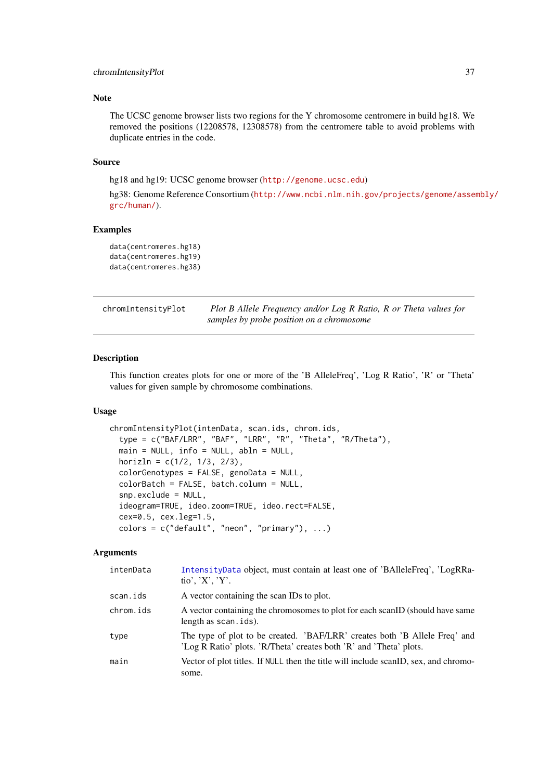## Note

The UCSC genome browser lists two regions for the Y chromosome centromere in build hg18. We removed the positions (12208578, 12308578) from the centromere table to avoid problems with duplicate entries in the code.

## Source

hg18 and hg19: UCSC genome browser (<http://genome.ucsc.edu>)

hg38: Genome Reference Consortium ([http://www.ncbi.nlm.nih.gov/projects/genome/asse](http://www.ncbi.nlm.nih.gov/projects/genome/assembly/grc/human/)mbly/ [grc/human/](http://www.ncbi.nlm.nih.gov/projects/genome/assembly/grc/human/)).

## Examples

```
data(centromeres.hg18)
data(centromeres.hg19)
data(centromeres.hg38)
```

| chromIntensityPlot | Plot B Allele Frequency and/or Log R Ratio, R or Theta values for |
|--------------------|-------------------------------------------------------------------|
|                    | samples by probe position on a chromosome                         |

### Description

This function creates plots for one or more of the 'B AlleleFreq', 'Log R Ratio', 'R' or 'Theta' values for given sample by chromosome combinations.

## Usage

```
chromIntensityPlot(intenData, scan.ids, chrom.ids,
  type = c("BAF/LRR", "BAF", "LRR", "R", "Theta", "R/Theta"),
 main = NULL, info = NULL, abln = NULL,
 horizln = c(1/2, 1/3, 2/3),
 colorGenotypes = FALSE, genoData = NULL,
 colorBatch = FALSE, batch.column = NULL,
 snp.exclude = NULL,
  ideogram=TRUE, ideo.zoom=TRUE, ideo.rect=FALSE,
 cex=0.5, cex.leg=1.5,
 colors = c("default", "neon", "primary"), ...)
```
## Arguments

| intenData | IntensityData object, must contain at least one of 'BAlleleFreq', 'LogRRa-<br>tio', ' $X'$ , ' $Y'$ .                                            |
|-----------|--------------------------------------------------------------------------------------------------------------------------------------------------|
| scan.ids  | A vector containing the scan IDs to plot.                                                                                                        |
| chrom.ids | A vector containing the chromosomes to plot for each scanID (should have same<br>length as scan. ids).                                           |
| type      | The type of plot to be created. 'BAF/LRR' creates both 'B Allele Freq' and<br>'Log R Ratio' plots. 'R/Theta' creates both 'R' and 'Theta' plots. |
| main      | Vector of plot titles. If NULL then the title will include scanID, sex, and chromo-<br>some.                                                     |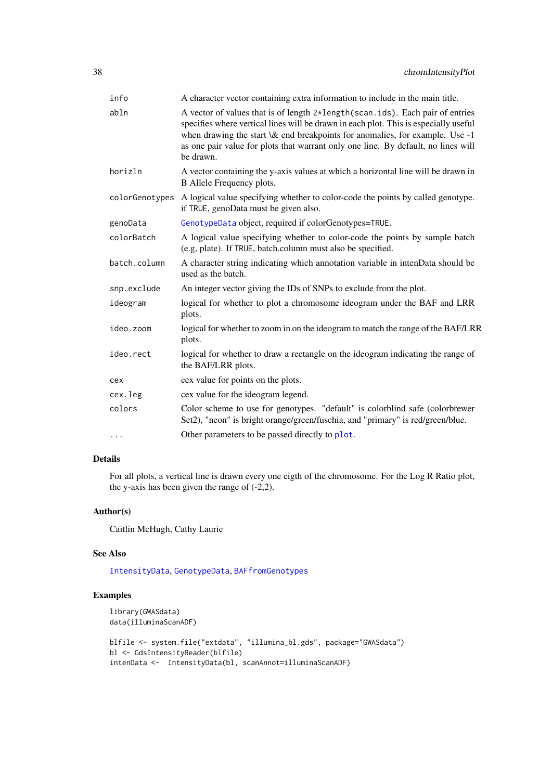| A character vector containing extra information to include in the main title.                                                                                                                                                                                                                                                                            |  |  |
|----------------------------------------------------------------------------------------------------------------------------------------------------------------------------------------------------------------------------------------------------------------------------------------------------------------------------------------------------------|--|--|
| A vector of values that is of length 2*length (scan.ids). Each pair of entries<br>specifies where vertical lines will be drawn in each plot. This is especially useful<br>when drawing the start \& end breakpoints for anomalies, for example. Use -1<br>as one pair value for plots that warrant only one line. By default, no lines will<br>be drawn. |  |  |
| A vector containing the y-axis values at which a horizontal line will be drawn in<br>B Allele Frequency plots.                                                                                                                                                                                                                                           |  |  |
| colorGenotypes A logical value specifying whether to color-code the points by called genotype.<br>if TRUE, genoData must be given also.                                                                                                                                                                                                                  |  |  |
| GenotypeData object, required if colorGenotypes=TRUE.                                                                                                                                                                                                                                                                                                    |  |  |
| A logical value specifying whether to color-code the points by sample batch<br>(e.g, plate). If TRUE, batch.column must also be specified.                                                                                                                                                                                                               |  |  |
| A character string indicating which annotation variable in intenData should be<br>used as the batch.                                                                                                                                                                                                                                                     |  |  |
| An integer vector giving the IDs of SNPs to exclude from the plot.                                                                                                                                                                                                                                                                                       |  |  |
| logical for whether to plot a chromosome ideogram under the BAF and LRR<br>plots.                                                                                                                                                                                                                                                                        |  |  |
| logical for whether to zoom in on the ideogram to match the range of the BAF/LRR<br>plots.                                                                                                                                                                                                                                                               |  |  |
| logical for whether to draw a rectangle on the ideogram indicating the range of<br>the BAF/LRR plots.                                                                                                                                                                                                                                                    |  |  |
| cex value for points on the plots.                                                                                                                                                                                                                                                                                                                       |  |  |
| cex value for the ideogram legend.                                                                                                                                                                                                                                                                                                                       |  |  |
| Color scheme to use for genotypes. "default" is colorblind safe (colorbrewer<br>Set2), "neon" is bright orange/green/fuschia, and "primary" is red/green/blue.                                                                                                                                                                                           |  |  |
| Other parameters to be passed directly to plot.                                                                                                                                                                                                                                                                                                          |  |  |
|                                                                                                                                                                                                                                                                                                                                                          |  |  |

# Details

For all plots, a vertical line is drawn every one eigth of the chromosome. For the Log R Ratio plot, the y-axis has been given the range of  $(-2,2)$ .

## Author(s)

Caitlin McHugh, Cathy Laurie

## See Also

[IntensityData](#page-86-0), [GenotypeData](#page-66-0), [BAFfromGenotypes](#page-31-0)

## Examples

```
library(GWASdata)
data(illuminaScanADF)
blfile <- system.file("extdata", "illumina_bl.gds", package="GWASdata")
bl <- GdsIntensityReader(blfile)
intenData <- IntensityData(bl, scanAnnot=illuminaScanADF)
```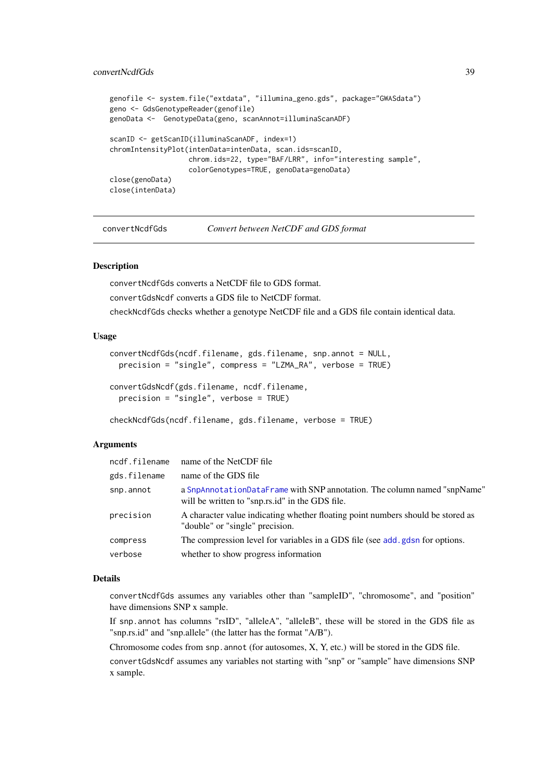### convertNcdfGds 39

```
genofile <- system.file("extdata", "illumina_geno.gds", package="GWASdata")
geno <- GdsGenotypeReader(genofile)
genoData <- GenotypeData(geno, scanAnnot=illuminaScanADF)
scanID <- getScanID(illuminaScanADF, index=1)
chromIntensityPlot(intenData=intenData, scan.ids=scanID,
                   chrom.ids=22, type="BAF/LRR", info="interesting sample",
                   colorGenotypes=TRUE, genoData=genoData)
close(genoData)
close(intenData)
```

```
convertNcdfGds Convert between NetCDF and GDS format
```
## Description

convertNcdfGds converts a NetCDF file to GDS format.

convertGdsNcdf converts a GDS file to NetCDF format.

checkNcdfGds checks whether a genotype NetCDF file and a GDS file contain identical data.

### Usage

```
convertNcdfGds(ncdf.filename, gds.filename, snp.annot = NULL,
 precision = "single", compress = "LZMA_RA", verbose = TRUE)
convertGdsNcdf(gds.filename, ncdf.filename,
 precision = "single", verbose = TRUE)
```

```
checkNcdfGds(ncdf.filename, gds.filename, verbose = TRUE)
```
## Arguments

|              | ncdf.filename name of the NetCDF file                                                                                       |
|--------------|-----------------------------------------------------------------------------------------------------------------------------|
| gds.filename | name of the GDS file                                                                                                        |
| snp.annot    | a SnpAnnotationDataFrame with SNP annotation. The column named "snpName"<br>will be written to "snp.rs.id" in the GDS file. |
| precision    | A character value indicating whether floating point numbers should be stored as<br>"double" or "single" precision.          |
| compress     | The compression level for variables in a GDS file (see add, gdsn for options.                                               |
| verbose      | whether to show progress information                                                                                        |

### Details

convertNcdfGds assumes any variables other than "sampleID", "chromosome", and "position" have dimensions SNP x sample.

If snp.annot has columns "rsID", "alleleA", "alleleB", these will be stored in the GDS file as "snp.rs.id" and "snp.allele" (the latter has the format "A/B").

Chromosome codes from  $\text{snp}$ , annot (for autosomes, X, Y, etc.) will be stored in the GDS file.

convertGdsNcdf assumes any variables not starting with "snp" or "sample" have dimensions SNP x sample.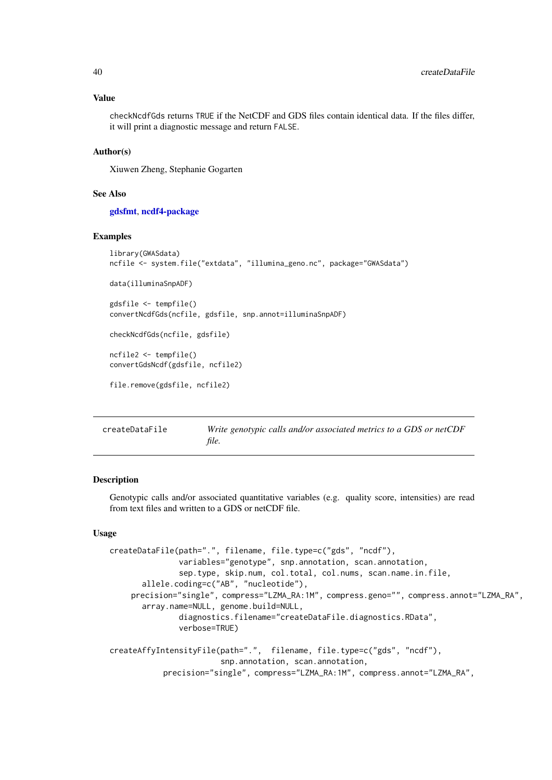#### Value

checkNcdfGds returns TRUE if the NetCDF and GDS files contain identical data. If the files differ, it will print a diagnostic message and return FALSE.

## Author(s)

Xiuwen Zheng, Stephanie Gogarten

### See Also

[gdsfmt](#page-0-0), [ncdf4-package](#page-0-0)

#### Examples

```
library(GWASdata)
ncfile <- system.file("extdata", "illumina_geno.nc", package="GWASdata")
data(illuminaSnpADF)
gdsfile <- tempfile()
convertNcdfGds(ncfile, gdsfile, snp.annot=illuminaSnpADF)
checkNcdfGds(ncfile, gdsfile)
ncfile2 <- tempfile()
convertGdsNcdf(gdsfile, ncfile2)
file.remove(gdsfile, ncfile2)
```
<span id="page-39-0"></span>

| createDataFile | Write genotypic calls and/or associated metrics to a GDS or netCDF |
|----------------|--------------------------------------------------------------------|
|                | file.                                                              |

### Description

Genotypic calls and/or associated quantitative variables (e.g. quality score, intensities) are read from text files and written to a GDS or netCDF file.

## Usage

```
createDataFile(path=".", filename, file.type=c("gds", "ncdf"),
               variables="genotype", snp.annotation, scan.annotation,
               sep.type, skip.num, col.total, col.nums, scan.name.in.file,
       allele.coding=c("AB", "nucleotide"),
    precision="single", compress="LZMA_RA:1M", compress.geno="", compress.annot="LZMA_RA",
       array.name=NULL, genome.build=NULL,
               diagnostics.filename="createDataFile.diagnostics.RData",
               verbose=TRUE)
createAffyIntensityFile(path=".", filename, file.type=c("gds", "ncdf"),
                        snp.annotation, scan.annotation,
           precision="single", compress="LZMA_RA:1M", compress.annot="LZMA_RA",
```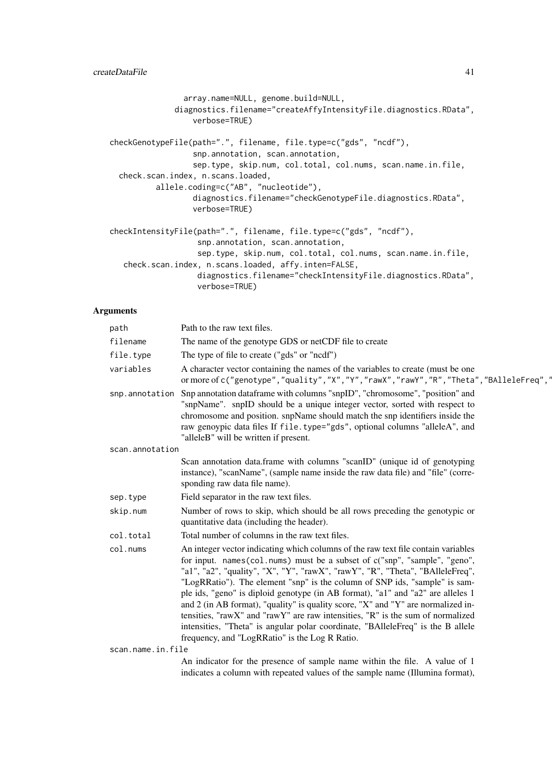```
array.name=NULL, genome.build=NULL,
              diagnostics.filename="createAffyIntensityFile.diagnostics.RData",
                  verbose=TRUE)
checkGenotypeFile(path=".", filename, file.type=c("gds", "ncdf"),
                  snp.annotation, scan.annotation,
                  sep.type, skip.num, col.total, col.nums, scan.name.in.file,
 check.scan.index, n.scans.loaded,
          allele.coding=c("AB", "nucleotide"),
                  diagnostics.filename="checkGenotypeFile.diagnostics.RData",
                  verbose=TRUE)
checkIntensityFile(path=".", filename, file.type=c("gds", "ncdf"),
                   snp.annotation, scan.annotation,
                   sep.type, skip.num, col.total, col.nums, scan.name.in.file,
   check.scan.index, n.scans.loaded, affy.inten=FALSE,
                   diagnostics.filename="checkIntensityFile.diagnostics.RData",
                   verbose=TRUE)
```
## Arguments

| path              | Path to the raw text files.                                                                                                                                                                                                                                                                                                                                                                                                                                                                                                                                                                                                                                                                                                 |
|-------------------|-----------------------------------------------------------------------------------------------------------------------------------------------------------------------------------------------------------------------------------------------------------------------------------------------------------------------------------------------------------------------------------------------------------------------------------------------------------------------------------------------------------------------------------------------------------------------------------------------------------------------------------------------------------------------------------------------------------------------------|
| filename          | The name of the genotype GDS or netCDF file to create                                                                                                                                                                                                                                                                                                                                                                                                                                                                                                                                                                                                                                                                       |
| file.type         | The type of file to create ("gds" or "ncdf")                                                                                                                                                                                                                                                                                                                                                                                                                                                                                                                                                                                                                                                                                |
| variables         | A character vector containing the names of the variables to create (must be one<br>or more of c("genotype","quality","X","Y","rawX","rawY","R","Theta","BAlleleFreq","                                                                                                                                                                                                                                                                                                                                                                                                                                                                                                                                                      |
| snp.annotation    | Snp annotation dataframe with columns "snpID", "chromosome", "position" and<br>"snpName". snpID should be a unique integer vector, sorted with respect to<br>chromosome and position. snpName should match the snp identifiers inside the<br>raw genoypic data files If file.type="gds", optional columns "alleleA", and<br>"alleleB" will be written if present.                                                                                                                                                                                                                                                                                                                                                           |
| scan.annotation   |                                                                                                                                                                                                                                                                                                                                                                                                                                                                                                                                                                                                                                                                                                                             |
|                   | Scan annotation data.frame with columns "scanID" (unique id of genotyping<br>instance), "scanName", (sample name inside the raw data file) and "file" (corre-<br>sponding raw data file name).                                                                                                                                                                                                                                                                                                                                                                                                                                                                                                                              |
| sep.type          | Field separator in the raw text files.                                                                                                                                                                                                                                                                                                                                                                                                                                                                                                                                                                                                                                                                                      |
| skip.num          | Number of rows to skip, which should be all rows preceding the genotypic or<br>quantitative data (including the header).                                                                                                                                                                                                                                                                                                                                                                                                                                                                                                                                                                                                    |
| col.total         | Total number of columns in the raw text files.                                                                                                                                                                                                                                                                                                                                                                                                                                                                                                                                                                                                                                                                              |
| col.nums          | An integer vector indicating which columns of the raw text file contain variables<br>for input. names(col.nums) must be a subset of c("snp", "sample", "geno",<br>"a1", "a2", "quality", "X", "Y", "rawX", "rawY", "R", "Theta", "BAlleleFreq",<br>"LogRRatio"). The element "snp" is the column of SNP ids, "sample" is sam-<br>ple ids, "geno" is diploid genotype (in AB format), "a1" and "a2" are alleles 1<br>and 2 (in AB format), "quality" is quality score, "X" and "Y" are normalized in-<br>tensities, "rawX" and "rawY" are raw intensities, "R" is the sum of normalized<br>intensities, "Theta" is angular polar coordinate, "BAlleleFreq" is the B allele<br>frequency, and "LogRRatio" is the Log R Ratio. |
| scan.name.in.file |                                                                                                                                                                                                                                                                                                                                                                                                                                                                                                                                                                                                                                                                                                                             |
|                   | An indicator for the presence of sample name within the file. A value of 1<br>indicates a column with repeated values of the sample name (Illumina format),                                                                                                                                                                                                                                                                                                                                                                                                                                                                                                                                                                 |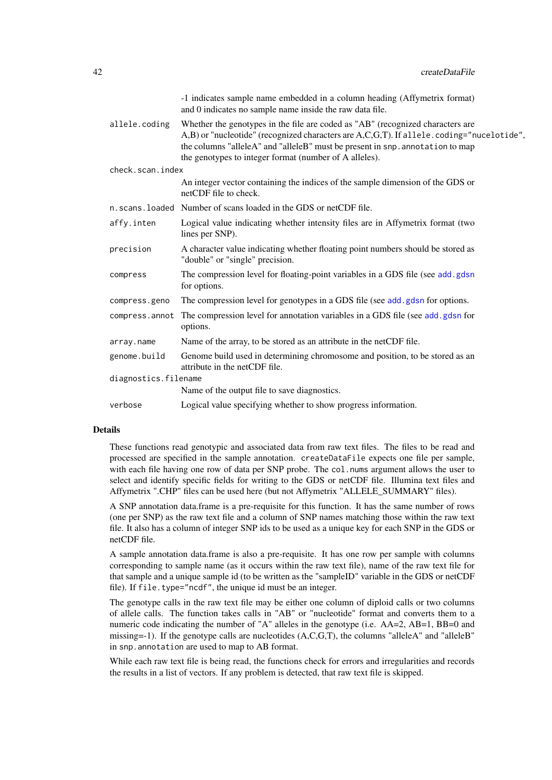| -1 indicates sample name embedded in a column heading (Affymetrix format)<br>and 0 indicates no sample name inside the raw data file.                                                                                                                                                                                 |  |  |
|-----------------------------------------------------------------------------------------------------------------------------------------------------------------------------------------------------------------------------------------------------------------------------------------------------------------------|--|--|
| Whether the genotypes in the file are coded as "AB" (recognized characters are<br>A,B) or "nucleotide" (recognized characters are A,C,G,T). If allele.coding="nucelotide",<br>the columns "alleleA" and "alleleB" must be present in snp. annotation to map<br>the genotypes to integer format (number of A alleles). |  |  |
| check.scan.index                                                                                                                                                                                                                                                                                                      |  |  |
| An integer vector containing the indices of the sample dimension of the GDS or<br>netCDF file to check.                                                                                                                                                                                                               |  |  |
| n. scans. loaded Number of scans loaded in the GDS or netCDF file.                                                                                                                                                                                                                                                    |  |  |
| Logical value indicating whether intensity files are in Affymetrix format (two<br>lines per SNP).                                                                                                                                                                                                                     |  |  |
| A character value indicating whether floating point numbers should be stored as<br>"double" or "single" precision.                                                                                                                                                                                                    |  |  |
| The compression level for floating-point variables in a GDS file (see add.gdsn<br>for options.                                                                                                                                                                                                                        |  |  |
| The compression level for genotypes in a GDS file (see add.gdsn for options.                                                                                                                                                                                                                                          |  |  |
| The compression level for annotation variables in a GDS file (see add.gdsn for<br>options.                                                                                                                                                                                                                            |  |  |
| Name of the array, to be stored as an attribute in the netCDF file.                                                                                                                                                                                                                                                   |  |  |
| Genome build used in determining chromosome and position, to be stored as an<br>attribute in the netCDF file.                                                                                                                                                                                                         |  |  |
| diagnostics.filename                                                                                                                                                                                                                                                                                                  |  |  |
| Name of the output file to save diagnostics.                                                                                                                                                                                                                                                                          |  |  |
| Logical value specifying whether to show progress information.                                                                                                                                                                                                                                                        |  |  |
|                                                                                                                                                                                                                                                                                                                       |  |  |

### Details

These functions read genotypic and associated data from raw text files. The files to be read and processed are specified in the sample annotation. createDataFile expects one file per sample, with each file having one row of data per SNP probe. The col.nums argument allows the user to select and identify specific fields for writing to the GDS or netCDF file. Illumina text files and Affymetrix ".CHP" files can be used here (but not Affymetrix "ALLELE\_SUMMARY" files).

A SNP annotation data.frame is a pre-requisite for this function. It has the same number of rows (one per SNP) as the raw text file and a column of SNP names matching those within the raw text file. It also has a column of integer SNP ids to be used as a unique key for each SNP in the GDS or netCDF file.

A sample annotation data.frame is also a pre-requisite. It has one row per sample with columns corresponding to sample name (as it occurs within the raw text file), name of the raw text file for that sample and a unique sample id (to be written as the "sampleID" variable in the GDS or netCDF file). If file.type="ncdf", the unique id must be an integer.

The genotype calls in the raw text file may be either one column of diploid calls or two columns of allele calls. The function takes calls in "AB" or "nucleotide" format and converts them to a numeric code indicating the number of "A" alleles in the genotype (i.e. AA=2, AB=1, BB=0 and missing=-1). If the genotype calls are nucleotides (A,C,G,T), the columns "alleleA" and "alleleB" in snp.annotation are used to map to AB format.

While each raw text file is being read, the functions check for errors and irregularities and records the results in a list of vectors. If any problem is detected, that raw text file is skipped.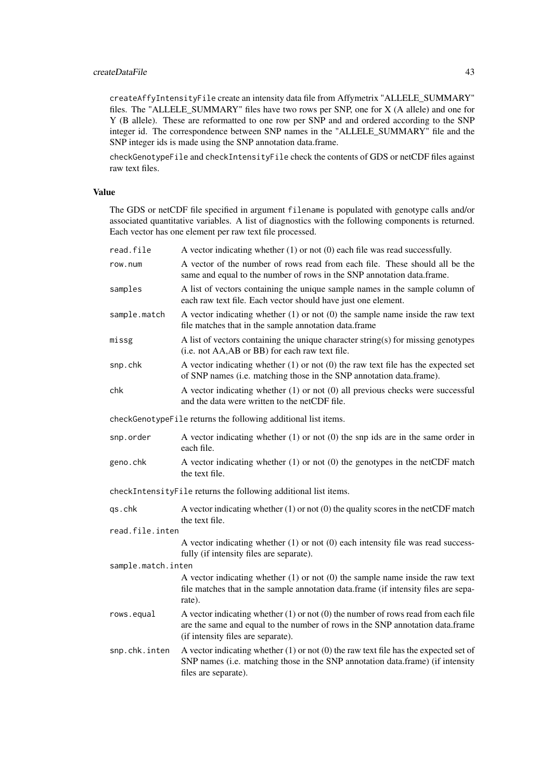#### createDataFile 43

createAffyIntensityFile create an intensity data file from Affymetrix "ALLELE\_SUMMARY" files. The "ALLELE\_SUMMARY" files have two rows per SNP, one for X (A allele) and one for Y (B allele). These are reformatted to one row per SNP and and ordered according to the SNP integer id. The correspondence between SNP names in the "ALLELE\_SUMMARY" file and the SNP integer ids is made using the SNP annotation data.frame.

checkGenotypeFile and checkIntensityFile check the contents of GDS or netCDF files against raw text files.

## Value

The GDS or netCDF file specified in argument filename is populated with genotype calls and/or associated quantitative variables. A list of diagnostics with the following components is returned. Each vector has one element per raw text file processed.

| read.file                                                       | A vector indicating whether $(1)$ or not $(0)$ each file was read successfully.                                                                                                                              |  |  |  |
|-----------------------------------------------------------------|--------------------------------------------------------------------------------------------------------------------------------------------------------------------------------------------------------------|--|--|--|
| row.num                                                         | A vector of the number of rows read from each file. These should all be the<br>same and equal to the number of rows in the SNP annotation data.frame.                                                        |  |  |  |
| samples                                                         | A list of vectors containing the unique sample names in the sample column of<br>each raw text file. Each vector should have just one element.                                                                |  |  |  |
| sample.match                                                    | A vector indicating whether $(1)$ or not $(0)$ the sample name inside the raw text<br>file matches that in the sample annotation data.frame                                                                  |  |  |  |
| missg                                                           | A list of vectors containing the unique character string(s) for missing genotypes<br>(i.e. not AA,AB or BB) for each raw text file.                                                                          |  |  |  |
| snp.chk                                                         | A vector indicating whether $(1)$ or not $(0)$ the raw text file has the expected set<br>of SNP names (i.e. matching those in the SNP annotation data.frame).                                                |  |  |  |
| chk                                                             | A vector indicating whether (1) or not (0) all previous checks were successful<br>and the data were written to the netCDF file.                                                                              |  |  |  |
| checkGenotypeFile returns the following additional list items.  |                                                                                                                                                                                                              |  |  |  |
| snp.order                                                       | A vector indicating whether $(1)$ or not $(0)$ the snp ids are in the same order in<br>each file.                                                                                                            |  |  |  |
| geno.chk                                                        | A vector indicating whether $(1)$ or not $(0)$ the genotypes in the netCDF match<br>the text file.                                                                                                           |  |  |  |
| checkIntensityFile returns the following additional list items. |                                                                                                                                                                                                              |  |  |  |
| qs.chk                                                          | A vector indicating whether $(1)$ or not $(0)$ the quality scores in the netCDF match<br>the text file.                                                                                                      |  |  |  |
| read.file.inten                                                 |                                                                                                                                                                                                              |  |  |  |
|                                                                 | A vector indicating whether (1) or not (0) each intensity file was read success-<br>fully (if intensity files are separate).                                                                                 |  |  |  |
| sample.match.inten                                              |                                                                                                                                                                                                              |  |  |  |
|                                                                 | A vector indicating whether $(1)$ or not $(0)$ the sample name inside the raw text<br>file matches that in the sample annotation data.frame (if intensity files are sepa-<br>rate).                          |  |  |  |
| rows.equal                                                      | A vector indicating whether $(1)$ or not $(0)$ the number of rows read from each file<br>are the same and equal to the number of rows in the SNP annotation data.frame<br>(if intensity files are separate). |  |  |  |
| snp.chk.inten                                                   | A vector indicating whether $(1)$ or not $(0)$ the raw text file has the expected set of<br>SNP names (i.e. matching those in the SNP annotation data.frame) (if intensity<br>files are separate).           |  |  |  |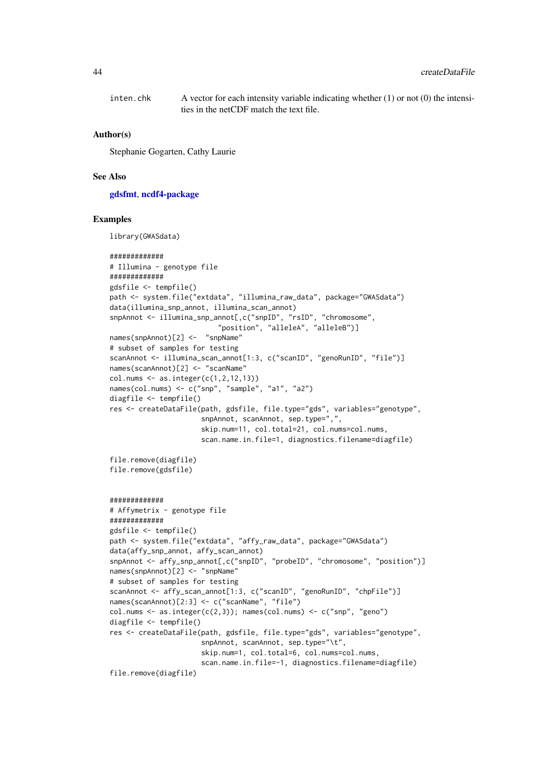inten.chk A vector for each intensity variable indicating whether  $(1)$  or not  $(0)$  the intensities in the netCDF match the text file.

#### Author(s)

Stephanie Gogarten, Cathy Laurie

### See Also

[gdsfmt](#page-0-0), [ncdf4-package](#page-0-0)

#### Examples

library(GWASdata)

```
#############
# Illumina - genotype file
#############
gdsfile <- tempfile()
path <- system.file("extdata", "illumina_raw_data", package="GWASdata")
data(illumina_snp_annot, illumina_scan_annot)
snpAnnot <- illumina_snp_annot[,c("snpID", "rsID", "chromosome",
                          "position", "alleleA", "alleleB")]
names(snpAnnot)[2] <- "snpName"
# subset of samples for testing
scanAnnot <- illumina_scan_annot[1:3, c("scanID", "genoRunID", "file")]
names(scanAnnot)[2] <- "scanName"
col.nums \leftarrow as.integer(c(1, 2, 12, 13))names(col.nums) <- c("snp", "sample", "a1", "a2")
diagfile <- tempfile()
res <- createDataFile(path, gdsfile, file.type="gds", variables="genotype",
                      snpAnnot, scanAnnot, sep.type=",",
                      skip.num=11, col.total=21, col.nums=col.nums,
                      scan.name.in.file=1, diagnostics.filename=diagfile)
file.remove(diagfile)
file.remove(gdsfile)
#############
# Affymetrix - genotype file
#############
gdsfile <- tempfile()
path <- system.file("extdata", "affy_raw_data", package="GWASdata")
data(affy_snp_annot, affy_scan_annot)
snpAnnot <- affy_snp_annot[,c("snpID", "probeID", "chromosome", "position")]
names(snpAnnot)[2] <- "snpName"
# subset of samples for testing
scanAnnot <- affy_scan_annot[1:3, c("scanID", "genoRunID", "chpFile")]
names(scanAnnot)[2:3] <- c("scanName", "file")
col.nums \leq as.integer(c(2,3)); names(col.nums) \leq c("snp", "geno")
diagfile <- tempfile()
res <- createDataFile(path, gdsfile, file.type="gds", variables="genotype",
```
snpAnnot, scanAnnot, sep.type="\t",

skip.num=1, col.total=6, col.nums=col.nums,

scan.name.in.file=-1, diagnostics.filename=diagfile)

file.remove(diagfile)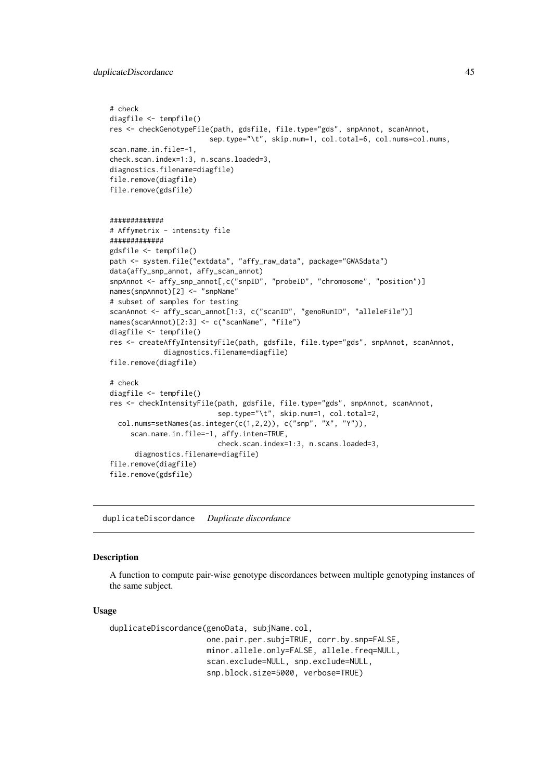#### duplicateDiscordance 45

```
# check
diagfile <- tempfile()
res <- checkGenotypeFile(path, gdsfile, file.type="gds", snpAnnot, scanAnnot,
                        sep.type="\t", skip.num=1, col.total=6, col.nums=col.nums,
scan.name.in.file=-1,
check.scan.index=1:3, n.scans.loaded=3,
diagnostics.filename=diagfile)
file.remove(diagfile)
file.remove(gdsfile)
#############
# Affymetrix - intensity file
#############
gdsfile <- tempfile()
path <- system.file("extdata", "affy_raw_data", package="GWASdata")
data(affy_snp_annot, affy_scan_annot)
snpAnnot <- affy_snp_annot[,c("snpID", "probeID", "chromosome", "position")]
names(snpAnnot)[2] <- "snpName"
# subset of samples for testing
scanAnnot <- affy_scan_annot[1:3, c("scanID", "genoRunID", "alleleFile")]
names(scanAnnot)[2:3] <- c("scanName", "file")
diagfile <- tempfile()
res <- createAffyIntensityFile(path, gdsfile, file.type="gds", snpAnnot, scanAnnot,
             diagnostics.filename=diagfile)
file.remove(diagfile)
# check
diagfile <- tempfile()
res <- checkIntensityFile(path, gdsfile, file.type="gds", snpAnnot, scanAnnot,
                          sep.type="\t", skip.num=1, col.total=2,
  col.nums=setNames(as.integer(c(1,2,2)), c("snp", "X", "Y")),
     scan.name.in.file=-1, affy.inten=TRUE,
                          check.scan.index=1:3, n.scans.loaded=3,
      diagnostics.filename=diagfile)
file.remove(diagfile)
file.remove(gdsfile)
```
<span id="page-44-0"></span>duplicateDiscordance *Duplicate discordance*

#### Description

A function to compute pair-wise genotype discordances between multiple genotyping instances of the same subject.

#### Usage

```
duplicateDiscordance(genoData, subjName.col,
                     one.pair.per.subj=TRUE, corr.by.snp=FALSE,
                     minor.allele.only=FALSE, allele.freq=NULL,
                     scan.exclude=NULL, snp.exclude=NULL,
                     snp.block.size=5000, verbose=TRUE)
```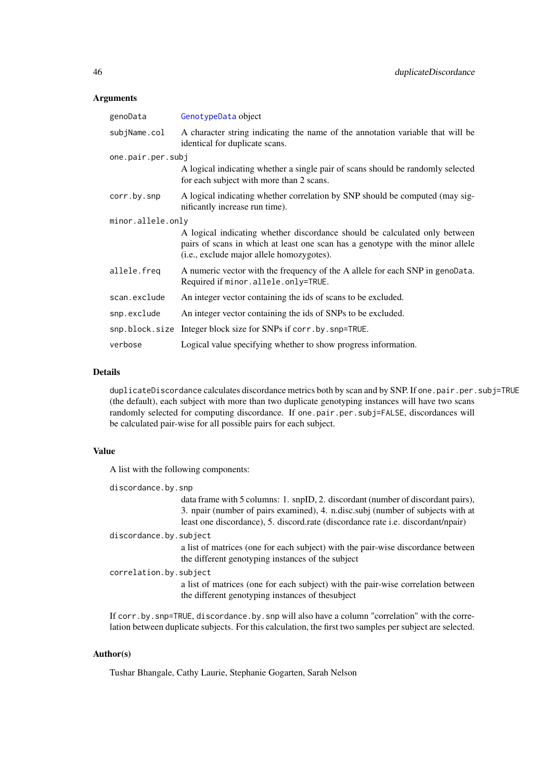#### Arguments

| genoData          | GenotypeData object                                                                                                                                                                                       |  |  |
|-------------------|-----------------------------------------------------------------------------------------------------------------------------------------------------------------------------------------------------------|--|--|
| subjName.col      | A character string indicating the name of the annotation variable that will be<br>identical for duplicate scans.                                                                                          |  |  |
| one.pair.per.subj |                                                                                                                                                                                                           |  |  |
|                   | A logical indicating whether a single pair of scans should be randomly selected<br>for each subject with more than 2 scans.                                                                               |  |  |
| corr.by.snp       | A logical indicating whether correlation by SNP should be computed (may sig-<br>nificantly increase run time).                                                                                            |  |  |
| minor.allele.only |                                                                                                                                                                                                           |  |  |
|                   | A logical indicating whether discordance should be calculated only between<br>pairs of scans in which at least one scan has a genotype with the minor allele<br>(i.e., exclude major allele homozygotes). |  |  |
| allele.freq       | A numeric vector with the frequency of the A allele for each SNP in genoData.<br>Required if minor.allele.only=TRUE.                                                                                      |  |  |
| scan.exclude      | An integer vector containing the ids of scans to be excluded.                                                                                                                                             |  |  |
| snp.exclude       | An integer vector containing the ids of SNPs to be excluded.                                                                                                                                              |  |  |
|                   | snp.block.size Integer block size for SNPs if corr.by.snp=TRUE.                                                                                                                                           |  |  |
| verbose           | Logical value specifying whether to show progress information.                                                                                                                                            |  |  |

### Details

duplicateDiscordance calculates discordance metrics both by scan and by SNP. If one.pair.per.subj=TRUE (the default), each subject with more than two duplicate genotyping instances will have two scans randomly selected for computing discordance. If one.pair.per.subj=FALSE, discordances will be calculated pair-wise for all possible pairs for each subject.

## Value

A list with the following components:

discordance.by.snp

data frame with 5 columns: 1. snpID, 2. discordant (number of discordant pairs), 3. npair (number of pairs examined), 4. n.disc.subj (number of subjects with at least one discordance), 5. discord.rate (discordance rate i.e. discordant/npair)

discordance.by.subject

a list of matrices (one for each subject) with the pair-wise discordance between the different genotyping instances of the subject

### correlation.by.subject

a list of matrices (one for each subject) with the pair-wise correlation between the different genotyping instances of thesubject

If corr.by.snp=TRUE, discordance.by.snp will also have a column "correlation" with the correlation between duplicate subjects. For this calculation, the first two samples per subject are selected.

## Author(s)

Tushar Bhangale, Cathy Laurie, Stephanie Gogarten, Sarah Nelson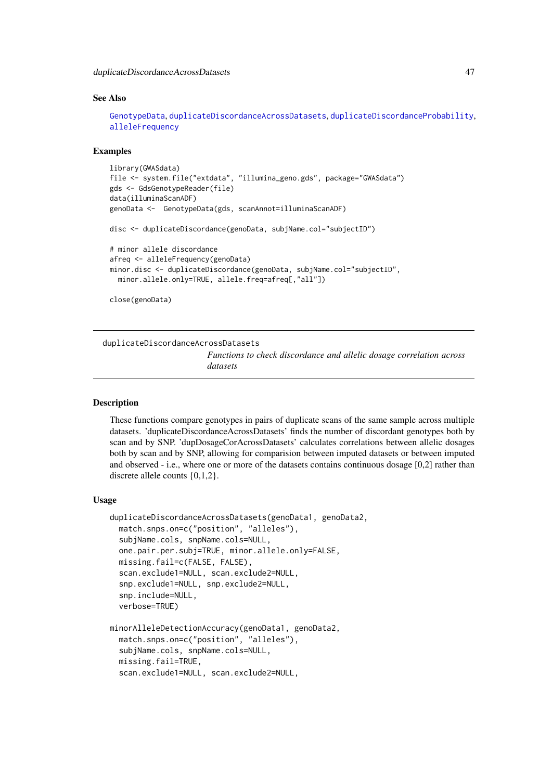duplicateDiscordanceAcrossDatasets 47

#### See Also

[GenotypeData](#page-66-0), [duplicateDiscordanceAcrossDatasets](#page-46-0), [duplicateDiscordanceProbability](#page-51-0), [alleleFrequency](#page-3-0)

## Examples

```
library(GWASdata)
file <- system.file("extdata", "illumina_geno.gds", package="GWASdata")
gds <- GdsGenotypeReader(file)
data(illuminaScanADF)
genoData <- GenotypeData(gds, scanAnnot=illuminaScanADF)
disc <- duplicateDiscordance(genoData, subjName.col="subjectID")
```

```
# minor allele discordance
afreq <- alleleFrequency(genoData)
minor.disc <- duplicateDiscordance(genoData, subjName.col="subjectID",
  minor.allele.only=TRUE, allele.freq=afreq[,"all"])
```

```
close(genoData)
```
<span id="page-46-0"></span>duplicateDiscordanceAcrossDatasets *Functions to check discordance and allelic dosage correlation across datasets*

#### **Description**

These functions compare genotypes in pairs of duplicate scans of the same sample across multiple datasets. 'duplicateDiscordanceAcrossDatasets' finds the number of discordant genotypes both by scan and by SNP. 'dupDosageCorAcrossDatasets' calculates correlations between allelic dosages both by scan and by SNP, allowing for comparision between imputed datasets or between imputed and observed - i.e., where one or more of the datasets contains continuous dosage [0,2] rather than discrete allele counts {0,1,2}.

#### Usage

```
duplicateDiscordanceAcrossDatasets(genoData1, genoData2,
 match.snps.on=c("position", "alleles"),
 subjName.cols, snpName.cols=NULL,
 one.pair.per.subj=TRUE, minor.allele.only=FALSE,
 missing.fail=c(FALSE, FALSE),
 scan.exclude1=NULL, scan.exclude2=NULL,
  snp.exclude1=NULL, snp.exclude2=NULL,
  snp.include=NULL,
 verbose=TRUE)
minorAlleleDetectionAccuracy(genoData1, genoData2,
 match.snps.on=c("position", "alleles"),
 subjName.cols, snpName.cols=NULL,
```

```
missing.fail=TRUE,
```

```
scan.exclude1=NULL, scan.exclude2=NULL,
```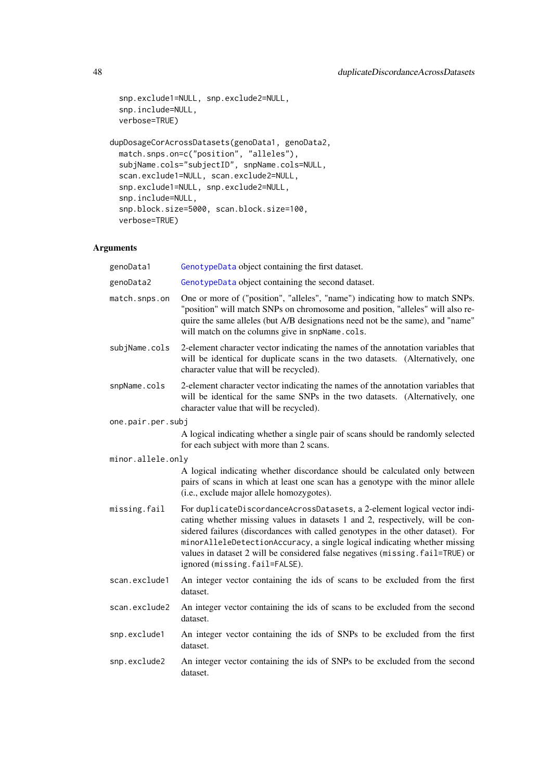```
snp.exclude1=NULL, snp.exclude2=NULL,
 snp.include=NULL,
 verbose=TRUE)
dupDosageCorAcrossDatasets(genoData1, genoData2,
 match.snps.on=c("position", "alleles"),
 subjName.cols="subjectID", snpName.cols=NULL,
```

```
scan.exclude1=NULL, scan.exclude2=NULL,
snp.exclude1=NULL, snp.exclude2=NULL,
snp.include=NULL,
snp.block.size=5000, scan.block.size=100,
verbose=TRUE)
```
## Arguments

| GenotypeData object containing the first dataset.                                                                                                                                                                                                                                                                                                                                                                                           |  |  |
|---------------------------------------------------------------------------------------------------------------------------------------------------------------------------------------------------------------------------------------------------------------------------------------------------------------------------------------------------------------------------------------------------------------------------------------------|--|--|
| GenotypeData object containing the second dataset.                                                                                                                                                                                                                                                                                                                                                                                          |  |  |
| One or more of ("position", "alleles", "name") indicating how to match SNPs.<br>"position" will match SNPs on chromosome and position, "alleles" will also re-<br>quire the same alleles (but A/B designations need not be the same), and "name"<br>will match on the columns give in snpName.cols.                                                                                                                                         |  |  |
| 2-element character vector indicating the names of the annotation variables that<br>will be identical for duplicate scans in the two datasets. (Alternatively, one<br>character value that will be recycled).                                                                                                                                                                                                                               |  |  |
| 2-element character vector indicating the names of the annotation variables that<br>will be identical for the same SNPs in the two datasets. (Alternatively, one<br>character value that will be recycled).                                                                                                                                                                                                                                 |  |  |
| one.pair.per.subj                                                                                                                                                                                                                                                                                                                                                                                                                           |  |  |
| A logical indicating whether a single pair of scans should be randomly selected<br>for each subject with more than 2 scans.                                                                                                                                                                                                                                                                                                                 |  |  |
| minor.allele.only                                                                                                                                                                                                                                                                                                                                                                                                                           |  |  |
| A logical indicating whether discordance should be calculated only between<br>pairs of scans in which at least one scan has a genotype with the minor allele<br>(i.e., exclude major allele homozygotes).                                                                                                                                                                                                                                   |  |  |
| For duplicateDiscordanceAcrossDatasets, a 2-element logical vector indi-<br>cating whether missing values in datasets 1 and 2, respectively, will be con-<br>sidered failures (discordances with called genotypes in the other dataset). For<br>minorAlleleDetectionAccuracy, a single logical indicating whether missing<br>values in dataset 2 will be considered false negatives (missing.fail=TRUE) or<br>ignored (missing.fail=FALSE). |  |  |
| An integer vector containing the ids of scans to be excluded from the first<br>dataset.                                                                                                                                                                                                                                                                                                                                                     |  |  |
| An integer vector containing the ids of scans to be excluded from the second<br>dataset.                                                                                                                                                                                                                                                                                                                                                    |  |  |
| An integer vector containing the ids of SNPs to be excluded from the first<br>dataset.                                                                                                                                                                                                                                                                                                                                                      |  |  |
| An integer vector containing the ids of SNPs to be excluded from the second<br>dataset.                                                                                                                                                                                                                                                                                                                                                     |  |  |
|                                                                                                                                                                                                                                                                                                                                                                                                                                             |  |  |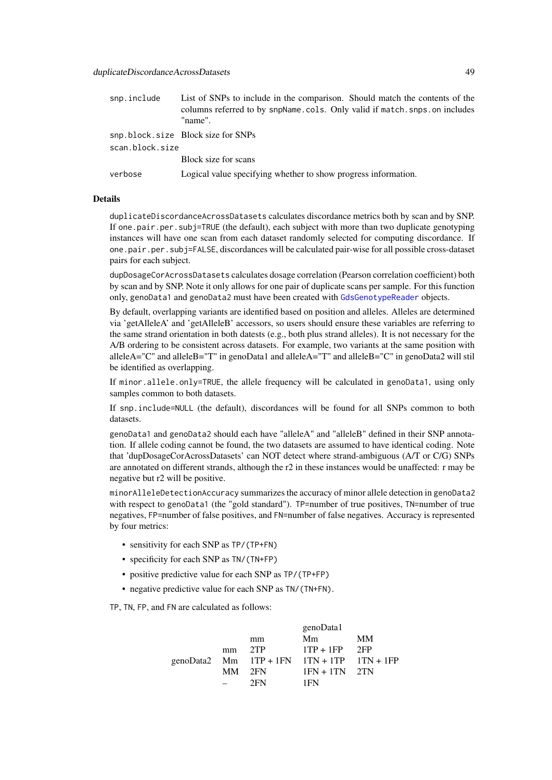| snp.include     | List of SNPs to include in the comparison. Should match the contents of the<br>columns referred to by snpName.cols. Only valid if match.snps.on includes<br>"name". |
|-----------------|---------------------------------------------------------------------------------------------------------------------------------------------------------------------|
| scan.block.size | snp.block.size Block size for SNPs                                                                                                                                  |
|                 | Block size for scans                                                                                                                                                |
| verbose         | Logical value specifying whether to show progress information.                                                                                                      |

## Details

duplicateDiscordanceAcrossDatasets calculates discordance metrics both by scan and by SNP. If one.pair.per.subj=TRUE (the default), each subject with more than two duplicate genotyping instances will have one scan from each dataset randomly selected for computing discordance. If one.pair.per.subj=FALSE, discordances will be calculated pair-wise for all possible cross-dataset pairs for each subject.

dupDosageCorAcrossDatasets calculates dosage correlation (Pearson correlation coefficient) both by scan and by SNP. Note it only allows for one pair of duplicate scans per sample. For this function only, genoData1 and genoData2 must have been created with [GdsGenotypeReader](#page-56-0) objects.

By default, overlapping variants are identified based on position and alleles. Alleles are determined via 'getAlleleA' and 'getAlleleB' accessors, so users should ensure these variables are referring to the same strand orientation in both datests (e.g., both plus strand alleles). It is not necessary for the A/B ordering to be consistent across datasets. For example, two variants at the same position with alleleA="C" and alleleB="T" in genoData1 and alleleA="T" and alleleB="C" in genoData2 will stil be identified as overlapping.

If minor.allele.only=TRUE, the allele frequency will be calculated in genoData1, using only samples common to both datasets.

If snp.include=NULL (the default), discordances will be found for all SNPs common to both datasets.

genoData1 and genoData2 should each have "alleleA" and "alleleB" defined in their SNP annotation. If allele coding cannot be found, the two datasets are assumed to have identical coding. Note that 'dupDosageCorAcrossDatasets' can NOT detect where strand-ambiguous (A/T or C/G) SNPs are annotated on different strands, although the r2 in these instances would be unaffected: r may be negative but r2 will be positive.

minorAlleleDetectionAccuracy summarizes the accuracy of minor allele detection in genoData2 with respect to genoData1 (the "gold standard"). TP=number of true positives, TN=number of true negatives, FP=number of false positives, and FN=number of false negatives. Accuracy is represented by four metrics:

- sensitivity for each SNP as TP/(TP+FN)
- specificity for each SNP as TN/(TN+FP)
- positive predictive value for each SNP as TP/(TP+FP)
- negative predictive value for each SNP as TN/(TN+FN).

TP, TN, FP, and FN are calculated as follows:

|    |     | genoData1       |                                                  |
|----|-----|-----------------|--------------------------------------------------|
|    | mm  | Mm              | <b>MM</b>                                        |
| mm | 2TP | $1TP + 1FP$ 2FP |                                                  |
|    |     |                 |                                                  |
|    |     | $1FN + 1TN$ 2TN |                                                  |
|    | 2FN | 1FN             |                                                  |
|    |     | MM 2FN          | genoData2 Mm $1TP + 1FN$ $1TN + 1TP$ $1TN + 1FP$ |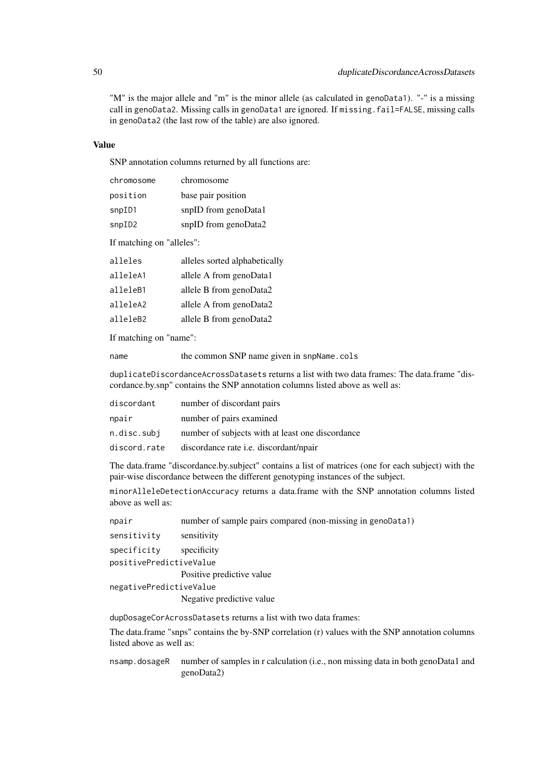"M" is the major allele and "m" is the minor allele (as calculated in genoData1). "-" is a missing call in genoData2. Missing calls in genoData1 are ignored. If missing.fail=FALSE, missing calls in genoData2 (the last row of the table) are also ignored.

## Value

SNP annotation columns returned by all functions are:

| chromosome | chromosome           |
|------------|----------------------|
| position   | base pair position   |
| snpID1     | snpID from genoData1 |
| snpID2     | snpID from genoData2 |

If matching on "alleles":

| alleles  | alleles sorted alphabetically |
|----------|-------------------------------|
| alleleA1 | allele A from genoData1       |
| alleleB1 | allele B from genoData2       |
| alleleA2 | allele A from genoData2       |
| alleleB2 | allele B from genoData2       |
|          |                               |

If matching on "name":

name the common SNP name given in snpName.cols

duplicateDiscordanceAcrossDatasets returns a list with two data frames: The data.frame "discordance.by.snp" contains the SNP annotation columns listed above as well as:

| discordant   | number of discordant pairs                       |
|--------------|--------------------------------------------------|
| npair        | number of pairs examined                         |
| n.disc.subj  | number of subjects with at least one discordance |
| discord.rate | discordance rate <i>i.e.</i> discordant/npair    |

The data.frame "discordance.by.subject" contains a list of matrices (one for each subject) with the pair-wise discordance between the different genotyping instances of the subject.

minorAlleleDetectionAccuracy returns a data.frame with the SNP annotation columns listed above as well as:

npair number of sample pairs compared (non-missing in genoData1)

```
sensitivity sensitivity
```

```
specificity specificity
positivePredictiveValue
```
Positive predictive value

```
negativePredictiveValue
```
Negative predictive value

dupDosageCorAcrossDatasets returns a list with two data frames:

The data.frame "snps" contains the by-SNP correlation (r) values with the SNP annotation columns listed above as well as:

nsamp.dosageR number of samples in r calculation (i.e., non missing data in both genoData1 and genoData2)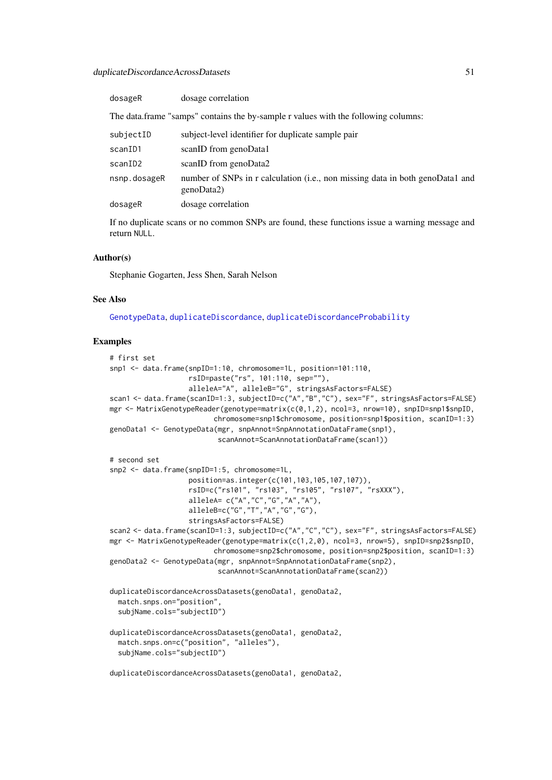| dosageR      | dosage correlation                                                                          |
|--------------|---------------------------------------------------------------------------------------------|
|              | The data.frame "samps" contains the by-sample r values with the following columns:          |
| subjectID    | subject-level identifier for duplicate sample pair                                          |
| scanID1      | scanID from genoData1                                                                       |
| scanID2      | scanID from genoData2                                                                       |
| nsnp.dosageR | number of SNPs in r calculation (i.e., non missing data in both genoData1 and<br>genoData2) |
| dosageR      | dosage correlation                                                                          |
|              |                                                                                             |

If no duplicate scans or no common SNPs are found, these functions issue a warning message and return NULL.

## Author(s)

Stephanie Gogarten, Jess Shen, Sarah Nelson

## See Also

[GenotypeData](#page-66-0), [duplicateDiscordance](#page-44-0), [duplicateDiscordanceProbability](#page-51-0)

## Examples

```
# first set
snp1 <- data.frame(snpID=1:10, chromosome=1L, position=101:110,
                   rsID=paste("rs", 101:110, sep=""),
                   alleleA="A", alleleB="G", stringsAsFactors=FALSE)
scan1 <- data.frame(scanID=1:3, subjectID=c("A","B","C"), sex="F", stringsAsFactors=FALSE)
mgr <- MatrixGenotypeReader(genotype=matrix(c(0,1,2), ncol=3, nrow=10), snpID=snp1$snpID,
                         chromosome=snp1$chromosome, position=snp1$position, scanID=1:3)
genoData1 <- GenotypeData(mgr, snpAnnot=SnpAnnotationDataFrame(snp1),
                          scanAnnot=ScanAnnotationDataFrame(scan1))
# second set
snp2 <- data.frame(snpID=1:5, chromosome=1L,
                   position=as.integer(c(101,103,105,107,107)),
                   rsID=c("rs101", "rs103", "rs105", "rs107", "rsXXX"),
                   alleleA= c("A","C","G","A","A"),
                   alleleB=c("G","T","A","G","G"),
                   stringsAsFactors=FALSE)
scan2 <- data.frame(scanID=1:3, subjectID=c("A","C","C"), sex="F", stringsAsFactors=FALSE)
mgr <- MatrixGenotypeReader(genotype=matrix(c(1,2,0), ncol=3, nrow=5), snpID=snp2$snpID,
                         chromosome=snp2$chromosome, position=snp2$position, scanID=1:3)
genoData2 <- GenotypeData(mgr, snpAnnot=SnpAnnotationDataFrame(snp2),
                          scanAnnot=ScanAnnotationDataFrame(scan2))
duplicateDiscordanceAcrossDatasets(genoData1, genoData2,
  match.snps.on="position",
  subjName.cols="subjectID")
duplicateDiscordanceAcrossDatasets(genoData1, genoData2,
  match.snps.on=c("position", "alleles"),
  subjName.cols="subjectID")
duplicateDiscordanceAcrossDatasets(genoData1, genoData2,
```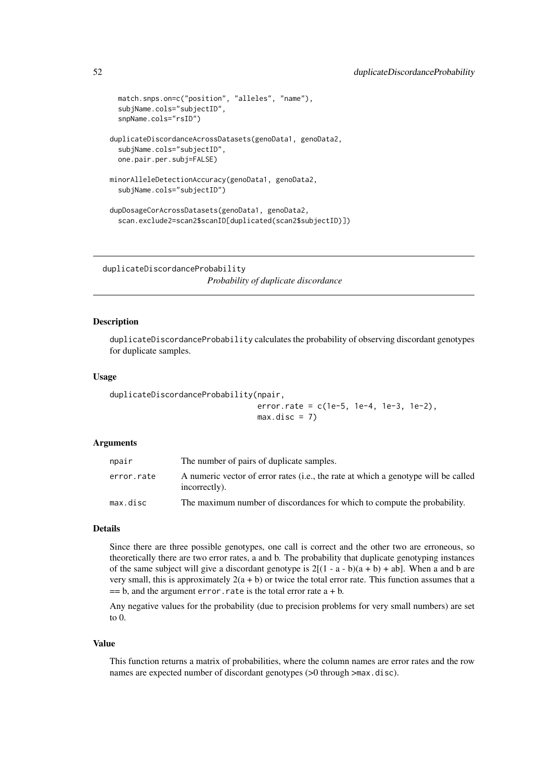```
match.snps.on=c("position", "alleles", "name"),
  subjName.cols="subjectID",
  snpName.cols="rsID")
duplicateDiscordanceAcrossDatasets(genoData1, genoData2,
  subjName.cols="subjectID",
  one.pair.per.subj=FALSE)
minorAlleleDetectionAccuracy(genoData1, genoData2,
  subjName.cols="subjectID")
dupDosageCorAcrossDatasets(genoData1, genoData2,
  scan.exclude2=scan2$scanID[duplicated(scan2$subjectID)])
```
<span id="page-51-0"></span>duplicateDiscordanceProbability

*Probability of duplicate discordance*

## Description

duplicateDiscordanceProbability calculates the probability of observing discordant genotypes for duplicate samples.

#### Usage

```
duplicateDiscordanceProbability(npair,
                               error.rate = c(1e-5, 1e-4, 1e-3, 1e-2),
                               max.disc = 7
```
## Arguments

| npair      | The number of pairs of duplicate samples.                                                           |
|------------|-----------------------------------------------------------------------------------------------------|
| error.rate | A numeric vector of error rates (i.e., the rate at which a genotype will be called<br>incorrectly). |
| max.disc   | The maximum number of discordances for which to compute the probability.                            |

## Details

Since there are three possible genotypes, one call is correct and the other two are erroneous, so theoretically there are two error rates, a and b. The probability that duplicate genotyping instances of the same subject will give a discordant genotype is  $2[(1 - a - b)(a + b) + ab]$ . When a and b are very small, this is approximately  $2(a + b)$  or twice the total error rate. This function assumes that a  $== b$ , and the argument error.rate is the total error rate  $a + b$ .

Any negative values for the probability (due to precision problems for very small numbers) are set to 0.

### Value

This function returns a matrix of probabilities, where the column names are error rates and the row names are expected number of discordant genotypes (>0 through >max.disc).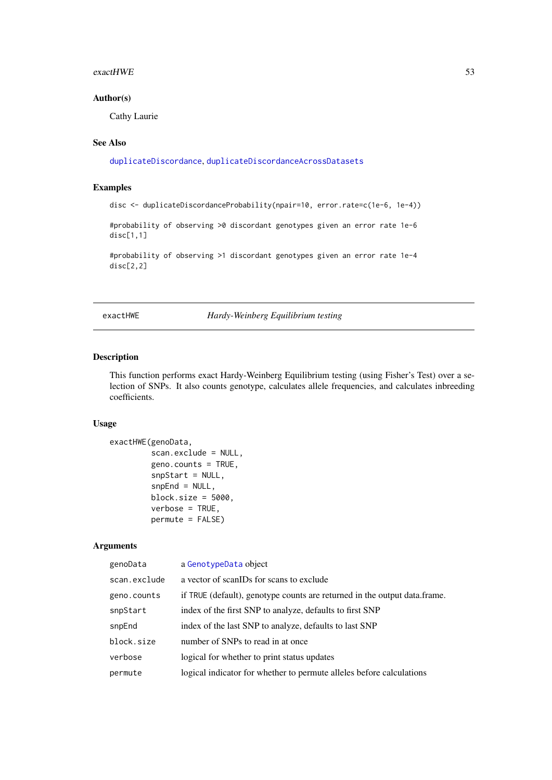#### $\alpha$  exact HWE 53

## Author(s)

Cathy Laurie

## See Also

[duplicateDiscordance](#page-44-0), [duplicateDiscordanceAcrossDatasets](#page-46-0)

## Examples

```
disc <- duplicateDiscordanceProbability(npair=10, error.rate=c(1e-6, 1e-4))
```
#probability of observing >0 discordant genotypes given an error rate 1e-6 disc[1,1]

#probability of observing >1 discordant genotypes given an error rate 1e-4 disc[2,2]

exactHWE *Hardy-Weinberg Equilibrium testing*

## Description

This function performs exact Hardy-Weinberg Equilibrium testing (using Fisher's Test) over a selection of SNPs. It also counts genotype, calculates allele frequencies, and calculates inbreeding coefficients.

## Usage

```
exactHWE(genoData,
         scan.exclude = NULL,
         geno.counts = TRUE,
         snpStart = NULL,
         snpEnd = NULL,block.size = 5000,
         verbose = TRUE,
         permute = FALSE)
```
## Arguments

| genoData     | a GenotypeData object                                                     |
|--------------|---------------------------------------------------------------------------|
| scan.exclude | a vector of scanIDs for scans to exclude                                  |
| geno.counts  | if TRUE (default), genotype counts are returned in the output data frame. |
| snpStart     | index of the first SNP to analyze, defaults to first SNP                  |
| snpEnd       | index of the last SNP to analyze, defaults to last SNP                    |
| block.size   | number of SNPs to read in at once                                         |
| verbose      | logical for whether to print status updates                               |
| permute      | logical indicator for whether to permute alleles before calculations      |
|              |                                                                           |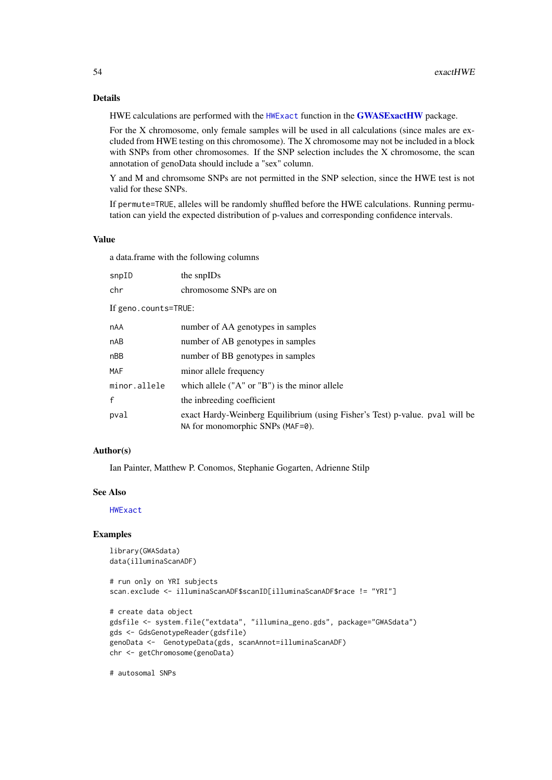#### Details

HWE calculations are performed with the [HWExact](#page-0-0) function in the [GWASExactHW](#page-0-0) package.

For the X chromosome, only female samples will be used in all calculations (since males are excluded from HWE testing on this chromosome). The X chromosome may not be included in a block with SNPs from other chromosomes. If the SNP selection includes the X chromosome, the scan annotation of genoData should include a "sex" column.

Y and M and chromsome SNPs are not permitted in the SNP selection, since the HWE test is not valid for these SNPs.

If permute=TRUE, alleles will be randomly shuffled before the HWE calculations. Running permutation can yield the expected distribution of p-values and corresponding confidence intervals.

## Value

a data.frame with the following columns

| snpID                | the snpIDs                                                                                                       |  |
|----------------------|------------------------------------------------------------------------------------------------------------------|--|
| chr                  | chromosome SNPs are on                                                                                           |  |
| If geno.counts=TRUE: |                                                                                                                  |  |
| <b>nAA</b>           | number of AA genotypes in samples                                                                                |  |
| nAB                  | number of AB genotypes in samples                                                                                |  |
| nBB                  | number of BB genotypes in samples                                                                                |  |
| MAF                  | minor allele frequency                                                                                           |  |
| minor.allele         | which allele $("A" or "B")$ is the minor allele                                                                  |  |
| $\mathsf{f}$         | the inbreeding coefficient                                                                                       |  |
| pval                 | exact Hardy-Weinberg Equilibrium (using Fisher's Test) p-value. pval will be<br>NA for monomorphic SNPs (MAF=0). |  |

### Author(s)

Ian Painter, Matthew P. Conomos, Stephanie Gogarten, Adrienne Stilp

## See Also

[HWExact](#page-0-0)

### Examples

```
library(GWASdata)
data(illuminaScanADF)
```
# run only on YRI subjects scan.exclude <- illuminaScanADF\$scanID[illuminaScanADF\$race != "YRI"]

```
# create data object
gdsfile <- system.file("extdata", "illumina_geno.gds", package="GWASdata")
gds <- GdsGenotypeReader(gdsfile)
genoData <- GenotypeData(gds, scanAnnot=illuminaScanADF)
chr <- getChromosome(genoData)
```
# autosomal SNPs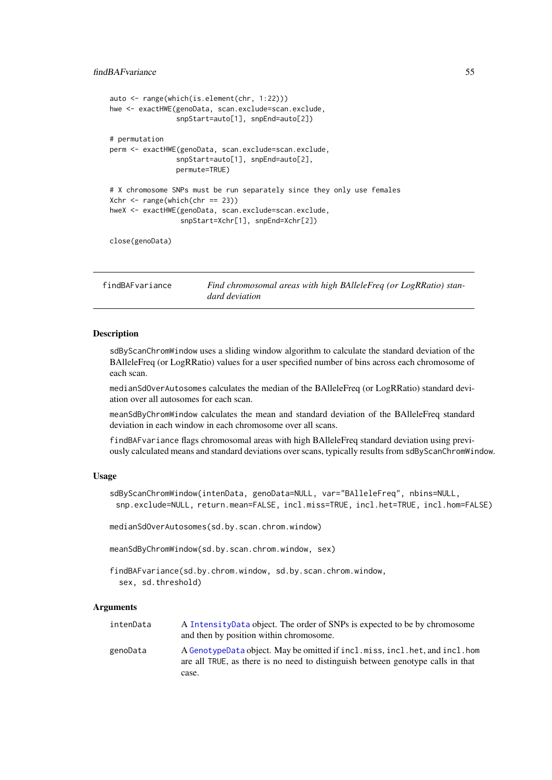#### findBAFvariance 55

```
auto <- range(which(is.element(chr, 1:22)))
hwe <- exactHWE(genoData, scan.exclude=scan.exclude,
                snpStart=auto[1], snpEnd=auto[2])
# permutation
perm <- exactHWE(genoData, scan.exclude=scan.exclude,
                snpStart=auto[1], snpEnd=auto[2],
                permute=TRUE)
# X chromosome SNPs must be run separately since they only use females
Xchr < - range(which(chr == 23))hweX <- exactHWE(genoData, scan.exclude=scan.exclude,
                 snpStart=Xchr[1], snpEnd=Xchr[2])
close(genoData)
```
findBAFvariance *Find chromosomal areas with high BAlleleFreq (or LogRRatio) standard deviation*

### Description

sdByScanChromWindow uses a sliding window algorithm to calculate the standard deviation of the BAlleleFreq (or LogRRatio) values for a user specified number of bins across each chromosome of each scan.

medianSdOverAutosomes calculates the median of the BAlleleFreq (or LogRRatio) standard deviation over all autosomes for each scan.

meanSdByChromWindow calculates the mean and standard deviation of the BAlleleFreq standard deviation in each window in each chromosome over all scans.

findBAFvariance flags chromosomal areas with high BAlleleFreq standard deviation using previously calculated means and standard deviations over scans, typically results from sdByScanChromWindow.

#### Usage

```
sdByScanChromWindow(intenData, genoData=NULL, var="BAlleleFreq", nbins=NULL,
 snp.exclude=NULL, return.mean=FALSE, incl.miss=TRUE, incl.het=TRUE, incl.hom=FALSE)
```
medianSdOverAutosomes(sd.by.scan.chrom.window)

meanSdByChromWindow(sd.by.scan.chrom.window, sex)

findBAFvariance(sd.by.chrom.window, sd.by.scan.chrom.window, sex, sd.threshold)

## Arguments

| intenData | A Intensity Data object. The order of SNPs is expected to be by chromosome<br>and then by position within chromosome.                                         |
|-----------|---------------------------------------------------------------------------------------------------------------------------------------------------------------|
| genoData  | A GenotypeData object. May be omitted if incl.miss, incl.het, and incl.hom<br>are all TRUE, as there is no need to distinguish between genotype calls in that |
|           | case.                                                                                                                                                         |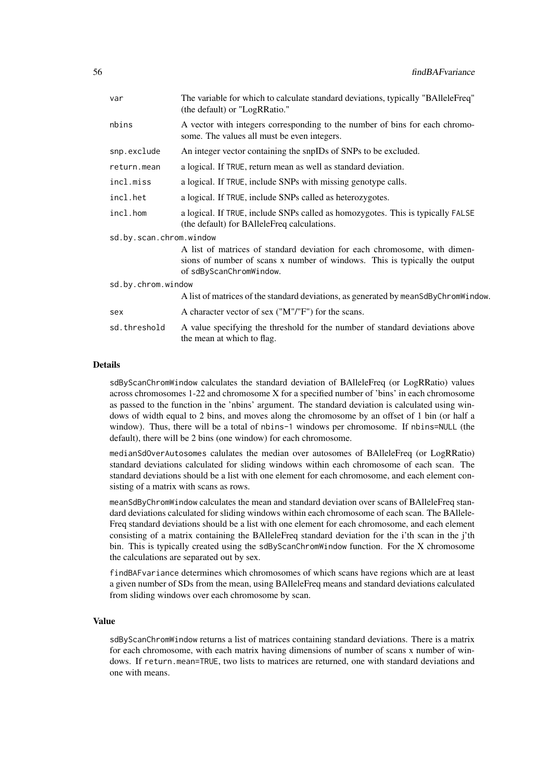| var                     | The variable for which to calculate standard deviations, typically "BAlleleFreq"<br>(the default) or "LogRRatio."                                                                  |
|-------------------------|------------------------------------------------------------------------------------------------------------------------------------------------------------------------------------|
| nbins                   | A vector with integers corresponding to the number of bins for each chromo-<br>some. The values all must be even integers.                                                         |
| snp.exclude             | An integer vector containing the snpIDs of SNPs to be excluded.                                                                                                                    |
| return.mean             | a logical. If TRUE, return mean as well as standard deviation.                                                                                                                     |
| incl.miss               | a logical. If TRUE, include SNPs with missing genotype calls.                                                                                                                      |
| incl.het                | a logical. If TRUE, include SNPs called as heterozygotes.                                                                                                                          |
| incl.hom                | a logical. If TRUE, include SNPs called as homozygotes. This is typically FALSE<br>(the default) for BAlleleFreq calculations.                                                     |
| sd.by.scan.chrom.window |                                                                                                                                                                                    |
|                         | A list of matrices of standard deviation for each chromosome, with dimen-<br>sions of number of scans x number of windows. This is typically the output<br>of sdByScanChromWindow. |
| sd.by.chrom.window      |                                                                                                                                                                                    |
|                         | A list of matrices of the standard deviations, as generated by mean SdByChromWindow.                                                                                               |
| sex                     | A character vector of sex ("M"/"F") for the scans.                                                                                                                                 |
| sd.threshold            | A value specifying the threshold for the number of standard deviations above<br>the mean at which to flag.                                                                         |

## Details

sdByScanChromWindow calculates the standard deviation of BAlleleFreq (or LogRRatio) values across chromosomes 1-22 and chromosome X for a specified number of 'bins' in each chromosome as passed to the function in the 'nbins' argument. The standard deviation is calculated using windows of width equal to 2 bins, and moves along the chromosome by an offset of 1 bin (or half a window). Thus, there will be a total of nbins-1 windows per chromosome. If nbins=NULL (the default), there will be 2 bins (one window) for each chromosome.

medianSdOverAutosomes calulates the median over autosomes of BAlleleFreq (or LogRRatio) standard deviations calculated for sliding windows within each chromosome of each scan. The standard deviations should be a list with one element for each chromosome, and each element consisting of a matrix with scans as rows.

meanSdByChromWindow calculates the mean and standard deviation over scans of BAlleleFreq standard deviations calculated for sliding windows within each chromosome of each scan. The BAllele-Freq standard deviations should be a list with one element for each chromosome, and each element consisting of a matrix containing the BAlleleFreq standard deviation for the i'th scan in the j'th bin. This is typically created using the sdByScanChromWindow function. For the X chromosome the calculations are separated out by sex.

findBAFvariance determines which chromosomes of which scans have regions which are at least a given number of SDs from the mean, using BAlleleFreq means and standard deviations calculated from sliding windows over each chromosome by scan.

### Value

sdByScanChromWindow returns a list of matrices containing standard deviations. There is a matrix for each chromosome, with each matrix having dimensions of number of scans x number of windows. If return.mean=TRUE, two lists to matrices are returned, one with standard deviations and one with means.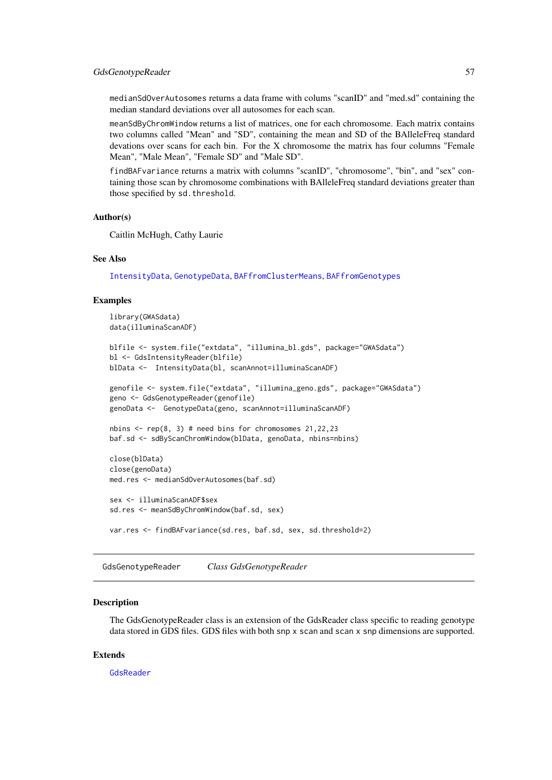medianSdOverAutosomes returns a data frame with colums "scanID" and "med.sd" containing the median standard deviations over all autosomes for each scan.

meanSdByChromWindow returns a list of matrices, one for each chromosome. Each matrix contains two columns called "Mean" and "SD", containing the mean and SD of the BAlleleFreq standard devations over scans for each bin. For the X chromosome the matrix has four columns "Female Mean", "Male Mean", "Female SD" and "Male SD".

findBAFvariance returns a matrix with columns "scanID", "chromosome", "bin", and "sex" containing those scan by chromosome combinations with BAlleleFreq standard deviations greater than those specified by sd.threshold.

## Author(s)

Caitlin McHugh, Cathy Laurie

## See Also

[IntensityData](#page-86-0), [GenotypeData](#page-66-0), [BAFfromClusterMeans](#page-30-0), [BAFfromGenotypes](#page-31-0)

#### Examples

```
library(GWASdata)
data(illuminaScanADF)
blfile <- system.file("extdata", "illumina_bl.gds", package="GWASdata")
bl <- GdsIntensityReader(blfile)
blData <- IntensityData(bl, scanAnnot=illuminaScanADF)
genofile <- system.file("extdata", "illumina_geno.gds", package="GWASdata")
geno <- GdsGenotypeReader(genofile)
genoData <- GenotypeData(geno, scanAnnot=illuminaScanADF)
nbins \le- rep(8, 3) # need bins for chromosomes 21,22,23
baf.sd <- sdByScanChromWindow(blData, genoData, nbins=nbins)
close(blData)
close(genoData)
med.res <- medianSdOverAutosomes(baf.sd)
sex <- illuminaScanADF$sex
sd.res <- meanSdByChromWindow(baf.sd, sex)
var.res <- findBAFvariance(sd.res, baf.sd, sex, sd.threshold=2)
```
<span id="page-56-0"></span>GdsGenotypeReader *Class GdsGenotypeReader*

### Description

The GdsGenotypeReader class is an extension of the GdsReader class specific to reading genotype data stored in GDS files. GDS files with both snp x scan and scan x snp dimensions are supported.

## Extends

[GdsReader](#page-61-0)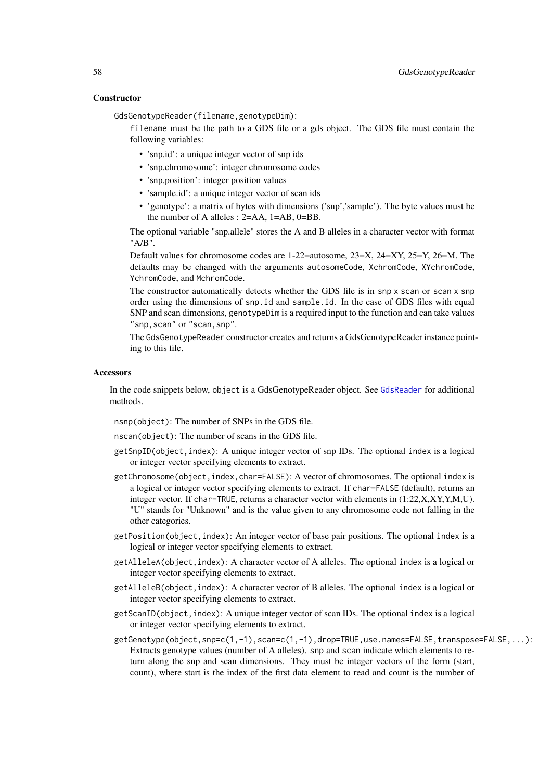### **Constructor**

GdsGenotypeReader(filename,genotypeDim):

filename must be the path to a GDS file or a gds object. The GDS file must contain the following variables:

- 'snp.id': a unique integer vector of snp ids
- 'snp.chromosome': integer chromosome codes
- 'snp.position': integer position values
- 'sample.id': a unique integer vector of scan ids
- 'genotype': a matrix of bytes with dimensions ('snp','sample'). The byte values must be the number of A alleles : 2=AA, 1=AB, 0=BB.

The optional variable "snp.allele" stores the A and B alleles in a character vector with format "A/B".

Default values for chromosome codes are 1-22=autosome, 23=X, 24=XY, 25=Y, 26=M. The defaults may be changed with the arguments autosomeCode, XchromCode, XYchromCode, YchromCode, and MchromCode.

The constructor automatically detects whether the GDS file is in snp x scan or scan x snp order using the dimensions of snp.id and sample.id. In the case of GDS files with equal SNP and scan dimensions, genotypeDim is a required input to the function and can take values "snp, scan" or "scan, snp".

The GdsGenotypeReader constructor creates and returns a GdsGenotypeReader instance pointing to this file.

#### **Accessors**

In the code snippets below, object is a GdsGenotypeReader object. See [GdsReader](#page-61-0) for additional methods.

nsnp(object): The number of SNPs in the GDS file.

nscan(object): The number of scans in the GDS file.

- getSnpID(object,index): A unique integer vector of snp IDs. The optional index is a logical or integer vector specifying elements to extract.
- getChromosome(object,index,char=FALSE): A vector of chromosomes. The optional index is a logical or integer vector specifying elements to extract. If char=FALSE (default), returns an integer vector. If char=TRUE, returns a character vector with elements in (1:22,X,XY,Y,M,U). "U" stands for "Unknown" and is the value given to any chromosome code not falling in the other categories.
- getPosition(object,index): An integer vector of base pair positions. The optional index is a logical or integer vector specifying elements to extract.
- getAlleleA(object,index): A character vector of A alleles. The optional index is a logical or integer vector specifying elements to extract.
- getAlleleB(object,index): A character vector of B alleles. The optional index is a logical or integer vector specifying elements to extract.
- getScanID(object,index): A unique integer vector of scan IDs. The optional index is a logical or integer vector specifying elements to extract.
- getGenotype(object,snp=c(1,-1),scan=c(1,-1),drop=TRUE,use.names=FALSE,transpose=FALSE,...): Extracts genotype values (number of A alleles). snp and scan indicate which elements to return along the snp and scan dimensions. They must be integer vectors of the form (start, count), where start is the index of the first data element to read and count is the number of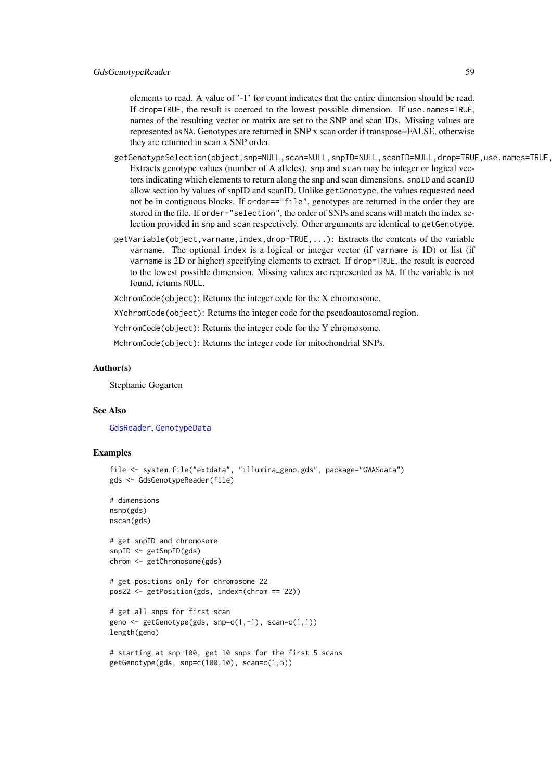elements to read. A value of '-1' for count indicates that the entire dimension should be read. If drop=TRUE, the result is coerced to the lowest possible dimension. If use.names=TRUE, names of the resulting vector or matrix are set to the SNP and scan IDs. Missing values are represented as NA. Genotypes are returned in SNP x scan order if transpose=FALSE, otherwise they are returned in scan x SNP order.

- getGenotypeSelection(object,snp=NULL,scan=NULL,snpID=NULL,scanID=NULL,drop=TRUE,use.names=TRUE, Extracts genotype values (number of A alleles). snp and scan may be integer or logical vectors indicating which elements to return along the snp and scan dimensions. snpID and scanID allow section by values of snpID and scanID. Unlike getGenotype, the values requested need not be in contiguous blocks. If order=="file", genotypes are returned in the order they are stored in the file. If order="selection", the order of SNPs and scans will match the index selection provided in snp and scan respectively. Other arguments are identical to getGenotype.
- getVariable(object,varname,index,drop=TRUE,...): Extracts the contents of the variable varname. The optional index is a logical or integer vector (if varname is 1D) or list (if varname is 2D or higher) specifying elements to extract. If drop=TRUE, the result is coerced to the lowest possible dimension. Missing values are represented as NA. If the variable is not found, returns NULL.

XchromCode(object): Returns the integer code for the X chromosome.

XYchromCode(object): Returns the integer code for the pseudoautosomal region.

YchromCode(object): Returns the integer code for the Y chromosome.

MchromCode(object): Returns the integer code for mitochondrial SNPs.

#### Author(s)

Stephanie Gogarten

### See Also

[GdsReader](#page-61-0), [GenotypeData](#page-66-0)

#### Examples

```
file <- system.file("extdata", "illumina_geno.gds", package="GWASdata")
gds <- GdsGenotypeReader(file)
# dimensions
nsnp(gds)
nscan(gds)
# get snpID and chromosome
snpID <- getSnpID(gds)
```

```
chrom <- getChromosome(gds)
```

```
# get positions only for chromosome 22
pos22 <- getPosition(gds, index=(chrom == 22))
```

```
# get all snps for first scan
geno <- getGenotype(gds, snp=c(1,-1), scan=c(1,1))
length(geno)
```

```
# starting at snp 100, get 10 snps for the first 5 scans
getGenotype(gds, snp=c(100,10), scan=c(1,5))
```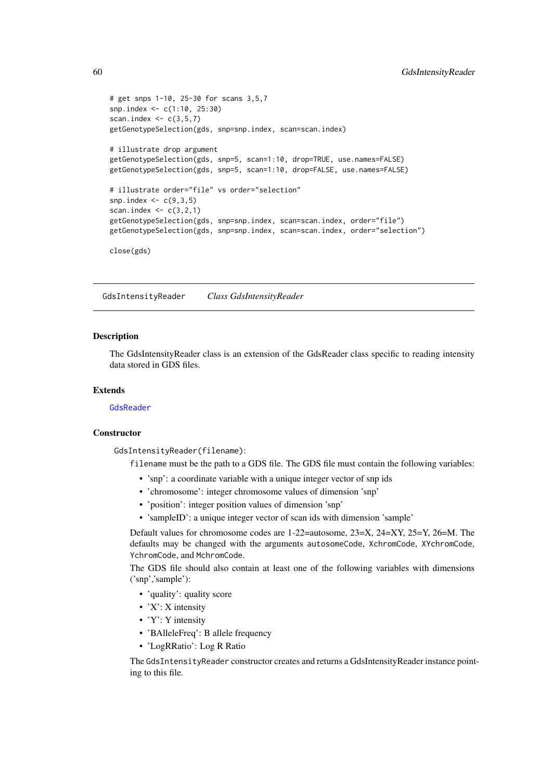```
# get snps 1-10, 25-30 for scans 3,5,7
snp.index <- c(1:10, 25:30)
scan.index \leq c(3,5,7)getGenotypeSelection(gds, snp=snp.index, scan=scan.index)
# illustrate drop argument
getGenotypeSelection(gds, snp=5, scan=1:10, drop=TRUE, use.names=FALSE)
getGenotypeSelection(gds, snp=5, scan=1:10, drop=FALSE, use.names=FALSE)
# illustrate order="file" vs order="selection"
snp.index \leq \leq \leq (9,3,5)scan.index \leq c(3,2,1)getGenotypeSelection(gds, snp=snp.index, scan=scan.index, order="file")
getGenotypeSelection(gds, snp=snp.index, scan=scan.index, order="selection")
close(gds)
```
GdsIntensityReader *Class GdsIntensityReader*

#### Description

The GdsIntensityReader class is an extension of the GdsReader class specific to reading intensity data stored in GDS files.

## Extends

#### [GdsReader](#page-61-0)

#### **Constructor**

GdsIntensityReader(filename):

filename must be the path to a GDS file. The GDS file must contain the following variables:

- 'snp': a coordinate variable with a unique integer vector of snp ids
- 'chromosome': integer chromosome values of dimension 'snp'
- 'position': integer position values of dimension 'snp'
- 'sampleID': a unique integer vector of scan ids with dimension 'sample'

Default values for chromosome codes are 1-22=autosome, 23=X, 24=XY, 25=Y, 26=M. The defaults may be changed with the arguments autosomeCode, XchromCode, XYchromCode, YchromCode, and MchromCode.

The GDS file should also contain at least one of the following variables with dimensions ('snp','sample'):

- 'quality': quality score
- 'X': X intensity
- 'Y': Y intensity
- 'BAlleleFreq': B allele frequency
- 'LogRRatio': Log R Ratio

The GdsIntensityReader constructor creates and returns a GdsIntensityReader instance pointing to this file.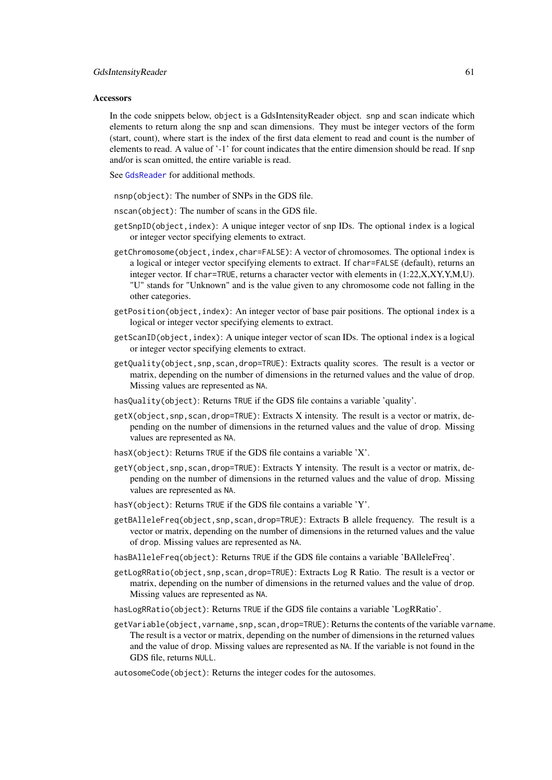#### Accessors

In the code snippets below, object is a GdsIntensityReader object. snp and scan indicate which elements to return along the snp and scan dimensions. They must be integer vectors of the form (start, count), where start is the index of the first data element to read and count is the number of elements to read. A value of '-1' for count indicates that the entire dimension should be read. If snp and/or is scan omitted, the entire variable is read.

See [GdsReader](#page-61-0) for additional methods.

nsnp(object): The number of SNPs in the GDS file.

nscan(object): The number of scans in the GDS file.

- getSnpID(object,index): A unique integer vector of snp IDs. The optional index is a logical or integer vector specifying elements to extract.
- getChromosome(object,index,char=FALSE): A vector of chromosomes. The optional index is a logical or integer vector specifying elements to extract. If char=FALSE (default), returns an integer vector. If char=TRUE, returns a character vector with elements in (1:22,X,XY,Y,M,U). "U" stands for "Unknown" and is the value given to any chromosome code not falling in the other categories.
- getPosition(object,index): An integer vector of base pair positions. The optional index is a logical or integer vector specifying elements to extract.
- getScanID(object,index): A unique integer vector of scan IDs. The optional index is a logical or integer vector specifying elements to extract.
- getQuality(object,snp,scan,drop=TRUE): Extracts quality scores. The result is a vector or matrix, depending on the number of dimensions in the returned values and the value of drop. Missing values are represented as NA.
- hasQuality(object): Returns TRUE if the GDS file contains a variable 'quality'.
- getX(object,snp,scan,drop=TRUE): Extracts X intensity. The result is a vector or matrix, depending on the number of dimensions in the returned values and the value of drop. Missing values are represented as NA.
- hasX(object): Returns TRUE if the GDS file contains a variable  $'X'$ .
- getY(object,snp,scan,drop=TRUE): Extracts Y intensity. The result is a vector or matrix, depending on the number of dimensions in the returned values and the value of drop. Missing values are represented as NA.
- hasY(object): Returns TRUE if the GDS file contains a variable 'Y'.
- getBAlleleFreq(object,snp,scan,drop=TRUE): Extracts B allele frequency. The result is a vector or matrix, depending on the number of dimensions in the returned values and the value of drop. Missing values are represented as NA.
- hasBAlleleFreq(object): Returns TRUE if the GDS file contains a variable 'BAlleleFreq'.
- getLogRRatio(object,snp,scan,drop=TRUE): Extracts Log R Ratio. The result is a vector or matrix, depending on the number of dimensions in the returned values and the value of drop. Missing values are represented as NA.
- hasLogRRatio(object): Returns TRUE if the GDS file contains a variable 'LogRRatio'.
- getVariable(object,varname,snp,scan,drop=TRUE): Returns the contents of the variable varname. The result is a vector or matrix, depending on the number of dimensions in the returned values and the value of drop. Missing values are represented as NA. If the variable is not found in the GDS file, returns NULL.
- autosomeCode(object): Returns the integer codes for the autosomes.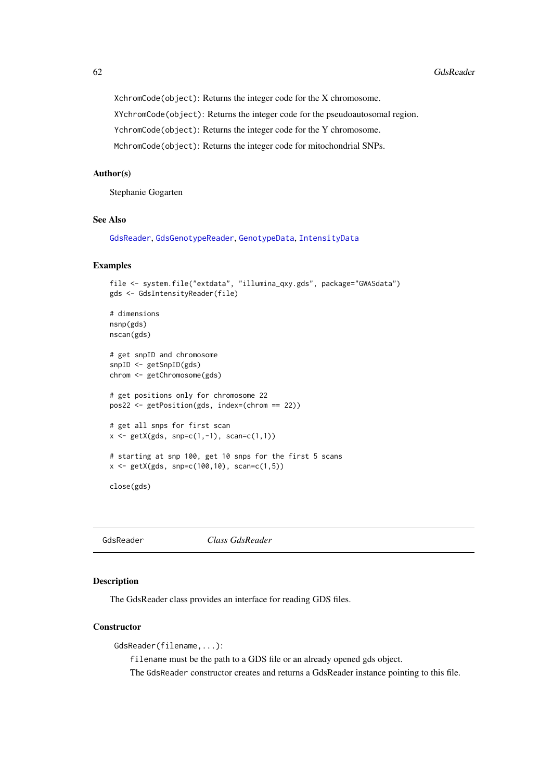XchromCode(object): Returns the integer code for the X chromosome. XYchromCode(object): Returns the integer code for the pseudoautosomal region. YchromCode(object): Returns the integer code for the Y chromosome. MchromCode(object): Returns the integer code for mitochondrial SNPs.

### Author(s)

Stephanie Gogarten

## See Also

[GdsReader](#page-61-0), [GdsGenotypeReader](#page-56-0), [GenotypeData](#page-66-0), [IntensityData](#page-86-0)

#### Examples

```
file <- system.file("extdata", "illumina_qxy.gds", package="GWASdata")
gds <- GdsIntensityReader(file)
# dimensions
nsnp(gds)
nscan(gds)
# get snpID and chromosome
snpID <- getSnpID(gds)
chrom <- getChromosome(gds)
# get positions only for chromosome 22
pos22 <- getPosition(gds, index=(chrom == 22))
# get all snps for first scan
x \leq - getX(gds, snp=c(1,-1), scan=c(1,1))
# starting at snp 100, get 10 snps for the first 5 scans
x \le - getX(gds, snp=c(100,10), scan=c(1,5))
close(gds)
```
<span id="page-61-0"></span>GdsReader *Class GdsReader*

#### Description

The GdsReader class provides an interface for reading GDS files.

## **Constructor**

GdsReader(filename,...):

filename must be the path to a GDS file or an already opened gds object.

The GdsReader constructor creates and returns a GdsReader instance pointing to this file.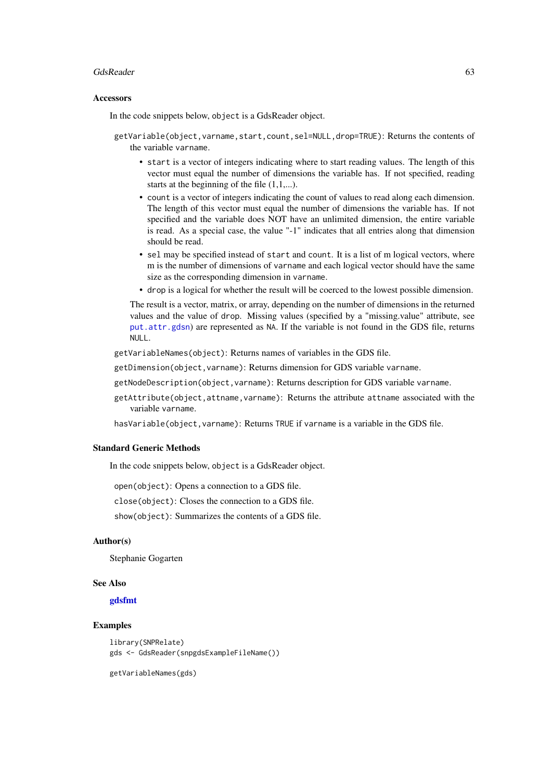#### GdsReader 63

#### Accessors

In the code snippets below, object is a GdsReader object.

- getVariable(object, varname, start, count, sel=NULL, drop=TRUE): Returns the contents of the variable varname.
	- start is a vector of integers indicating where to start reading values. The length of this vector must equal the number of dimensions the variable has. If not specified, reading starts at the beginning of the file  $(1,1,...)$ .
	- count is a vector of integers indicating the count of values to read along each dimension. The length of this vector must equal the number of dimensions the variable has. If not specified and the variable does NOT have an unlimited dimension, the entire variable is read. As a special case, the value "-1" indicates that all entries along that dimension should be read.
	- sel may be specified instead of start and count. It is a list of m logical vectors, where m is the number of dimensions of varname and each logical vector should have the same size as the corresponding dimension in varname.
	- drop is a logical for whether the result will be coerced to the lowest possible dimension.

The result is a vector, matrix, or array, depending on the number of dimensions in the returned values and the value of drop. Missing values (specified by a "missing.value" attribute, see [put.attr.gdsn](#page-0-0)) are represented as NA. If the variable is not found in the GDS file, returns NULL.

getVariableNames(object): Returns names of variables in the GDS file.

getDimension(object,varname): Returns dimension for GDS variable varname.

getNodeDescription(object,varname): Returns description for GDS variable varname.

getAttribute(object,attname,varname): Returns the attribute attname associated with the variable varname.

hasVariable(object,varname): Returns TRUE if varname is a variable in the GDS file.

### Standard Generic Methods

In the code snippets below, object is a GdsReader object.

open(object): Opens a connection to a GDS file.

close(object): Closes the connection to a GDS file.

show(object): Summarizes the contents of a GDS file.

## Author(s)

Stephanie Gogarten

### See Also

#### [gdsfmt](#page-0-0)

## Examples

```
library(SNPRelate)
gds <- GdsReader(snpgdsExampleFileName())
```
getVariableNames(gds)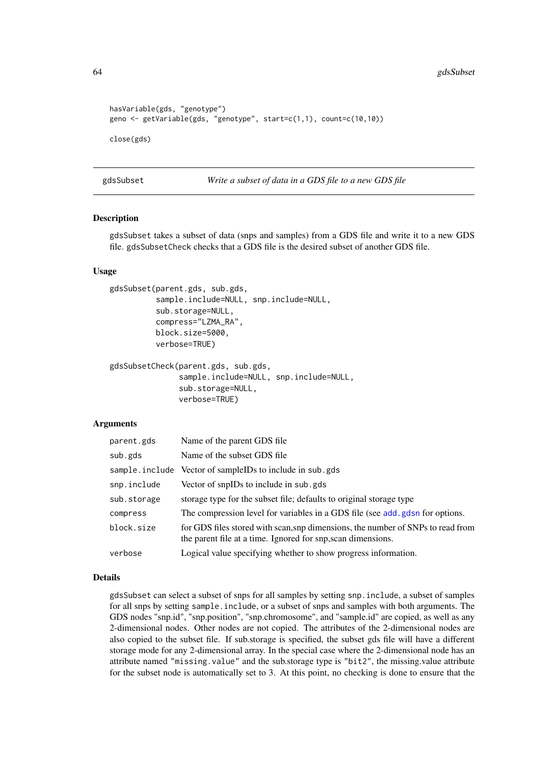```
hasVariable(gds, "genotype")
geno <- getVariable(gds, "genotype", start=c(1,1), count=c(10,10))
close(gds)
```
gdsSubset *Write a subset of data in a GDS file to a new GDS file*

## <span id="page-63-0"></span>Description

gdsSubset takes a subset of data (snps and samples) from a GDS file and write it to a new GDS file. gdsSubsetCheck checks that a GDS file is the desired subset of another GDS file.

### Usage

```
gdsSubset(parent.gds, sub.gds,
          sample.include=NULL, snp.include=NULL,
          sub.storage=NULL,
          compress="LZMA_RA",
          block.size=5000,
          verbose=TRUE)
gdsSubsetCheck(parent.gds, sub.gds,
```

```
sample.include=NULL, snp.include=NULL,
sub.storage=NULL,
verbose=TRUE)
```
## Arguments

| parent.gds  | Name of the parent GDS file                                                                                                                     |
|-------------|-------------------------------------------------------------------------------------------------------------------------------------------------|
| sub.gds     | Name of the subset GDS file                                                                                                                     |
|             | sample. include Vector of sampleIDs to include in sub.gds                                                                                       |
| snp.include | Vector of snpIDs to include in sub.gds                                                                                                          |
| sub.storage | storage type for the subset file; defaults to original storage type                                                                             |
| compress    | The compression level for variables in a GDS file (see add, gdsn for options.                                                                   |
| block.size  | for GDS files stored with scan, snp dimensions, the number of SNPs to read from<br>the parent file at a time. Ignored for snp, scan dimensions. |
| verbose     | Logical value specifying whether to show progress information.                                                                                  |

#### Details

gdsSubset can select a subset of snps for all samples by setting snp.include, a subset of samples for all snps by setting sample.include, or a subset of snps and samples with both arguments. The GDS nodes "snp.id", "snp.position", "snp.chromosome", and "sample.id" are copied, as well as any 2-dimensional nodes. Other nodes are not copied. The attributes of the 2-dimensional nodes are also copied to the subset file. If sub.storage is specified, the subset gds file will have a different storage mode for any 2-dimensional array. In the special case where the 2-dimensional node has an attribute named "missing.value" and the sub.storage type is "bit2", the missing.value attribute for the subset node is automatically set to 3. At this point, no checking is done to ensure that the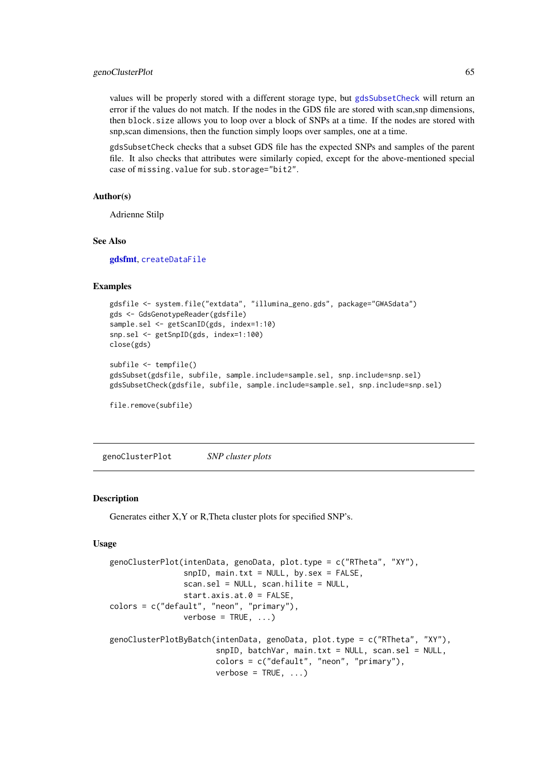#### genoClusterPlot 65

values will be properly stored with a different storage type, but [gdsSubsetCheck](#page-63-0) will return an error if the values do not match. If the nodes in the GDS file are stored with scan,snp dimensions, then block.size allows you to loop over a block of SNPs at a time. If the nodes are stored with snp,scan dimensions, then the function simply loops over samples, one at a time.

gdsSubsetCheck checks that a subset GDS file has the expected SNPs and samples of the parent file. It also checks that attributes were similarly copied, except for the above-mentioned special case of missing.value for sub.storage="bit2".

## Author(s)

Adrienne Stilp

## See Also

[gdsfmt](#page-0-0), [createDataFile](#page-39-0)

## Examples

```
gdsfile <- system.file("extdata", "illumina_geno.gds", package="GWASdata")
gds <- GdsGenotypeReader(gdsfile)
sample.sel <- getScanID(gds, index=1:10)
snp.sel <- getSnpID(gds, index=1:100)
close(gds)
subfile <- tempfile()
gdsSubset(gdsfile, subfile, sample.include=sample.sel, snp.include=snp.sel)
gdsSubsetCheck(gdsfile, subfile, sample.include=sample.sel, snp.include=snp.sel)
file.remove(subfile)
```
genoClusterPlot *SNP cluster plots*

#### Description

Generates either X,Y or R,Theta cluster plots for specified SNP's.

## Usage

```
genoClusterPlot(intenData, genoData, plot.type = c("RTheta", "XY"),
                snpID, main.txt = NULL, by.sex = FALSE,
                scan.sel = NULL, scan.hilite = NULL,
                start.axis.at.0 = FALSE,
colors = c("default", "neon", "primary"),
                verbose = TRUE, ...)genoClusterPlotByBatch(intenData, genoData, plot.type = c("RTheta", "XY"),
                       snpID, batchVar, main.txt = NULL, scan.sel = NULL,
                       colors = c("default", "neon", "primary"),
                       verbose = TRUE, ...)
```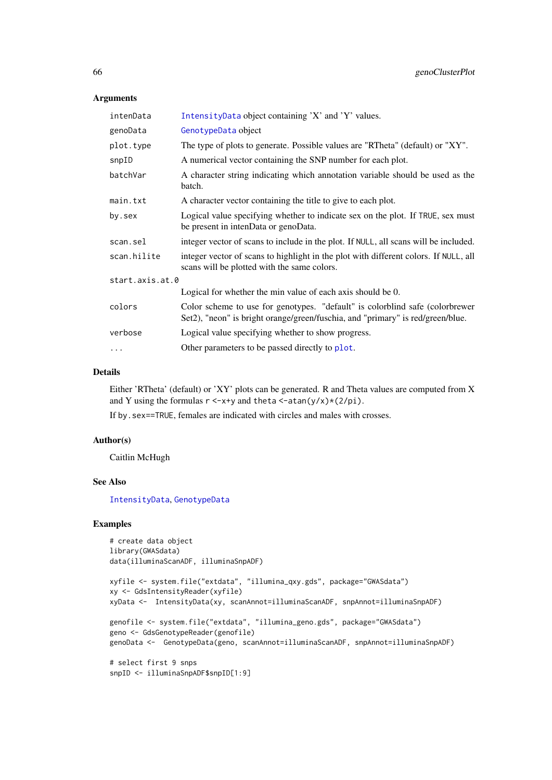# Arguments

| intenData       | IntensityData object containing 'X' and 'Y' values.                                                                                                            |
|-----------------|----------------------------------------------------------------------------------------------------------------------------------------------------------------|
| genoData        | GenotypeData object                                                                                                                                            |
| plot.type       | The type of plots to generate. Possible values are "RTheta" (default) or "XY".                                                                                 |
| snpID           | A numerical vector containing the SNP number for each plot.                                                                                                    |
| batchVar        | A character string indicating which annotation variable should be used as the<br>batch.                                                                        |
| main.txt        | A character vector containing the title to give to each plot.                                                                                                  |
| by.sex          | Logical value specifying whether to indicate sex on the plot. If TRUE, sex must<br>be present in intenData or genoData.                                        |
| scan.sel        | integer vector of scans to include in the plot. If NULL, all scans will be included.                                                                           |
| scan.hilite     | integer vector of scans to highlight in the plot with different colors. If NULL, all<br>scans will be plotted with the same colors.                            |
| start.axis.at.0 |                                                                                                                                                                |
|                 | Logical for whether the min value of each axis should be 0.                                                                                                    |
| colors          | Color scheme to use for genotypes. "default" is colorblind safe (colorbrewer<br>Set2), "neon" is bright orange/green/fuschia, and "primary" is red/green/blue. |
| verbose         | Logical value specifying whether to show progress.                                                                                                             |
| $\cdots$        | Other parameters to be passed directly to plot.                                                                                                                |

## Details

Either 'RTheta' (default) or 'XY' plots can be generated. R and Theta values are computed from X and Y using the formulas  $r < -x+y$  and theta  $\lt$ -atan(y/x) $\star$ (2/pi).

If by.sex==TRUE, females are indicated with circles and males with crosses.

## Author(s)

Caitlin McHugh

## See Also

[IntensityData](#page-86-0), [GenotypeData](#page-66-0)

## Examples

```
# create data object
library(GWASdata)
data(illuminaScanADF, illuminaSnpADF)
```

```
xyfile <- system.file("extdata", "illumina_qxy.gds", package="GWASdata")
xy <- GdsIntensityReader(xyfile)
xyData <- IntensityData(xy, scanAnnot=illuminaScanADF, snpAnnot=illuminaSnpADF)
genofile <- system.file("extdata", "illumina_geno.gds", package="GWASdata")
geno <- GdsGenotypeReader(genofile)
genoData <- GenotypeData(geno, scanAnnot=illuminaScanADF, snpAnnot=illuminaSnpADF)
# select first 9 snps
snpID <- illuminaSnpADF$snpID[1:9]
```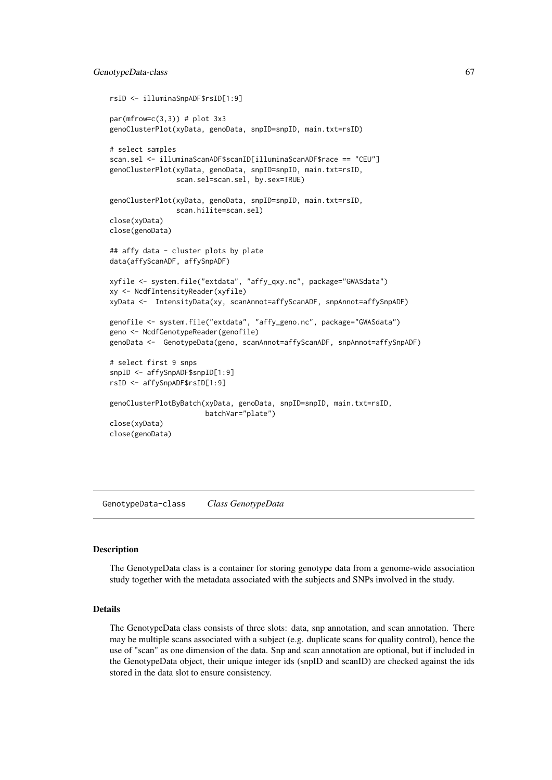#### GenotypeData-class 67

```
rsID <- illuminaSnpADF$rsID[1:9]
par(mfrow=c(3,3)) # plot 3x3genoClusterPlot(xyData, genoData, snpID=snpID, main.txt=rsID)
# select samples
scan.sel <- illuminaScanADF$scanID[illuminaScanADF$race == "CEU"]
genoClusterPlot(xyData, genoData, snpID=snpID, main.txt=rsID,
                scan.sel=scan.sel, by.sex=TRUE)
genoClusterPlot(xyData, genoData, snpID=snpID, main.txt=rsID,
                scan.hilite=scan.sel)
close(xyData)
close(genoData)
## affy data - cluster plots by plate
data(affyScanADF, affySnpADF)
xyfile <- system.file("extdata", "affy_qxy.nc", package="GWASdata")
xy <- NcdfIntensityReader(xyfile)
xyData <- IntensityData(xy, scanAnnot=affyScanADF, snpAnnot=affySnpADF)
genofile <- system.file("extdata", "affy_geno.nc", package="GWASdata")
geno <- NcdfGenotypeReader(genofile)
genoData <- GenotypeData(geno, scanAnnot=affyScanADF, snpAnnot=affySnpADF)
# select first 9 snps
snpID <- affySnpADF$snpID[1:9]
rsID <- affySnpADF$rsID[1:9]
genoClusterPlotByBatch(xyData, genoData, snpID=snpID, main.txt=rsID,
                       batchVar="plate")
close(xyData)
close(genoData)
```
GenotypeData-class *Class GenotypeData*

#### <span id="page-66-0"></span>Description

The GenotypeData class is a container for storing genotype data from a genome-wide association study together with the metadata associated with the subjects and SNPs involved in the study.

## Details

The GenotypeData class consists of three slots: data, snp annotation, and scan annotation. There may be multiple scans associated with a subject (e.g. duplicate scans for quality control), hence the use of "scan" as one dimension of the data. Snp and scan annotation are optional, but if included in the GenotypeData object, their unique integer ids (snpID and scanID) are checked against the ids stored in the data slot to ensure consistency.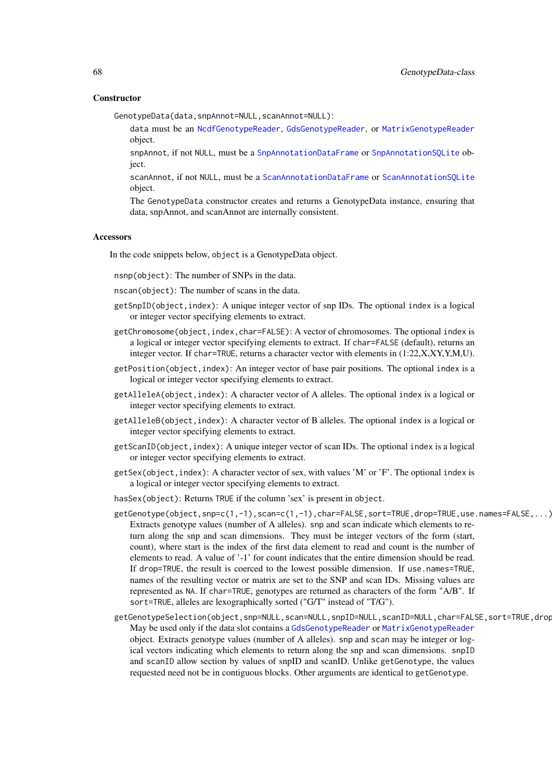#### **Constructor**

GenotypeData(data,snpAnnot=NULL,scanAnnot=NULL):

- data must be an [NcdfGenotypeReader](#page-101-0), [GdsGenotypeReader](#page-56-0), or [MatrixGenotypeReader](#page-91-0) object.
- snpAnnot, if not NULL, must be a [SnpAnnotationDataFrame](#page-133-0) or [SnpAnnotationSQLite](#page-136-0) object.
- scanAnnot, if not NULL, must be a [ScanAnnotationDataFrame](#page-126-0) or [ScanAnnotationSQLite](#page-128-0) object.
- The GenotypeData constructor creates and returns a GenotypeData instance, ensuring that data, snpAnnot, and scanAnnot are internally consistent.

## Accessors

In the code snippets below, object is a GenotypeData object.

- nsnp(object): The number of SNPs in the data.
- nscan(object): The number of scans in the data.
- getSnpID(object,index): A unique integer vector of snp IDs. The optional index is a logical or integer vector specifying elements to extract.
- getChromosome(object,index,char=FALSE): A vector of chromosomes. The optional index is a logical or integer vector specifying elements to extract. If char=FALSE (default), returns an integer vector. If char=TRUE, returns a character vector with elements in (1:22,X,XY,Y,M,U).
- getPosition(object,index): An integer vector of base pair positions. The optional index is a logical or integer vector specifying elements to extract.
- getAlleleA(object,index): A character vector of A alleles. The optional index is a logical or integer vector specifying elements to extract.
- getAlleleB(object,index): A character vector of B alleles. The optional index is a logical or integer vector specifying elements to extract.
- getScanID(object,index): A unique integer vector of scan IDs. The optional index is a logical or integer vector specifying elements to extract.
- getSex(object,index): A character vector of sex, with values 'M' or 'F'. The optional index is a logical or integer vector specifying elements to extract.
- hasSex(object): Returns TRUE if the column 'sex' is present in object.
- getGenotype(object,snp=c(1,-1),scan=c(1,-1),char=FALSE,sort=TRUE,drop=TRUE,use.names=FALSE,...): Extracts genotype values (number of A alleles). snp and scan indicate which elements to return along the snp and scan dimensions. They must be integer vectors of the form (start, count), where start is the index of the first data element to read and count is the number of elements to read. A value of '-1' for count indicates that the entire dimension should be read. If drop=TRUE, the result is coerced to the lowest possible dimension. If use.names=TRUE, names of the resulting vector or matrix are set to the SNP and scan IDs. Missing values are represented as NA. If char=TRUE, genotypes are returned as characters of the form "A/B". If sort=TRUE, alleles are lexographically sorted ("G/T" instead of "T/G").
- getGenotypeSelection(object,snp=NULL,scan=NULL,snpID=NULL,scanID=NULL,char=FALSE,sort=TRUE,drop May be used only if the data slot contains a [GdsGenotypeReader](#page-56-0) or [MatrixGenotypeReader](#page-91-0) object. Extracts genotype values (number of A alleles). snp and scan may be integer or logical vectors indicating which elements to return along the snp and scan dimensions. snpID and scanID allow section by values of snpID and scanID. Unlike getGenotype, the values requested need not be in contiguous blocks. Other arguments are identical to getGenotype.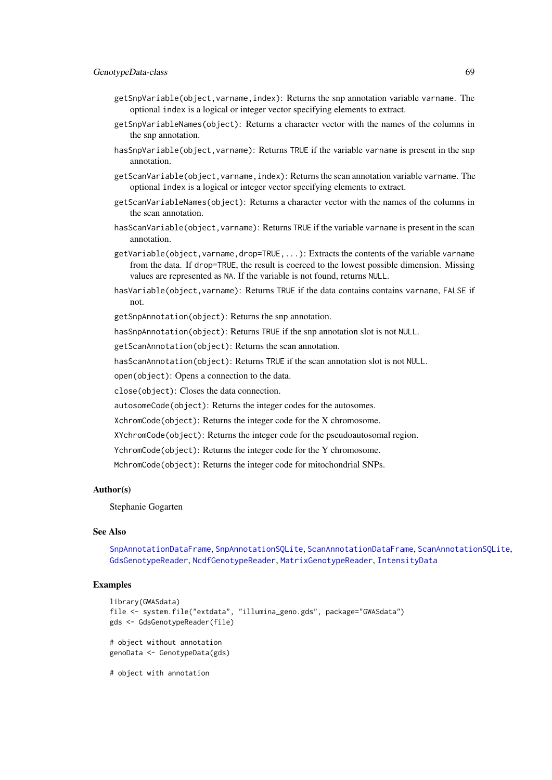- getSnpVariable(object,varname,index): Returns the snp annotation variable varname. The optional index is a logical or integer vector specifying elements to extract.
- getSnpVariableNames(object): Returns a character vector with the names of the columns in the snp annotation.
- hasSnpVariable(object,varname): Returns TRUE if the variable varname is present in the snp annotation.
- getScanVariable(object,varname,index): Returns the scan annotation variable varname. The optional index is a logical or integer vector specifying elements to extract.
- getScanVariableNames(object): Returns a character vector with the names of the columns in the scan annotation.
- hasScanVariable(object,varname): Returns TRUE if the variable varname is present in the scan annotation.
- getVariable(object, varname, drop=TRUE, ...): Extracts the contents of the variable varname from the data. If drop=TRUE, the result is coerced to the lowest possible dimension. Missing values are represented as NA. If the variable is not found, returns NULL.
- hasVariable(object,varname): Returns TRUE if the data contains contains varname, FALSE if not.

getSnpAnnotation(object): Returns the snp annotation.

hasSnpAnnotation(object): Returns TRUE if the snp annotation slot is not NULL.

getScanAnnotation(object): Returns the scan annotation.

hasScanAnnotation(object): Returns TRUE if the scan annotation slot is not NULL.

open(object): Opens a connection to the data.

close(object): Closes the data connection.

autosomeCode(object): Returns the integer codes for the autosomes.

XchromCode(object): Returns the integer code for the X chromosome.

XYchromCode(object): Returns the integer code for the pseudoautosomal region.

YchromCode(object): Returns the integer code for the Y chromosome.

MchromCode(object): Returns the integer code for mitochondrial SNPs.

## Author(s)

Stephanie Gogarten

### See Also

[SnpAnnotationDataFrame](#page-133-0), [SnpAnnotationSQLite](#page-136-0), [ScanAnnotationDataFrame](#page-126-0), [ScanAnnotationSQLite](#page-128-0), [GdsGenotypeReader](#page-56-0), [NcdfGenotypeReader](#page-101-0), [MatrixGenotypeReader](#page-91-0), [IntensityData](#page-86-0)

## Examples

```
library(GWASdata)
file <- system.file("extdata", "illumina_geno.gds", package="GWASdata")
gds <- GdsGenotypeReader(file)
# object without annotation
genoData <- GenotypeData(gds)
# object with annotation
```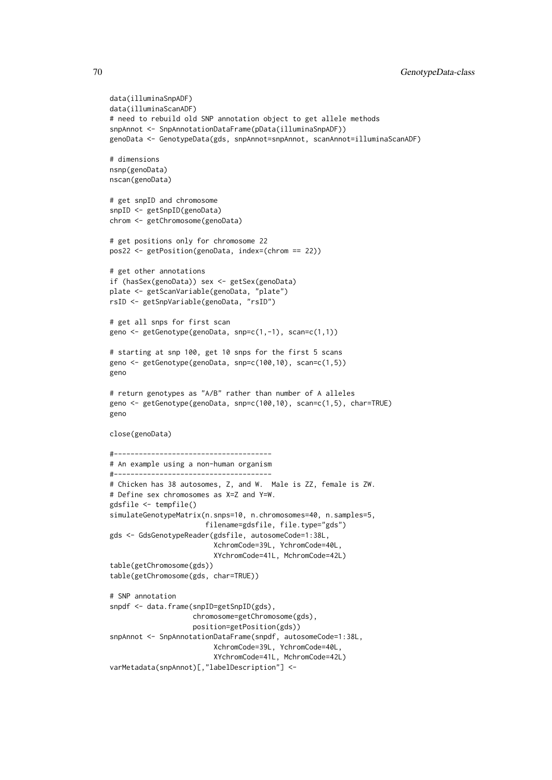```
data(illuminaSnpADF)
data(illuminaScanADF)
# need to rebuild old SNP annotation object to get allele methods
snpAnnot <- SnpAnnotationDataFrame(pData(illuminaSnpADF))
genoData <- GenotypeData(gds, snpAnnot=snpAnnot, scanAnnot=illuminaScanADF)
# dimensions
nsnp(genoData)
nscan(genoData)
# get snpID and chromosome
snpID <- getSnpID(genoData)
chrom <- getChromosome(genoData)
# get positions only for chromosome 22
pos22 <- getPosition(genoData, index=(chrom == 22))
# get other annotations
if (hasSex(genoData)) sex <- getSex(genoData)
plate <- getScanVariable(genoData, "plate")
rsID <- getSnpVariable(genoData, "rsID")
# get all snps for first scan
geno <- getGenotype(genoData, snp=c(1,-1), scan=c(1,1))
# starting at snp 100, get 10 snps for the first 5 scans
geno <- getGenotype(genoData, snp=c(100,10), scan=c(1,5))
geno
# return genotypes as "A/B" rather than number of A alleles
geno <- getGenotype(genoData, snp=c(100,10), scan=c(1,5), char=TRUE)
geno
close(genoData)
#--------------------------------------
# An example using a non-human organism
#--------------------------------------
# Chicken has 38 autosomes, Z, and W. Male is ZZ, female is ZW.
# Define sex chromosomes as X=Z and Y=W.
gdsfile <- tempfile()
simulateGenotypeMatrix(n.snps=10, n.chromosomes=40, n.samples=5,
                       filename=gdsfile, file.type="gds")
gds <- GdsGenotypeReader(gdsfile, autosomeCode=1:38L,
                         XchromCode=39L, YchromCode=40L,
                         XYchromCode=41L, MchromCode=42L)
table(getChromosome(gds))
table(getChromosome(gds, char=TRUE))
# SNP annotation
snpdf <- data.frame(snpID=getSnpID(gds),
                    chromosome=getChromosome(gds),
                    position=getPosition(gds))
snpAnnot <- SnpAnnotationDataFrame(snpdf, autosomeCode=1:38L,
                         XchromCode=39L, YchromCode=40L,
                         XYchromCode=41L, MchromCode=42L)
varMetadata(snpAnnot)[,"labelDescription"] <-
```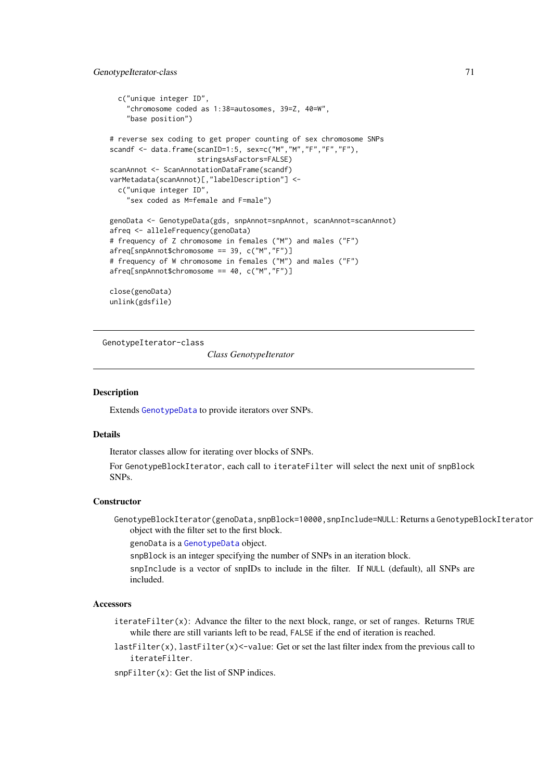```
c("unique integer ID",
    "chromosome coded as 1:38=autosomes, 39=Z, 40=W",
    "base position")
# reverse sex coding to get proper counting of sex chromosome SNPs
scandf <- data.frame(scanID=1:5, sex=c("M","M","F","F","F"),
                     stringsAsFactors=FALSE)
scanAnnot <- ScanAnnotationDataFrame(scandf)
varMetadata(scanAnnot)[,"labelDescription"] <-
  c("unique integer ID",
    "sex coded as M=female and F=male")
genoData <- GenotypeData(gds, snpAnnot=snpAnnot, scanAnnot=scanAnnot)
afreq <- alleleFrequency(genoData)
# frequency of Z chromosome in females ("M") and males ("F")
afreq[snpAnnot$chromosome == 39, c("M","F")]
# frequency of W chromosome in females ("M") and males ("F")
afreq[snpAnnot$chromosome == 40, c("M","F")]
close(genoData)
unlink(gdsfile)
```
GenotypeIterator-class

*Class GenotypeIterator*

### Description

Extends [GenotypeData](#page-66-0) to provide iterators over SNPs.

### Details

Iterator classes allow for iterating over blocks of SNPs.

For GenotypeBlockIterator, each call to iterateFilter will select the next unit of snpBlock SNPs.

## **Constructor**

GenotypeBlockIterator(genoData,snpBlock=10000,snpInclude=NULL: Returns a GenotypeBlockIterator object with the filter set to the first block.

genoData is a [GenotypeData](#page-66-0) object.

snpBlock is an integer specifying the number of SNPs in an iteration block.

snpInclude is a vector of snpIDs to include in the filter. If NULL (default), all SNPs are included.

## **Accessors**

iterateFilter(x): Advance the filter to the next block, range, or set of ranges. Returns TRUE while there are still variants left to be read, FALSE if the end of iteration is reached.

 $lastFilter(x), lastFilter(x) <-value: Get or set the last filter index from the previous call to$ iterateFilter.

snpFilter(x): Get the list of SNP indices.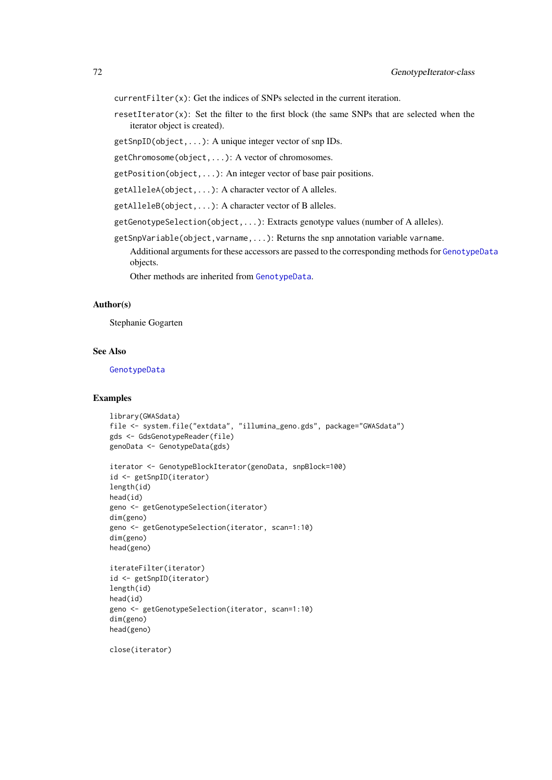currentFilter(x): Get the indices of SNPs selected in the current iteration.

resetIterator(x): Set the filter to the first block (the same SNPs that are selected when the iterator object is created).

getSnpID(object,...): A unique integer vector of snp IDs.

getChromosome(object,...): A vector of chromosomes.

getPosition(object,...): An integer vector of base pair positions.

getAlleleA(object,...): A character vector of A alleles.

getAlleleB(object,...): A character vector of B alleles.

getGenotypeSelection(object,...): Extracts genotype values (number of A alleles).

getSnpVariable(object,varname,...): Returns the snp annotation variable varname.

Additional arguments for these accessors are passed to the corresponding methods for [GenotypeData](#page-66-0) objects.

Other methods are inherited from [GenotypeData](#page-66-0).

## Author(s)

Stephanie Gogarten

## See Also

[GenotypeData](#page-66-0)

### Examples

```
library(GWASdata)
file <- system.file("extdata", "illumina_geno.gds", package="GWASdata")
gds <- GdsGenotypeReader(file)
genoData <- GenotypeData(gds)
```

```
iterator <- GenotypeBlockIterator(genoData, snpBlock=100)
id <- getSnpID(iterator)
length(id)
head(id)
geno <- getGenotypeSelection(iterator)
dim(geno)
geno <- getGenotypeSelection(iterator, scan=1:10)
dim(geno)
head(geno)
```

```
iterateFilter(iterator)
id <- getSnpID(iterator)
length(id)
head(id)
geno <- getGenotypeSelection(iterator, scan=1:10)
dim(geno)
head(geno)
```
close(iterator)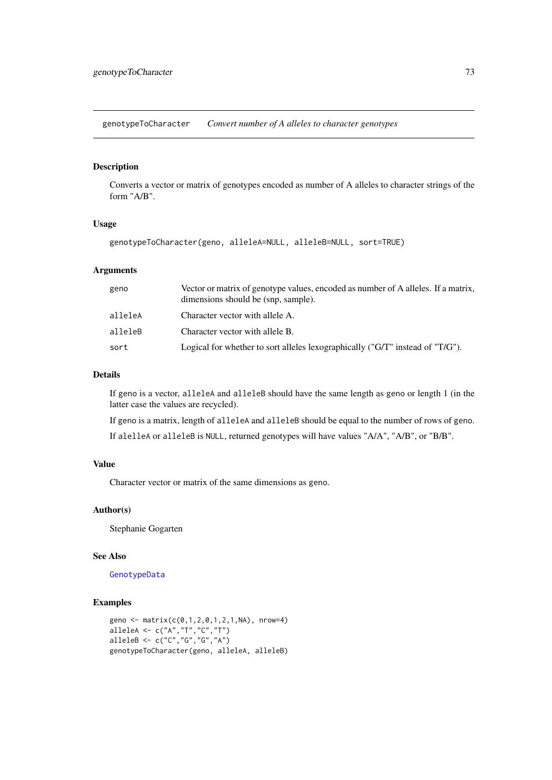genotypeToCharacter *Convert number of A alleles to character genotypes*

# Description

Converts a vector or matrix of genotypes encoded as number of A alleles to character strings of the form "A/B".

# Usage

genotypeToCharacter(geno, alleleA=NULL, alleleB=NULL, sort=TRUE)

# Arguments

| geno    | Vector or matrix of genotype values, encoded as number of A alleles. If a matrix,<br>dimensions should be (snp, sample). |
|---------|--------------------------------------------------------------------------------------------------------------------------|
| alleleA | Character vector with allele A.                                                                                          |
| alleleB | Character vector with allele B.                                                                                          |
| sort    | Logical for whether to sort alleles lexographically (" $G/T$ " instead of " $T/G$ ").                                    |

# Details

If geno is a vector, alleleA and alleleB should have the same length as geno or length 1 (in the latter case the values are recycled).

If geno is a matrix, length of alleleA and alleleB should be equal to the number of rows of geno. If alelleA or alleleB is NULL, returned genotypes will have values "A/A", "A/B", or "B/B".

# Value

Character vector or matrix of the same dimensions as geno.

## Author(s)

Stephanie Gogarten

# See Also

[GenotypeData](#page-66-0)

```
geno <- matrix(c(0,1,2,0,1,2,1,NA), nrow=4)
alleleA <- c("A","T","C","T")
alleleB <- c("C","G","G","A")
genotypeToCharacter(geno, alleleA, alleleB)
```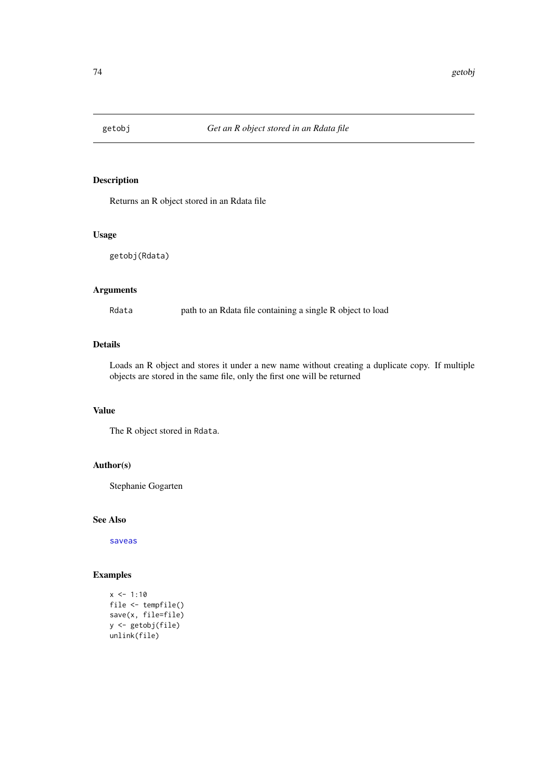# Description

Returns an R object stored in an Rdata file

# Usage

getobj(Rdata)

# Arguments

Rdata path to an Rdata file containing a single R object to load

# Details

Loads an R object and stores it under a new name without creating a duplicate copy. If multiple objects are stored in the same file, only the first one will be returned

# Value

The R object stored in Rdata.

# Author(s)

Stephanie Gogarten

#### See Also

[saveas](#page-126-0)

```
x < -1:10file <- tempfile()
save(x, file=file)
y <- getobj(file)
unlink(file)
```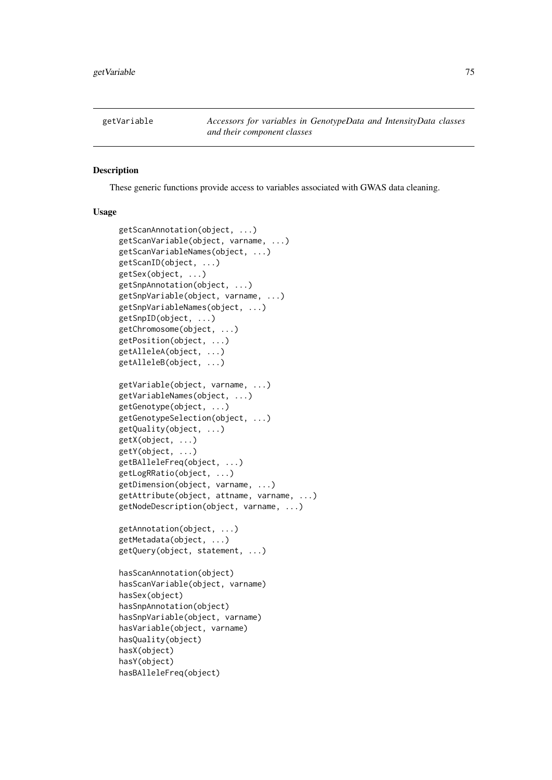#### Description

These generic functions provide access to variables associated with GWAS data cleaning.

# Usage

```
getScanAnnotation(object, ...)
getScanVariable(object, varname, ...)
getScanVariableNames(object, ...)
getScanID(object, ...)
getSex(object, ...)
getSnpAnnotation(object, ...)
getSnpVariable(object, varname, ...)
getSnpVariableNames(object, ...)
getSnpID(object, ...)
getChromosome(object, ...)
getPosition(object, ...)
getAlleleA(object, ...)
getAlleleB(object, ...)
getVariable(object, varname, ...)
getVariableNames(object, ...)
getGenotype(object, ...)
getGenotypeSelection(object, ...)
getQuality(object, ...)
getX(object, ...)
getY(object, ...)
getBAlleleFreq(object, ...)
getLogRRatio(object, ...)
getDimension(object, varname, ...)
getAttribute(object, attname, varname, ...)
getNodeDescription(object, varname, ...)
getAnnotation(object, ...)
getMetadata(object, ...)
getQuery(object, statement, ...)
hasScanAnnotation(object)
hasScanVariable(object, varname)
hasSex(object)
hasSnpAnnotation(object)
hasSnpVariable(object, varname)
hasVariable(object, varname)
hasQuality(object)
hasX(object)
hasY(object)
hasBAlleleFreq(object)
```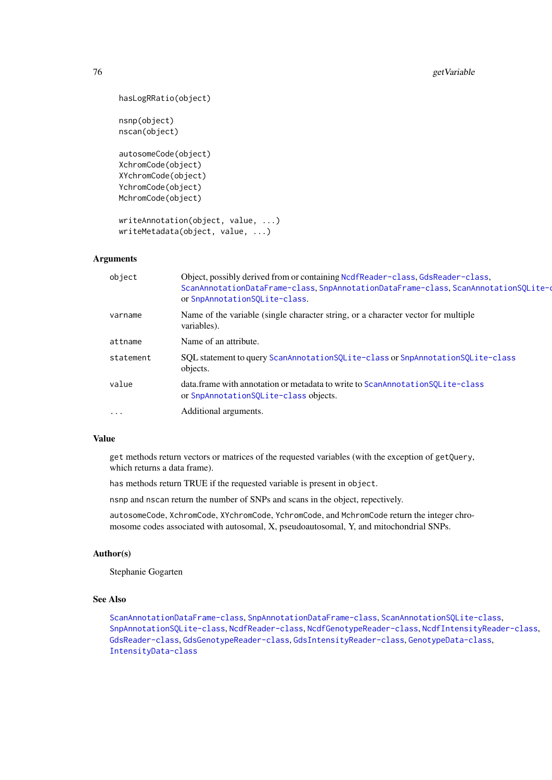```
hasLogRRatio(object)
nsnp(object)
nscan(object)
autosomeCode(object)
XchromCode(object)
XYchromCode(object)
YchromCode(object)
MchromCode(object)
writeAnnotation(object, value, ...)
```

```
writeMetadata(object, value, ...)
```
# Arguments

| object    | Object, possibly derived from or containing NcdfReader-class, GdsReader-class,<br>ScanAnnotationDataFrame-class, SnpAnnotationDataFrame-class, ScanAnnotationSQLite-o<br>or SnpAnnotationSQLite-class. |
|-----------|--------------------------------------------------------------------------------------------------------------------------------------------------------------------------------------------------------|
| varname   | Name of the variable (single character string, or a character vector for multiple<br>variables).                                                                                                       |
| attname   | Name of an attribute.                                                                                                                                                                                  |
| statement | SQL statement to query ScanAnnotationSQLite-class or SnpAnnotationSQLite-class<br>objects.                                                                                                             |
| value     | data.frame with annotation or metadata to write to ScanAnnotationS0Lite-class<br>or SnpAnnotationSQLite-class objects.                                                                                 |
| $\cdots$  | Additional arguments.                                                                                                                                                                                  |

#### Value

get methods return vectors or matrices of the requested variables (with the exception of getQuery, which returns a data frame).

has methods return TRUE if the requested variable is present in object.

nsnp and nscan return the number of SNPs and scans in the object, repectively.

autosomeCode, XchromCode, XYchromCode, YchromCode, and MchromCode return the integer chromosome codes associated with autosomal, X, pseudoautosomal, Y, and mitochondrial SNPs.

# Author(s)

Stephanie Gogarten

# See Also

```
ScanAnnotationDataFrame-class, SnpAnnotationDataFrame-class, ScanAnnotationSQLite-class,
SnpAnnotationSQLite-class, NcdfReader-class, NcdfGenotypeReader-class, NcdfIntensityReader-class,
GdsReader-class, GdsGenotypeReader-class, GdsIntensityReader-class, GenotypeData-class,
IntensityData-class
```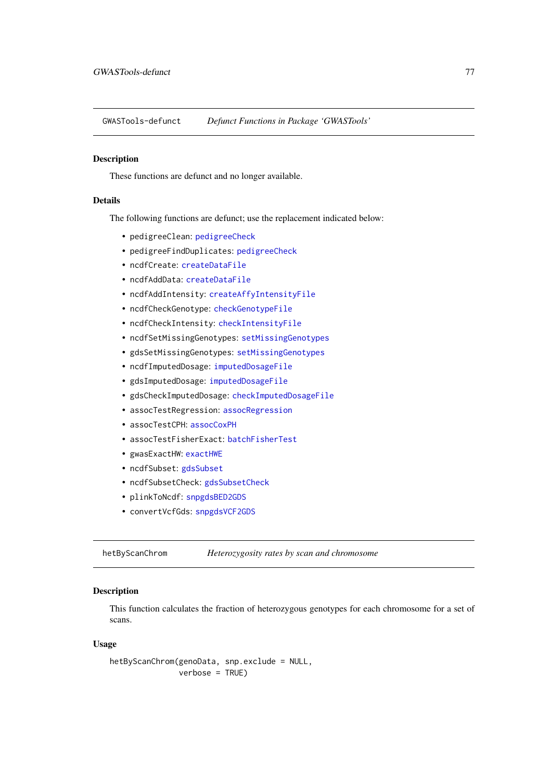GWASTools-defunct *Defunct Functions in Package 'GWASTools'*

# Description

These functions are defunct and no longer available.

# Details

The following functions are defunct; use the replacement indicated below:

- pedigreeClean: [pedigreeCheck](#page-109-0)
- pedigreeFindDuplicates: [pedigreeCheck](#page-109-0)
- ncdfCreate: [createDataFile](#page-39-0)
- ncdfAddData: [createDataFile](#page-39-0)
- ncdfAddIntensity: [createAffyIntensityFile](#page-39-1)
- ncdfCheckGenotype: [checkGenotypeFile](#page-39-1)
- ncdfCheckIntensity: [checkIntensityFile](#page-39-1)
- ncdfSetMissingGenotypes: [setMissingGenotypes](#page-130-0)
- gdsSetMissingGenotypes: [setMissingGenotypes](#page-130-0)
- ncdfImputedDosage: [imputedDosageFile](#page-82-0)
- gdsImputedDosage: [imputedDosageFile](#page-82-0)
- gdsCheckImputedDosage: [checkImputedDosageFile](#page-82-1)
- assocTestRegression: [assocRegression](#page-27-0)
- assocTestCPH: [assocCoxPH](#page-24-0)
- assocTestFisherExact: [batchFisherTest](#page-33-0)
- gwasExactHW: [exactHWE](#page-52-0)
- ncdfSubset: [gdsSubset](#page-63-0)
- ncdfSubsetCheck: [gdsSubsetCheck](#page-63-1)
- plinkToNcdf: [snpgdsBED2GDS](#page-0-0)
- convertVcfGds: [snpgdsVCF2GDS](#page-0-0)

<span id="page-76-0"></span>hetByScanChrom *Heterozygosity rates by scan and chromosome*

# Description

This function calculates the fraction of heterozygous genotypes for each chromosome for a set of scans.

# Usage

```
hetByScanChrom(genoData, snp.exclude = NULL,
              verbose = TRUE)
```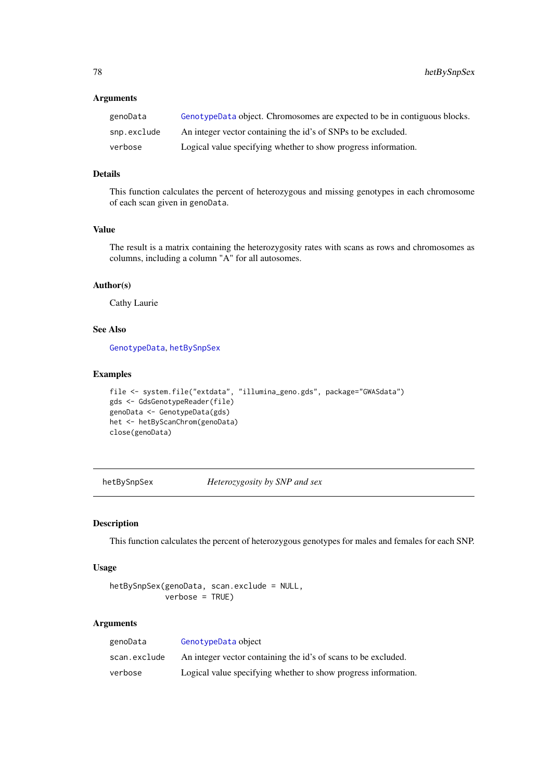# Arguments

| genoData    | GenotypeData object. Chromosomes are expected to be in contiguous blocks. |
|-------------|---------------------------------------------------------------------------|
| snp.exclude | An integer vector containing the id's of SNPs to be excluded.             |
| verbose     | Logical value specifying whether to show progress information.            |

# Details

This function calculates the percent of heterozygous and missing genotypes in each chromosome of each scan given in genoData.

# Value

The result is a matrix containing the heterozygosity rates with scans as rows and chromosomes as columns, including a column "A" for all autosomes.

#### Author(s)

Cathy Laurie

# See Also

[GenotypeData](#page-66-0), [hetBySnpSex](#page-77-0)

# Examples

```
file <- system.file("extdata", "illumina_geno.gds", package="GWASdata")
gds <- GdsGenotypeReader(file)
genoData <- GenotypeData(gds)
het <- hetByScanChrom(genoData)
close(genoData)
```
<span id="page-77-0"></span>hetBySnpSex *Heterozygosity by SNP and sex*

#### Description

This function calculates the percent of heterozygous genotypes for males and females for each SNP.

# Usage

```
hetBySnpSex(genoData, scan.exclude = NULL,
            verbose = TRUE)
```
# Arguments

| genoData     | GenotypeData object                                            |
|--------------|----------------------------------------------------------------|
| scan.exclude | An integer vector containing the id's of scans to be excluded. |
| verbose      | Logical value specifying whether to show progress information. |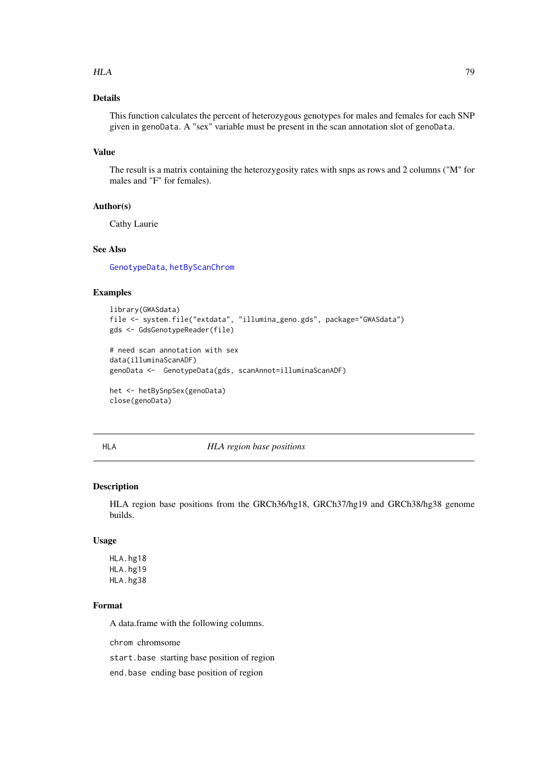#### $HLA$  79

# Details

This function calculates the percent of heterozygous genotypes for males and females for each SNP given in genoData. A "sex" variable must be present in the scan annotation slot of genoData.

# Value

The result is a matrix containing the heterozygosity rates with snps as rows and 2 columns ("M" for males and "F" for females).

# Author(s)

Cathy Laurie

#### See Also

[GenotypeData](#page-66-0), [hetByScanChrom](#page-76-0)

# Examples

```
library(GWASdata)
file <- system.file("extdata", "illumina_geno.gds", package="GWASdata")
gds <- GdsGenotypeReader(file)
```

```
# need scan annotation with sex
data(illuminaScanADF)
genoData <- GenotypeData(gds, scanAnnot=illuminaScanADF)
```

```
het <- hetBySnpSex(genoData)
close(genoData)
```
#### HLA *HLA region base positions*

## Description

HLA region base positions from the GRCh36/hg18, GRCh37/hg19 and GRCh38/hg38 genome builds.

## Usage

HLA.hg18 HLA.hg19 HLA.hg38

#### Format

A data.frame with the following columns.

chrom chromsome

start.base starting base position of region

end.base ending base position of region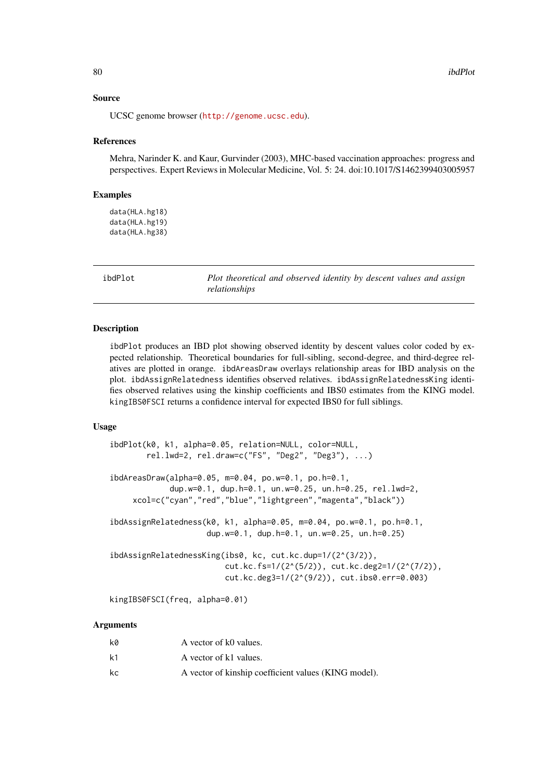#### Source

UCSC genome browser (<http://genome.ucsc.edu>).

#### References

Mehra, Narinder K. and Kaur, Gurvinder (2003), MHC-based vaccination approaches: progress and perspectives. Expert Reviews in Molecular Medicine, Vol. 5: 24. doi:10.1017/S1462399403005957

### Examples

data(HLA.hg18) data(HLA.hg19) data(HLA.hg38)

ibdPlot *Plot theoretical and observed identity by descent values and assign relationships*

# Description

ibdPlot produces an IBD plot showing observed identity by descent values color coded by expected relationship. Theoretical boundaries for full-sibling, second-degree, and third-degree relatives are plotted in orange. ibdAreasDraw overlays relationship areas for IBD analysis on the plot. ibdAssignRelatedness identifies observed relatives. ibdAssignRelatednessKing identifies observed relatives using the kinship coefficients and IBS0 estimates from the KING model. kingIBS0FSCI returns a confidence interval for expected IBS0 for full siblings.

## Usage

```
ibdPlot(k0, k1, alpha=0.05, relation=NULL, color=NULL,
        rel.lwd=2, rel.draw=c("FS", "Deg2", "Deg3"), ...)
ibdAreasDraw(alpha=0.05, m=0.04, po.w=0.1, po.h=0.1,
             dup.w=0.1, dup.h=0.1, un.w=0.25, un.h=0.25, rel.lwd=2,
     xcol=c("cyan","red","blue","lightgreen","magenta","black"))
ibdAssignRelatedness(k0, k1, alpha=0.05, m=0.04, po.w=0.1, po.h=0.1,
                     dup.w=0.1, dup.h=0.1, un.w=0.25, un.h=0.25)
ibdAssignRelatednessKing(ibs0, kc, cut.kc.dup=1/(2^(3/2)),
                         cut.kc.fs=1/(2^(5/2)), cut.kc.deg2=1/(2^(7/2)),
                         cut.kc.deg3=1/(2^(9/2)), cut.ibs0.err=0.003)
```
kingIBS0FSCI(freq, alpha=0.01)

#### Arguments

| kø | A vector of k0 values.                               |
|----|------------------------------------------------------|
| k1 | A vector of k1 values.                               |
| kc | A vector of kinship coefficient values (KING model). |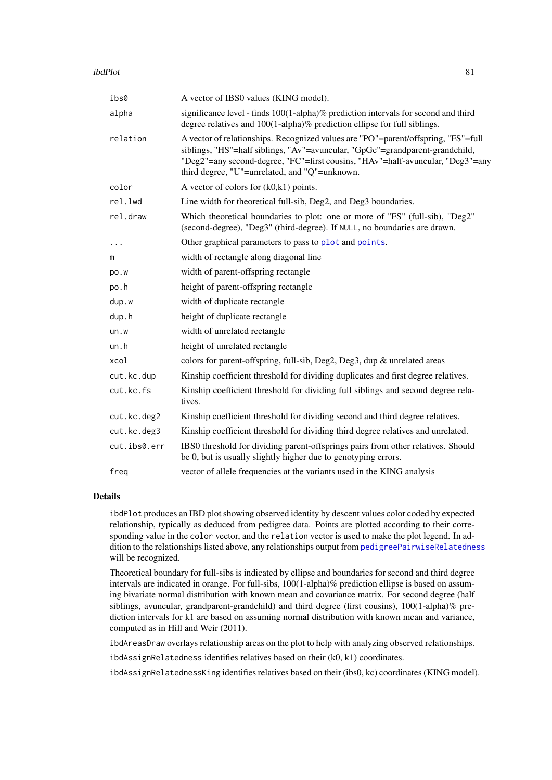#### ibdPlot 81

| ibs0         | A vector of IBS0 values (KING model).                                                                                                                                                                                                                                                                |
|--------------|------------------------------------------------------------------------------------------------------------------------------------------------------------------------------------------------------------------------------------------------------------------------------------------------------|
| alpha        | significance level - finds 100(1-alpha)% prediction intervals for second and third<br>degree relatives and 100(1-alpha)% prediction ellipse for full siblings.                                                                                                                                       |
| relation     | A vector of relationships. Recognized values are "PO"=parent/offspring, "FS"=full<br>siblings, "HS"=half siblings, "Av"=avuncular, "GpGc"=grandparent-grandchild,<br>"Deg2"=any second-degree, "FC"=first cousins, "HAv"=half-avuncular, "Deg3"=any<br>third degree, "U"=unrelated, and "Q"=unknown. |
| color        | A vector of colors for $(k0, k1)$ points.                                                                                                                                                                                                                                                            |
| rel.lwd      | Line width for theoretical full-sib, Deg2, and Deg3 boundaries.                                                                                                                                                                                                                                      |
| rel.draw     | Which theoretical boundaries to plot: one or more of "FS" (full-sib), "Deg2"<br>(second-degree), "Deg3" (third-degree). If NULL, no boundaries are drawn.                                                                                                                                            |
| $\cdots$     | Other graphical parameters to pass to plot and points.                                                                                                                                                                                                                                               |
| m            | width of rectangle along diagonal line                                                                                                                                                                                                                                                               |
| po.w         | width of parent-offspring rectangle                                                                                                                                                                                                                                                                  |
| po.h         | height of parent-offspring rectangle                                                                                                                                                                                                                                                                 |
| dup.w        | width of duplicate rectangle                                                                                                                                                                                                                                                                         |
| dup.h        | height of duplicate rectangle                                                                                                                                                                                                                                                                        |
| un.w         | width of unrelated rectangle                                                                                                                                                                                                                                                                         |
| un.h         | height of unrelated rectangle                                                                                                                                                                                                                                                                        |
| xcol         | colors for parent-offspring, full-sib, Deg2, Deg3, dup & unrelated areas                                                                                                                                                                                                                             |
| cut.kc.dup   | Kinship coefficient threshold for dividing duplicates and first degree relatives.                                                                                                                                                                                                                    |
| cut.kc.fs    | Kinship coefficient threshold for dividing full siblings and second degree rela-<br>tives.                                                                                                                                                                                                           |
| cut.kc.deg2  | Kinship coefficient threshold for dividing second and third degree relatives.                                                                                                                                                                                                                        |
| cut.kc.deg3  | Kinship coefficient threshold for dividing third degree relatives and unrelated.                                                                                                                                                                                                                     |
| cut.ibs0.err | IBS0 threshold for dividing parent-offsprings pairs from other relatives. Should<br>be 0, but is usually slightly higher due to genotyping errors.                                                                                                                                                   |
| freq         | vector of allele frequencies at the variants used in the KING analysis                                                                                                                                                                                                                               |

### Details

ibdPlot produces an IBD plot showing observed identity by descent values color coded by expected relationship, typically as deduced from pedigree data. Points are plotted according to their corresponding value in the color vector, and the relation vector is used to make the plot legend. In addition to the relationships listed above, any relationships output from [pedigreePairwiseRelatedness](#page-115-0) will be recognized.

Theoretical boundary for full-sibs is indicated by ellipse and boundaries for second and third degree intervals are indicated in orange. For full-sibs, 100(1-alpha)% prediction ellipse is based on assuming bivariate normal distribution with known mean and covariance matrix. For second degree (half siblings, avuncular, grandparent-grandchild) and third degree (first cousins), 100(1-alpha)% prediction intervals for k1 are based on assuming normal distribution with known mean and variance, computed as in Hill and Weir (2011).

ibdAreasDraw overlays relationship areas on the plot to help with analyzing observed relationships.

ibdAssignRelatedness identifies relatives based on their (k0, k1) coordinates.

ibdAssignRelatednessKing identifies relatives based on their (ibs0, kc) coordinates (KING model).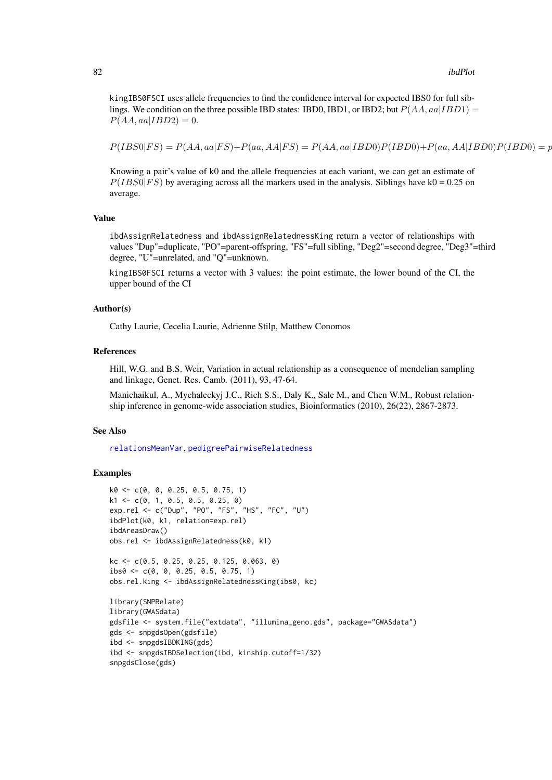kingIBS0FSCI uses allele frequencies to find the confidence interval for expected IBS0 for full siblings. We condition on the three possible IBD states: IBD0, IBD1, or IBD2; but  $P(AA, aa|IBD1) =$  $P(AA, aa|IBD2) = 0.$ 

P(IBS0|F S) = P(AA, aa|F S)+P(aa, AA|F S) = P(AA, aa|IBD0)P(IBD0)+P(aa, AA|IBD0)P(IBD0) = p

Knowing a pair's value of k0 and the allele frequencies at each variant, we can get an estimate of  $P(IBS0|FS)$  by averaging across all the markers used in the analysis. Siblings have k0 = 0.25 on average.

# Value

ibdAssignRelatedness and ibdAssignRelatednessKing return a vector of relationships with values "Dup"=duplicate, "PO"=parent-offspring, "FS"=full sibling, "Deg2"=second degree, "Deg3"=third degree, "U"=unrelated, and "Q"=unknown.

kingIBS0FSCI returns a vector with 3 values: the point estimate, the lower bound of the CI, the upper bound of the CI

#### Author(s)

Cathy Laurie, Cecelia Laurie, Adrienne Stilp, Matthew Conomos

# References

Hill, W.G. and B.S. Weir, Variation in actual relationship as a consequence of mendelian sampling and linkage, Genet. Res. Camb. (2011), 93, 47-64.

Manichaikul, A., Mychaleckyj J.C., Rich S.S., Daly K., Sale M., and Chen W.M., Robust relationship inference in genome-wide association studies, Bioinformatics (2010), 26(22), 2867-2873.

#### See Also

[relationsMeanVar](#page-125-0), [pedigreePairwiseRelatedness](#page-115-0)

```
k0 <- c(0, 0, 0.25, 0.5, 0.75, 1)
k1 <- c(0, 1, 0.5, 0.5, 0.25, 0)
exp.rel <- c("Dup", "PO", "FS", "HS", "FC", "U")
ibdPlot(k0, k1, relation=exp.rel)
ibdAreasDraw()
obs.rel <- ibdAssignRelatedness(k0, k1)
kc <- c(0.5, 0.25, 0.25, 0.125, 0.063, 0)
ibs0 <- c(0, 0, 0.25, 0.5, 0.75, 1)
obs.rel.king <- ibdAssignRelatednessKing(ibs0, kc)
library(SNPRelate)
library(GWASdata)
gdsfile <- system.file("extdata", "illumina_geno.gds", package="GWASdata")
gds <- snpgdsOpen(gdsfile)
ibd <- snpgdsIBDKING(gds)
ibd <- snpgdsIBDSelection(ibd, kinship.cutoff=1/32)
snpgdsClose(gds)
```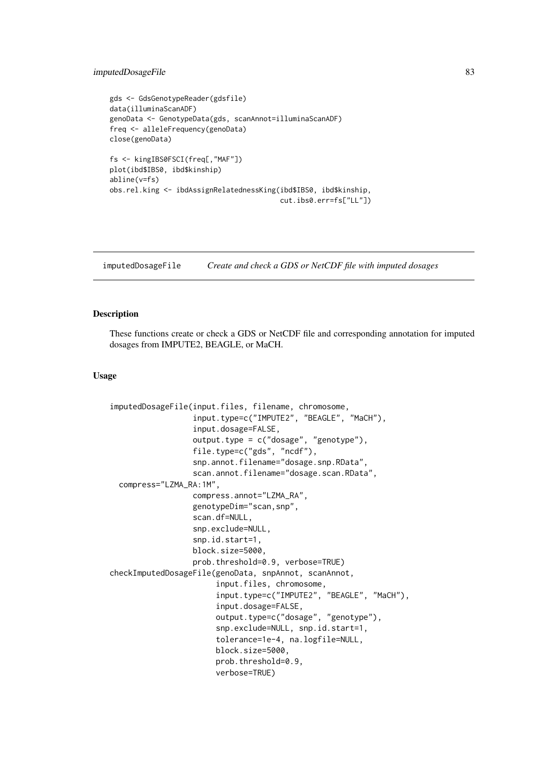#### imputedDosageFile 83

```
gds <- GdsGenotypeReader(gdsfile)
data(illuminaScanADF)
genoData <- GenotypeData(gds, scanAnnot=illuminaScanADF)
freq <- alleleFrequency(genoData)
close(genoData)
fs <- kingIBS0FSCI(freq[,"MAF"])
plot(ibd$IBS0, ibd$kinship)
abline(v=fs)
obs.rel.king <- ibdAssignRelatednessKing(ibd$IBS0, ibd$kinship,
                                         cut.ibs0.err=fs["LL"])
```
<span id="page-82-0"></span>imputedDosageFile *Create and check a GDS or NetCDF file with imputed dosages*

#### <span id="page-82-1"></span>Description

These functions create or check a GDS or NetCDF file and corresponding annotation for imputed dosages from IMPUTE2, BEAGLE, or MaCH.

#### Usage

```
imputedDosageFile(input.files, filename, chromosome,
                  input.type=c("IMPUTE2", "BEAGLE", "MaCH"),
                  input.dosage=FALSE,
                  output.type = c("dosage", "genotype"),
                  file.type=c("gds", "ncdf"),
                  snp.annot.filename="dosage.snp.RData",
                  scan.annot.filename="dosage.scan.RData",
  compress="LZMA_RA:1M",
                  compress.annot="LZMA_RA",
                  genotypeDim="scan,snp",
                  scan.df=NULL,
                  snp.exclude=NULL,
                  snp.id.start=1,
                  block.size=5000,
                  prob.threshold=0.9, verbose=TRUE)
checkImputedDosageFile(genoData, snpAnnot, scanAnnot,
                       input.files, chromosome,
                       input.type=c("IMPUTE2", "BEAGLE", "MaCH"),
                       input.dosage=FALSE,
                       output.type=c("dosage", "genotype"),
                       snp.exclude=NULL, snp.id.start=1,
                       tolerance=1e-4, na.logfile=NULL,
                       block.size=5000,
                       prob.threshold=0.9,
                       verbose=TRUE)
```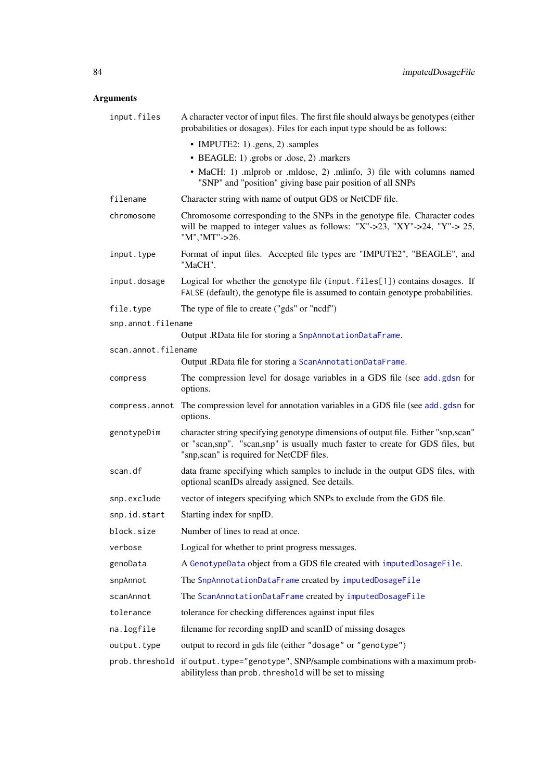# Arguments

| input.files         | A character vector of input files. The first file should always be genotypes (either<br>probabilities or dosages). Files for each input type should be as follows:                                              |
|---------------------|-----------------------------------------------------------------------------------------------------------------------------------------------------------------------------------------------------------------|
|                     | • IMPUTE2: 1) .gens, 2) .samples                                                                                                                                                                                |
|                     | • BEAGLE: 1) grobs or .dose, 2) markers                                                                                                                                                                         |
|                     | • MaCH: 1) .mlprob or .mldose, 2) .mlinfo, 3) file with columns named<br>"SNP" and "position" giving base pair position of all SNPs                                                                             |
| filename            | Character string with name of output GDS or NetCDF file.                                                                                                                                                        |
| chromosome          | Chromosome corresponding to the SNPs in the genotype file. Character codes<br>will be mapped to integer values as follows: "X"->23, "XY"->24, "Y"-> 25,<br>"M", "MT"->26.                                       |
| input.type          | Format of input files. Accepted file types are "IMPUTE2", "BEAGLE", and<br>"MaCH".                                                                                                                              |
| input.dosage        | Logical for whether the genotype file (input.files[1]) contains dosages. If<br>FALSE (default), the genotype file is assumed to contain genotype probabilities.                                                 |
| file.type           | The type of file to create ("gds" or "ncdf")                                                                                                                                                                    |
| snp.annot.filename  |                                                                                                                                                                                                                 |
|                     | Output .RData file for storing a SnpAnnotationDataFrame.                                                                                                                                                        |
| scan.annot.filename | Output .RData file for storing a ScanAnnotationDataFrame.                                                                                                                                                       |
| compress            | The compression level for dosage variables in a GDS file (see add.gdsn for                                                                                                                                      |
|                     | options.                                                                                                                                                                                                        |
| compress.annot      | The compression level for annotation variables in a GDS file (see add.gdsn for<br>options.                                                                                                                      |
| genotypeDim         | character string specifying genotype dimensions of output file. Either "snp,scan"<br>or "scan,snp". "scan,snp" is usually much faster to create for GDS files, but<br>"snp, scan" is required for NetCDF files. |
| scan.df             | data frame specifying which samples to include in the output GDS files, with<br>optional scanIDs already assigned. See details.                                                                                 |
| snp.exclude         | vector of integers specifying which SNPs to exclude from the GDS file.                                                                                                                                          |
| snp.id.start        | Starting index for snpID.                                                                                                                                                                                       |
| block.size          | Number of lines to read at once.                                                                                                                                                                                |
| verbose             | Logical for whether to print progress messages.                                                                                                                                                                 |
| genoData            | A GenotypeData object from a GDS file created with imputedDosageFile.                                                                                                                                           |
| snpAnnot            | The SnpAnnotationDataFrame created by imputedDosageFile                                                                                                                                                         |
| scanAnnot           | The ScanAnnotationDataFrame created by imputedDosageFile                                                                                                                                                        |
| tolerance           | tolerance for checking differences against input files                                                                                                                                                          |
| na.logfile          | filename for recording snpID and scanID of missing dosages                                                                                                                                                      |
| output.type         | output to record in gds file (either "dosage" or "genotype")                                                                                                                                                    |
|                     | prob. threshold if output. type="genotype", SNP/sample combinations with a maximum prob-<br>abilityless than prob. threshold will be set to missing                                                             |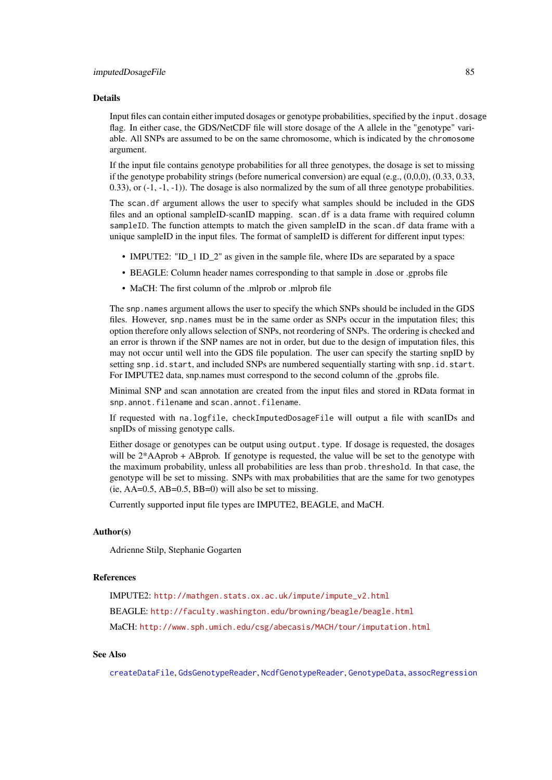# Details

Input files can contain either imputed dosages or genotype probabilities, specified by the input.dosage flag. In either case, the GDS/NetCDF file will store dosage of the A allele in the "genotype" variable. All SNPs are assumed to be on the same chromosome, which is indicated by the chromosome argument.

If the input file contains genotype probabilities for all three genotypes, the dosage is set to missing if the genotype probability strings (before numerical conversion) are equal (e.g.,  $(0,0,0)$ ,  $(0.33, 0.33,$ 0.33), or  $(-1, -1)$ . The dosage is also normalized by the sum of all three genotype probabilities.

The scan.df argument allows the user to specify what samples should be included in the GDS files and an optional sampleID-scanID mapping. scan.df is a data frame with required column sampleID. The function attempts to match the given sampleID in the scan. df data frame with a unique sampleID in the input files. The format of sampleID is different for different input types:

- IMPUTE2: "ID 1 ID 2" as given in the sample file, where IDs are separated by a space
- BEAGLE: Column header names corresponding to that sample in .dose or .gprobs file
- MaCH: The first column of the .mlprob or .mlprob file

The snp.names argument allows the user to specify the which SNPs should be included in the GDS files. However, snp.names must be in the same order as SNPs occur in the imputation files; this option therefore only allows selection of SNPs, not reordering of SNPs. The ordering is checked and an error is thrown if the SNP names are not in order, but due to the design of imputation files, this may not occur until well into the GDS file population. The user can specify the starting snpID by setting snp.id.start, and included SNPs are numbered sequentially starting with snp.id.start. For IMPUTE2 data, snp.names must correspond to the second column of the .gprobs file.

Minimal SNP and scan annotation are created from the input files and stored in RData format in snp.annot.filename and scan.annot.filename.

If requested with na.logfile, checkImputedDosageFile will output a file with scanIDs and snpIDs of missing genotype calls.

Either dosage or genotypes can be output using output.type. If dosage is requested, the dosages will be  $2*$ AAprob + ABprob. If genotype is requested, the value will be set to the genotype with the maximum probability, unless all probabilities are less than prob.threshold. In that case, the genotype will be set to missing. SNPs with max probabilities that are the same for two genotypes (ie,  $AA=0.5$ ,  $AB=0.5$ ,  $BB=0$ ) will also be set to missing.

Currently supported input file types are IMPUTE2, BEAGLE, and MaCH.

### Author(s)

Adrienne Stilp, Stephanie Gogarten

## References

IMPUTE2: [http://mathgen.stats.ox.ac.uk/impute/impute\\_v2.html](http://mathgen.stats.ox.ac.uk/impute/impute_v2.html) BEAGLE: <http://faculty.washington.edu/browning/beagle/beagle.html> MaCH: <http://www.sph.umich.edu/csg/abecasis/MACH/tour/imputation.html>

# See Also

[createDataFile](#page-39-0), [GdsGenotypeReader](#page-56-1), [NcdfGenotypeReader](#page-101-1), [GenotypeData](#page-66-0), [assocRegression](#page-27-0)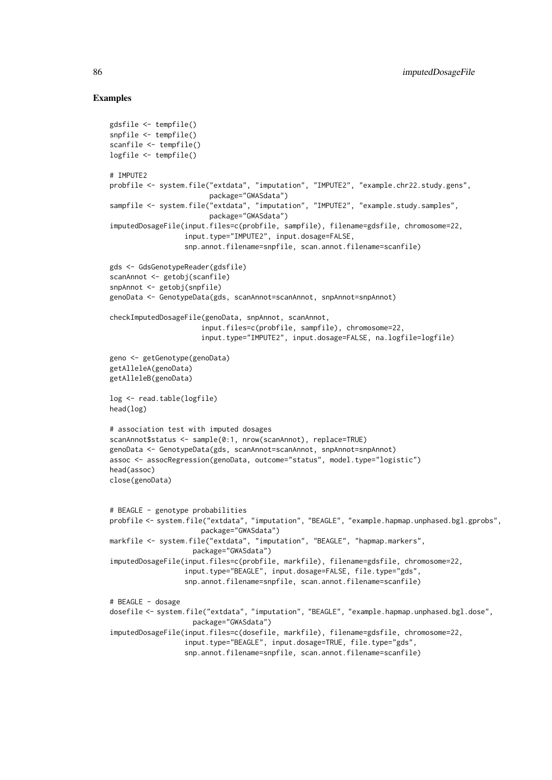```
gdsfile <- tempfile()
snpfile <- tempfile()
scanfile <- tempfile()
logfile <- tempfile()
# IMPUTE2
probfile <- system.file("extdata", "imputation", "IMPUTE2", "example.chr22.study.gens",
                        package="GWASdata")
sampfile <- system.file("extdata", "imputation", "IMPUTE2", "example.study.samples",
                        package="GWASdata")
imputedDosageFile(input.files=c(probfile, sampfile), filename=gdsfile, chromosome=22,
                  input.type="IMPUTE2", input.dosage=FALSE,
                  snp.annot.filename=snpfile, scan.annot.filename=scanfile)
gds <- GdsGenotypeReader(gdsfile)
scanAnnot <- getobj(scanfile)
snpAnnot <- getobj(snpfile)
genoData <- GenotypeData(gds, scanAnnot=scanAnnot, snpAnnot=snpAnnot)
checkImputedDosageFile(genoData, snpAnnot, scanAnnot,
                      input.files=c(probfile, sampfile), chromosome=22,
                      input.type="IMPUTE2", input.dosage=FALSE, na.logfile=logfile)
geno <- getGenotype(genoData)
getAlleleA(genoData)
getAlleleB(genoData)
log <- read.table(logfile)
head(log)
# association test with imputed dosages
scanAnnot$status <- sample(0:1, nrow(scanAnnot), replace=TRUE)
genoData <- GenotypeData(gds, scanAnnot=scanAnnot, snpAnnot=snpAnnot)
assoc <- assocRegression(genoData, outcome="status", model.type="logistic")
head(assoc)
close(genoData)
# BEAGLE - genotype probabilities
probfile <- system.file("extdata", "imputation", "BEAGLE", "example.hapmap.unphased.bgl.gprobs",
                      package="GWASdata")
markfile <- system.file("extdata", "imputation", "BEAGLE", "hapmap.markers",
                    package="GWASdata")
imputedDosageFile(input.files=c(probfile, markfile), filename=gdsfile, chromosome=22,
                  input.type="BEAGLE", input.dosage=FALSE, file.type="gds",
                  snp.annot.filename=snpfile, scan.annot.filename=scanfile)
# BEAGLE - dosage
dosefile <- system.file("extdata", "imputation", "BEAGLE", "example.hapmap.unphased.bgl.dose",
                    package="GWASdata")
imputedDosageFile(input.files=c(dosefile, markfile), filename=gdsfile, chromosome=22,
                  input.type="BEAGLE", input.dosage=TRUE, file.type="gds",
                  snp.annot.filename=snpfile, scan.annot.filename=scanfile)
```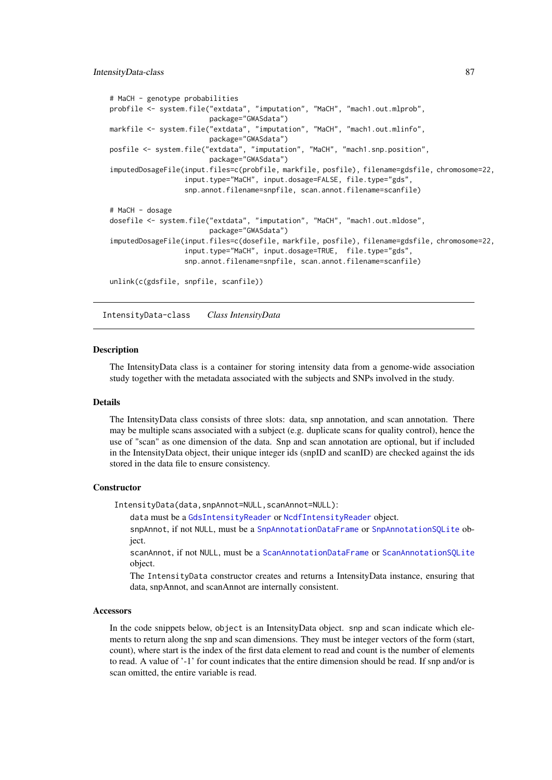```
# MaCH - genotype probabilities
probfile <- system.file("extdata", "imputation", "MaCH", "mach1.out.mlprob",
                        package="GWASdata")
markfile <- system.file("extdata", "imputation", "MaCH", "mach1.out.mlinfo",
                        package="GWASdata")
posfile <- system.file("extdata", "imputation", "MaCH", "mach1.snp.position",
                        package="GWASdata")
imputedDosageFile(input.files=c(probfile, markfile, posfile), filename=gdsfile, chromosome=22,
                  input.type="MaCH", input.dosage=FALSE, file.type="gds",
                  snp.annot.filename=snpfile, scan.annot.filename=scanfile)
# MaCH - dosage
dosefile <- system.file("extdata", "imputation", "MaCH", "mach1.out.mldose",
                        package="GWASdata")
imputedDosageFile(input.files=c(dosefile, markfile, posfile), filename=gdsfile, chromosome=22,
                  input.type="MaCH", input.dosage=TRUE, file.type="gds",
                  snp.annot.filename=snpfile, scan.annot.filename=scanfile)
unlink(c(gdsfile, snpfile, scanfile))
```
<span id="page-86-0"></span>IntensityData-class *Class IntensityData*

#### <span id="page-86-1"></span>Description

The IntensityData class is a container for storing intensity data from a genome-wide association study together with the metadata associated with the subjects and SNPs involved in the study.

# Details

The IntensityData class consists of three slots: data, snp annotation, and scan annotation. There may be multiple scans associated with a subject (e.g. duplicate scans for quality control), hence the use of "scan" as one dimension of the data. Snp and scan annotation are optional, but if included in the IntensityData object, their unique integer ids (snpID and scanID) are checked against the ids stored in the data file to ensure consistency.

#### **Constructor**

IntensityData(data,snpAnnot=NULL,scanAnnot=NULL):

data must be a [GdsIntensityReader](#page-59-1) or [NcdfIntensityReader](#page-103-1) object.

snpAnnot, if not NULL, must be a [SnpAnnotationDataFrame](#page-133-1) or [SnpAnnotationSQLite](#page-136-1) object.

scanAnnot, if not NULL, must be a [ScanAnnotationDataFrame](#page-126-2) or [ScanAnnotationSQLite](#page-128-1) object.

The IntensityData constructor creates and returns a IntensityData instance, ensuring that data, snpAnnot, and scanAnnot are internally consistent.

#### Accessors

In the code snippets below, object is an IntensityData object. snp and scan indicate which elements to return along the snp and scan dimensions. They must be integer vectors of the form (start, count), where start is the index of the first data element to read and count is the number of elements to read. A value of '-1' for count indicates that the entire dimension should be read. If snp and/or is scan omitted, the entire variable is read.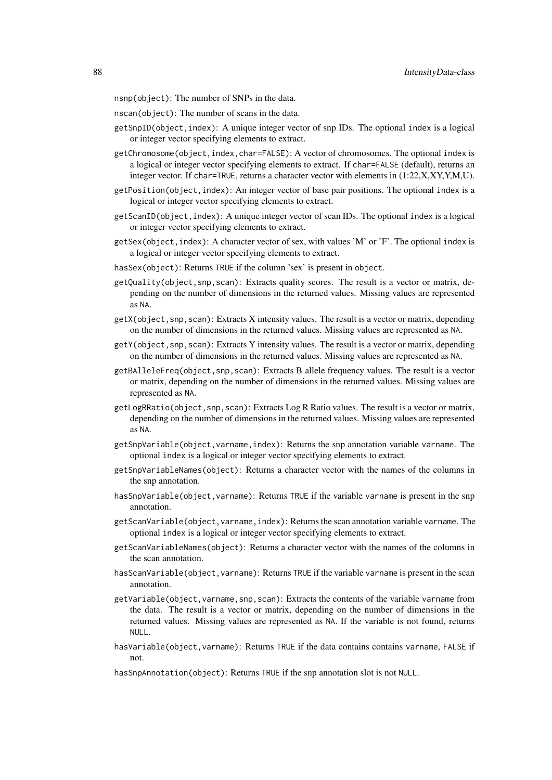nsnp(object): The number of SNPs in the data.

nscan(object): The number of scans in the data.

- getSnpID(object,index): A unique integer vector of snp IDs. The optional index is a logical or integer vector specifying elements to extract.
- getChromosome(object,index,char=FALSE): A vector of chromosomes. The optional index is a logical or integer vector specifying elements to extract. If char=FALSE (default), returns an integer vector. If char=TRUE, returns a character vector with elements in (1:22,X,XY,Y,M,U).
- getPosition(object,index): An integer vector of base pair positions. The optional index is a logical or integer vector specifying elements to extract.
- getScanID(object,index): A unique integer vector of scan IDs. The optional index is a logical or integer vector specifying elements to extract.
- getSex(object, index): A character vector of sex, with values 'M' or 'F'. The optional index is a logical or integer vector specifying elements to extract.
- hasSex(object): Returns TRUE if the column 'sex' is present in object.
- getQuality(object,snp,scan): Extracts quality scores. The result is a vector or matrix, depending on the number of dimensions in the returned values. Missing values are represented as NA.
- getX(object,snp,scan): Extracts X intensity values. The result is a vector or matrix, depending on the number of dimensions in the returned values. Missing values are represented as NA.
- getY(object,snp,scan): Extracts Y intensity values. The result is a vector or matrix, depending on the number of dimensions in the returned values. Missing values are represented as NA.
- getBAlleleFreq(object,snp,scan): Extracts B allele frequency values. The result is a vector or matrix, depending on the number of dimensions in the returned values. Missing values are represented as NA.
- getLogRRatio(object, snp, scan): Extracts Log R Ratio values. The result is a vector or matrix, depending on the number of dimensions in the returned values. Missing values are represented as NA.
- getSnpVariable(object,varname,index): Returns the snp annotation variable varname. The optional index is a logical or integer vector specifying elements to extract.
- getSnpVariableNames(object): Returns a character vector with the names of the columns in the snp annotation.
- hasSnpVariable(object,varname): Returns TRUE if the variable varname is present in the snp annotation.
- getScanVariable(object,varname,index): Returns the scan annotation variable varname. The optional index is a logical or integer vector specifying elements to extract.
- getScanVariableNames(object): Returns a character vector with the names of the columns in the scan annotation.
- hasScanVariable(object, varname): Returns TRUE if the variable varname is present in the scan annotation.
- getVariable(object,varname,snp,scan): Extracts the contents of the variable varname from the data. The result is a vector or matrix, depending on the number of dimensions in the returned values. Missing values are represented as NA. If the variable is not found, returns NULL.
- hasVariable(object,varname): Returns TRUE if the data contains contains varname, FALSE if not.

hasSnpAnnotation(object): Returns TRUE if the snp annotation slot is not NULL.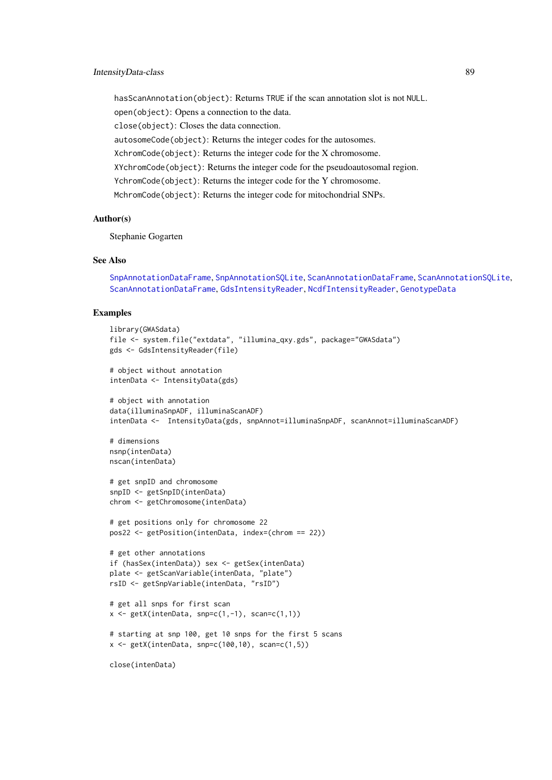hasScanAnnotation(object): Returns TRUE if the scan annotation slot is not NULL. open(object): Opens a connection to the data. close(object): Closes the data connection. autosomeCode(object): Returns the integer codes for the autosomes. XchromCode(object): Returns the integer code for the X chromosome. XYchromCode(object): Returns the integer code for the pseudoautosomal region. YchromCode(object): Returns the integer code for the Y chromosome. MchromCode(object): Returns the integer code for mitochondrial SNPs.

# Author(s)

Stephanie Gogarten

#### See Also

```
SnpAnnotationDataFrame, SnpAnnotationSQLite, ScanAnnotationDataFrame, ScanAnnotationSQLite,
ScanAnnotationDataFrame, GdsIntensityReader, NcdfIntensityReader, GenotypeData
```

```
library(GWASdata)
file <- system.file("extdata", "illumina_qxy.gds", package="GWASdata")
gds <- GdsIntensityReader(file)
# object without annotation
intenData <- IntensityData(gds)
# object with annotation
data(illuminaSnpADF, illuminaScanADF)
intenData <- IntensityData(gds, snpAnnot=illuminaSnpADF, scanAnnot=illuminaScanADF)
# dimensions
nsnp(intenData)
nscan(intenData)
# get snpID and chromosome
snpID <- getSnpID(intenData)
chrom <- getChromosome(intenData)
# get positions only for chromosome 22
pos22 <- getPosition(intenData, index=(chrom == 22))
# get other annotations
if (hasSex(intenData)) sex <- getSex(intenData)
plate <- getScanVariable(intenData, "plate")
rsID <- getSnpVariable(intenData, "rsID")
# get all snps for first scan
x \leftarrow \text{getX}(\text{intenData}, \text{snp=c}(1,-1), \text{scan=c}(1,1))# starting at snp 100, get 10 snps for the first 5 scans
x \leq - getX(intenData, snp=c(100,10), scan=c(1,5))
close(intenData)
```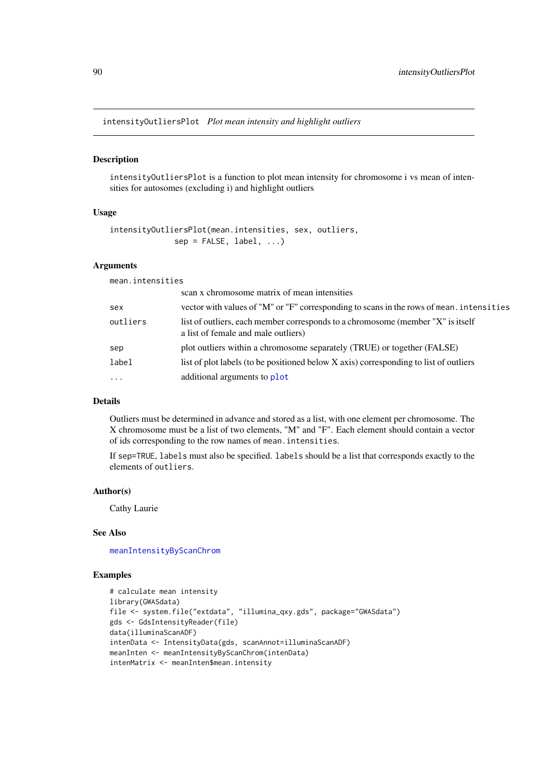intensityOutliersPlot *Plot mean intensity and highlight outliers*

## Description

intensityOutliersPlot is a function to plot mean intensity for chromosome i vs mean of intensities for autosomes (excluding i) and highlight outliers

## Usage

```
intensityOutliersPlot(mean.intensities, sex, outliers,
             sep = FALSE, label, ...)
```
# Arguments

mean.intensities

| scan x chromosome matrix of mean intensities                                                                           |
|------------------------------------------------------------------------------------------------------------------------|
| vector with values of "M" or "F" corresponding to scans in the rows of mean. intensities                               |
| list of outliers, each member corresponds to a chromosome (member "X" is itself<br>a list of female and male outliers) |
| plot outliers within a chromosome separately (TRUE) or together (FALSE)                                                |
| list of plot labels (to be positioned below X axis) corresponding to list of outliers                                  |
| additional arguments to plot                                                                                           |
|                                                                                                                        |

# Details

Outliers must be determined in advance and stored as a list, with one element per chromosome. The X chromosome must be a list of two elements, "M" and "F". Each element should contain a vector of ids corresponding to the row names of mean.intensities.

If sep=TRUE, labels must also be specified. labels should be a list that corresponds exactly to the elements of outliers.

# Author(s)

Cathy Laurie

## See Also

[meanIntensityByScanChrom](#page-93-0)

```
# calculate mean intensity
library(GWASdata)
file <- system.file("extdata", "illumina_qxy.gds", package="GWASdata")
gds <- GdsIntensityReader(file)
data(illuminaScanADF)
intenData <- IntensityData(gds, scanAnnot=illuminaScanADF)
meanInten <- meanIntensityByScanChrom(intenData)
intenMatrix <- meanInten$mean.intensity
```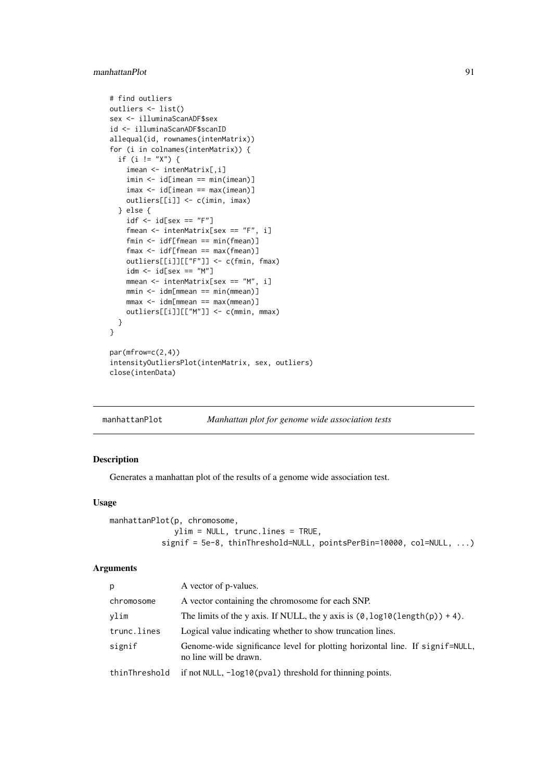#### manhattanPlot 91

```
# find outliers
outliers <- list()
sex <- illuminaScanADF$sex
id <- illuminaScanADF$scanID
allequal(id, rownames(intenMatrix))
for (i in colnames(intenMatrix)) {
  if (i != "X") {
    imean <- intenMatrix[,i]
    imin <- id[imean == min(imean)]
    imax <- id[imean == max(imean)]
   outliers[[i]] <- c(imin, imax)
  } else {
   idf \leftarrow id[sex == "F"]fmean <- intenMatrix[sex == "F", i]
    fmin <- idf[fmean == min(fmean)]
    fmax <- idf[fmean == max(fmean)]
   outliers[[i]][["F"]] <- c(fmin, fmax)
    idm \leq id[sex == "M"]mmean <- intenMatrix[sex == "M", i]
   mmin <- idm[mmean == min(mmean)]
    mmax <- idm[mmean == max(mmean)]
    outliers[[i]][["M"]] <- c(mmin, mmax)
  }
}
par(mfrow=c(2,4))
intensityOutliersPlot(intenMatrix, sex, outliers)
close(intenData)
```
manhattanPlot *Manhattan plot for genome wide association tests*

## Description

Generates a manhattan plot of the results of a genome wide association test.

# Usage

```
manhattanPlot(p, chromosome,
              ylim = NULL, trunc.lines = TRUE,
           signif = 5e-8, thinThreshold=NULL, pointsPerBin=10000, col=NULL, ...)
```
# Arguments

| p             | A vector of p-values.                                                                                  |
|---------------|--------------------------------------------------------------------------------------------------------|
| chromosome    | A vector containing the chromosome for each SNP.                                                       |
| ylim          | The limits of the y axis. If NULL, the y axis is $(0, \log 10(\text{length}(p)) + 4)$ .                |
| trunc.lines   | Logical value indicating whether to show truncation lines.                                             |
| signif        | Genome-wide significance level for plotting horizontal line. If signif=NULL,<br>no line will be drawn. |
| thinThreshold | if not NULL, -log10(pval) threshold for thinning points.                                               |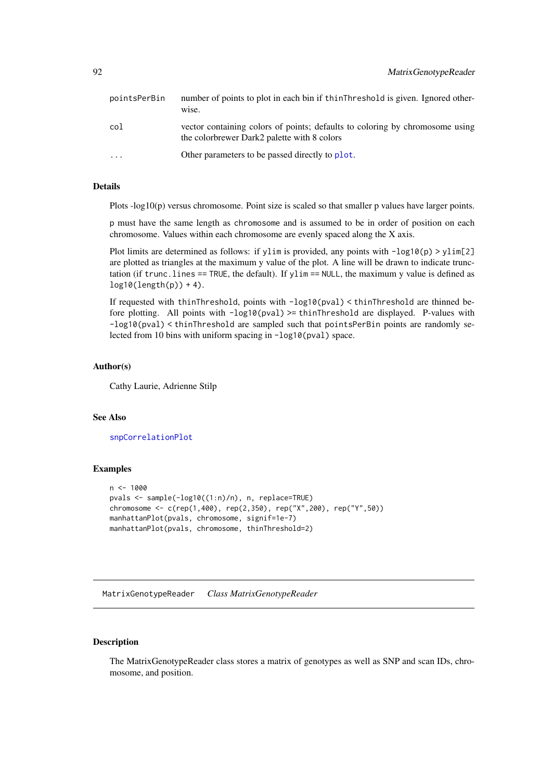| pointsPerBin | number of points to plot in each bin if thin Threshold is given. Ignored other-<br>wise.                                    |
|--------------|-----------------------------------------------------------------------------------------------------------------------------|
| col          | vector containing colors of points; defaults to coloring by chromosome using<br>the colorbrewer Dark2 palette with 8 colors |
| $\cdot$      | Other parameters to be passed directly to plot.                                                                             |

# Details

Plots -log10(p) versus chromosome. Point size is scaled so that smaller p values have larger points.

p must have the same length as chromosome and is assumed to be in order of position on each chromosome. Values within each chromosome are evenly spaced along the X axis.

Plot limits are determined as follows: if ylim is provided, any points with  $-\log 10(p) > \text{ylim}[2]$ are plotted as triangles at the maximum y value of the plot. A line will be drawn to indicate trunctation (if trunc. lines  $==$  TRUE, the default). If  $ylim ==$  NULL, the maximum y value is defined as  $log10(length(p)) + 4).$ 

If requested with thinThreshold, points with -log10(pval) < thinThreshold are thinned before plotting. All points with  $-log10(pval)$  >= thinThreshold are displayed. P-values with -log10(pval) < thinThreshold are sampled such that pointsPerBin points are randomly selected from 10 bins with uniform spacing in -log10(pval) space.

#### Author(s)

Cathy Laurie, Adrienne Stilp

#### See Also

[snpCorrelationPlot](#page-138-0)

#### Examples

```
n < - 1000pvals <- sample(-log10((1:n)/n), n, replace=TRUE)
chromosome <- c(rep(1,400), rep(2,350), rep("X",200), rep("Y",50))
manhattanPlot(pvals, chromosome, signif=1e-7)
manhattanPlot(pvals, chromosome, thinThreshold=2)
```
MatrixGenotypeReader *Class MatrixGenotypeReader*

#### Description

The MatrixGenotypeReader class stores a matrix of genotypes as well as SNP and scan IDs, chromosome, and position.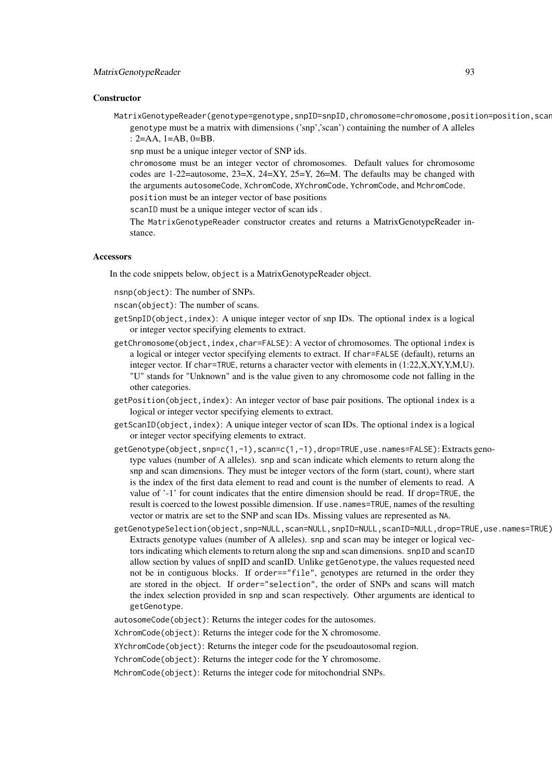#### **Constructor**

MatrixGenotypeReader(genotype=genotype,snpID=snpID,chromosome=chromosome,position=position,scan genotype must be a matrix with dimensions ('snp','scan') containing the number of A alleles : 2=AA, 1=AB, 0=BB.

snp must be a unique integer vector of SNP ids.

chromosome must be an integer vector of chromosomes. Default values for chromosome codes are 1-22=autosome,  $23=X$ ,  $24=XY$ ,  $25=Y$ ,  $26=M$ . The defaults may be changed with the arguments autosomeCode, XchromCode, XYchromCode, YchromCode, and MchromCode.

position must be an integer vector of base positions scanID must be a unique integer vector of scan ids .

The MatrixGenotypeReader constructor creates and returns a MatrixGenotypeReader instance.

## Accessors

In the code snippets below, object is a MatrixGenotypeReader object.

nsnp(object): The number of SNPs.

nscan(object): The number of scans.

- getSnpID(object,index): A unique integer vector of snp IDs. The optional index is a logical or integer vector specifying elements to extract.
- getChromosome(object,index,char=FALSE): A vector of chromosomes. The optional index is a logical or integer vector specifying elements to extract. If char=FALSE (default), returns an integer vector. If char=TRUE, returns a character vector with elements in (1:22,X,XY,Y,M,U). "U" stands for "Unknown" and is the value given to any chromosome code not falling in the other categories.
- getPosition(object,index): An integer vector of base pair positions. The optional index is a logical or integer vector specifying elements to extract.
- getScanID(object,index): A unique integer vector of scan IDs. The optional index is a logical or integer vector specifying elements to extract.
- getGenotype(object,snp=c(1,-1),scan=c(1,-1),drop=TRUE,use.names=FALSE): Extracts genotype values (number of A alleles). snp and scan indicate which elements to return along the snp and scan dimensions. They must be integer vectors of the form (start, count), where start is the index of the first data element to read and count is the number of elements to read. A value of '-1' for count indicates that the entire dimension should be read. If drop=TRUE, the result is coerced to the lowest possible dimension. If use.names=TRUE, names of the resulting vector or matrix are set to the SNP and scan IDs. Missing values are represented as NA.
- getGenotypeSelection(object,snp=NULL,scan=NULL,snpID=NULL,scanID=NULL,drop=TRUE,use.names=TRUE): Extracts genotype values (number of A alleles). snp and scan may be integer or logical vectors indicating which elements to return along the snp and scan dimensions. snpID and scanID allow section by values of snpID and scanID. Unlike getGenotype, the values requested need not be in contiguous blocks. If order=="file", genotypes are returned in the order they are stored in the object. If order="selection", the order of SNPs and scans will match the index selection provided in snp and scan respectively. Other arguments are identical to getGenotype.
- autosomeCode(object): Returns the integer codes for the autosomes.

XchromCode(object): Returns the integer code for the X chromosome.

XYchromCode(object): Returns the integer code for the pseudoautosomal region.

YchromCode(object): Returns the integer code for the Y chromosome.

MchromCode(object): Returns the integer code for mitochondrial SNPs.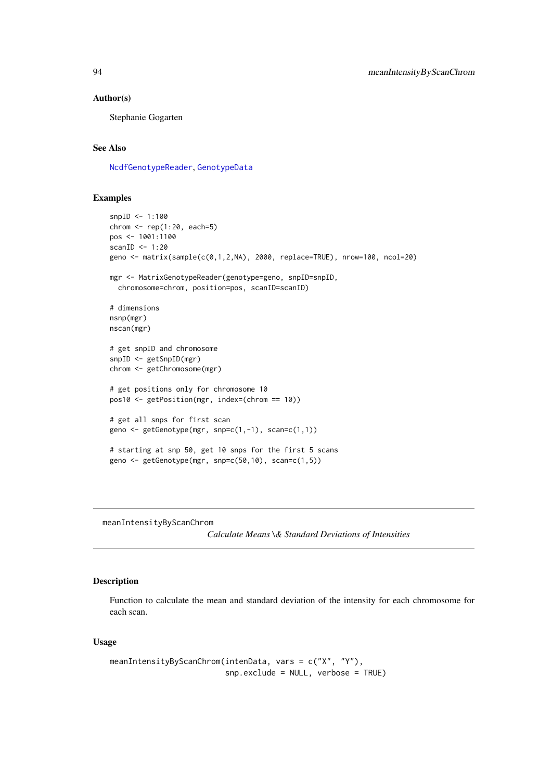#### Author(s)

Stephanie Gogarten

## See Also

[NcdfGenotypeReader](#page-101-1), [GenotypeData](#page-66-0)

# Examples

```
snpID <- 1:100
chrom \leq rep(1:20, each=5)
pos <- 1001:1100
scanID <-1:20geno <- matrix(sample(c(0,1,2,NA), 2000, replace=TRUE), nrow=100, ncol=20)
mgr <- MatrixGenotypeReader(genotype=geno, snpID=snpID,
  chromosome=chrom, position=pos, scanID=scanID)
# dimensions
nsnp(mgr)
nscan(mgr)
# get snpID and chromosome
snpID <- getSnpID(mgr)
chrom <- getChromosome(mgr)
# get positions only for chromosome 10
pos10 <- getPosition(mgr, index=(chrom == 10))
# get all snps for first scan
geno <- getGenotype(mgr, snp=c(1,-1), scan=c(1,1))
# starting at snp 50, get 10 snps for the first 5 scans
geno <- getGenotype(mgr, snp=c(50,10), scan=c(1,5))
```
<span id="page-93-0"></span>meanIntensityByScanChrom

*Calculate Means \& Standard Deviations of Intensities*

## Description

Function to calculate the mean and standard deviation of the intensity for each chromosome for each scan.

# Usage

```
meanIntensityByScanChrom(intenData, vars = c("X", "Y"),
                         snp.exclude = NULL, verbose = TRUE)
```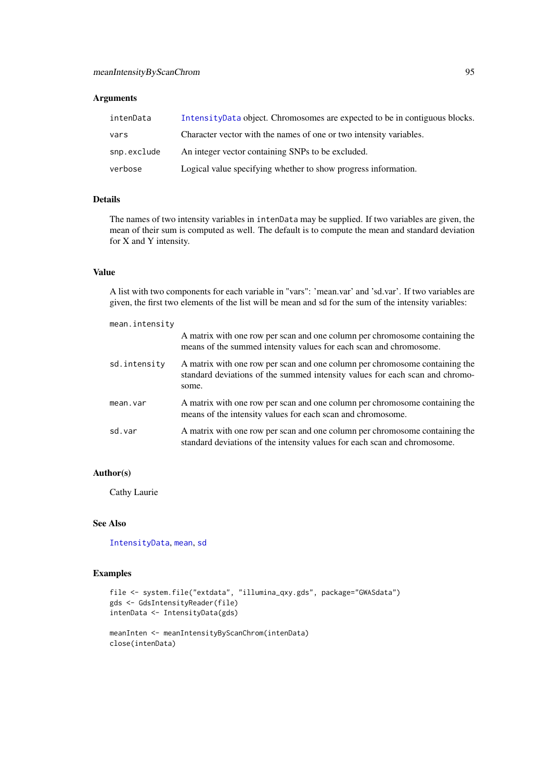# Arguments

| intenData   | Intensity Data object. Chromosomes are expected to be in contiguous blocks. |
|-------------|-----------------------------------------------------------------------------|
| vars        | Character vector with the names of one or two intensity variables.          |
| snp.exclude | An integer vector containing SNPs to be excluded.                           |
| verbose     | Logical value specifying whether to show progress information.              |

# Details

The names of two intensity variables in intenData may be supplied. If two variables are given, the mean of their sum is computed as well. The default is to compute the mean and standard deviation for X and Y intensity.

# Value

A list with two components for each variable in "vars": 'mean.var' and 'sd.var'. If two variables are given, the first two elements of the list will be mean and sd for the sum of the intensity variables:

| mean.intensity |                                                                                                                                                                      |
|----------------|----------------------------------------------------------------------------------------------------------------------------------------------------------------------|
|                | A matrix with one row per scan and one column per chromosome containing the<br>means of the summed intensity values for each scan and chromosome.                    |
| sd.intensity   | A matrix with one row per scan and one column per chromosome containing the<br>standard deviations of the summed intensity values for each scan and chromo-<br>some. |
| mean.var       | A matrix with one row per scan and one column per chromosome containing the<br>means of the intensity values for each scan and chromosome.                           |
| sd.var         | A matrix with one row per scan and one column per chromosome containing the<br>standard deviations of the intensity values for each scan and chromosome.             |

# Author(s)

Cathy Laurie

# See Also

[IntensityData](#page-86-1), [mean](#page-0-0), [sd](#page-0-0)

```
file <- system.file("extdata", "illumina_qxy.gds", package="GWASdata")
gds <- GdsIntensityReader(file)
intenData <- IntensityData(gds)
```

```
meanInten <- meanIntensityByScanChrom(intenData)
close(intenData)
```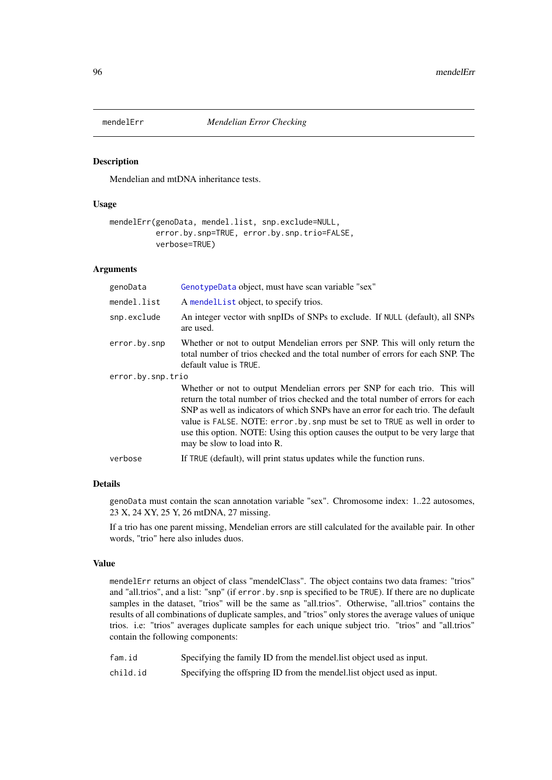<span id="page-95-0"></span>

# Description

Mendelian and mtDNA inheritance tests.

#### Usage

```
mendelErr(genoData, mendel.list, snp.exclude=NULL,
          error.by.snp=TRUE, error.by.snp.trio=FALSE,
          verbose=TRUE)
```
# Arguments

| genoData          | GenotypeData object, must have scan variable "sex"                                                                                                                                                                                                                                                                                                                                                                                                    |  |
|-------------------|-------------------------------------------------------------------------------------------------------------------------------------------------------------------------------------------------------------------------------------------------------------------------------------------------------------------------------------------------------------------------------------------------------------------------------------------------------|--|
| mendel.list       | A mendellist object, to specify trios.                                                                                                                                                                                                                                                                                                                                                                                                                |  |
| snp.exclude       | An integer vector with snpIDs of SNPs to exclude. If NULL (default), all SNPs<br>are used.                                                                                                                                                                                                                                                                                                                                                            |  |
| error.by.snp      | Whether or not to output Mendelian errors per SNP. This will only return the<br>total number of trios checked and the total number of errors for each SNP. The<br>default value is TRUE.                                                                                                                                                                                                                                                              |  |
| error.by.snp.trio |                                                                                                                                                                                                                                                                                                                                                                                                                                                       |  |
|                   | Whether or not to output Mendelian errors per SNP for each trio. This will<br>return the total number of trios checked and the total number of errors for each<br>SNP as well as indicators of which SNPs have an error for each trio. The default<br>value is FALSE. NOTE: error. by. snp must be set to TRUE as well in order to<br>use this option. NOTE: Using this option causes the output to be very large that<br>may be slow to load into R. |  |
| verbose           | If TRUE (default), will print status updates while the function runs.                                                                                                                                                                                                                                                                                                                                                                                 |  |

## Details

genoData must contain the scan annotation variable "sex". Chromosome index: 1..22 autosomes, 23 X, 24 XY, 25 Y, 26 mtDNA, 27 missing.

If a trio has one parent missing, Mendelian errors are still calculated for the available pair. In other words, "trio" here also inludes duos.

#### Value

mendelErr returns an object of class "mendelClass". The object contains two data frames: "trios" and "all.trios", and a list: "snp" (if error.by.snp is specified to be TRUE). If there are no duplicate samples in the dataset, "trios" will be the same as "all.trios". Otherwise, "all.trios" contains the results of all combinations of duplicate samples, and "trios" only stores the average values of unique trios. i.e: "trios" averages duplicate samples for each unique subject trio. "trios" and "all.trios" contain the following components:

| fam.id   | Specifying the family ID from the mendel list object used as input.    |
|----------|------------------------------------------------------------------------|
| child.id | Specifying the offspring ID from the mendel list object used as input. |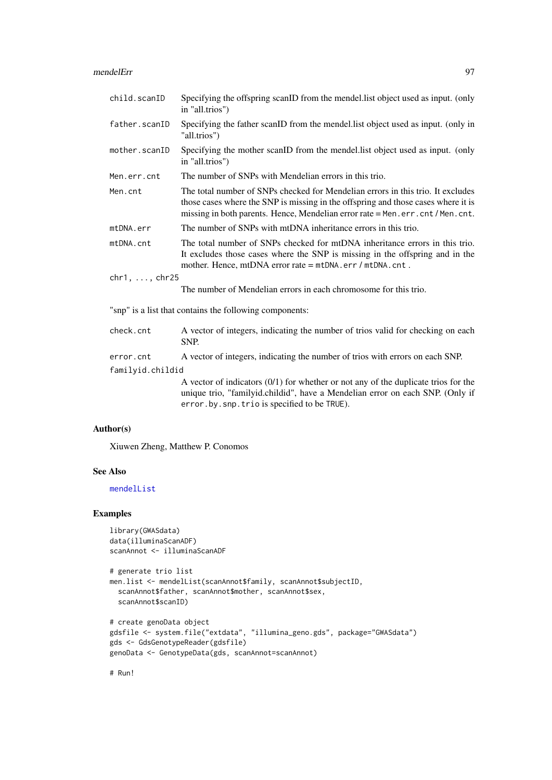#### mendelErr 97

| child.scanID          | Specifying the offspring scanID from the mendel. list object used as input. (only<br>in "all.trios")                                                                                                                                                   |  |
|-----------------------|--------------------------------------------------------------------------------------------------------------------------------------------------------------------------------------------------------------------------------------------------------|--|
| father.scanID         | Specifying the father scanID from the mendel.list object used as input. (only in<br>"all.trios")                                                                                                                                                       |  |
| mother.scanID         | Specifying the mother scanID from the mendel.list object used as input. (only<br>in "all.trios")                                                                                                                                                       |  |
| Men.err.cnt           | The number of SNPs with Mendelian errors in this trio.                                                                                                                                                                                                 |  |
| Men.cnt               | The total number of SNPs checked for Mendelian errors in this trio. It excludes<br>those cases where the SNP is missing in the offspring and those cases where it is<br>missing in both parents. Hence, Mendelian error rate = Men. err. cnt/Men. cnt. |  |
| mtDNA.err             | The number of SNPs with mtDNA inheritance errors in this trio.                                                                                                                                                                                         |  |
| mtDNA.cnt             | The total number of SNPs checked for mtDNA inheritance errors in this trio.<br>It excludes those cases where the SNP is missing in the offspring and in the<br>mother. Hence, mtDNA error rate = mtDNA.err / mtDNA.cnt.                                |  |
| $chr1, \ldots, chr25$ |                                                                                                                                                                                                                                                        |  |
|                       | The number of Mendelian errors in each chromosome for this trio.                                                                                                                                                                                       |  |
|                       | "snp" is a list that contains the following components:                                                                                                                                                                                                |  |
| check.cnt             | A vector of integers, indicating the number of trios valid for checking on each<br>SNP.                                                                                                                                                                |  |
| error.cnt             | A vector of integers, indicating the number of trios with errors on each SNP.                                                                                                                                                                          |  |
| familyid.childid      |                                                                                                                                                                                                                                                        |  |
|                       | A vector of indicators $(0/1)$ for whether or not any of the duplicate trios for the<br>unique trio, "familyid.childid", have a Mendelian error on each SNP. (Only if<br>error.by.snp.trio is specified to be TRUE).                                   |  |

Author(s)

Xiuwen Zheng, Matthew P. Conomos

# See Also

[mendelList](#page-97-0)

# Examples

```
library(GWASdata)
data(illuminaScanADF)
scanAnnot <- illuminaScanADF
# generate trio list
men.list <- mendelList(scanAnnot$family, scanAnnot$subjectID,
 scanAnnot$father, scanAnnot$mother, scanAnnot$sex,
 scanAnnot$scanID)
# create genoData object
gdsfile <- system.file("extdata", "illumina_geno.gds", package="GWASdata")
gds <- GdsGenotypeReader(gdsfile)
genoData <- GenotypeData(gds, scanAnnot=scanAnnot)
```
# Run!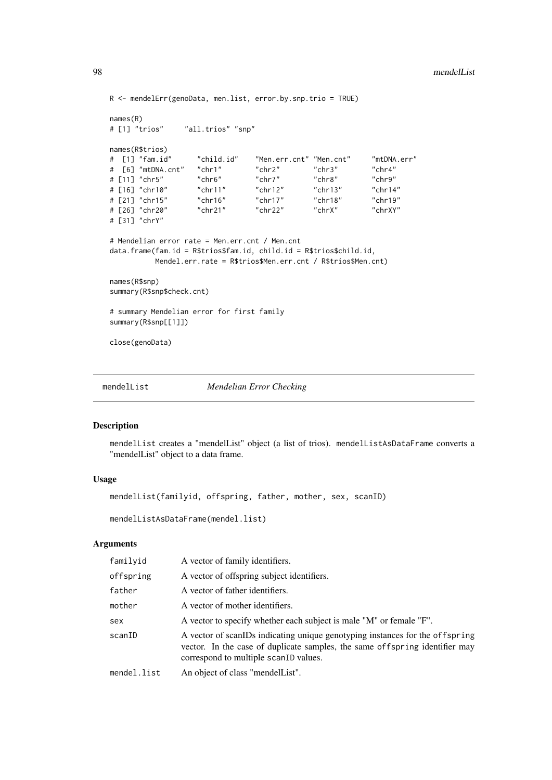```
R <- mendelErr(genoData, men.list, error.by.snp.trio = TRUE)
names(R)
# [1] "trios" "all.trios" "snp"
names(R$trios)
# [1] "fam.id" "child.id" "Men.err.cnt" "Men.cnt" "mtDNA.err"
# [6] "mtDNA.cnt" "chr1" "chr2" "chr3" "chr4"
# [11] "chr5" "chr6" "chr7" "chr8" "chr9"
# [16] "chr10" "chr11" "chr12" "chr13" "chr14"
# [21] "chr15" "chr16" "chr17" "chr18" "chr19"
# [26] "chr20" "chr21" "chr22" "chrX" "chrXY"
# [31] "chrY"
# Mendelian error rate = Men.err.cnt / Men.cnt
data.frame(fam.id = R$trios$fam.id, child.id = R$trios$child.id,
         Mendel.err.rate = R$trios$Men.err.cnt / R$trios$Men.cnt)
names(R$snp)
summary(R$snp$check.cnt)
# summary Mendelian error for first family
summary(R$snp[[1]])
close(genoData)
```
<span id="page-97-0"></span>

```
mendelList Mendelian Error Checking
```
# Description

mendelList creates a "mendelList" object (a list of trios). mendelListAsDataFrame converts a "mendelList" object to a data frame.

#### Usage

mendelList(familyid, offspring, father, mother, sex, scanID)

mendelListAsDataFrame(mendel.list)

# Arguments

| familyid    | A vector of family identifiers.                                                                                                                                                                       |  |
|-------------|-------------------------------------------------------------------------------------------------------------------------------------------------------------------------------------------------------|--|
| offspring   | A vector of offspring subject identifiers.                                                                                                                                                            |  |
| father      | A vector of father identifiers.                                                                                                                                                                       |  |
| mother      | A vector of mother identifiers.                                                                                                                                                                       |  |
| sex         | A vector to specify whether each subject is male "M" or female "F".                                                                                                                                   |  |
| scanID      | A vector of scanIDs indicating unique genotyping instances for the offspring<br>vector. In the case of duplicate samples, the same offspring identifier may<br>correspond to multiple scant D values. |  |
| mendel.list | An object of class "mendelList".                                                                                                                                                                      |  |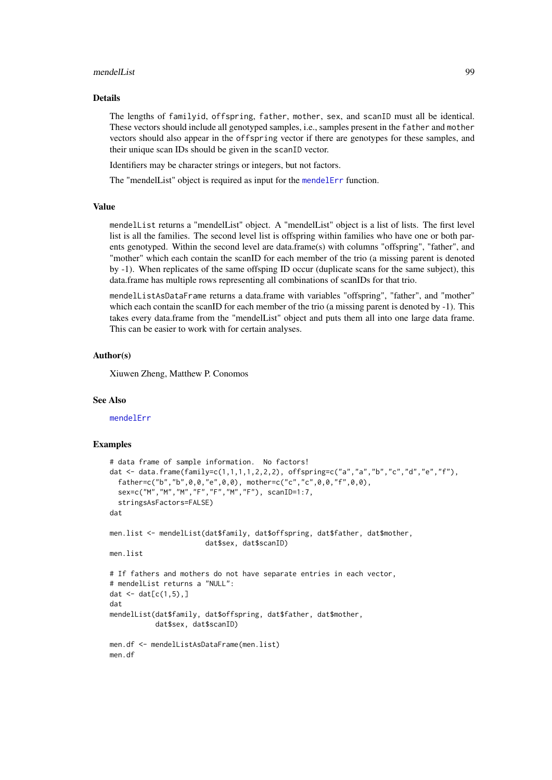#### mendelList 99

#### Details

The lengths of familyid, offspring, father, mother, sex, and scanID must all be identical. These vectors should include all genotyped samples, i.e., samples present in the father and mother vectors should also appear in the offspring vector if there are genotypes for these samples, and their unique scan IDs should be given in the scanID vector.

Identifiers may be character strings or integers, but not factors.

The "mendelList" object is required as input for the [mendelErr](#page-95-0) function.

## Value

mendelList returns a "mendelList" object. A "mendelList" object is a list of lists. The first level list is all the families. The second level list is offspring within families who have one or both parents genotyped. Within the second level are data.frame(s) with columns "offspring", "father", and "mother" which each contain the scanID for each member of the trio (a missing parent is denoted by -1). When replicates of the same offsping ID occur (duplicate scans for the same subject), this data.frame has multiple rows representing all combinations of scanIDs for that trio.

mendelListAsDataFrame returns a data.frame with variables "offspring", "father", and "mother" which each contain the scanID for each member of the trio (a missing parent is denoted by -1). This takes every data.frame from the "mendelList" object and puts them all into one large data frame. This can be easier to work with for certain analyses.

#### Author(s)

Xiuwen Zheng, Matthew P. Conomos

#### See Also

[mendelErr](#page-95-0)

```
# data frame of sample information. No factors!
dat <- data.frame(family=c(1,1,1,1,2,2,2), offspring=c("a","a","b","c","d","e","f"),
  father=c("b","b",0,0,"e",0,0), mother=c("c","c",0,0,"f",0,0),
  sex=c("M","M","M","F","F","M","F"), scanID=1:7,
  stringsAsFactors=FALSE)
dat
men.list <- mendelList(dat$family, dat$offspring, dat$father, dat$mother,
                       dat$sex, dat$scanID)
men.list
# If fathers and mothers do not have separate entries in each vector,
# mendelList returns a "NULL":
dat \leq dat[c(1,5),]dat
mendelList(dat$family, dat$offspring, dat$father, dat$mother,
           dat$sex, dat$scanID)
men.df <- mendelListAsDataFrame(men.list)
men.df
```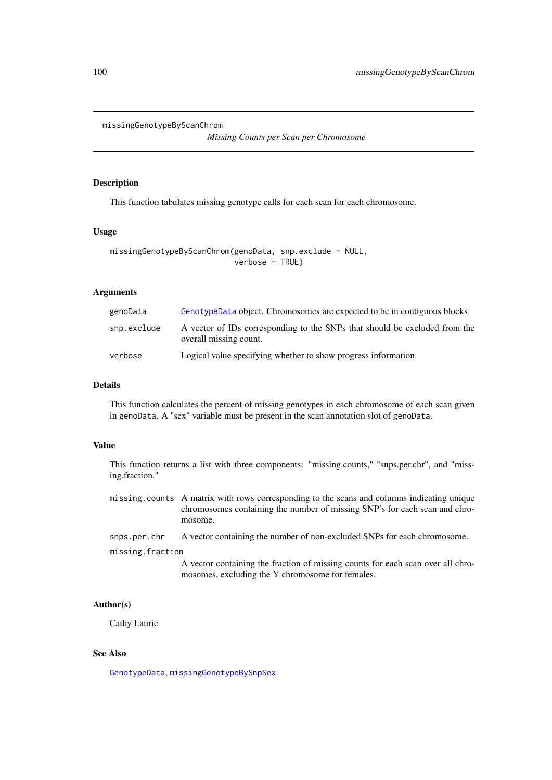```
missingGenotypeByScanChrom
```
*Missing Counts per Scan per Chromosome*

## Description

This function tabulates missing genotype calls for each scan for each chromosome.

# Usage

```
missingGenotypeByScanChrom(genoData, snp.exclude = NULL,
                           verbose = TRUE)
```
# Arguments

| genoData    | GenotypeData object. Chromosomes are expected to be in contiguous blocks.                            |
|-------------|------------------------------------------------------------------------------------------------------|
| snp.exclude | A vector of IDs corresponding to the SNPs that should be excluded from the<br>overall missing count. |
| verbose     | Logical value specifying whether to show progress information.                                       |

#### Details

This function calculates the percent of missing genotypes in each chromosome of each scan given in genoData. A "sex" variable must be present in the scan annotation slot of genoData.

# Value

This function returns a list with three components: "missing.counts," "snps.per.chr", and "missing.fraction."

missing.counts A matrix with rows corresponding to the scans and columns indicating unique chromosomes containing the number of missing SNP's for each scan and chromosome.

```
snps.per.chr A vector containing the number of non-excluded SNPs for each chromosome.
```
missing.fraction

A vector containing the fraction of missing counts for each scan over all chromosomes, excluding the Y chromosome for females.

# Author(s)

Cathy Laurie

# See Also

[GenotypeData](#page-66-0), [missingGenotypeBySnpSex](#page-100-0)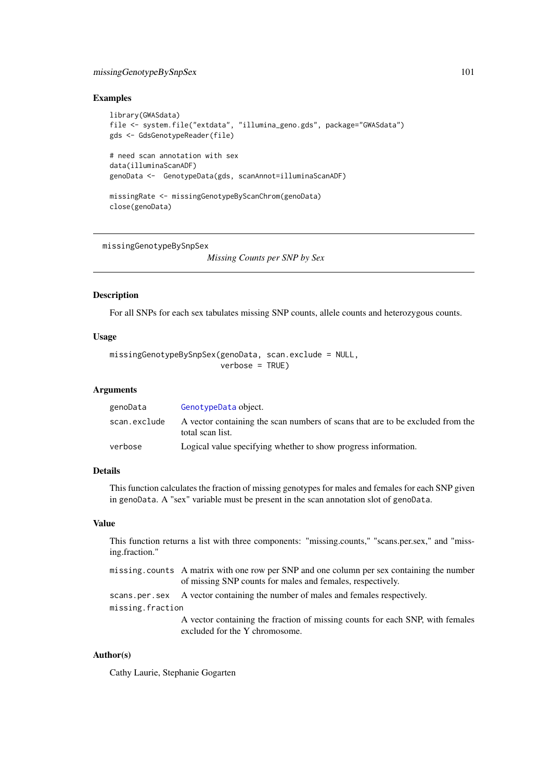#### missingGenotypeBySnpSex 101

#### Examples

```
library(GWASdata)
file <- system.file("extdata", "illumina_geno.gds", package="GWASdata")
gds <- GdsGenotypeReader(file)
# need scan annotation with sex
data(illuminaScanADF)
genoData <- GenotypeData(gds, scanAnnot=illuminaScanADF)
missingRate <- missingGenotypeByScanChrom(genoData)
close(genoData)
```
<span id="page-100-0"></span>missingGenotypeBySnpSex

*Missing Counts per SNP by Sex*

## Description

For all SNPs for each sex tabulates missing SNP counts, allele counts and heterozygous counts.

#### Usage

```
missingGenotypeBySnpSex(genoData, scan.exclude = NULL,
                        verbose = TRUE)
```
# Arguments

| genoData     | GenotypeData object.                                                                               |
|--------------|----------------------------------------------------------------------------------------------------|
| scan.exclude | A vector containing the scan numbers of scans that are to be excluded from the<br>total scan list. |
| verbose      | Logical value specifying whether to show progress information.                                     |

# Details

This function calculates the fraction of missing genotypes for males and females for each SNP given in genoData. A "sex" variable must be present in the scan annotation slot of genoData.

# Value

This function returns a list with three components: "missing.counts," "scans.per.sex," and "missing.fraction."

```
missing.counts A matrix with one row per SNP and one column per sex containing the number
                  of missing SNP counts for males and females, respectively.
scans.per.sex A vector containing the number of males and females respectively.
missing.fraction
                  A vector containing the fraction of missing counts for each SNP, with females
                  excluded for the Y chromosome.
```
# Author(s)

Cathy Laurie, Stephanie Gogarten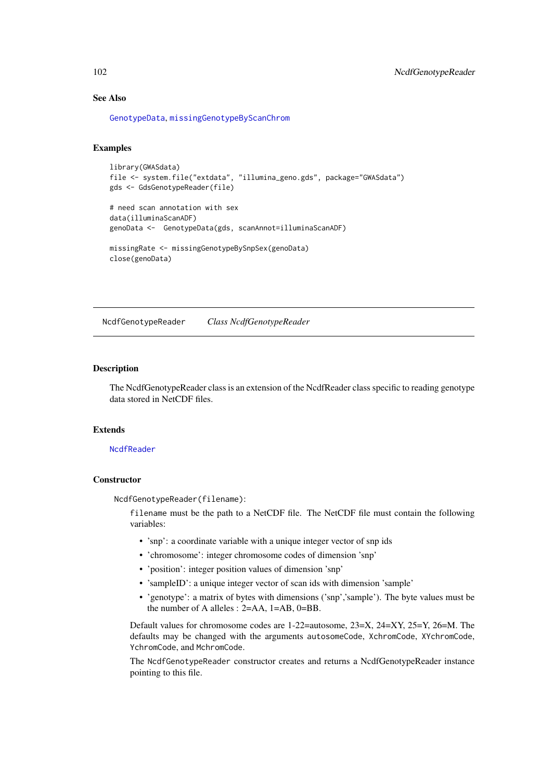# See Also

[GenotypeData](#page-66-0), [missingGenotypeByScanChrom](#page-99-0)

## Examples

```
library(GWASdata)
file <- system.file("extdata", "illumina_geno.gds", package="GWASdata")
gds <- GdsGenotypeReader(file)
```

```
# need scan annotation with sex
data(illuminaScanADF)
genoData <- GenotypeData(gds, scanAnnot=illuminaScanADF)
missingRate <- missingGenotypeBySnpSex(genoData)
```

```
close(genoData)
```
<span id="page-101-1"></span>NcdfGenotypeReader *Class NcdfGenotypeReader*

#### <span id="page-101-0"></span>Description

The NcdfGenotypeReader class is an extension of the NcdfReader class specific to reading genotype data stored in NetCDF files.

#### Extends

#### **[NcdfReader](#page-105-1)**

## **Constructor**

NcdfGenotypeReader(filename):

filename must be the path to a NetCDF file. The NetCDF file must contain the following variables:

- 'snp': a coordinate variable with a unique integer vector of snp ids
- 'chromosome': integer chromosome codes of dimension 'snp'
- 'position': integer position values of dimension 'snp'
- 'sampleID': a unique integer vector of scan ids with dimension 'sample'
- 'genotype': a matrix of bytes with dimensions ('snp','sample'). The byte values must be the number of A alleles : 2=AA, 1=AB, 0=BB.

Default values for chromosome codes are 1-22=autosome, 23=X, 24=XY, 25=Y, 26=M. The defaults may be changed with the arguments autosomeCode, XchromCode, XYchromCode, YchromCode, and MchromCode.

The NcdfGenotypeReader constructor creates and returns a NcdfGenotypeReader instance pointing to this file.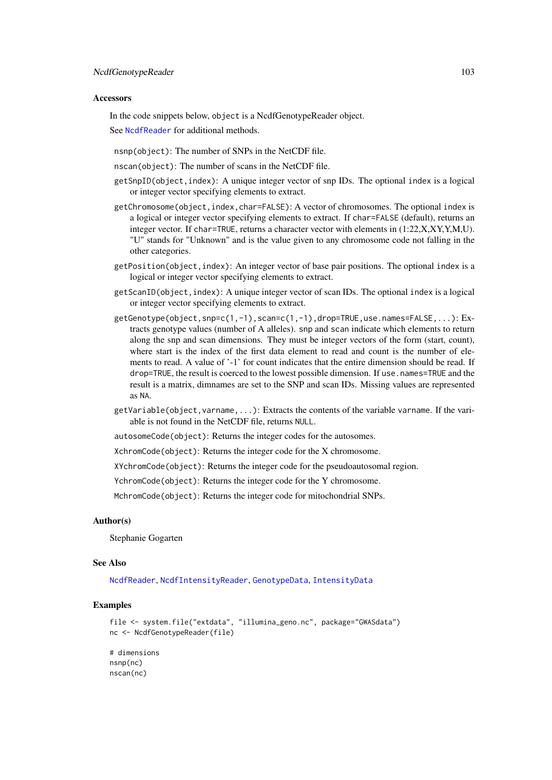#### Accessors

In the code snippets below, object is a NcdfGenotypeReader object.

See [NcdfReader](#page-105-1) for additional methods.

nsnp(object): The number of SNPs in the NetCDF file.

nscan(object): The number of scans in the NetCDF file.

- getSnpID(object,index): A unique integer vector of snp IDs. The optional index is a logical or integer vector specifying elements to extract.
- getChromosome(object,index,char=FALSE): A vector of chromosomes. The optional index is a logical or integer vector specifying elements to extract. If char=FALSE (default), returns an integer vector. If char=TRUE, returns a character vector with elements in (1:22,X,XY,Y,M,U). "U" stands for "Unknown" and is the value given to any chromosome code not falling in the other categories.
- getPosition(object,index): An integer vector of base pair positions. The optional index is a logical or integer vector specifying elements to extract.
- getScanID(object,index): A unique integer vector of scan IDs. The optional index is a logical or integer vector specifying elements to extract.
- getGenotype(object,snp=c(1,-1),scan=c(1,-1),drop=TRUE,use.names=FALSE,...): Extracts genotype values (number of A alleles). snp and scan indicate which elements to return along the snp and scan dimensions. They must be integer vectors of the form (start, count), where start is the index of the first data element to read and count is the number of elements to read. A value of '-1' for count indicates that the entire dimension should be read. If drop=TRUE, the result is coerced to the lowest possible dimension. If use.names=TRUE and the result is a matrix, dimnames are set to the SNP and scan IDs. Missing values are represented as NA.
- getVariable(object,varname,...): Extracts the contents of the variable varname. If the variable is not found in the NetCDF file, returns NULL.

autosomeCode(object): Returns the integer codes for the autosomes.

XchromCode(object): Returns the integer code for the X chromosome.

XYchromCode(object): Returns the integer code for the pseudoautosomal region.

YchromCode(object): Returns the integer code for the Y chromosome.

MchromCode(object): Returns the integer code for mitochondrial SNPs.

# Author(s)

Stephanie Gogarten

# See Also

[NcdfReader](#page-105-1), [NcdfIntensityReader](#page-103-1), [GenotypeData](#page-66-0), [IntensityData](#page-86-1)

# Examples

```
file <- system.file("extdata", "illumina_geno.nc", package="GWASdata")
nc <- NcdfGenotypeReader(file)
```
# dimensions nsnp(nc) nscan(nc)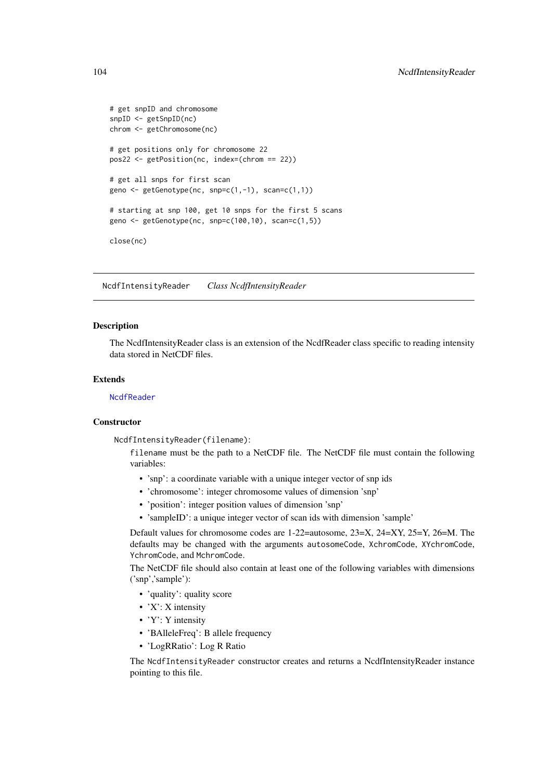```
# get snpID and chromosome
snpID <- getSnpID(nc)
chrom <- getChromosome(nc)
# get positions only for chromosome 22
pos22 <- getPosition(nc, index=(chrom == 22))
# get all snps for first scan
geno \leq getGenotype(nc, snp=c(1,-1), scan=c(1,1))
# starting at snp 100, get 10 snps for the first 5 scans
geno <- getGenotype(nc, snp=c(100,10), scan=c(1,5))
close(nc)
```
<span id="page-103-1"></span>NcdfIntensityReader *Class NcdfIntensityReader*

## <span id="page-103-0"></span>Description

The NcdfIntensityReader class is an extension of the NcdfReader class specific to reading intensity data stored in NetCDF files.

# Extends

[NcdfReader](#page-105-1)

# **Constructor**

NcdfIntensityReader(filename):

filename must be the path to a NetCDF file. The NetCDF file must contain the following variables:

- 'snp': a coordinate variable with a unique integer vector of snp ids
- 'chromosome': integer chromosome values of dimension 'snp'
- 'position': integer position values of dimension 'snp'
- 'sampleID': a unique integer vector of scan ids with dimension 'sample'

Default values for chromosome codes are 1-22=autosome, 23=X, 24=XY, 25=Y, 26=M. The defaults may be changed with the arguments autosomeCode, XchromCode, XYchromCode, YchromCode, and MchromCode.

The NetCDF file should also contain at least one of the following variables with dimensions ('snp','sample'):

- 'quality': quality score
- 'X': X intensity
- 'Y': Y intensity
- 'BAlleleFreq': B allele frequency
- 'LogRRatio': Log R Ratio

The NcdfIntensityReader constructor creates and returns a NcdfIntensityReader instance pointing to this file.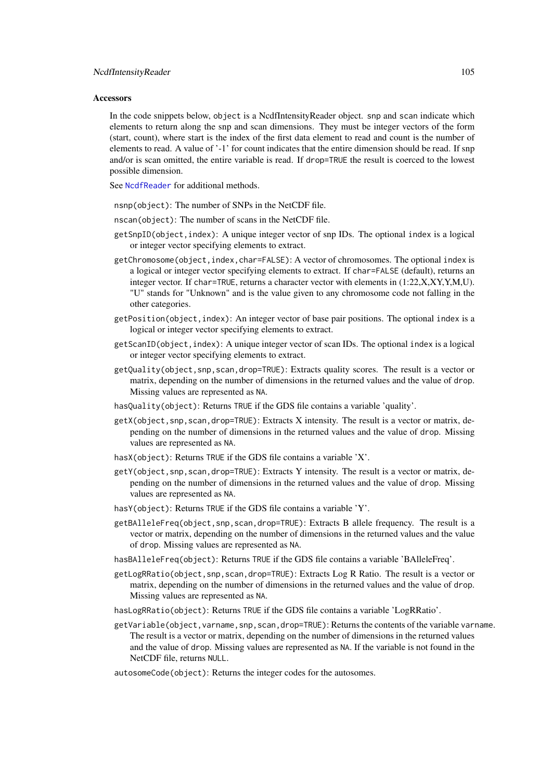#### Accessors

In the code snippets below, object is a NcdfIntensityReader object. snp and scan indicate which elements to return along the snp and scan dimensions. They must be integer vectors of the form (start, count), where start is the index of the first data element to read and count is the number of elements to read. A value of '-1' for count indicates that the entire dimension should be read. If snp and/or is scan omitted, the entire variable is read. If drop=TRUE the result is coerced to the lowest possible dimension.

See [NcdfReader](#page-105-1) for additional methods.

- nsnp(object): The number of SNPs in the NetCDF file.
- nscan(object): The number of scans in the NetCDF file.
- getSnpID(object,index): A unique integer vector of snp IDs. The optional index is a logical or integer vector specifying elements to extract.
- getChromosome(object,index,char=FALSE): A vector of chromosomes. The optional index is a logical or integer vector specifying elements to extract. If char=FALSE (default), returns an integer vector. If char=TRUE, returns a character vector with elements in (1:22,X,XY,Y,M,U). "U" stands for "Unknown" and is the value given to any chromosome code not falling in the other categories.
- getPosition(object,index): An integer vector of base pair positions. The optional index is a logical or integer vector specifying elements to extract.
- getScanID(object,index): A unique integer vector of scan IDs. The optional index is a logical or integer vector specifying elements to extract.
- getQuality(object,snp,scan,drop=TRUE): Extracts quality scores. The result is a vector or matrix, depending on the number of dimensions in the returned values and the value of drop. Missing values are represented as NA.
- hasQuality(object): Returns TRUE if the GDS file contains a variable 'quality'.
- getX(object, snp, scan, drop=TRUE): Extracts X intensity. The result is a vector or matrix, depending on the number of dimensions in the returned values and the value of drop. Missing values are represented as NA.
- hasX(object): Returns TRUE if the GDS file contains a variable 'X'.
- getY(object,snp,scan,drop=TRUE): Extracts Y intensity. The result is a vector or matrix, depending on the number of dimensions in the returned values and the value of drop. Missing values are represented as NA.
- hasY(object): Returns TRUE if the GDS file contains a variable 'Y'.
- getBAlleleFreq(object,snp,scan,drop=TRUE): Extracts B allele frequency. The result is a vector or matrix, depending on the number of dimensions in the returned values and the value of drop. Missing values are represented as NA.
- hasBAlleleFreq(object): Returns TRUE if the GDS file contains a variable 'BAlleleFreq'.
- getLogRRatio(object,snp,scan,drop=TRUE): Extracts Log R Ratio. The result is a vector or matrix, depending on the number of dimensions in the returned values and the value of drop. Missing values are represented as NA.
- hasLogRRatio(object): Returns TRUE if the GDS file contains a variable 'LogRRatio'.
- getVariable(object, varname, snp, scan, drop=TRUE): Returns the contents of the variable varname. The result is a vector or matrix, depending on the number of dimensions in the returned values and the value of drop. Missing values are represented as NA. If the variable is not found in the NetCDF file, returns NULL.
- autosomeCode(object): Returns the integer codes for the autosomes.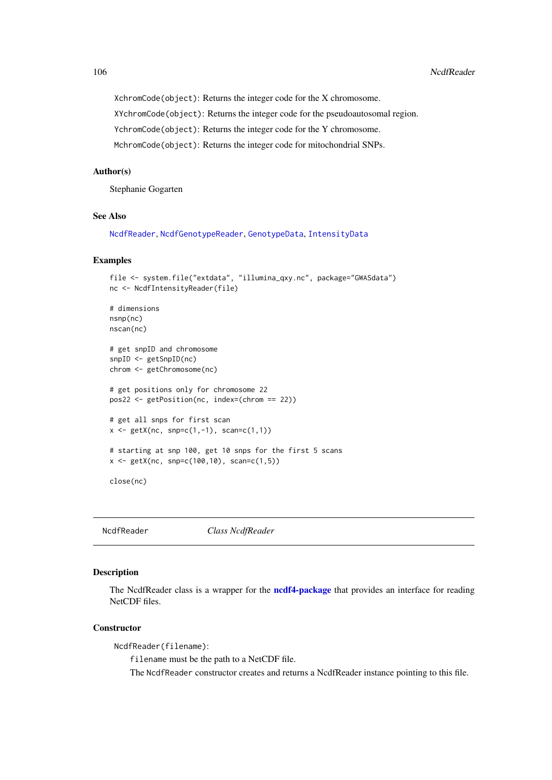XchromCode(object): Returns the integer code for the X chromosome.

XYchromCode(object): Returns the integer code for the pseudoautosomal region.

YchromCode(object): Returns the integer code for the Y chromosome.

MchromCode(object): Returns the integer code for mitochondrial SNPs.

## Author(s)

Stephanie Gogarten

#### See Also

[NcdfReader](#page-105-1), [NcdfGenotypeReader](#page-101-1), [GenotypeData](#page-66-0), [IntensityData](#page-86-1)

# Examples

```
file <- system.file("extdata", "illumina_qxy.nc", package="GWASdata")
nc <- NcdfIntensityReader(file)
# dimensions
nsnp(nc)
nscan(nc)
# get snpID and chromosome
snpID <- getSnpID(nc)
chrom <- getChromosome(nc)
# get positions only for chromosome 22
pos22 <- getPosition(nc, index=(chrom == 22))
# get all snps for first scan
x \le - getX(nc, snp=c(1,-1), scan=c(1,1))
# starting at snp 100, get 10 snps for the first 5 scans
x \le - getX(nc, snp=c(100,10), scan=c(1,5))
close(nc)
```
<span id="page-105-1"></span>NcdfReader *Class NcdfReader*

# <span id="page-105-0"></span>Description

The NcdfReader class is a wrapper for the **[ncdf4-package](#page-0-0)** that provides an interface for reading NetCDF files.

# **Constructor**

NcdfReader(filename):

filename must be the path to a NetCDF file.

The NcdfReader constructor creates and returns a NcdfReader instance pointing to this file.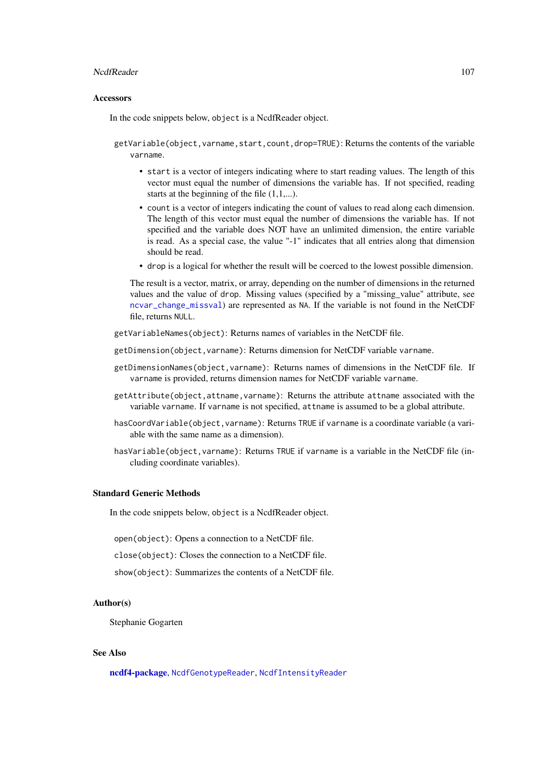#### NcdfReader 2007 107

#### Accessors

In the code snippets below, object is a NcdfReader object.

getVariable(object,varname,start,count,drop=TRUE): Returns the contents of the variable varname.

- start is a vector of integers indicating where to start reading values. The length of this vector must equal the number of dimensions the variable has. If not specified, reading starts at the beginning of the file  $(1,1,...)$ .
- count is a vector of integers indicating the count of values to read along each dimension. The length of this vector must equal the number of dimensions the variable has. If not specified and the variable does NOT have an unlimited dimension, the entire variable is read. As a special case, the value "-1" indicates that all entries along that dimension should be read.
- drop is a logical for whether the result will be coerced to the lowest possible dimension.

The result is a vector, matrix, or array, depending on the number of dimensions in the returned values and the value of drop. Missing values (specified by a "missing\_value" attribute, see [ncvar\\_change\\_missval](#page-0-0)) are represented as NA. If the variable is not found in the NetCDF file, returns NULL.

- getVariableNames(object): Returns names of variables in the NetCDF file.
- getDimension(object,varname): Returns dimension for NetCDF variable varname.
- getDimensionNames(object,varname): Returns names of dimensions in the NetCDF file. If varname is provided, returns dimension names for NetCDF variable varname.
- getAttribute(object,attname,varname): Returns the attribute attname associated with the variable varname. If varname is not specified, attname is assumed to be a global attribute.
- hasCoordVariable(object,varname): Returns TRUE if varname is a coordinate variable (a variable with the same name as a dimension).
- hasVariable(object,varname): Returns TRUE if varname is a variable in the NetCDF file (including coordinate variables).

# Standard Generic Methods

In the code snippets below, object is a NcdfReader object.

open(object): Opens a connection to a NetCDF file.

close(object): Closes the connection to a NetCDF file.

show(object): Summarizes the contents of a NetCDF file.

# Author(s)

Stephanie Gogarten

# See Also

[ncdf4-package](#page-0-0), [NcdfGenotypeReader](#page-101-1), [NcdfIntensityReader](#page-103-1)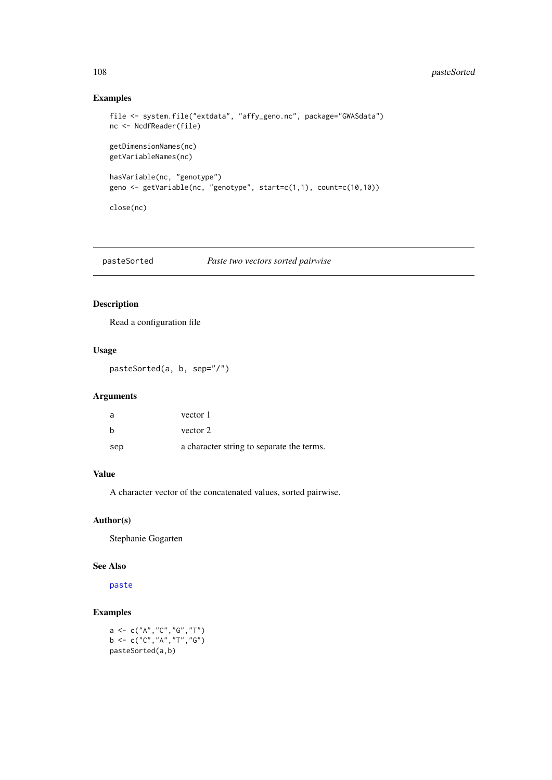# 108 pasteSorted

# Examples

```
file <- system.file("extdata", "affy_geno.nc", package="GWASdata")
nc <- NcdfReader(file)
getDimensionNames(nc)
getVariableNames(nc)
hasVariable(nc, "genotype")
geno <- getVariable(nc, "genotype", start=c(1,1), count=c(10,10))
close(nc)
```

| pasteSorted | Paste two vectors sorted pairwise |  |
|-------------|-----------------------------------|--|
|             |                                   |  |

# Description

Read a configuration file

# Usage

pasteSorted(a, b, sep="/")

# Arguments

| a   | vector 1                                  |
|-----|-------------------------------------------|
| h   | vector 2                                  |
| sep | a character string to separate the terms. |

# Value

A character vector of the concatenated values, sorted pairwise.

# Author(s)

Stephanie Gogarten

# See Also

[paste](#page-0-0)

# Examples

a <- c("A","C","G","T") b <- c("C","A","T","G") pasteSorted(a,b)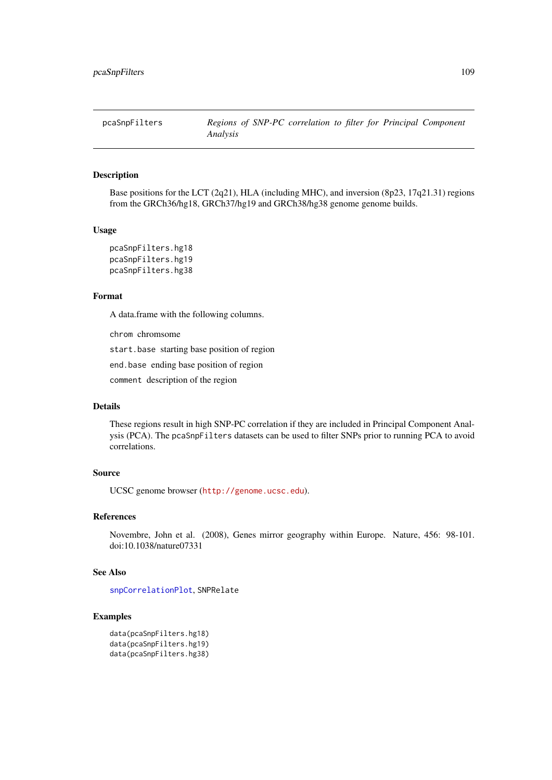<span id="page-108-0"></span>pcaSnpFilters *Regions of SNP-PC correlation to filter for Principal Component Analysis*

# Description

Base positions for the LCT (2q21), HLA (including MHC), and inversion (8p23, 17q21.31) regions from the GRCh36/hg18, GRCh37/hg19 and GRCh38/hg38 genome genome builds.

# Usage

pcaSnpFilters.hg18 pcaSnpFilters.hg19 pcaSnpFilters.hg38

# Format

A data.frame with the following columns.

chrom chromsome

start.base starting base position of region

end.base ending base position of region

comment description of the region

# Details

These regions result in high SNP-PC correlation if they are included in Principal Component Analysis (PCA). The pcaSnpFilters datasets can be used to filter SNPs prior to running PCA to avoid correlations.

# Source

UCSC genome browser (<http://genome.ucsc.edu>).

#### References

Novembre, John et al. (2008), Genes mirror geography within Europe. Nature, 456: 98-101. doi:10.1038/nature07331

# See Also

[snpCorrelationPlot](#page-138-0), SNPRelate

```
data(pcaSnpFilters.hg18)
data(pcaSnpFilters.hg19)
data(pcaSnpFilters.hg38)
```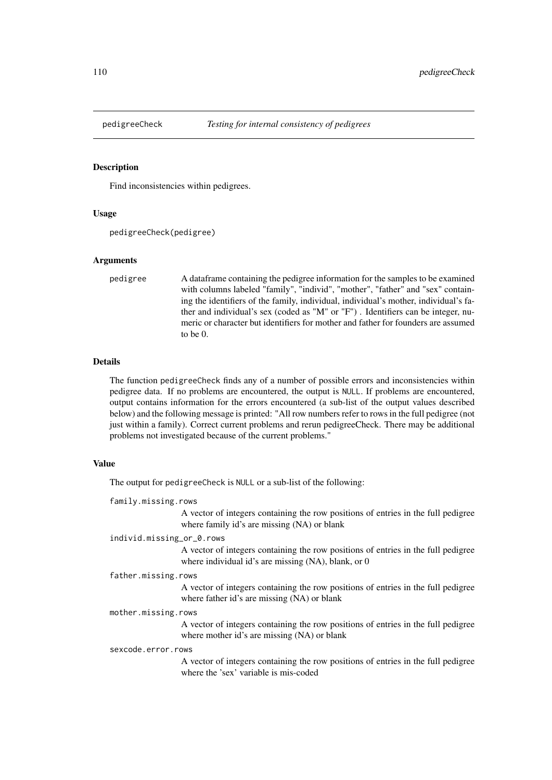<span id="page-109-1"></span><span id="page-109-0"></span>

# Description

Find inconsistencies within pedigrees.

#### Usage

```
pedigreeCheck(pedigree)
```
# Arguments

pedigree A dataframe containing the pedigree information for the samples to be examined with columns labeled "family", "individ", "mother", "father" and "sex" containing the identifiers of the family, individual, individual's mother, individual's father and individual's sex (coded as "M" or "F") . Identifiers can be integer, numeric or character but identifiers for mother and father for founders are assumed to be 0.

# Details

The function pedigreeCheck finds any of a number of possible errors and inconsistencies within pedigree data. If no problems are encountered, the output is NULL. If problems are encountered, output contains information for the errors encountered (a sub-list of the output values described below) and the following message is printed: "All row numbers refer to rows in the full pedigree (not just within a family). Correct current problems and rerun pedigreeCheck. There may be additional problems not investigated because of the current problems."

# Value

The output for pedigreeCheck is NULL or a sub-list of the following:

family.missing.rows

A vector of integers containing the row positions of entries in the full pedigree where family id's are missing (NA) or blank

individ.missing\_or\_0.rows

A vector of integers containing the row positions of entries in the full pedigree where individual id's are missing (NA), blank, or 0

#### father.missing.rows

A vector of integers containing the row positions of entries in the full pedigree where father id's are missing (NA) or blank

#### mother.missing.rows

A vector of integers containing the row positions of entries in the full pedigree where mother id's are missing (NA) or blank

#### sexcode.error.rows

A vector of integers containing the row positions of entries in the full pedigree where the 'sex' variable is mis-coded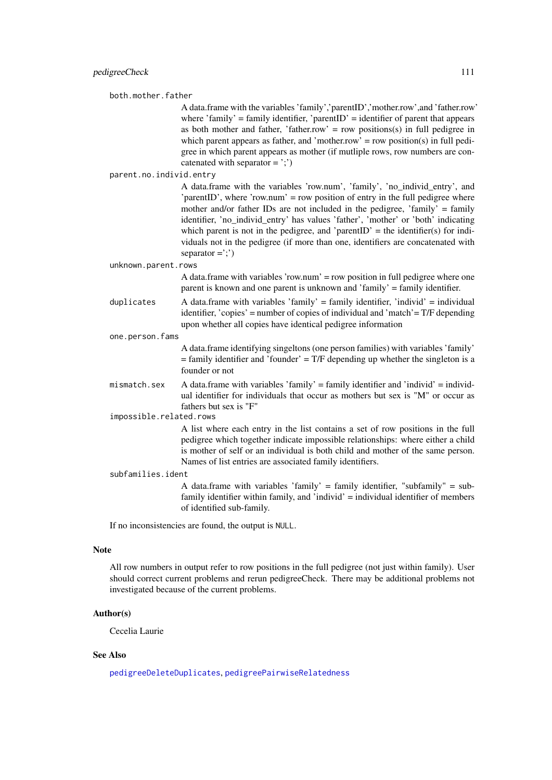both.mother.father

A data.frame with the variables 'family','parentID','mother.row',and 'father.row' where 'family' = family identifier, 'parentID' = identifier of parent that appears as both mother and father, 'father.row' = row positions(s) in full pedigree in which parent appears as father, and 'mother.row' = row position(s) in full pedigree in which parent appears as mother (if mutliple rows, row numbers are concatenated with separator  $=$  ';')

parent.no.individ.entry

A data.frame with the variables 'row.num', 'family', 'no\_individ\_entry', and 'parentID', where 'row.num' = row position of entry in the full pedigree where mother and/or father IDs are not included in the pedigree, 'family' = family identifier, 'no individ entry' has values 'father', 'mother' or 'both' indicating which parent is not in the pedigree, and 'parentID' = the identifier(s) for individuals not in the pedigree (if more than one, identifiers are concatenated with  $separation =';')$ 

unknown.parent.rows

A data.frame with variables 'row.num' = row position in full pedigree where one parent is known and one parent is unknown and 'family' = family identifier.

duplicates A data.frame with variables 'family' = family identifier, 'individ' = individual identifier, 'copies' = number of copies of individual and 'match'= T/F depending upon whether all copies have identical pedigree information

one.person.fams

A data.frame identifying singeltons (one person families) with variables 'family'  $=$  family identifier and 'founder'  $=$  T/F depending up whether the singleton is a founder or not

mismatch.sex A data.frame with variables 'family' = family identifier and 'individ' = individual identifier for individuals that occur as mothers but sex is "M" or occur as fathers but sex is "F"

impossible.related.rows

A list where each entry in the list contains a set of row positions in the full pedigree which together indicate impossible relationships: where either a child is mother of self or an individual is both child and mother of the same person. Names of list entries are associated family identifiers.

#### subfamilies.ident

A data.frame with variables 'family' = family identifier, "subfamily" = subfamily identifier within family, and 'individ' = individual identifier of members of identified sub-family.

If no inconsistencies are found, the output is NULL.

#### Note

All row numbers in output refer to row positions in the full pedigree (not just within family). User should correct current problems and rerun pedigreeCheck. There may be additional problems not investigated because of the current problems.

# Author(s)

Cecelia Laurie

# See Also

[pedigreeDeleteDuplicates](#page-111-0), [pedigreePairwiseRelatedness](#page-115-0)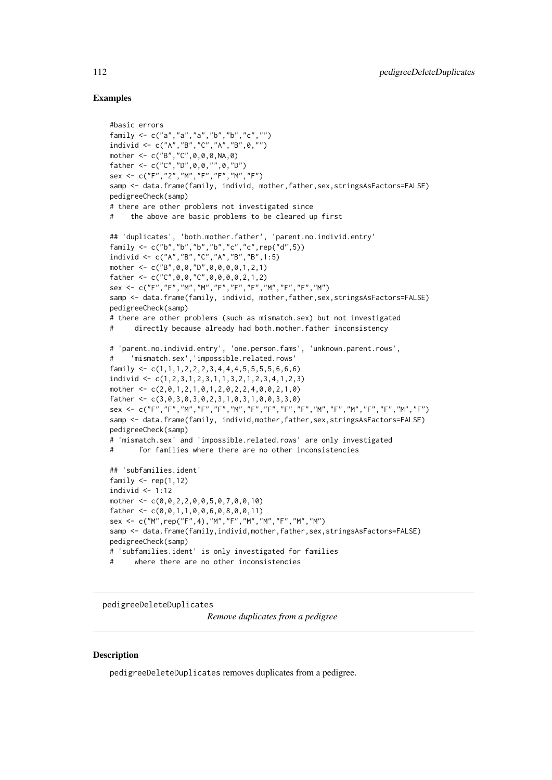# Examples

```
#basic errors
family <- c("a","a","a","b","b","c","")
individ <- c("A","B","C","A","B",0,"")
mother <- c("B","C",0,0,0,NA,0)
father <- c("C","D",0,0,"",0,"D")
sex <- c("F","2","M","F","F","M","F")
samp <- data.frame(family, individ, mother,father,sex,stringsAsFactors=FALSE)
pedigreeCheck(samp)
# there are other problems not investigated since
# the above are basic problems to be cleared up first
## 'duplicates', 'both.mother.father', 'parent.no.individ.entry'
family <- c("b","b","b","b","c","c",rep("d",5))
individ <- c("A","B","C","A","B","B",1:5)
mother <- c("B",0,0,"D",0,0,0,0,1,2,1)
father \leq C("C", 0, 0, "C", 0, 0, 0, 0, 2, 1, 2)sex <- c("F","F","M","M","F","F","F","M","F","F","M")
samp <- data.frame(family, individ, mother,father,sex,stringsAsFactors=FALSE)
pedigreeCheck(samp)
# there are other problems (such as mismatch.sex) but not investigated
# directly because already had both.mother.father inconsistency
# 'parent.no.individ.entry', 'one.person.fams', 'unknown.parent.rows',
# 'mismatch.sex','impossible.related.rows'
family \leq c(1,1,1,2,2,2,3,4,4,4,5,5,5,5,6,6,6)individ <- c(1,2,3,1,2,3,1,1,3,2,1,2,3,4,1,2,3)
mother <- c(2,0,1,2,1,0,1,2,0,2,2,4,0,0,2,1,0)
father <- c(3,0,3,0,3,0,2,3,1,0,3,1,0,0,3,3,0)
sex <- c("F","F","M","F","F","M","F","F","F","F","M","F","M","F","F","M","F")
samp <- data.frame(family, individ,mother,father,sex,stringsAsFactors=FALSE)
pedigreeCheck(samp)
# 'mismatch.sex' and 'impossible.related.rows' are only investigated
# for families where there are no other inconsistencies
## 'subfamilies.ident'
family \leftarrow \text{rep}(1,12)individ \leq -1:12mother <- c(0,0,2,2,0,0,5,0,7,0,0,10)
father \leq c(0,0,1,1,0,0,6,0,8,0,0,11)sex <- c("M",rep("F",4),"M","F","M","M","F","M","M")
samp <- data.frame(family,individ,mother,father,sex,stringsAsFactors=FALSE)
pedigreeCheck(samp)
# 'subfamilies.ident' is only investigated for families
# where there are no other inconsistencies
```
<span id="page-111-0"></span>pedigreeDeleteDuplicates

*Remove duplicates from a pedigree*

# Description

pedigreeDeleteDuplicates removes duplicates from a pedigree.

<span id="page-111-1"></span>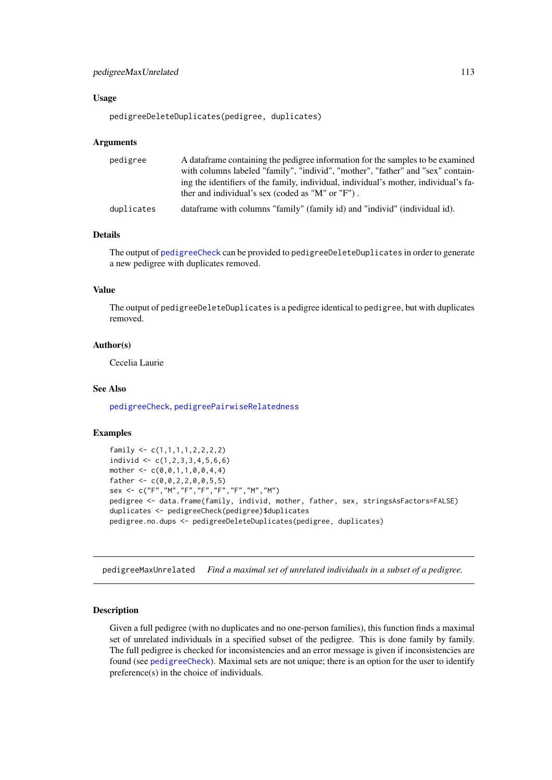#### <span id="page-112-1"></span>pedigreeMaxUnrelated 113

# Usage

pedigreeDeleteDuplicates(pedigree, duplicates)

#### Arguments

| pedigree   | A data frame containing the pedigree information for the samples to be examined      |
|------------|--------------------------------------------------------------------------------------|
|            | with columns labeled "family", "individ", "mother", "father" and "sex" contain-      |
|            | ing the identifiers of the family, individual, individual's mother, individual's fa- |
|            | ther and individual's sex (coded as "M" or "F").                                     |
| duplicates | dataframe with columns "family" (family id) and "individ" (individual id).           |

# Details

The output of [pedigreeCheck](#page-109-0) can be provided to pedigreeDeleteDuplicates in order to generate a new pedigree with duplicates removed.

# Value

The output of pedigreeDeleteDuplicates is a pedigree identical to pedigree, but with duplicates removed.

# Author(s)

Cecelia Laurie

# See Also

[pedigreeCheck](#page-109-0), [pedigreePairwiseRelatedness](#page-115-0)

# Examples

```
family <- c(1,1,1,1,2,2,2,2)
individ \leq c(1,2,3,3,4,5,6,6)mother <-c(0,0,1,1,0,0,4,4)father <-c(0,0,2,2,0,0,5,5)sex <- c("F","M","F","F","F","F","M","M")
pedigree <- data.frame(family, individ, mother, father, sex, stringsAsFactors=FALSE)
duplicates <- pedigreeCheck(pedigree)$duplicates
pedigree.no.dups <- pedigreeDeleteDuplicates(pedigree, duplicates)
```
<span id="page-112-0"></span>pedigreeMaxUnrelated *Find a maximal set of unrelated individuals in a subset of a pedigree.*

# Description

Given a full pedigree (with no duplicates and no one-person families), this function finds a maximal set of unrelated individuals in a specified subset of the pedigree. This is done family by family. The full pedigree is checked for inconsistencies and an error message is given if inconsistencies are found (see [pedigreeCheck](#page-109-0)). Maximal sets are not unique; there is an option for the user to identify preference(s) in the choice of individuals.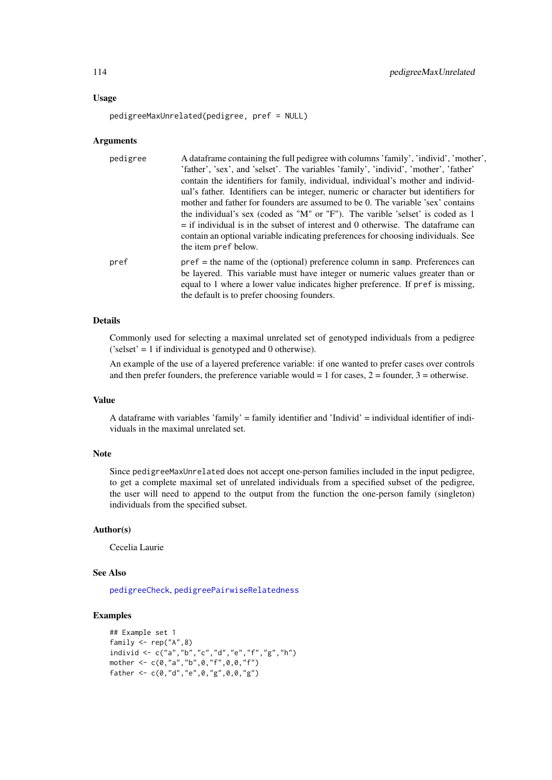#### Usage

pedigreeMaxUnrelated(pedigree, pref = NULL)

# Arguments

| pedigree | A data frame containing the full pedigree with columns 'family', 'individ', 'mother', |
|----------|---------------------------------------------------------------------------------------|
|          | 'father', 'sex', and 'selset'. The variables 'family', 'individ', 'mother', 'father'  |
|          | contain the identifiers for family, individual, individual's mother and individ-      |
|          | ual's father. Identifiers can be integer, numeric or character but identifiers for    |
|          | mother and father for founders are assumed to be 0. The variable 'sex' contains       |
|          | the individual's sex (coded as "M" or "F"). The varible 'selset' is coded as 1        |
|          | $=$ if individual is in the subset of interest and 0 otherwise. The data frame can    |
|          | contain an optional variable indicating preferences for choosing individuals. See     |
|          | the item pref below.                                                                  |
| pref     | $pref$ = the name of the (optional) preference column in samp. Preferences can        |
|          | be layered. This variable must have integer or numeric values greater than or         |
|          | equal to 1 where a lower value indicates higher preference. If pref is missing,       |
|          | the default is to prefer choosing founders.                                           |

# Details

Commonly used for selecting a maximal unrelated set of genotyped individuals from a pedigree ('selset' = 1 if individual is genotyped and 0 otherwise).

An example of the use of a layered preference variable: if one wanted to prefer cases over controls and then prefer founders, the preference variable would  $= 1$  for cases,  $2 =$  founder,  $3 =$  otherwise.

# Value

A dataframe with variables 'family' = family identifier and 'Individ' = individual identifier of individuals in the maximal unrelated set.

# Note

Since pedigreeMaxUnrelated does not accept one-person families included in the input pedigree, to get a complete maximal set of unrelated individuals from a specified subset of the pedigree, the user will need to append to the output from the function the one-person family (singleton) individuals from the specified subset.

#### Author(s)

Cecelia Laurie

# See Also

[pedigreeCheck](#page-109-0), [pedigreePairwiseRelatedness](#page-115-0)

```
## Example set 1
family \leq rep("A",8)
individ <- c("a","b","c","d","e","f","g","h")
mother <- c(0,"a","b",0,"f",0,0,"f")
father <- c(0,"d","e",0,"g",0,0,"g")
```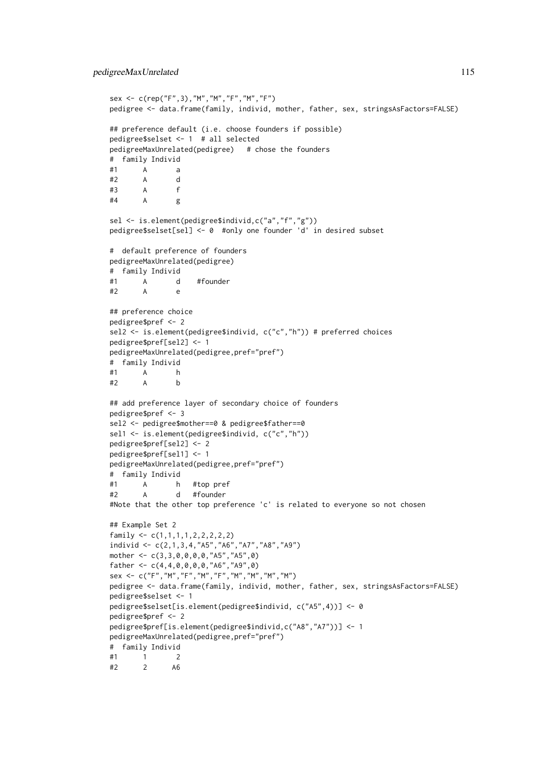```
sex <- c(rep("F",3),"M","M","F","M","F")
pedigree <- data.frame(family, individ, mother, father, sex, stringsAsFactors=FALSE)
## preference default (i.e. choose founders if possible)
pedigree$selset <- 1 # all selected
pedigreeMaxUnrelated(pedigree) # chose the founders
# family Individ
#1 A a
#2 A d
#3 A f
#4 A g
sel <- is.element(pedigree$individ,c("a","f","g"))
pedigree$selset[sel] <- 0 #only one founder 'd' in desired subset
# default preference of founders
pedigreeMaxUnrelated(pedigree)
# family Individ
#1 A d #founder
#2 A e
## preference choice
pedigree$pref <- 2
sel2 <- is.element(pedigree$individ, c("c","h")) # preferred choices
pedigree$pref[sel2] <- 1
pedigreeMaxUnrelated(pedigree,pref="pref")
# family Individ
#1 A h
#2 A b
## add preference layer of secondary choice of founders
pedigree$pref <- 3
sel2 <- pedigree$mother==0 & pedigree$father==0
sel1 <- is.element(pedigree$individ, c("c","h"))
pedigree$pref[sel2] <- 2
pedigree$pref[sel1] <- 1
pedigreeMaxUnrelated(pedigree,pref="pref")
# family Individ
#1 A h #top pref
#2 A d #founder
#Note that the other top preference 'c' is related to everyone so not chosen
## Example Set 2
family \leq c(1,1,1,1,1,2,2,2,2,2)individ <- c(2,1,3,4,"A5","A6","A7","A8","A9")
mother <- c(3,3,0,0,0,0,"A5","A5",0)
father \leq c(4, 4, 0, 0, 0, 0, 0, 0, 0, 0, 0, 0)sex <- c("F","M","F","M","F","M","M","M","M")
pedigree <- data.frame(family, individ, mother, father, sex, stringsAsFactors=FALSE)
pedigree$selset <- 1
pedigree$selset[is.element(pedigree$individ, c("A5",4))] <- 0
pedigree$pref <- 2
pedigree$pref[is.element(pedigree$individ,c("A8","A7"))] <- 1
pedigreeMaxUnrelated(pedigree,pref="pref")
# family Individ
#1 1 2
#2 2 A6
```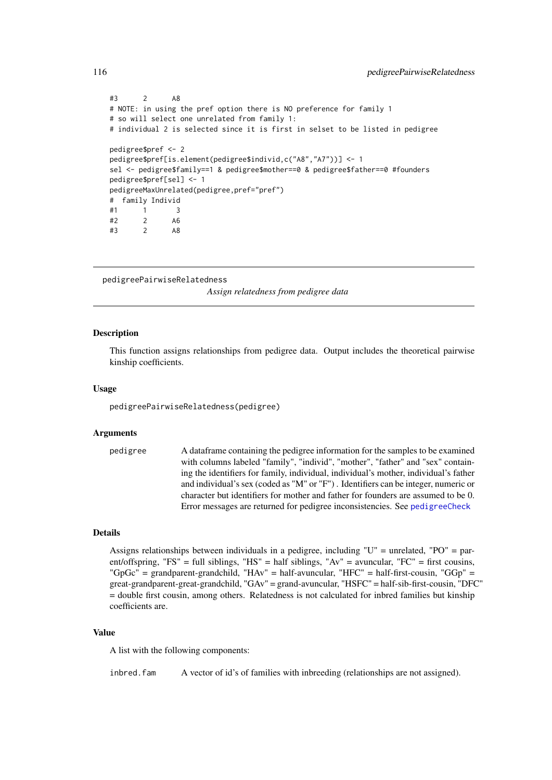```
#3 2 A8
# NOTE: in using the pref option there is NO preference for family 1
# so will select one unrelated from family 1:
# individual 2 is selected since it is first in selset to be listed in pedigree
pedigree$pref <- 2
pedigree$pref[is.element(pedigree$individ,c("A8","A7"))] <- 1
sel <- pedigree$family==1 & pedigree$mother==0 & pedigree$father==0 #founders
pedigree$pref[sel] <- 1
pedigreeMaxUnrelated(pedigree,pref="pref")
# family Individ
#1 1 3
#2 2 A6
#3 2 A8
```

```
pedigreePairwiseRelatedness
```
*Assign relatedness from pedigree data*

#### Description

This function assigns relationships from pedigree data. Output includes the theoretical pairwise kinship coefficients.

## Usage

pedigreePairwiseRelatedness(pedigree)

#### Arguments

pedigree A dataframe containing the pedigree information for the samples to be examined with columns labeled "family", "individ", "mother", "father" and "sex" containing the identifiers for family, individual, individual's mother, individual's father and individual's sex (coded as "M" or "F") . Identifiers can be integer, numeric or character but identifiers for mother and father for founders are assumed to be 0. Error messages are returned for pedigree inconsistencies. See [pedigreeCheck](#page-109-0)

# Details

Assigns relationships between individuals in a pedigree, including "U" = unrelated, "PO" = parent/offspring, "FS" = full siblings, "HS" = half siblings, "Av" = avuncular, "FC" = first cousins, "GpGc" = grandparent-grandchild, "HAv" = half-avuncular, "HFC" = half-first-cousin, "GGp" = great-grandparent-great-grandchild, "GAv" = grand-avuncular, "HSFC" = half-sib-first-cousin, "DFC" = double first cousin, among others. Relatedness is not calculated for inbred families but kinship coefficients are.

# Value

A list with the following components:

inbred. fam A vector of id's of families with inbreeding (relationships are not assigned).

<span id="page-115-1"></span>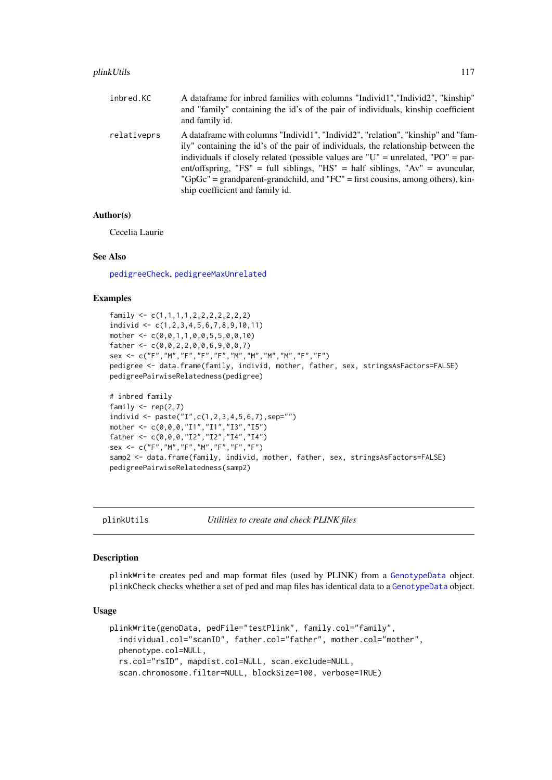#### <span id="page-116-0"></span>plinkUtils 117

| inbred.KC   | A data frame for inbred families with columns "Individ1", "Individ2", "kinship"<br>and "family" containing the id's of the pair of individuals, kinship coefficient<br>and family id.                                                                                                                                                                                                                                                                               |
|-------------|---------------------------------------------------------------------------------------------------------------------------------------------------------------------------------------------------------------------------------------------------------------------------------------------------------------------------------------------------------------------------------------------------------------------------------------------------------------------|
| relativeprs | A data frame with columns "Individ1", "Individ2", "relation", "kinship" and "fam-<br>ily" containing the id's of the pair of individuals, the relationship between the<br>individuals if closely related (possible values are "U" = unrelated, "PO" = par-<br>ent/offspring, "FS" = full siblings, "HS" = half siblings, " $Av$ " = avuncular,<br>"GpGc" = grandparent-grandchild, and "FC" = first cousins, among others), kin-<br>ship coefficient and family id. |

#### Author(s)

Cecelia Laurie

#### See Also

[pedigreeCheck](#page-109-0), [pedigreeMaxUnrelated](#page-112-0)

# Examples

```
family <- c(1,1,1,1,2,2,2,2,2,2,2)
individ <- c(1,2,3,4,5,6,7,8,9,10,11)
mother <- c(0,0,1,1,0,0,5,5,0,0,10)
father \leq c(0, 0, 2, 2, 0, 0, 6, 9, 0, 0, 7)sex <- c("F","M","F","F","F","M","M","M","M","F","F")
pedigree <- data.frame(family, individ, mother, father, sex, stringsAsFactors=FALSE)
pedigreePairwiseRelatedness(pedigree)
# inbred family
family \leq rep(2,7)
individ <- paste("I",c(1,2,3,4,5,6,7),sep="")
mother <- c(0,0,0,"I1","I1","I3","I5")
father <- c(0,0,0,"I2","I2","I4","I4")
sex <- c("F","M","F","M","F","F","F")
samp2 <- data.frame(family, individ, mother, father, sex, stringsAsFactors=FALSE)
pedigreePairwiseRelatedness(samp2)
```
plinkUtils *Utilities to create and check PLINK files*

#### Description

plinkWrite creates ped and map format files (used by PLINK) from a [GenotypeData](#page-66-0) object. plinkCheck checks whether a set of ped and map files has identical data to a [GenotypeData](#page-66-0) object.

#### Usage

```
plinkWrite(genoData, pedFile="testPlink", family.col="family",
  individual.col="scanID", father.col="father", mother.col="mother",
 phenotype.col=NULL,
  rs.col="rsID", mapdist.col=NULL, scan.exclude=NULL,
  scan.chromosome.filter=NULL, blockSize=100, verbose=TRUE)
```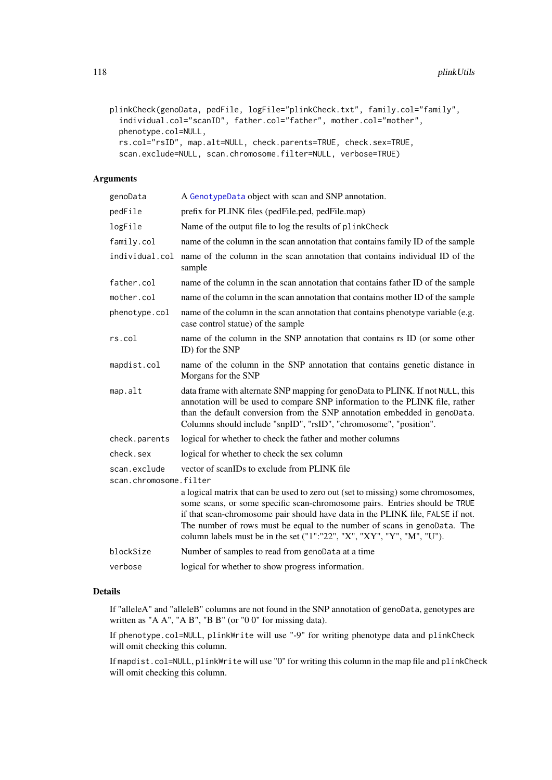```
plinkCheck(genoData, pedFile, logFile="plinkCheck.txt", family.col="family",
  individual.col="scanID", father.col="father", mother.col="mother",
 phenotype.col=NULL,
 rs.col="rsID", map.alt=NULL, check.parents=TRUE, check.sex=TRUE,
 scan.exclude=NULL, scan.chromosome.filter=NULL, verbose=TRUE)
```
# Arguments

| genoData                               | A GenotypeData object with scan and SNP annotation.                                                                                                                                                                                                                                                                                                                                                    |  |
|----------------------------------------|--------------------------------------------------------------------------------------------------------------------------------------------------------------------------------------------------------------------------------------------------------------------------------------------------------------------------------------------------------------------------------------------------------|--|
| pedFile                                | prefix for PLINK files (pedFile.ped, pedFile.map)                                                                                                                                                                                                                                                                                                                                                      |  |
| logFile                                | Name of the output file to log the results of plinkCheck                                                                                                                                                                                                                                                                                                                                               |  |
| family.col                             | name of the column in the scan annotation that contains family ID of the sample                                                                                                                                                                                                                                                                                                                        |  |
| individual.col                         | name of the column in the scan annotation that contains individual ID of the<br>sample                                                                                                                                                                                                                                                                                                                 |  |
| father.col                             | name of the column in the scan annotation that contains father ID of the sample                                                                                                                                                                                                                                                                                                                        |  |
| mother.col                             | name of the column in the scan annotation that contains mother ID of the sample                                                                                                                                                                                                                                                                                                                        |  |
| phenotype.col                          | name of the column in the scan annotation that contains phenotype variable (e.g.<br>case control statue) of the sample                                                                                                                                                                                                                                                                                 |  |
| rs.col                                 | name of the column in the SNP annotation that contains rs ID (or some other<br>ID) for the SNP                                                                                                                                                                                                                                                                                                         |  |
| mapdist.col                            | name of the column in the SNP annotation that contains genetic distance in<br>Morgans for the SNP                                                                                                                                                                                                                                                                                                      |  |
| map.alt                                | data frame with alternate SNP mapping for genoData to PLINK. If not NULL, this<br>annotation will be used to compare SNP information to the PLINK file, rather<br>than the default conversion from the SNP annotation embedded in genoData.<br>Columns should include "snpID", "rsID", "chromosome", "position".                                                                                       |  |
| check.parents                          | logical for whether to check the father and mother columns                                                                                                                                                                                                                                                                                                                                             |  |
| check.sex                              | logical for whether to check the sex column                                                                                                                                                                                                                                                                                                                                                            |  |
| scan.exclude<br>scan.chromosome.filter | vector of scanIDs to exclude from PLINK file                                                                                                                                                                                                                                                                                                                                                           |  |
|                                        | a logical matrix that can be used to zero out (set to missing) some chromosomes,<br>some scans, or some specific scan-chromosome pairs. Entries should be TRUE<br>if that scan-chromosome pair should have data in the PLINK file, FALSE if not.<br>The number of rows must be equal to the number of scans in genoData. The<br>column labels must be in the set ("1":"22", "X", "XY", "Y", "M", "U"). |  |
| blockSize                              | Number of samples to read from genoData at a time                                                                                                                                                                                                                                                                                                                                                      |  |
| verbose                                | logical for whether to show progress information.                                                                                                                                                                                                                                                                                                                                                      |  |

# Details

If "alleleA" and "alleleB" columns are not found in the SNP annotation of genoData, genotypes are written as "A A", "A B", "B B" (or "0 0" for missing data).

If phenotype.col=NULL, plinkWrite will use "-9" for writing phenotype data and plinkCheck will omit checking this column.

If mapdist.col=NULL, plinkWrite will use "0" for writing this column in the map file and plinkCheck will omit checking this column.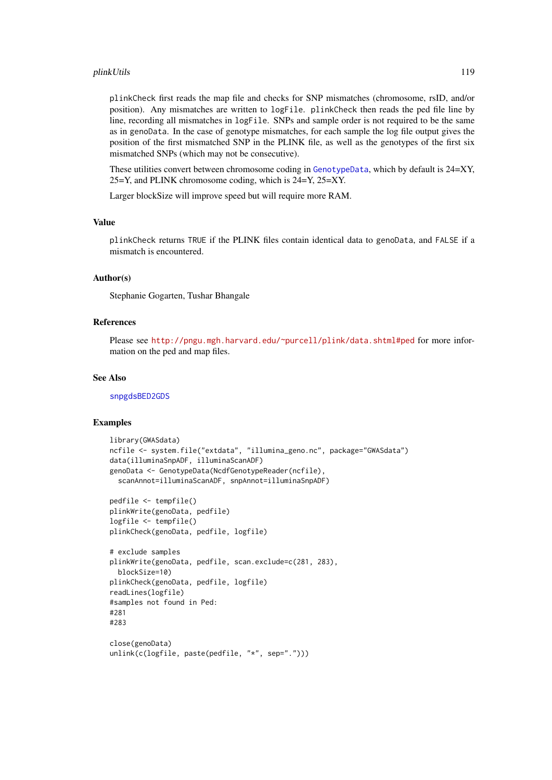#### plinkUtils 119

plinkCheck first reads the map file and checks for SNP mismatches (chromosome, rsID, and/or position). Any mismatches are written to logFile. plinkCheck then reads the ped file line by line, recording all mismatches in logFile. SNPs and sample order is not required to be the same as in genoData. In the case of genotype mismatches, for each sample the log file output gives the position of the first mismatched SNP in the PLINK file, as well as the genotypes of the first six mismatched SNPs (which may not be consecutive).

These utilities convert between chromosome coding in [GenotypeData](#page-66-0), which by default is  $24=XY$ , 25=Y, and PLINK chromosome coding, which is 24=Y, 25=XY.

Larger blockSize will improve speed but will require more RAM.

# Value

plinkCheck returns TRUE if the PLINK files contain identical data to genoData, and FALSE if a mismatch is encountered.

#### Author(s)

Stephanie Gogarten, Tushar Bhangale

# References

Please see <http://pngu.mgh.harvard.edu/~purcell/plink/data.shtml#ped> for more information on the ped and map files.

#### See Also

[snpgdsBED2GDS](#page-0-0)

```
library(GWASdata)
ncfile <- system.file("extdata", "illumina_geno.nc", package="GWASdata")
data(illuminaSnpADF, illuminaScanADF)
genoData <- GenotypeData(NcdfGenotypeReader(ncfile),
  scanAnnot=illuminaScanADF, snpAnnot=illuminaSnpADF)
pedfile <- tempfile()
```

```
plinkWrite(genoData, pedfile)
logfile <- tempfile()
plinkCheck(genoData, pedfile, logfile)
```

```
# exclude samples
plinkWrite(genoData, pedfile, scan.exclude=c(281, 283),
 blockSize=10)
plinkCheck(genoData, pedfile, logfile)
readLines(logfile)
#samples not found in Ped:
#281
#283
```

```
close(genoData)
unlink(c(logfile, paste(pedfile, "*", sep=".")))
```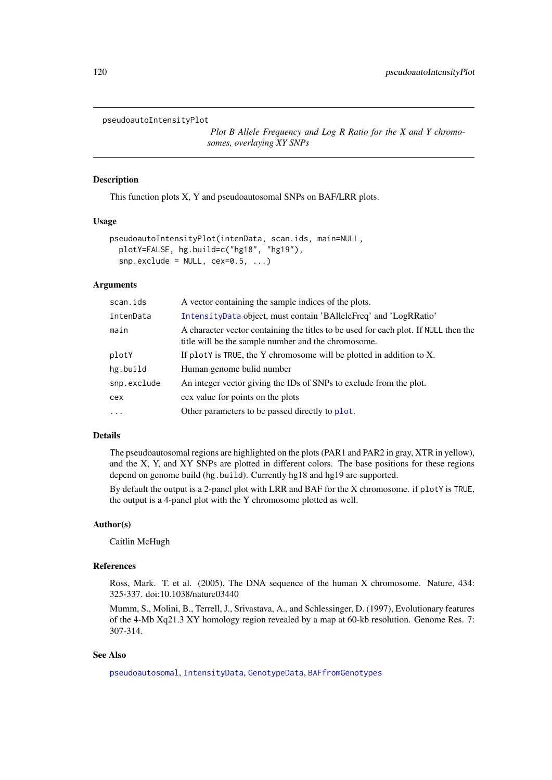#### <span id="page-119-0"></span>pseudoautoIntensityPlot

*Plot B Allele Frequency and Log R Ratio for the X and Y chromosomes, overlaying XY SNPs*

# Description

This function plots X, Y and pseudoautosomal SNPs on BAF/LRR plots.

#### Usage

```
pseudoautoIntensityPlot(intenData, scan.ids, main=NULL,
 plotY=FALSE, hg.build=c("hg18", "hg19"),
  snp.execute = NULL, cex=0.5, ...)
```
# Arguments

| scan.ids          | A vector containing the sample indices of the plots.                                                                                       |
|-------------------|--------------------------------------------------------------------------------------------------------------------------------------------|
| intenData         | IntensityData object, must contain 'BAlleleFreq' and 'LogRRatio'                                                                           |
| main              | A character vector containing the titles to be used for each plot. If NULL then the<br>title will be the sample number and the chromosome. |
| plotY             | If plotY is TRUE, the Y chromosome will be plotted in addition to X.                                                                       |
| hg.build          | Human genome bulid number                                                                                                                  |
| snp.exclude       | An integer vector giving the IDs of SNPs to exclude from the plot.                                                                         |
| cex               | cex value for points on the plots                                                                                                          |
| $\cdot\cdot\cdot$ | Other parameters to be passed directly to plot.                                                                                            |
|                   |                                                                                                                                            |

# Details

The pseudoautosomal regions are highlighted on the plots (PAR1 and PAR2 in gray, XTR in yellow), and the X, Y, and XY SNPs are plotted in different colors. The base positions for these regions depend on genome build (hg.build). Currently hg18 and hg19 are supported.

By default the output is a 2-panel plot with LRR and BAF for the X chromosome. if plotY is TRUE, the output is a 4-panel plot with the Y chromosome plotted as well.

# Author(s)

Caitlin McHugh

#### References

Ross, Mark. T. et al. (2005), The DNA sequence of the human X chromosome. Nature, 434: 325-337. doi:10.1038/nature03440

Mumm, S., Molini, B., Terrell, J., Srivastava, A., and Schlessinger, D. (1997), Evolutionary features of the 4-Mb Xq21.3 XY homology region revealed by a map at 60-kb resolution. Genome Res. 7: 307-314.

# See Also

[pseudoautosomal](#page-120-0), [IntensityData](#page-86-0), [GenotypeData](#page-66-0), [BAFfromGenotypes](#page-31-0)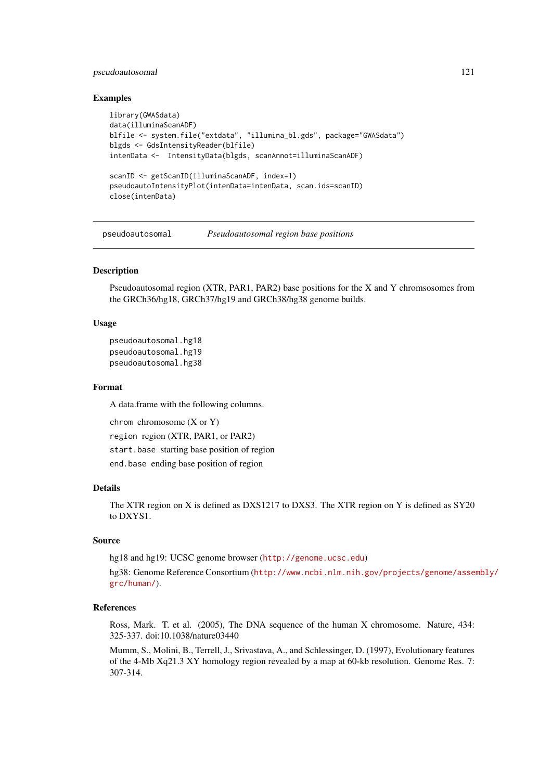# <span id="page-120-1"></span>pseudoautosomal 121

# Examples

```
library(GWASdata)
data(illuminaScanADF)
blfile <- system.file("extdata", "illumina_bl.gds", package="GWASdata")
blgds <- GdsIntensityReader(blfile)
intenData <- IntensityData(blgds, scanAnnot=illuminaScanADF)
scanID <- getScanID(illuminaScanADF, index=1)
pseudoautoIntensityPlot(intenData=intenData, scan.ids=scanID)
close(intenData)
```
<span id="page-120-0"></span>pseudoautosomal *Pseudoautosomal region base positions*

# Description

Pseudoautosomal region (XTR, PAR1, PAR2) base positions for the X and Y chromsosomes from the GRCh36/hg18, GRCh37/hg19 and GRCh38/hg38 genome builds.

# Usage

```
pseudoautosomal.hg18
pseudoautosomal.hg19
pseudoautosomal.hg38
```
#### Format

A data.frame with the following columns.

chrom chromosome (X or Y)

region region (XTR, PAR1, or PAR2)

start.base starting base position of region

end.base ending base position of region

# Details

The XTR region on X is defined as DXS1217 to DXS3. The XTR region on Y is defined as SY20 to DXYS1.

# Source

hg18 and hg19: UCSC genome browser (<http://genome.ucsc.edu>)

hg38: Genome Reference Consortium ([http://www.ncbi.nlm.nih.gov/projects/genome/asse](http://www.ncbi.nlm.nih.gov/projects/genome/assembly/grc/human/)mbly/ [grc/human/](http://www.ncbi.nlm.nih.gov/projects/genome/assembly/grc/human/)).

#### References

Ross, Mark. T. et al. (2005), The DNA sequence of the human X chromosome. Nature, 434: 325-337. doi:10.1038/nature03440

Mumm, S., Molini, B., Terrell, J., Srivastava, A., and Schlessinger, D. (1997), Evolutionary features of the 4-Mb Xq21.3 XY homology region revealed by a map at 60-kb resolution. Genome Res. 7: 307-314.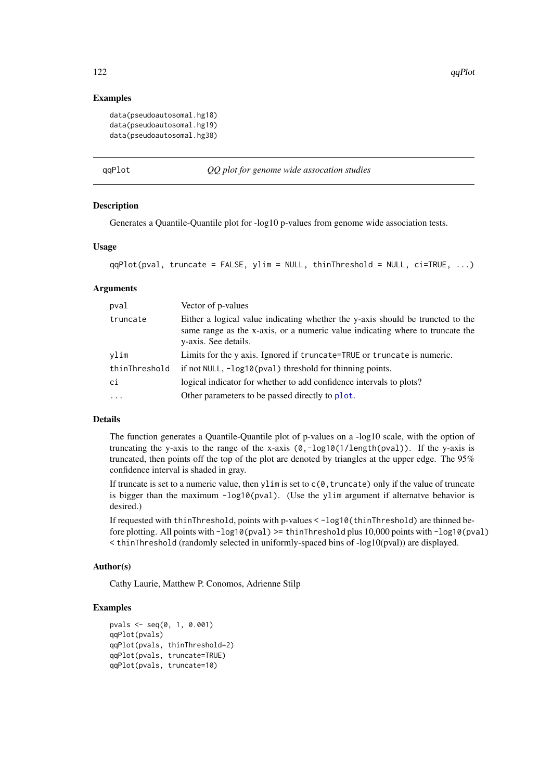# Examples

```
data(pseudoautosomal.hg18)
data(pseudoautosomal.hg19)
data(pseudoautosomal.hg38)
```
#### qqPlot *QQ plot for genome wide assocation studies*

#### Description

Generates a Quantile-Quantile plot for -log10 p-values from genome wide association tests.

# Usage

```
qqPlot(pval, truncate = FALSE, ylim = NULL, thinThreshold = NULL, ci=TRUE, ...)
```
# Arguments

| pval          | Vector of p-values                                                                                                                                                                      |
|---------------|-----------------------------------------------------------------------------------------------------------------------------------------------------------------------------------------|
| truncate      | Either a logical value indicating whether the y-axis should be truncted to the<br>same range as the x-axis, or a numeric value indicating where to truncate the<br>y-axis. See details. |
| vlim          | Limits for the y axis. Ignored if truncate=TRUE or truncate is numeric.                                                                                                                 |
| thinThreshold | if not NULL, -log10(pval) threshold for thinning points.                                                                                                                                |
| ci            | logical indicator for whether to add confidence intervals to plots?                                                                                                                     |
| $\cdots$      | Other parameters to be passed directly to plot.                                                                                                                                         |

# Details

The function generates a Quantile-Quantile plot of p-values on a -log10 scale, with the option of truncating the y-axis to the range of the x-axis  $(0, -log10(1/length(pval))$ . If the y-axis is truncated, then points off the top of the plot are denoted by triangles at the upper edge. The 95% confidence interval is shaded in gray.

If truncate is set to a numeric value, then ylim is set to  $c(0, t$ runcate) only if the value of truncate is bigger than the maximum  $-log10(pval)$ . (Use the ylim argument if alternatve behavior is desired.)

If requested with thinThreshold, points with p-values < -log10(thinThreshold) are thinned before plotting. All points with -log10(pval) >= thinThreshold plus 10,000 points with -log10(pval)  $\le$  thinThreshold (randomly selected in uniformly-spaced bins of -log10(pval)) are displayed.

# Author(s)

Cathy Laurie, Matthew P. Conomos, Adrienne Stilp

```
pvals <- seq(0, 1, 0.001)
qqPlot(pvals)
qqPlot(pvals, thinThreshold=2)
qqPlot(pvals, truncate=TRUE)
qqPlot(pvals, truncate=10)
```
<span id="page-121-0"></span>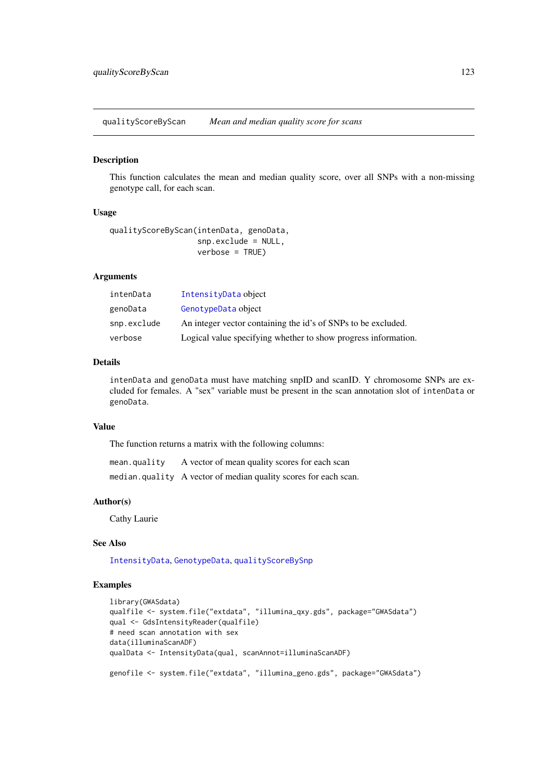<span id="page-122-1"></span><span id="page-122-0"></span>qualityScoreByScan *Mean and median quality score for scans*

# Description

This function calculates the mean and median quality score, over all SNPs with a non-missing genotype call, for each scan.

# Usage

```
qualityScoreByScan(intenData, genoData,
                   snp.exclude = NULL,
                   verbose = TRUE)
```
# Arguments

| intenData   | IntensityData object                                           |
|-------------|----------------------------------------------------------------|
| genoData    | GenotypeData object                                            |
| snp.exclude | An integer vector containing the id's of SNPs to be excluded.  |
| verbose     | Logical value specifying whether to show progress information. |

# Details

intenData and genoData must have matching snpID and scanID. Y chromosome SNPs are excluded for females. A "sex" variable must be present in the scan annotation slot of intenData or genoData.

#### Value

The function returns a matrix with the following columns:

mean.quality A vector of mean quality scores for each scan median.quality A vector of median quality scores for each scan.

#### Author(s)

Cathy Laurie

# See Also

[IntensityData](#page-86-0), [GenotypeData](#page-66-0), [qualityScoreBySnp](#page-123-0)

```
library(GWASdata)
qualfile <- system.file("extdata", "illumina_qxy.gds", package="GWASdata")
qual <- GdsIntensityReader(qualfile)
# need scan annotation with sex
data(illuminaScanADF)
qualData <- IntensityData(qual, scanAnnot=illuminaScanADF)
genofile <- system.file("extdata", "illumina_geno.gds", package="GWASdata")
```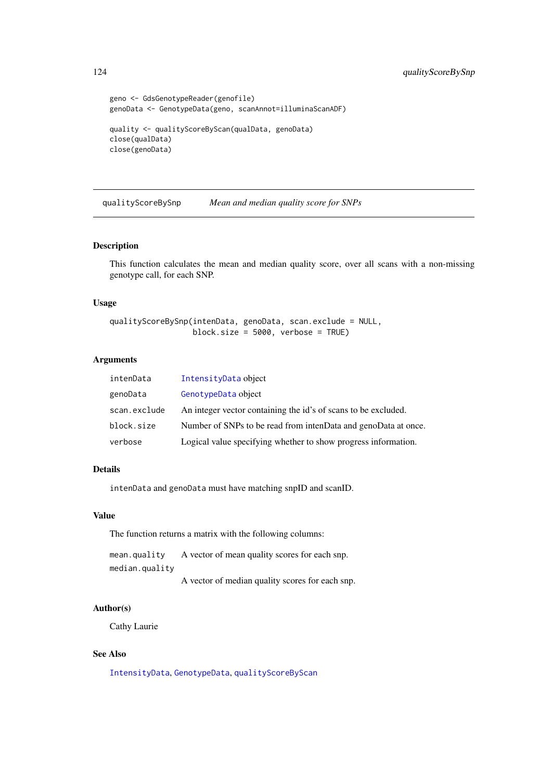```
geno <- GdsGenotypeReader(genofile)
genoData <- GenotypeData(geno, scanAnnot=illuminaScanADF)
quality <- qualityScoreByScan(qualData, genoData)
close(qualData)
close(genoData)
```
<span id="page-123-0"></span>qualityScoreBySnp *Mean and median quality score for SNPs*

# Description

This function calculates the mean and median quality score, over all scans with a non-missing genotype call, for each SNP.

# Usage

```
qualityScoreBySnp(intenData, genoData, scan.exclude = NULL,
                  block.size = 5000, verbose = TRUE)
```
# Arguments

| intenData    | IntensityData object                                           |
|--------------|----------------------------------------------------------------|
| genoData     | GenotypeData object                                            |
| scan.exclude | An integer vector containing the id's of scans to be excluded. |
| block.size   | Number of SNPs to be read from intenData and genoData at once. |
| verbose      | Logical value specifying whether to show progress information. |

# Details

intenData and genoData must have matching snpID and scanID.

# Value

The function returns a matrix with the following columns:

mean.quality A vector of mean quality scores for each snp. median.quality A vector of median quality scores for each snp.

# Author(s)

Cathy Laurie

# See Also

[IntensityData](#page-86-0), [GenotypeData](#page-66-0), [qualityScoreByScan](#page-122-0)

<span id="page-123-1"></span>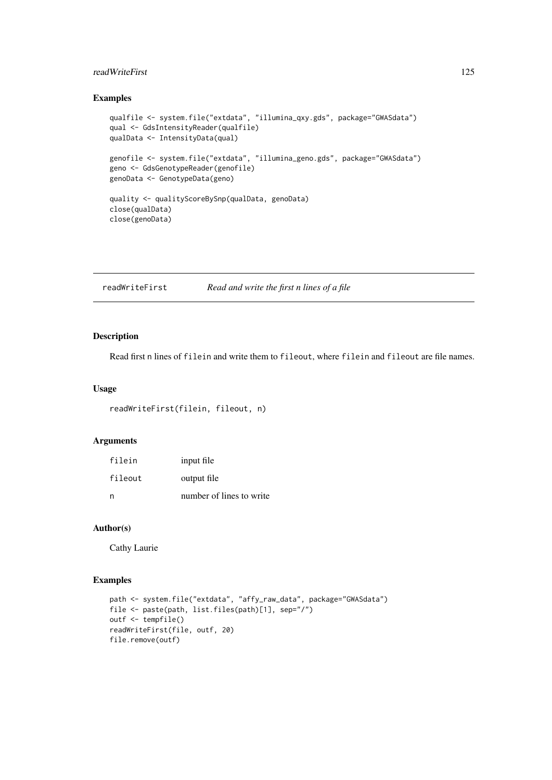#### <span id="page-124-0"></span>readWriteFirst 125

# Examples

```
qualfile <- system.file("extdata", "illumina_qxy.gds", package="GWASdata")
qual <- GdsIntensityReader(qualfile)
qualData <- IntensityData(qual)
genofile <- system.file("extdata", "illumina_geno.gds", package="GWASdata")
geno <- GdsGenotypeReader(genofile)
genoData <- GenotypeData(geno)
quality <- qualityScoreBySnp(qualData, genoData)
close(qualData)
close(genoData)
```
readWriteFirst *Read and write the first n lines of a file*

# Description

Read first n lines of filein and write them to fileout, where filein and fileout are file names.

#### Usage

```
readWriteFirst(filein, fileout, n)
```
# Arguments

| filein  | input file               |
|---------|--------------------------|
| fileout | output file              |
| n       | number of lines to write |

#### Author(s)

Cathy Laurie

```
path <- system.file("extdata", "affy_raw_data", package="GWASdata")
file <- paste(path, list.files(path)[1], sep="/")
outf <- tempfile()
readWriteFirst(file, outf, 20)
file.remove(outf)
```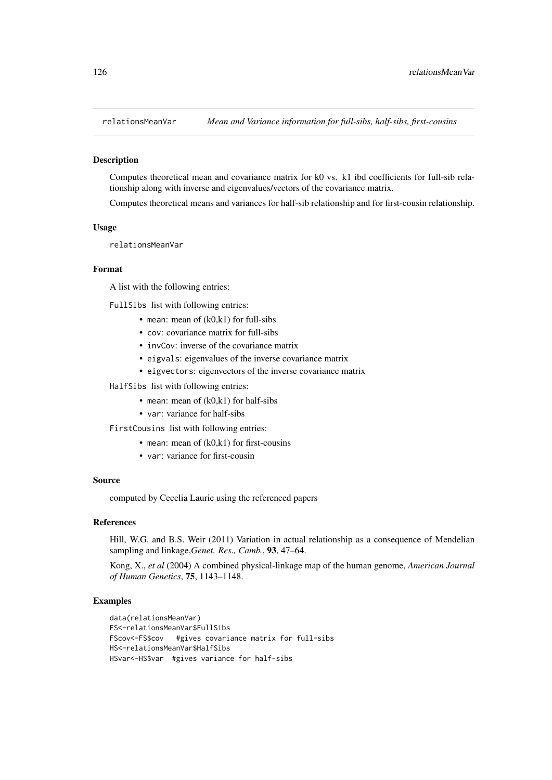<span id="page-125-0"></span>

#### Description

Computes theoretical mean and covariance matrix for k0 vs. k1 ibd coefficients for full-sib relationship along with inverse and eigenvalues/vectors of the covariance matrix.

Computes theoretical means and variances for half-sib relationship and for first-cousin relationship.

#### Usage

relationsMeanVar

# Format

A list with the following entries:

FullSibs list with following entries:

- mean: mean of  $(k0, k1)$  for full-sibs
- cov: covariance matrix for full-sibs
- invCov: inverse of the covariance matrix
- eigvals: eigenvalues of the inverse covariance matrix
- eigvectors: eigenvectors of the inverse covariance matrix
- HalfSibs list with following entries:
	- mean: mean of (k0,k1) for half-sibs
	- var: variance for half-sibs

FirstCousins list with following entries:

- mean: mean of  $(k0, k1)$  for first-cousins
- var: variance for first-cousin

#### Source

computed by Cecelia Laurie using the referenced papers

#### References

Hill, W.G. and B.S. Weir (2011) Variation in actual relationship as a consequence of Mendelian sampling and linkage,*Genet. Res., Camb.*, 93, 47–64.

Kong, X., *et al* (2004) A combined physical-linkage map of the human genome, *American Journal of Human Genetics*, 75, 1143–1148.

```
data(relationsMeanVar)
FS<-relationsMeanVar$FullSibs
FScov<-FS$cov #gives covariance matrix for full-sibs
HS<-relationsMeanVar$HalfSibs
HSvar<-HS$var #gives variance for half-sibs
```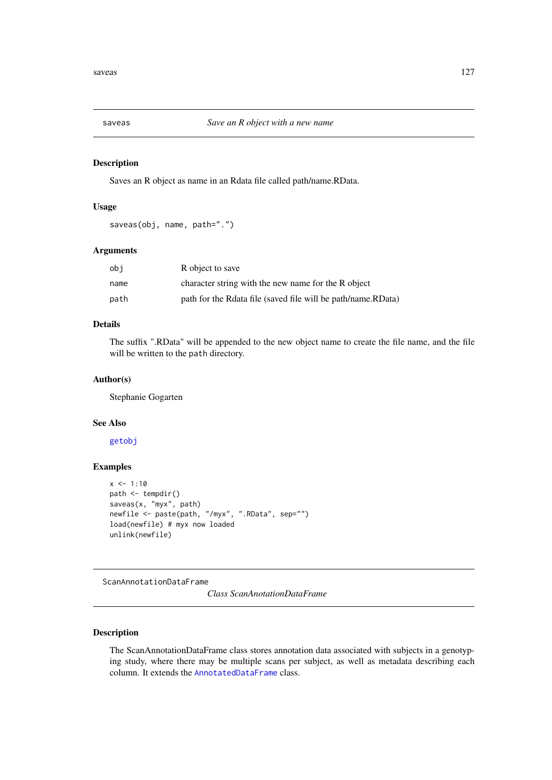<span id="page-126-1"></span>

# Description

Saves an R object as name in an Rdata file called path/name.RData.

# Usage

```
saveas(obj, name, path=".")
```
# Arguments

| obi  | R object to save                                             |
|------|--------------------------------------------------------------|
| name | character string with the new name for the R object          |
| path | path for the Rdata file (saved file will be path/name.RData) |

#### Details

The suffix ".RData" will be appended to the new object name to create the file name, and the file will be written to the path directory.

# Author(s)

Stephanie Gogarten

# See Also

[getobj](#page-73-0)

# Examples

```
x \le -1:10path < - tempdir()
saveas(x, "myx", path)
newfile <- paste(path, "/myx", ".RData", sep="")
load(newfile) # myx now loaded
unlink(newfile)
```
<span id="page-126-0"></span>ScanAnnotationDataFrame

*Class ScanAnotationDataFrame*

# Description

The ScanAnnotationDataFrame class stores annotation data associated with subjects in a genotyping study, where there may be multiple scans per subject, as well as metadata describing each column. It extends the [AnnotatedDataFrame](#page-0-0) class.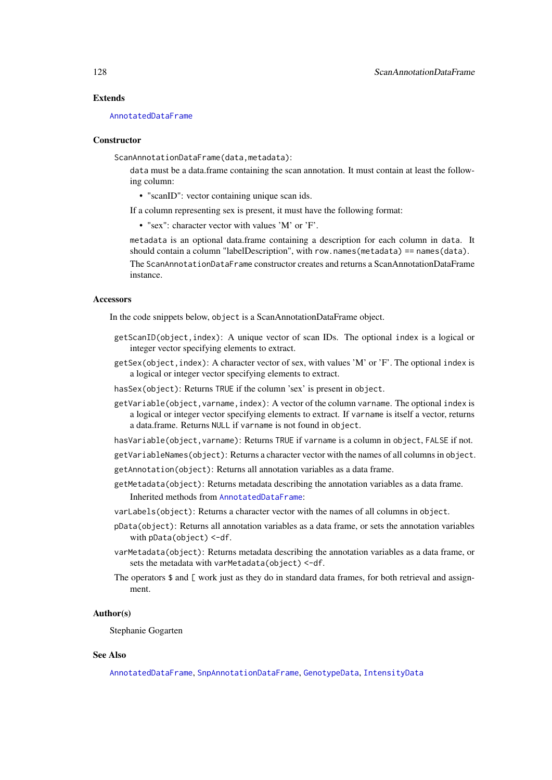#### Extends

[AnnotatedDataFrame](#page-0-0)

# **Constructor**

ScanAnnotationDataFrame(data,metadata):

data must be a data.frame containing the scan annotation. It must contain at least the following column:

• "scanID": vector containing unique scan ids.

If a column representing sex is present, it must have the following format:

• "sex": character vector with values 'M' or 'F'.

metadata is an optional data.frame containing a description for each column in data. It should contain a column "labelDescription", with row.names(metadata) == names(data). The ScanAnnotationDataFrame constructor creates and returns a ScanAnnotationDataFrame instance.

# Accessors

In the code snippets below, object is a ScanAnnotationDataFrame object.

- getScanID(object,index): A unique vector of scan IDs. The optional index is a logical or integer vector specifying elements to extract.
- getSex(object,index): A character vector of sex, with values 'M' or 'F'. The optional index is a logical or integer vector specifying elements to extract.
- hasSex(object): Returns TRUE if the column 'sex' is present in object.
- getVariable(object, varname, index): A vector of the column varname. The optional index is a logical or integer vector specifying elements to extract. If varname is itself a vector, returns a data.frame. Returns NULL if varname is not found in object.
- hasVariable(object, varname): Returns TRUE if varname is a column in object, FALSE if not.
- getVariableNames(object): Returns a character vector with the names of all columns in object.
- getAnnotation(object): Returns all annotation variables as a data frame.
- getMetadata(object): Returns metadata describing the annotation variables as a data frame. Inherited methods from [AnnotatedDataFrame](#page-0-0):
- varLabels(object): Returns a character vector with the names of all columns in object.
- pData(object): Returns all annotation variables as a data frame, or sets the annotation variables with pData(object) <- df.
- varMetadata(object): Returns metadata describing the annotation variables as a data frame, or sets the metadata with varMetadata(object) <-df.
- The operators  $\$$  and  $[$  work just as they do in standard data frames, for both retrieval and assignment.

#### Author(s)

Stephanie Gogarten

#### See Also

[AnnotatedDataFrame](#page-0-0), [SnpAnnotationDataFrame](#page-133-0), [GenotypeData](#page-66-0), [IntensityData](#page-86-0)

<span id="page-127-0"></span>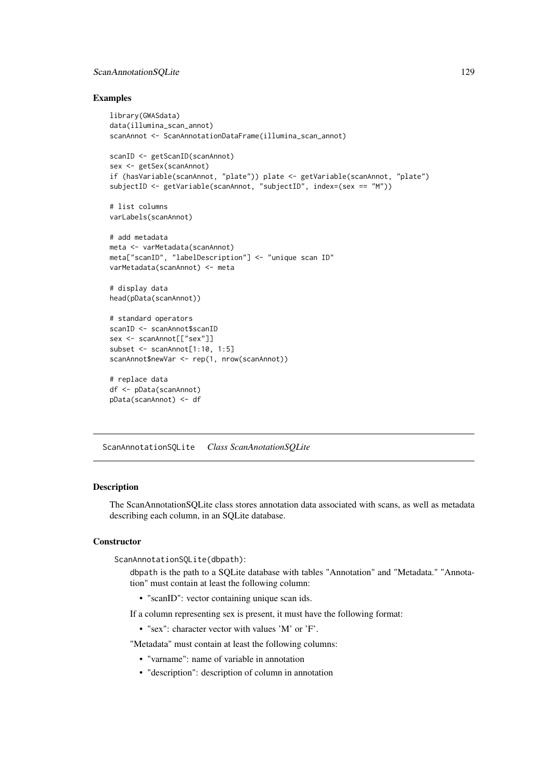# <span id="page-128-1"></span>ScanAnnotationSQLite 129

#### Examples

```
library(GWASdata)
data(illumina_scan_annot)
scanAnnot <- ScanAnnotationDataFrame(illumina_scan_annot)
scanID <- getScanID(scanAnnot)
sex <- getSex(scanAnnot)
if (hasVariable(scanAnnot, "plate")) plate <- getVariable(scanAnnot, "plate")
subjectID <- getVariable(scanAnnot, "subjectID", index=(sex == "M"))
# list columns
varLabels(scanAnnot)
# add metadata
meta <- varMetadata(scanAnnot)
meta["scanID", "labelDescription"] <- "unique scan ID"
varMetadata(scanAnnot) <- meta
# display data
head(pData(scanAnnot))
# standard operators
scanID <- scanAnnot$scanID
sex <- scanAnnot[["sex"]]
subset <- scanAnnot[1:10, 1:5]
scanAnnot$newVar <- rep(1, nrow(scanAnnot))
# replace data
df <- pData(scanAnnot)
pData(scanAnnot) <- df
```
<span id="page-128-0"></span>ScanAnnotationSQLite *Class ScanAnotationSQLite*

# Description

The ScanAnnotationSQLite class stores annotation data associated with scans, as well as metadata describing each column, in an SQLite database.

# **Constructor**

ScanAnnotationSQLite(dbpath):

dbpath is the path to a SQLite database with tables "Annotation" and "Metadata." "Annotation" must contain at least the following column:

• "scanID": vector containing unique scan ids.

If a column representing sex is present, it must have the following format:

• "sex": character vector with values 'M' or 'F'.

"Metadata" must contain at least the following columns:

- "varname": name of variable in annotation
- "description": description of column in annotation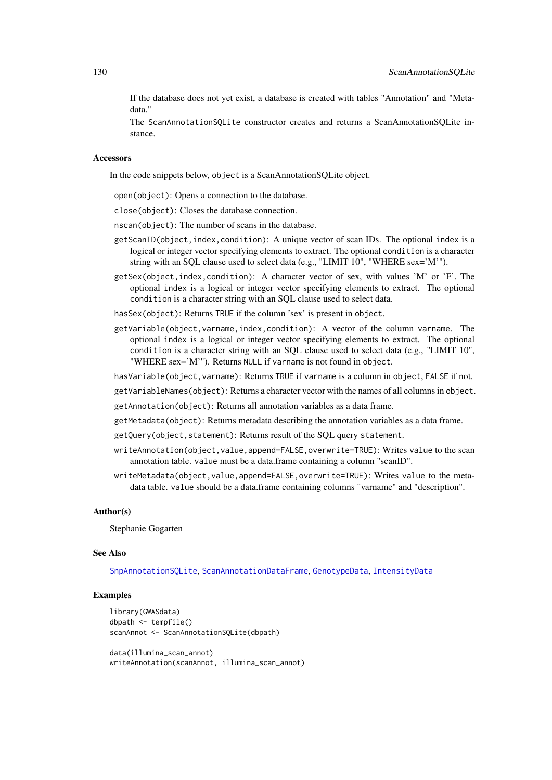<span id="page-129-0"></span>If the database does not yet exist, a database is created with tables "Annotation" and "Metadata."

The ScanAnnotationSQLite constructor creates and returns a ScanAnnotationSQLite instance.

# Accessors

In the code snippets below, object is a ScanAnnotationSQLite object.

open(object): Opens a connection to the database.

close(object): Closes the database connection.

nscan(object): The number of scans in the database.

- getScanID(object,index,condition): A unique vector of scan IDs. The optional index is a logical or integer vector specifying elements to extract. The optional condition is a character string with an SQL clause used to select data (e.g., "LIMIT 10", "WHERE sex='M'").
- getSex(object,index,condition): A character vector of sex, with values 'M' or 'F'. The optional index is a logical or integer vector specifying elements to extract. The optional condition is a character string with an SQL clause used to select data.

hasSex(object): Returns TRUE if the column 'sex' is present in object.

getVariable(object,varname,index,condition): A vector of the column varname. The optional index is a logical or integer vector specifying elements to extract. The optional condition is a character string with an SQL clause used to select data (e.g., "LIMIT 10", "WHERE sex='M'"). Returns NULL if varname is not found in object.

hasVariable(object,varname): Returns TRUE if varname is a column in object, FALSE if not.

getVariableNames(object): Returns a character vector with the names of all columns in object.

getAnnotation(object): Returns all annotation variables as a data frame.

- getMetadata(object): Returns metadata describing the annotation variables as a data frame.
- getQuery(object, statement): Returns result of the SQL query statement.
- writeAnnotation(object,value,append=FALSE,overwrite=TRUE): Writes value to the scan annotation table. value must be a data.frame containing a column "scanID".
- writeMetadata(object.value.append=FALSE.overwrite=TRUE): Writes value to the metadata table. value should be a data.frame containing columns "varname" and "description".

#### Author(s)

Stephanie Gogarten

#### See Also

[SnpAnnotationSQLite](#page-136-0), [ScanAnnotationDataFrame](#page-126-0), [GenotypeData](#page-66-0), [IntensityData](#page-86-0)

```
library(GWASdata)
dbpath <- tempfile()
scanAnnot <- ScanAnnotationSQLite(dbpath)
```

```
data(illumina_scan_annot)
writeAnnotation(scanAnnot, illumina_scan_annot)
```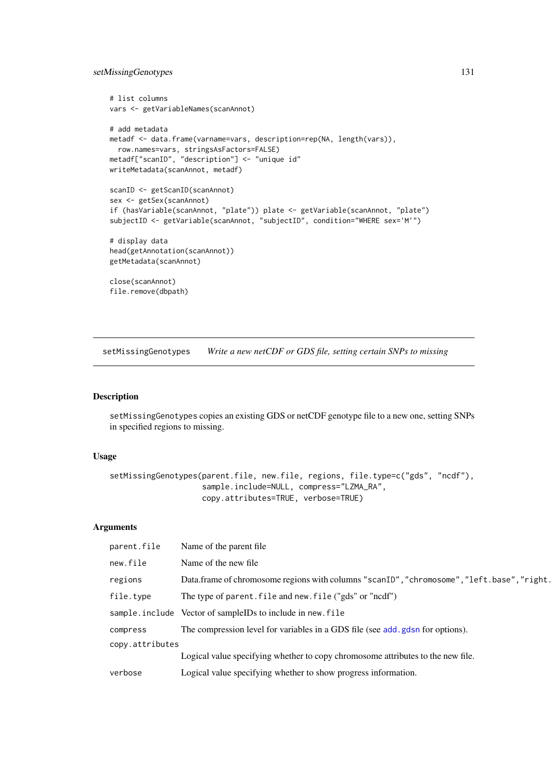# <span id="page-130-0"></span>setMissingGenotypes 131

```
# list columns
vars <- getVariableNames(scanAnnot)
# add metadata
metadf <- data.frame(varname=vars, description=rep(NA, length(vars)),
  row.names=vars, stringsAsFactors=FALSE)
metadf["scanID", "description"] <- "unique id"
writeMetadata(scanAnnot, metadf)
scanID <- getScanID(scanAnnot)
sex <- getSex(scanAnnot)
if (hasVariable(scanAnnot, "plate")) plate <- getVariable(scanAnnot, "plate")
subjectID <- getVariable(scanAnnot, "subjectID", condition="WHERE sex='M'")
# display data
head(getAnnotation(scanAnnot))
getMetadata(scanAnnot)
close(scanAnnot)
file.remove(dbpath)
```
setMissingGenotypes *Write a new netCDF or GDS file, setting certain SNPs to missing*

# Description

setMissingGenotypes copies an existing GDS or netCDF genotype file to a new one, setting SNPs in specified regions to missing.

# Usage

```
setMissingGenotypes(parent.file, new.file, regions, file.type=c("gds", "ncdf"),
                    sample.include=NULL, compress="LZMA_RA",
                    copy.attributes=TRUE, verbose=TRUE)
```
# Arguments

| parent.file     | Name of the parent file.                                                                   |
|-----------------|--------------------------------------------------------------------------------------------|
| new.file        | Name of the new file                                                                       |
| regions         | Data.frame of chromosome regions with columns "scanID", "chromosome", "left.base", "right. |
| file.type       | The type of parent. file and new. file ("gds" or "ncdf")                                   |
|                 | sample.include Vector of sampleIDs to include in new.file                                  |
| compress        | The compression level for variables in a GDS file (see add.gdsn for options).              |
| copy.attributes |                                                                                            |
|                 | Logical value specifying whether to copy chromosome attributes to the new file.            |
| verbose         | Logical value specifying whether to show progress information.                             |
|                 |                                                                                            |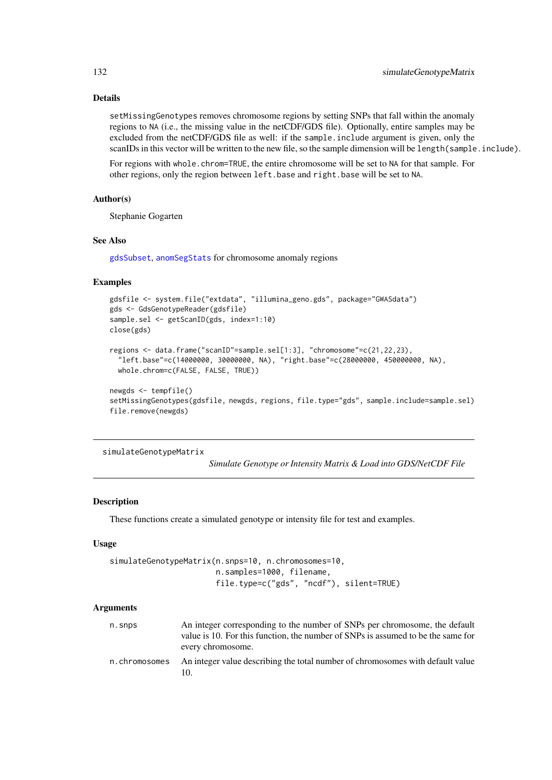# Details

setMissingGenotypes removes chromosome regions by setting SNPs that fall within the anomaly regions to NA (i.e., the missing value in the netCDF/GDS file). Optionally, entire samples may be excluded from the netCDF/GDS file as well: if the sample.include argument is given, only the scanIDs in this vector will be written to the new file, so the sample dimension will be length(sample.include).

For regions with whole.chrom=TRUE, the entire chromosome will be set to NA for that sample. For other regions, only the region between left.base and right.base will be set to NA.

# Author(s)

Stephanie Gogarten

#### See Also

[gdsSubset](#page-63-0), [anomSegStats](#page-17-0) for chromosome anomaly regions

# Examples

```
gdsfile <- system.file("extdata", "illumina_geno.gds", package="GWASdata")
gds <- GdsGenotypeReader(gdsfile)
sample.sel <- getScanID(gds, index=1:10)
close(gds)
regions <- data.frame("scanID"=sample.sel[1:3], "chromosome"=c(21,22,23),
  "left.base"=c(14000000, 30000000, NA), "right.base"=c(28000000, 450000000, NA),
  whole.chrom=c(FALSE, FALSE, TRUE))
```

```
newgds <- tempfile()
setMissingGenotypes(gdsfile, newgds, regions, file.type="gds", sample.include=sample.sel)
file.remove(newgds)
```
simulateGenotypeMatrix

*Simulate Genotype or Intensity Matrix & Load into GDS/NetCDF File*

# Description

These functions create a simulated genotype or intensity file for test and examples.

# Usage

```
simulateGenotypeMatrix(n.snps=10, n.chromosomes=10,
                       n.samples=1000, filename,
                       file.type=c("gds", "ncdf"), silent=TRUE)
```
#### Arguments

| n.snps        | An integer corresponding to the number of SNPs per chromosome, the default<br>value is 10. For this function, the number of SNPs is assumed to be the same for |
|---------------|----------------------------------------------------------------------------------------------------------------------------------------------------------------|
|               | every chromosome.                                                                                                                                              |
| n.chromosomes | An integer value describing the total number of chromosomes with default value                                                                                 |

<span id="page-131-0"></span>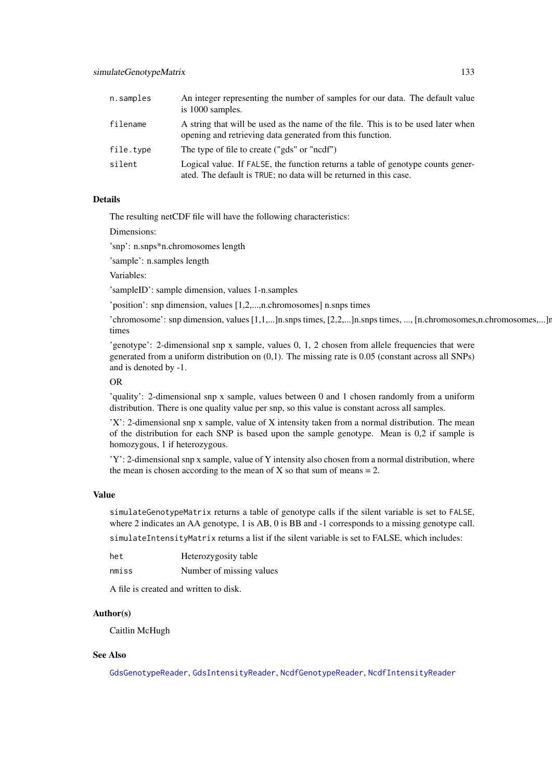<span id="page-132-0"></span>

| n.samples | An integer representing the number of samples for our data. The default value<br>is 1000 samples.                                                    |
|-----------|------------------------------------------------------------------------------------------------------------------------------------------------------|
| filename  | A string that will be used as the name of the file. This is to be used later when<br>opening and retrieving data generated from this function.       |
| file.type | The type of file to create ("gds" or "ncdf")                                                                                                         |
| silent    | Logical value. If FALSE, the function returns a table of genotype counts gener-<br>ated. The default is TRUE; no data will be returned in this case. |

#### Details

The resulting netCDF file will have the following characteristics:

Dimensions:

'snp': n.snps\*n.chromosomes length

'sample': n.samples length

Variables:

'sampleID': sample dimension, values 1-n.samples

'position': snp dimension, values [1,2,...,n.chromosomes] n.snps times

 $'$ chromosome': snp dimension, values  $[1,1,...]$ n.snps times,  $[2,2,...]$ n.snps times, ..., [n.chromosomes,n.chromosomes,...]n. times

'genotype': 2-dimensional snp x sample, values 0, 1, 2 chosen from allele frequencies that were generated from a uniform distribution on (0,1). The missing rate is 0.05 (constant across all SNPs) and is denoted by -1.

#### OR

'quality': 2-dimensional snp x sample, values between 0 and 1 chosen randomly from a uniform distribution. There is one quality value per snp, so this value is constant across all samples.

'X': 2-dimensional snp x sample, value of X intensity taken from a normal distribution. The mean of the distribution for each SNP is based upon the sample genotype. Mean is 0,2 if sample is homozygous, 1 if heterozygous.

'Y': 2-dimensional snp x sample, value of Y intensity also chosen from a normal distribution, where the mean is chosen according to the mean of  $X$  so that sum of means  $= 2$ .

# Value

simulateGenotypeMatrix returns a table of genotype calls if the silent variable is set to FALSE, where 2 indicates an AA genotype, 1 is AB, 0 is BB and -1 corresponds to a missing genotype call.

simulateIntensityMatrix returns a list if the silent variable is set to FALSE, which includes:

| het   | Heterozygosity table     |
|-------|--------------------------|
| nmiss | Number of missing values |

A file is created and written to disk.

# Author(s)

Caitlin McHugh

# See Also

[GdsGenotypeReader](#page-56-0), [GdsIntensityReader](#page-59-0), [NcdfGenotypeReader](#page-101-0), [NcdfIntensityReader](#page-103-0)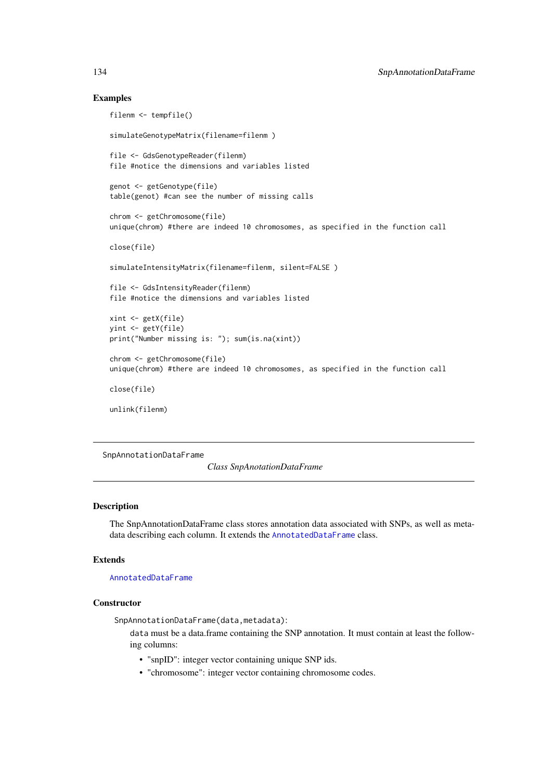#### Examples

```
filenm <- tempfile()
simulateGenotypeMatrix(filename=filenm )
file <- GdsGenotypeReader(filenm)
file #notice the dimensions and variables listed
genot <- getGenotype(file)
table(genot) #can see the number of missing calls
chrom <- getChromosome(file)
unique(chrom) #there are indeed 10 chromosomes, as specified in the function call
close(file)
simulateIntensityMatrix(filename=filenm, silent=FALSE )
file <- GdsIntensityReader(filenm)
file #notice the dimensions and variables listed
xint <- getX(file)
yint <- getY(file)
print("Number missing is: "); sum(is.na(xint))
chrom <- getChromosome(file)
unique(chrom) #there are indeed 10 chromosomes, as specified in the function call
close(file)
unlink(filenm)
```
<span id="page-133-0"></span>SnpAnnotationDataFrame

*Class SnpAnotationDataFrame*

# Description

The SnpAnnotationDataFrame class stores annotation data associated with SNPs, as well as metadata describing each column. It extends the [AnnotatedDataFrame](#page-0-0) class.

# Extends

[AnnotatedDataFrame](#page-0-0)

# **Constructor**

SnpAnnotationDataFrame(data,metadata):

data must be a data.frame containing the SNP annotation. It must contain at least the following columns:

- "snpID": integer vector containing unique SNP ids.
- "chromosome": integer vector containing chromosome codes.

<span id="page-133-1"></span>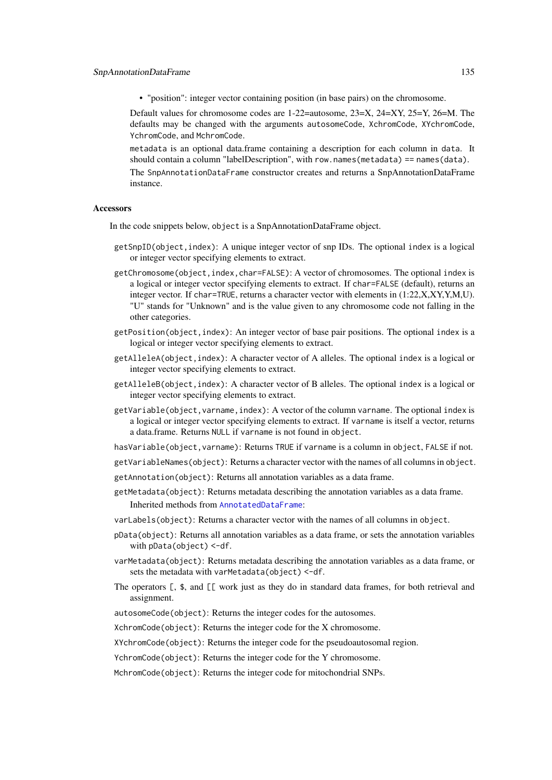• "position": integer vector containing position (in base pairs) on the chromosome.

Default values for chromosome codes are 1-22=autosome, 23=X, 24=XY, 25=Y, 26=M. The defaults may be changed with the arguments autosomeCode, XchromCode, XYchromCode, YchromCode, and MchromCode.

metadata is an optional data.frame containing a description for each column in data. It should contain a column "labelDescription", with row.names(metadata) == names(data).

The SnpAnnotationDataFrame constructor creates and returns a SnpAnnotationDataFrame instance.

#### Accessors

In the code snippets below, object is a SnpAnnotationDataFrame object.

- getSnpID(object,index): A unique integer vector of snp IDs. The optional index is a logical or integer vector specifying elements to extract.
- getChromosome(object,index,char=FALSE): A vector of chromosomes. The optional index is a logical or integer vector specifying elements to extract. If char=FALSE (default), returns an integer vector. If char=TRUE, returns a character vector with elements in (1:22,X,XY,Y,M,U). "U" stands for "Unknown" and is the value given to any chromosome code not falling in the other categories.
- getPosition(object,index): An integer vector of base pair positions. The optional index is a logical or integer vector specifying elements to extract.
- getAlleleA(object,index): A character vector of A alleles. The optional index is a logical or integer vector specifying elements to extract.
- getAlleleB(object,index): A character vector of B alleles. The optional index is a logical or integer vector specifying elements to extract.
- getVariable(object, varname, index): A vector of the column varname. The optional index is a logical or integer vector specifying elements to extract. If varname is itself a vector, returns a data.frame. Returns NULL if varname is not found in object.
- hasVariable(object,varname): Returns TRUE if varname is a column in object, FALSE if not.
- getVariableNames(object): Returns a character vector with the names of all columns in object.
- getAnnotation(object): Returns all annotation variables as a data frame.
- getMetadata(object): Returns metadata describing the annotation variables as a data frame. Inherited methods from [AnnotatedDataFrame](#page-0-0):
- varLabels(object): Returns a character vector with the names of all columns in object.
- pData(object): Returns all annotation variables as a data frame, or sets the annotation variables with pData(object) <-df.
- varMetadata(object): Returns metadata describing the annotation variables as a data frame, or sets the metadata with varMetadata(object) <-df.
- The operators [, \$, and [[ work just as they do in standard data frames, for both retrieval and assignment.
- autosomeCode(object): Returns the integer codes for the autosomes.
- XchromCode(object): Returns the integer code for the X chromosome.
- XYchromCode(object): Returns the integer code for the pseudoautosomal region.
- YchromCode(object): Returns the integer code for the Y chromosome.
- MchromCode(object): Returns the integer code for mitochondrial SNPs.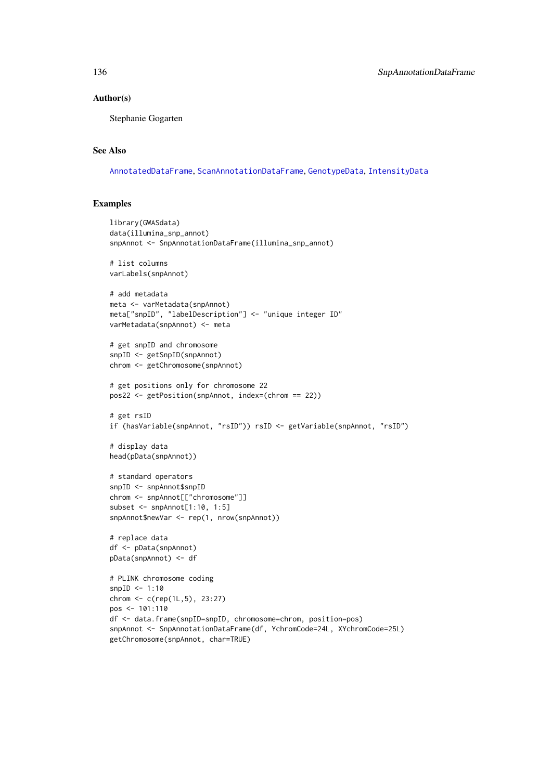# Author(s)

Stephanie Gogarten

# See Also

[AnnotatedDataFrame](#page-0-0), [ScanAnnotationDataFrame](#page-126-0), [GenotypeData](#page-66-0), [IntensityData](#page-86-0)

```
library(GWASdata)
data(illumina_snp_annot)
snpAnnot <- SnpAnnotationDataFrame(illumina_snp_annot)
# list columns
varLabels(snpAnnot)
# add metadata
meta <- varMetadata(snpAnnot)
meta["snpID", "labelDescription"] <- "unique integer ID"
varMetadata(snpAnnot) <- meta
# get snpID and chromosome
snpID <- getSnpID(snpAnnot)
chrom <- getChromosome(snpAnnot)
# get positions only for chromosome 22
pos22 <- getPosition(snpAnnot, index=(chrom == 22))
# get rsID
if (hasVariable(snpAnnot, "rsID")) rsID <- getVariable(snpAnnot, "rsID")
# display data
head(pData(snpAnnot))
# standard operators
snpID <- snpAnnot$snpID
chrom <- snpAnnot[["chromosome"]]
subset <- snpAnnot[1:10, 1:5]
snpAnnot$newVar <- rep(1, nrow(snpAnnot))
# replace data
df <- pData(snpAnnot)
pData(snpAnnot) <- df
# PLINK chromosome coding
snpID <- 1:10
chrom <- c(rep(1L,5), 23:27)
pos <- 101:110
df <- data.frame(snpID=snpID, chromosome=chrom, position=pos)
snpAnnot <- SnpAnnotationDataFrame(df, YchromCode=24L, XYchromCode=25L)
getChromosome(snpAnnot, char=TRUE)
```
<span id="page-135-0"></span>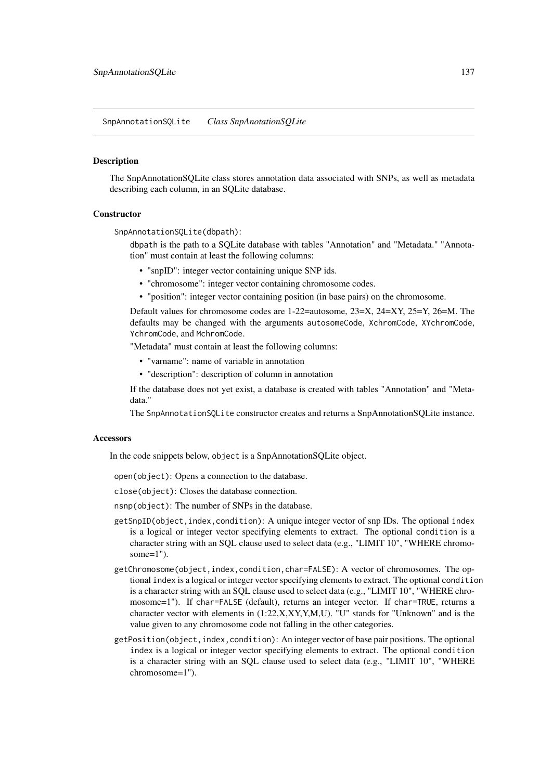<span id="page-136-1"></span><span id="page-136-0"></span>SnpAnnotationSQLite *Class SnpAnotationSQLite*

#### Description

The SnpAnnotationSQLite class stores annotation data associated with SNPs, as well as metadata describing each column, in an SQLite database.

#### **Constructor**

SnpAnnotationSQLite(dbpath):

dbpath is the path to a SQLite database with tables "Annotation" and "Metadata." "Annotation" must contain at least the following columns:

- "snpID": integer vector containing unique SNP ids.
- "chromosome": integer vector containing chromosome codes.
- "position": integer vector containing position (in base pairs) on the chromosome.

Default values for chromosome codes are 1-22=autosome, 23=X, 24=XY, 25=Y, 26=M. The defaults may be changed with the arguments autosomeCode, XchromCode, XYchromCode, YchromCode, and MchromCode.

"Metadata" must contain at least the following columns:

- "varname": name of variable in annotation
- "description": description of column in annotation

If the database does not yet exist, a database is created with tables "Annotation" and "Metadata."

The SnpAnnotationSQLite constructor creates and returns a SnpAnnotationSQLite instance.

#### **Accessors**

In the code snippets below, object is a SnpAnnotationSQLite object.

open(object): Opens a connection to the database.

close(object): Closes the database connection.

nsnp(object): The number of SNPs in the database.

- getSnpID(object, index, condition): A unique integer vector of snp IDs. The optional index is a logical or integer vector specifying elements to extract. The optional condition is a character string with an SQL clause used to select data (e.g., "LIMIT 10", "WHERE chromosome $=1$ ").
- getChromosome(object,index,condition,char=FALSE): A vector of chromosomes. The optional index is a logical or integer vector specifying elements to extract. The optional condition is a character string with an SQL clause used to select data (e.g., "LIMIT 10", "WHERE chromosome=1"). If char=FALSE (default), returns an integer vector. If char=TRUE, returns a character vector with elements in (1:22,X,XY,Y,M,U). "U" stands for "Unknown" and is the value given to any chromosome code not falling in the other categories.
- getPosition(object, index, condition): An integer vector of base pair positions. The optional index is a logical or integer vector specifying elements to extract. The optional condition is a character string with an SQL clause used to select data (e.g., "LIMIT 10", "WHERE chromosome=1").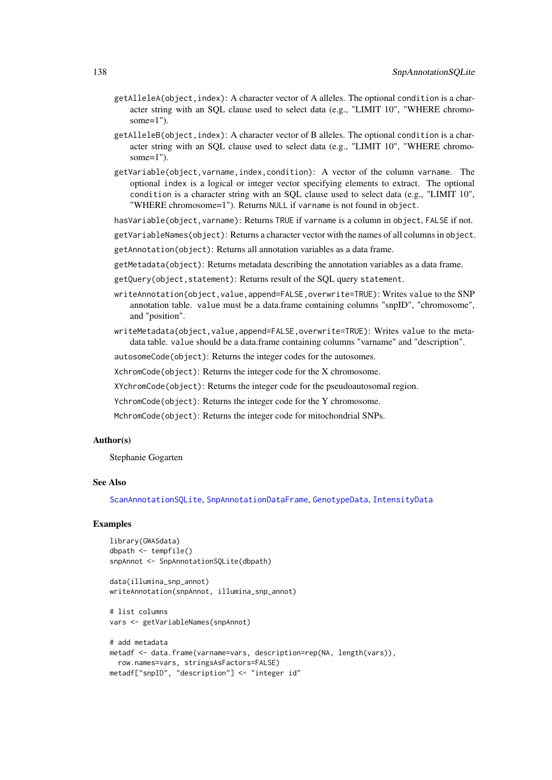- <span id="page-137-0"></span>getAlleleA(object,index): A character vector of A alleles. The optional condition is a character string with an SQL clause used to select data (e.g., "LIMIT 10", "WHERE chromosome=1").
- getAlleleB(object,index): A character vector of B alleles. The optional condition is a character string with an SQL clause used to select data (e.g., "LIMIT 10", "WHERE chromosome=1").
- getVariable(object,varname,index,condition): A vector of the column varname. The optional index is a logical or integer vector specifying elements to extract. The optional condition is a character string with an SQL clause used to select data (e.g., "LIMIT 10", "WHERE chromosome=1"). Returns NULL if varname is not found in object.

hasVariable(object, varname): Returns TRUE if varname is a column in object, FALSE if not.

getVariableNames(object): Returns a character vector with the names of all columns in object.

- getAnnotation(object): Returns all annotation variables as a data frame.
- getMetadata(object): Returns metadata describing the annotation variables as a data frame.
- getQuery(object,statement): Returns result of the SQL query statement.
- writeAnnotation(object, value, append=FALSE, overwrite=TRUE): Writes value to the SNP annotation table. value must be a data.frame containing columns "snpID", "chromosome", and "position".
- writeMetadata(object,value,append=FALSE,overwrite=TRUE): Writes value to the metadata table. value should be a data.frame containing columns "varname" and "description".

autosomeCode(object): Returns the integer codes for the autosomes.

XchromCode(object): Returns the integer code for the X chromosome.

XYchromCode(object): Returns the integer code for the pseudoautosomal region.

- YchromCode(object): Returns the integer code for the Y chromosome.
- MchromCode(object): Returns the integer code for mitochondrial SNPs.

# Author(s)

Stephanie Gogarten

# See Also

[ScanAnnotationSQLite](#page-128-0), [SnpAnnotationDataFrame](#page-133-0), [GenotypeData](#page-66-0), [IntensityData](#page-86-0)

# Examples

```
library(GWASdata)
dbpath <- tempfile()
snpAnnot <- SnpAnnotationSQLite(dbpath)
```
data(illumina\_snp\_annot) writeAnnotation(snpAnnot, illumina\_snp\_annot)

```
# list columns
vars <- getVariableNames(snpAnnot)
```

```
# add metadata
metadf <- data.frame(varname=vars, description=rep(NA, length(vars)),
 row.names=vars, stringsAsFactors=FALSE)
metadf["snpID", "description"] <- "integer id"
```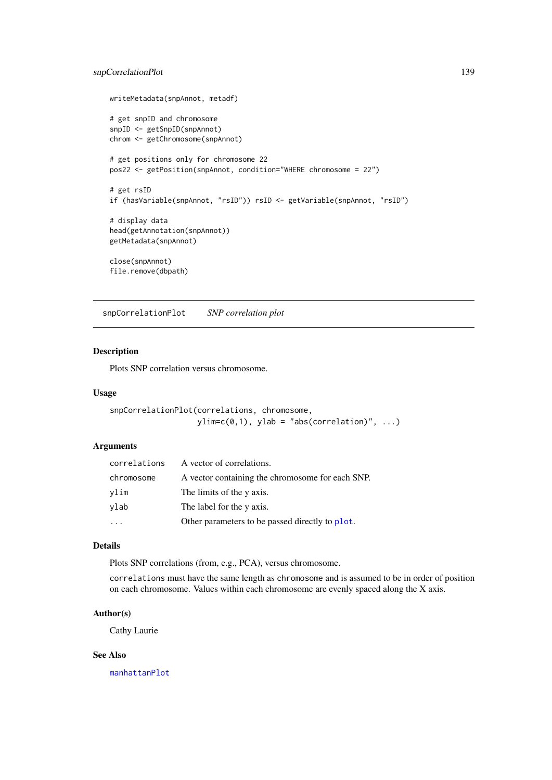#### <span id="page-138-1"></span>snpCorrelationPlot 139

```
writeMetadata(snpAnnot, metadf)
# get snpID and chromosome
snpID <- getSnpID(snpAnnot)
chrom <- getChromosome(snpAnnot)
# get positions only for chromosome 22
pos22 <- getPosition(snpAnnot, condition="WHERE chromosome = 22")
# get rsID
if (hasVariable(snpAnnot, "rsID")) rsID <- getVariable(snpAnnot, "rsID")
# display data
head(getAnnotation(snpAnnot))
getMetadata(snpAnnot)
close(snpAnnot)
file.remove(dbpath)
```
<span id="page-138-0"></span>snpCorrelationPlot *SNP correlation plot*

# Description

Plots SNP correlation versus chromosome.

# Usage

```
snpCorrelationPlot(correlations, chromosome,
                  ylim=c(0,1), ylab = "abs(correlation)", ...)
```
# Arguments

| A vector of correlations.                        |
|--------------------------------------------------|
| A vector containing the chromosome for each SNP. |
| The limits of the y axis.                        |
| The label for the y axis.                        |
| Other parameters to be passed directly to plot.  |
|                                                  |

# Details

Plots SNP correlations (from, e.g., PCA), versus chromosome.

correlations must have the same length as chromosome and is assumed to be in order of position on each chromosome. Values within each chromosome are evenly spaced along the X axis.

#### Author(s)

Cathy Laurie

# See Also

[manhattanPlot](#page-90-0)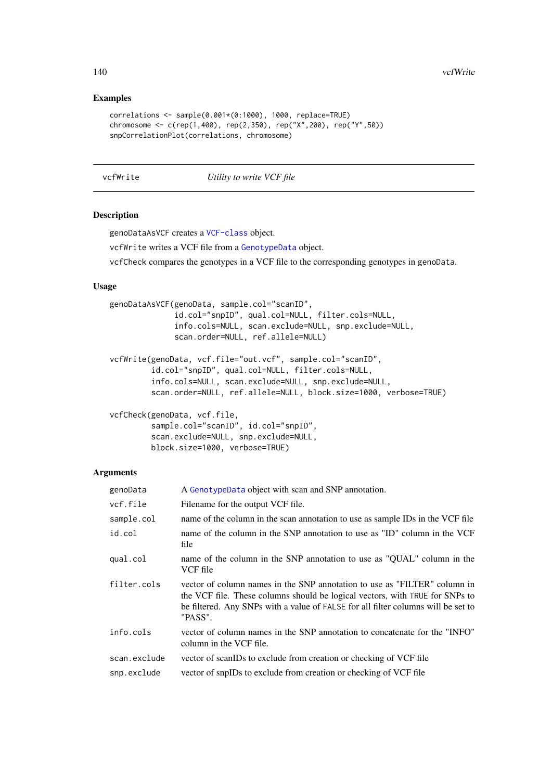<span id="page-139-0"></span>140 vcfWrite

# Examples

```
correlations <- sample(0.001*(0:1000), 1000, replace=TRUE)
chromosome <- c(rep(1,400), rep(2,350), rep("X",200), rep("Y",50))
snpCorrelationPlot(correlations, chromosome)
```
vcfWrite *Utility to write VCF file*

# Description

genoDataAsVCF creates a [VCF-class](#page-0-0) object.

vcfWrite writes a VCF file from a [GenotypeData](#page-66-0) object.

vcfCheck compares the genotypes in a VCF file to the corresponding genotypes in genoData.

# Usage

```
genoDataAsVCF(genoData, sample.col="scanID",
              id.col="snpID", qual.col=NULL, filter.cols=NULL,
              info.cols=NULL, scan.exclude=NULL, snp.exclude=NULL,
              scan.order=NULL, ref.allele=NULL)
vcfWrite(genoData, vcf.file="out.vcf", sample.col="scanID",
         id.col="snpID", qual.col=NULL, filter.cols=NULL,
         info.cols=NULL, scan.exclude=NULL, snp.exclude=NULL,
```
scan.order=NULL, ref.allele=NULL, block.size=1000, verbose=TRUE)

```
vcfCheck(genoData, vcf.file,
```

```
sample.col="scanID", id.col="snpID",
scan.exclude=NULL, snp.exclude=NULL,
block.size=1000, verbose=TRUE)
```
# Arguments

| genoData     | A GenotypeData object with scan and SNP annotation.                                                                                                                                                                                                       |
|--------------|-----------------------------------------------------------------------------------------------------------------------------------------------------------------------------------------------------------------------------------------------------------|
| vcf.file     | Filename for the output VCF file.                                                                                                                                                                                                                         |
| sample.col   | name of the column in the scan annotation to use as sample IDs in the VCF file                                                                                                                                                                            |
| id.col       | name of the column in the SNP annotation to use as "ID" column in the VCF<br>file                                                                                                                                                                         |
| qual.col     | name of the column in the SNP annotation to use as "QUAL" column in the<br>VCF file                                                                                                                                                                       |
| filter.cols  | vector of column names in the SNP annotation to use as "FILTER" column in<br>the VCF file. These columns should be logical vectors, with TRUE for SNPs to<br>be filtered. Any SNPs with a value of FALSE for all filter columns will be set to<br>"PASS". |
| info.cols    | vector of column names in the SNP annotation to concatenate for the "INFO"<br>column in the VCF file.                                                                                                                                                     |
| scan.exclude | vector of scanIDs to exclude from creation or checking of VCF file                                                                                                                                                                                        |
| snp.exclude  | vector of snpIDs to exclude from creation or checking of VCF file                                                                                                                                                                                         |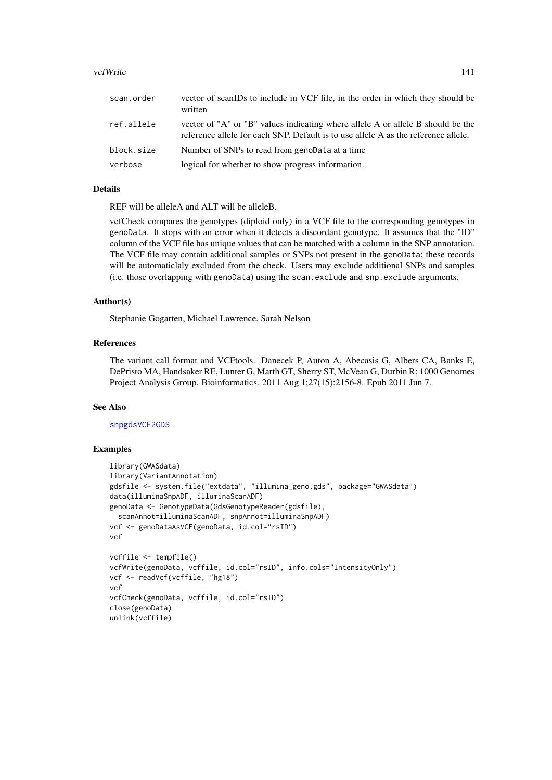#### vcfWrite 141

| scan.order | vector of scanIDs to include in VCF file, in the order in which they should be<br>written                                                                             |
|------------|-----------------------------------------------------------------------------------------------------------------------------------------------------------------------|
| ref.allele | vector of "A" or "B" values indicating where allele A or allele B should be the<br>reference allele for each SNP. Default is to use allele A as the reference allele. |
| block.size | Number of SNPs to read from genoData at a time                                                                                                                        |
| verbose    | logical for whether to show progress information.                                                                                                                     |

# Details

REF will be alleleA and ALT will be alleleB.

vcfCheck compares the genotypes (diploid only) in a VCF file to the corresponding genotypes in genoData. It stops with an error when it detects a discordant genotype. It assumes that the "ID" column of the VCF file has unique values that can be matched with a column in the SNP annotation. The VCF file may contain additional samples or SNPs not present in the genoData; these records will be automaticlaly excluded from the check. Users may exclude additional SNPs and samples (i.e. those overlapping with genoData) using the scan.exclude and snp.exclude arguments.

#### Author(s)

Stephanie Gogarten, Michael Lawrence, Sarah Nelson

# References

The variant call format and VCFtools. Danecek P, Auton A, Abecasis G, Albers CA, Banks E, DePristo MA, Handsaker RE, Lunter G, Marth GT, Sherry ST, McVean G, Durbin R; 1000 Genomes Project Analysis Group. Bioinformatics. 2011 Aug 1;27(15):2156-8. Epub 2011 Jun 7.

#### See Also

[snpgdsVCF2GDS](#page-0-0)

```
library(GWASdata)
library(VariantAnnotation)
gdsfile <- system.file("extdata", "illumina_geno.gds", package="GWASdata")
data(illuminaSnpADF, illuminaScanADF)
genoData <- GenotypeData(GdsGenotypeReader(gdsfile),
  scanAnnot=illuminaScanADF, snpAnnot=illuminaSnpADF)
vcf <- genoDataAsVCF(genoData, id.col="rsID")
vcf
vcffile <- tempfile()
vcfWrite(genoData, vcffile, id.col="rsID", info.cols="IntensityOnly")
vcf <- readVcf(vcffile, "hg18")
vcf
vcfCheck(genoData, vcffile, id.col="rsID")
close(genoData)
unlink(vcffile)
```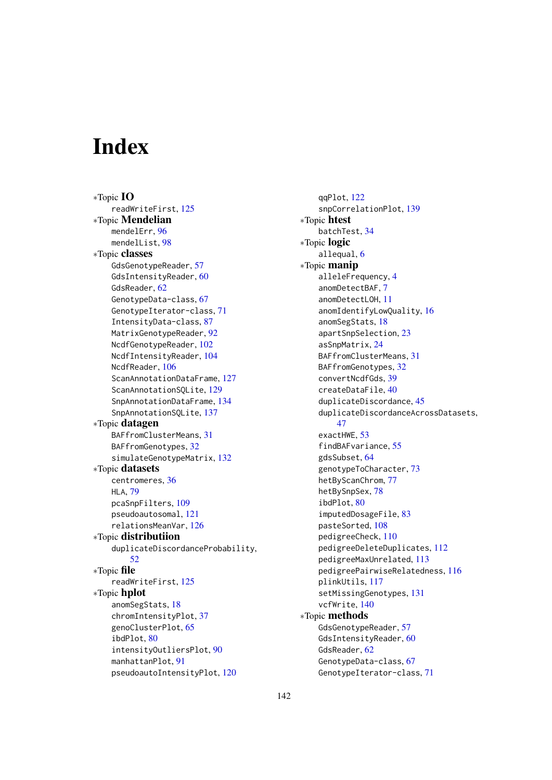# Index

∗Topic IO readWriteFirst, [125](#page-124-0) ∗Topic Mendelian mendelErr, [96](#page-95-0) mendelList, [98](#page-97-0) ∗Topic classes GdsGenotypeReader, [57](#page-56-1) GdsIntensityReader, [60](#page-59-1) GdsReader, [62](#page-61-0) GenotypeData-class, [67](#page-66-1) GenotypeIterator-class, [71](#page-70-0) IntensityData-class, [87](#page-86-1) MatrixGenotypeReader, [92](#page-91-0) NcdfGenotypeReader, [102](#page-101-1) NcdfIntensityReader, [104](#page-103-1) NcdfReader, [106](#page-105-0) ScanAnnotationDataFrame, [127](#page-126-1) ScanAnnotationSQLite, [129](#page-128-1) SnpAnnotationDataFrame, [134](#page-133-1) SnpAnnotationSQLite, [137](#page-136-1) ∗Topic datagen BAFfromClusterMeans, [31](#page-30-0) BAFfromGenotypes, [32](#page-31-1) simulateGenotypeMatrix, [132](#page-131-0) ∗Topic datasets centromeres, [36](#page-35-0) HLA, [79](#page-78-0) pcaSnpFilters, [109](#page-108-0) pseudoautosomal, [121](#page-120-1) relationsMeanVar, [126](#page-125-0) ∗Topic distributiion duplicateDiscordanceProbability, [52](#page-51-0) ∗Topic file readWriteFirst, [125](#page-124-0) ∗Topic hplot anomSegStats, [18](#page-17-1) chromIntensityPlot, [37](#page-36-0) genoClusterPlot, [65](#page-64-0) ibdPlot, [80](#page-79-0) intensityOutliersPlot, [90](#page-89-0) manhattanPlot, [91](#page-90-1) pseudoautoIntensityPlot, [120](#page-119-0)

qqPlot, [122](#page-121-0) snpCorrelationPlot, [139](#page-138-1) ∗Topic htest batchTest, [34](#page-33-0) ∗Topic logic allequal, [6](#page-5-0) ∗Topic manip alleleFrequency, [4](#page-3-0) anomDetectBAF, [7](#page-6-0) anomDetectLOH, [11](#page-10-0) anomIdentifyLowQuality, [16](#page-15-0) anomSegStats, [18](#page-17-1) apartSnpSelection, [23](#page-22-0) asSnpMatrix, [24](#page-23-0) BAFfromClusterMeans, [31](#page-30-0) BAFfromGenotypes, [32](#page-31-1) convertNcdfGds, [39](#page-38-0) createDataFile, [40](#page-39-0) duplicateDiscordance, [45](#page-44-0) duplicateDiscordanceAcrossDatasets, [47](#page-46-0) exactHWE, [53](#page-52-0) findBAFvariance, [55](#page-54-0) gdsSubset, [64](#page-63-1) genotypeToCharacter, [73](#page-72-0) hetByScanChrom, [77](#page-76-0) hetBySnpSex, [78](#page-77-0) ibdPlot, [80](#page-79-0) imputedDosageFile, [83](#page-82-0) pasteSorted, [108](#page-107-0) pedigreeCheck, [110](#page-109-1) pedigreeDeleteDuplicates, [112](#page-111-1) pedigreeMaxUnrelated, [113](#page-112-1) pedigreePairwiseRelatedness, [116](#page-115-1) plinkUtils, [117](#page-116-0) setMissingGenotypes, [131](#page-130-0) vcfWrite, [140](#page-139-0) ∗Topic methods GdsGenotypeReader, [57](#page-56-1) GdsIntensityReader, [60](#page-59-1) GdsReader, [62](#page-61-0) GenotypeData-class, [67](#page-66-1) GenotypeIterator-class, [71](#page-70-0)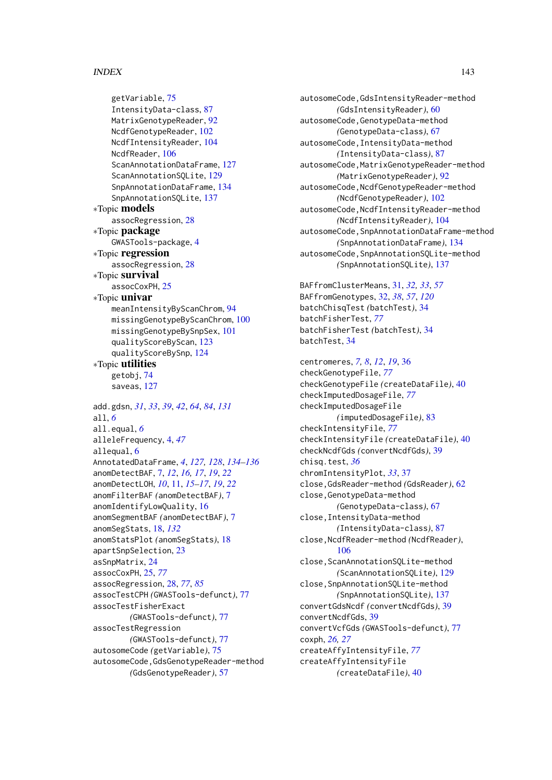# INDEX 143

```
getVariable, 75
    IntensityData-class, 87
    MatrixGenotypeReader, 92
    NcdfGenotypeReader, 102
    NcdfIntensityReader, 104
    NcdfReader, 106
    ScanAnnotationDataFrame, 127
    ScanAnnotationSQLite, 129
    SnpAnnotationDataFrame, 134
    SnpAnnotationSQLite, 137
∗Topic models
    assocRegression, 28
∗Topic package
    GWASTools-package, 4
∗Topic regression
    assocRegression, 28
∗Topic survival
    assocCoxPH, 25
∗Topic univar
    meanIntensityByScanChrom, 94
    missingGenotypeByScanChrom, 100
    missingGenotypeBySnpSex, 101
    qualityScoreByScan, 123
    qualityScoreBySnp, 124
∗Topic utilities
    getobj, 74
    saveas, 127
add.gdsn, 31, 33, 39, 42, 64, 84, 131
all, 6
all.equal, 6
alleleFrequency, 4, 47
allequal, 6
AnnotatedDataFrame, 4, 127, 128, 134–136
anomDetectBAF, 7, 12, 16, 17, 19, 22
anomDetectLOH, 10, 11, 15–17, 19, 22
anomFilterBAF (anomDetectBAF), 7
anomIdentifyLowQuality, 16
anomSegmentBAF (anomDetectBAF), 7
anomSegStats, 18, 132
anomStatsPlot (anomSegStats), 18
apartSnpSelection, 23
asSnpMatrix, 24
assocCoxPH, 25, 77
assocRegression, 28, 77, 85
assocTestCPH (GWASTools-defunct), 77
assocTestFisherExact
        (GWASTools-defunct), 77
assocTestRegression
        (GWASTools-defunct), 77
autosomeCode (getVariable), 75
autosomeCode,GdsGenotypeReader-method
        (GdsGenotypeReader), 57
```

```
autosomeCode,GdsIntensityReader-method
        (GdsIntensityReader), 60
autosomeCode,GenotypeData-method
        (GenotypeData-class), 67
autosomeCode,IntensityData-method
        (IntensityData-class), 87
autosomeCode,MatrixGenotypeReader-method
        (MatrixGenotypeReader), 92
autosomeCode,NcdfGenotypeReader-method
        (NcdfGenotypeReader), 102
autosomeCode,NcdfIntensityReader-method
        (NcdfIntensityReader), 104
autosomeCode,SnpAnnotationDataFrame-method
        (SnpAnnotationDataFrame), 134
autosomeCode,SnpAnnotationSQLite-method
        (SnpAnnotationSQLite), 137
```
BAFfromClusterMeans, [31,](#page-30-0) *[32,](#page-31-1) [33](#page-32-0)*, *[57](#page-56-1)* BAFfromGenotypes, [32,](#page-31-1) *[38](#page-37-0)*, *[57](#page-56-1)*, *[120](#page-119-0)* batchChisqTest *(*batchTest*)*, [34](#page-33-0) batchFisherTest, *[77](#page-76-0)* batchFisherTest *(*batchTest*)*, [34](#page-33-0) batchTest, [34](#page-33-0)

```
centromeres, 7, 8, 12, 19, 36
checkGenotypeFile, 77
checkGenotypeFile (createDataFile), 40
checkImputedDosageFile, 77
checkImputedDosageFile
        (imputedDosageFile), 83
checkIntensityFile, 77
checkIntensityFile (createDataFile), 40
checkNcdfGds (convertNcdfGds), 39
chisq.test, 36
chromIntensityPlot, 33, 37
close,GdsReader-method (GdsReader), 62
close,GenotypeData-method
        (GenotypeData-class), 67
close,IntensityData-method
        (IntensityData-class), 87
close,NcdfReader-method (NcdfReader),
        106
close, ScanAnnotationSQLite-method
        (ScanAnnotationSQLite), 129
close,SnpAnnotationSQLite-method
        (SnpAnnotationSQLite), 137
convertGdsNcdf (convertNcdfGds), 39
convertNcdfGds, 39
convertVcfGds (GWASTools-defunct), 77
coxph, 26, 27
createAffyIntensityFile, 77
createAffyIntensityFile
        (createDataFile), 40
```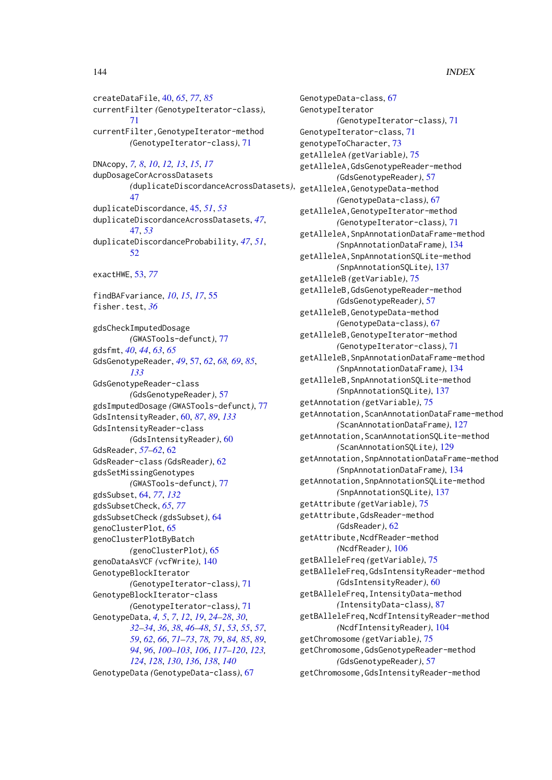# 144 INDEX

createDataFile, [40,](#page-39-0) *[65](#page-64-0)*, *[77](#page-76-0)*, *[85](#page-84-0)* currentFilter *(*GenotypeIterator-class*)*, [71](#page-70-0) currentFilter,GenotypeIterator-method *(*GenotypeIterator-class*)*, [71](#page-70-0) DNAcopy, *[7,](#page-6-0) [8](#page-7-0)*, *[10](#page-9-0)*, *[12,](#page-11-0) [13](#page-12-0)*, *[15](#page-14-0)*, *[17](#page-16-0)* dupDosageCorAcrossDatasets *(*duplicateDiscordanceAcrossDatasets*)*, [47](#page-46-0) duplicateDiscordance, [45,](#page-44-0) *[51](#page-50-0)*, *[53](#page-52-0)* duplicateDiscordanceAcrossDatasets, *[47](#page-46-0)*, [47,](#page-46-0) *[53](#page-52-0)* duplicateDiscordanceProbability, *[47](#page-46-0)*, *[51](#page-50-0)*, [52](#page-51-0) exactHWE, [53,](#page-52-0) *[77](#page-76-0)* findBAFvariance, *[10](#page-9-0)*, *[15](#page-14-0)*, *[17](#page-16-0)*, [55](#page-54-0) fisher.test, *[36](#page-35-0)* gdsCheckImputedDosage *(*GWASTools-defunct*)*, [77](#page-76-0) gdsfmt, *[40](#page-39-0)*, *[44](#page-43-0)*, *[63](#page-62-0)*, *[65](#page-64-0)* GdsGenotypeReader, *[49](#page-48-0)*, [57,](#page-56-1) *[62](#page-61-0)*, *[68,](#page-67-0) [69](#page-68-0)*, *[85](#page-84-0)*, *[133](#page-132-0)* GdsGenotypeReader-class *(*GdsGenotypeReader*)*, [57](#page-56-1) gdsImputedDosage *(*GWASTools-defunct*)*, [77](#page-76-0) GdsIntensityReader, [60,](#page-59-1) *[87](#page-86-1)*, *[89](#page-88-0)*, *[133](#page-132-0)* GdsIntensityReader-class *(*GdsIntensityReader*)*, [60](#page-59-1) GdsReader, *[57](#page-56-1)[–62](#page-61-0)*, [62](#page-61-0) GdsReader-class *(*GdsReader*)*, [62](#page-61-0) gdsSetMissingGenotypes *(*GWASTools-defunct*)*, [77](#page-76-0) gdsSubset, [64,](#page-63-1) *[77](#page-76-0)*, *[132](#page-131-0)* gdsSubsetCheck, *[65](#page-64-0)*, *[77](#page-76-0)* gdsSubsetCheck *(*gdsSubset*)*, [64](#page-63-1) genoClusterPlot, [65](#page-64-0) genoClusterPlotByBatch *(*genoClusterPlot*)*, [65](#page-64-0) genoDataAsVCF *(*vcfWrite*)*, [140](#page-139-0) GenotypeBlockIterator *(*GenotypeIterator-class*)*, [71](#page-70-0) GenotypeBlockIterator-class *(*GenotypeIterator-class*)*, [71](#page-70-0) GenotypeData, *[4,](#page-3-0) [5](#page-4-0)*, *[7](#page-6-0)*, *[12](#page-11-0)*, *[19](#page-18-0)*, *[24–](#page-23-0)[28](#page-27-0)*, *[30](#page-29-0)*, *[32](#page-31-1)[–34](#page-33-0)*, *[36](#page-35-0)*, *[38](#page-37-0)*, *[46–](#page-45-0)[48](#page-47-0)*, *[51](#page-50-0)*, *[53](#page-52-0)*, *[55](#page-54-0)*, *[57](#page-56-1)*, *[59](#page-58-0)*, *[62](#page-61-0)*, *[66](#page-65-0)*, *[71–](#page-70-0)[73](#page-72-0)*, *[78,](#page-77-0) [79](#page-78-0)*, *[84,](#page-83-0) [85](#page-84-0)*, *[89](#page-88-0)*, *[94](#page-93-0)*, *[96](#page-95-0)*, *[100](#page-99-0)[–103](#page-102-0)*, *[106](#page-105-0)*, *[117–](#page-116-0)[120](#page-119-0)*, *[123,](#page-122-1) [124](#page-123-1)*, *[128](#page-127-0)*, *[130](#page-129-0)*, *[136](#page-135-0)*, *[138](#page-137-0)*, *[140](#page-139-0)* GenotypeData *(*GenotypeData-class*)*, [67](#page-66-1)

GenotypeData-class, [67](#page-66-1) GenotypeIterator *(*GenotypeIterator-class*)*, [71](#page-70-0) GenotypeIterator-class, [71](#page-70-0) genotypeToCharacter, [73](#page-72-0) getAlleleA *(*getVariable*)*, [75](#page-74-0) getAlleleA,GdsGenotypeReader-method *(*GdsGenotypeReader*)*, [57](#page-56-1) getAlleleA,GenotypeData-method *(*GenotypeData-class*)*, [67](#page-66-1) getAlleleA,GenotypeIterator-method *(*GenotypeIterator-class*)*, [71](#page-70-0) getAlleleA,SnpAnnotationDataFrame-method *(*SnpAnnotationDataFrame*)*, [134](#page-133-1) getAlleleA,SnpAnnotationSQLite-method *(*SnpAnnotationSQLite*)*, [137](#page-136-1) getAlleleB *(*getVariable*)*, [75](#page-74-0) getAlleleB,GdsGenotypeReader-method *(*GdsGenotypeReader*)*, [57](#page-56-1) getAlleleB,GenotypeData-method *(*GenotypeData-class*)*, [67](#page-66-1) getAlleleB,GenotypeIterator-method *(*GenotypeIterator-class*)*, [71](#page-70-0) getAlleleB,SnpAnnotationDataFrame-method *(*SnpAnnotationDataFrame*)*, [134](#page-133-1) getAlleleB,SnpAnnotationSQLite-method *(*SnpAnnotationSQLite*)*, [137](#page-136-1) getAnnotation *(*getVariable*)*, [75](#page-74-0) getAnnotation,ScanAnnotationDataFrame-method *(*ScanAnnotationDataFrame*)*, [127](#page-126-1) getAnnotation,ScanAnnotationSQLite-method *(*ScanAnnotationSQLite*)*, [129](#page-128-1) getAnnotation,SnpAnnotationDataFrame-method *(*SnpAnnotationDataFrame*)*, [134](#page-133-1) getAnnotation,SnpAnnotationSQLite-method *(*SnpAnnotationSQLite*)*, [137](#page-136-1) getAttribute *(*getVariable*)*, [75](#page-74-0) getAttribute,GdsReader-method *(*GdsReader*)*, [62](#page-61-0) getAttribute,NcdfReader-method *(*NcdfReader*)*, [106](#page-105-0) getBAlleleFreq *(*getVariable*)*, [75](#page-74-0) getBAlleleFreq,GdsIntensityReader-method *(*GdsIntensityReader*)*, [60](#page-59-1) getBAlleleFreq,IntensityData-method *(*IntensityData-class*)*, [87](#page-86-1) getBAlleleFreq,NcdfIntensityReader-method *(*NcdfIntensityReader*)*, [104](#page-103-1) getChromosome *(*getVariable*)*, [75](#page-74-0) getChromosome,GdsGenotypeReader-method *(*GdsGenotypeReader*)*, [57](#page-56-1) getChromosome,GdsIntensityReader-method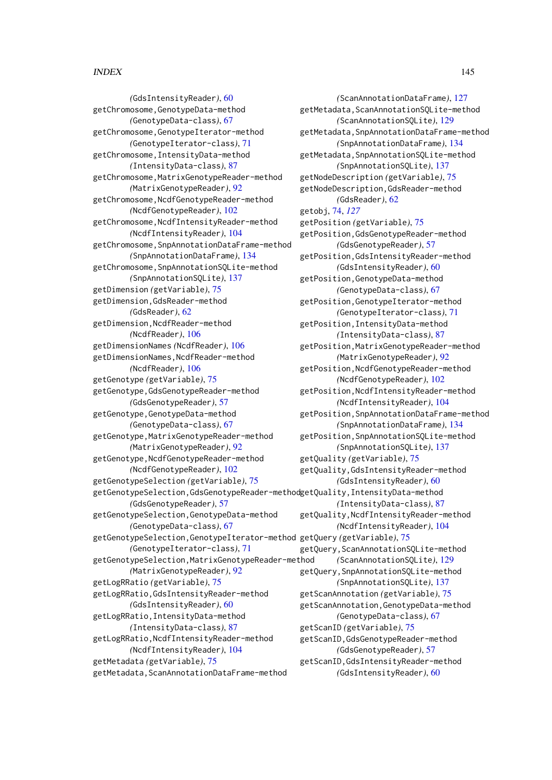*(*GdsIntensityReader*)*, [60](#page-59-0) getChromosome,GenotypeData-method *(*GenotypeData-class*)*, [67](#page-66-0) getChromosome,GenotypeIterator-method *(*GenotypeIterator-class*)*, [71](#page-70-0) getChromosome,IntensityData-method *(*IntensityData-class*)*, [87](#page-86-0) getChromosome,MatrixGenotypeReader-method *(*MatrixGenotypeReader*)*, [92](#page-91-0) getChromosome,NcdfGenotypeReader-method *(*NcdfGenotypeReader*)*, [102](#page-101-0) getChromosome,NcdfIntensityReader-method *(*NcdfIntensityReader*)*, [104](#page-103-0) getChromosome,SnpAnnotationDataFrame-method *(*SnpAnnotationDataFrame*)*, [134](#page-133-0) getChromosome,SnpAnnotationSQLite-method *(*SnpAnnotationSQLite*)*, [137](#page-136-0) getDimension *(*getVariable*)*, [75](#page-74-0) getDimension,GdsReader-method *(*GdsReader*)*, [62](#page-61-0) getDimension,NcdfReader-method *(*NcdfReader*)*, [106](#page-105-0) getDimensionNames *(*NcdfReader*)*, [106](#page-105-0) getDimensionNames,NcdfReader-method *(*NcdfReader*)*, [106](#page-105-0) getGenotype *(*getVariable*)*, [75](#page-74-0) getGenotype,GdsGenotypeReader-method *(*GdsGenotypeReader*)*, [57](#page-56-0) getGenotype,GenotypeData-method *(*GenotypeData-class*)*, [67](#page-66-0) getGenotype,MatrixGenotypeReader-method *(*MatrixGenotypeReader*)*, [92](#page-91-0) getGenotype,NcdfGenotypeReader-method *(*NcdfGenotypeReader*)*, [102](#page-101-0) getGenotypeSelection *(*getVariable*)*, [75](#page-74-0) getGenotypeSelection,GdsGenotypeReader-method getQuality,IntensityData-method *(*GdsGenotypeReader*)*, [57](#page-56-0) getGenotypeSelection,GenotypeData-method *(*GenotypeData-class*)*, [67](#page-66-0) getGenotypeSelection,GenotypeIterator-method getQuery *(*getVariable*)*, [75](#page-74-0) *(*GenotypeIterator-class*)*, [71](#page-70-0) getGenotypeSelection,MatrixGenotypeReader-method *(*MatrixGenotypeReader*)*, [92](#page-91-0) getLogRRatio *(*getVariable*)*, [75](#page-74-0) getLogRRatio,GdsIntensityReader-method *(*GdsIntensityReader*)*, [60](#page-59-0) getLogRRatio,IntensityData-method *(*IntensityData-class*)*, [87](#page-86-0) getLogRRatio,NcdfIntensityReader-method *(*NcdfIntensityReader*)*, [104](#page-103-0) getMetadata *(*getVariable*)*, [75](#page-74-0) getMetadata,ScanAnnotationDataFrame-method

*(*ScanAnnotationDataFrame*)*, [127](#page-126-0) getMetadata,ScanAnnotationSQLite-method *(*ScanAnnotationSQLite*)*, [129](#page-128-0) getMetadata,SnpAnnotationDataFrame-method *(*SnpAnnotationDataFrame*)*, [134](#page-133-0) getMetadata,SnpAnnotationSQLite-method *(*SnpAnnotationSQLite*)*, [137](#page-136-0) getNodeDescription *(*getVariable*)*, [75](#page-74-0) getNodeDescription,GdsReader-method *(*GdsReader*)*, [62](#page-61-0) getobj, [74,](#page-73-0) *[127](#page-126-0)* getPosition *(*getVariable*)*, [75](#page-74-0) getPosition,GdsGenotypeReader-method *(*GdsGenotypeReader*)*, [57](#page-56-0) getPosition,GdsIntensityReader-method *(*GdsIntensityReader*)*, [60](#page-59-0) getPosition,GenotypeData-method *(*GenotypeData-class*)*, [67](#page-66-0) getPosition,GenotypeIterator-method *(*GenotypeIterator-class*)*, [71](#page-70-0) getPosition,IntensityData-method *(*IntensityData-class*)*, [87](#page-86-0) getPosition,MatrixGenotypeReader-method *(*MatrixGenotypeReader*)*, [92](#page-91-0) getPosition,NcdfGenotypeReader-method *(*NcdfGenotypeReader*)*, [102](#page-101-0) getPosition,NcdfIntensityReader-method *(*NcdfIntensityReader*)*, [104](#page-103-0) getPosition,SnpAnnotationDataFrame-method *(*SnpAnnotationDataFrame*)*, [134](#page-133-0) getPosition,SnpAnnotationSQLite-method *(*SnpAnnotationSQLite*)*, [137](#page-136-0) getQuality *(*getVariable*)*, [75](#page-74-0) getQuality,GdsIntensityReader-method *(*GdsIntensityReader*)*, [60](#page-59-0) *(*IntensityData-class*)*, [87](#page-86-0) getQuality,NcdfIntensityReader-method *(*NcdfIntensityReader*)*, [104](#page-103-0) getQuery,ScanAnnotationSQLite-method *(*ScanAnnotationSQLite*)*, [129](#page-128-0) getQuery,SnpAnnotationSQLite-method *(*SnpAnnotationSQLite*)*, [137](#page-136-0) getScanAnnotation *(*getVariable*)*, [75](#page-74-0) getScanAnnotation,GenotypeData-method *(*GenotypeData-class*)*, [67](#page-66-0) getScanID *(*getVariable*)*, [75](#page-74-0) getScanID,GdsGenotypeReader-method *(*GdsGenotypeReader*)*, [57](#page-56-0) getScanID,GdsIntensityReader-method *(*GdsIntensityReader*)*, [60](#page-59-0)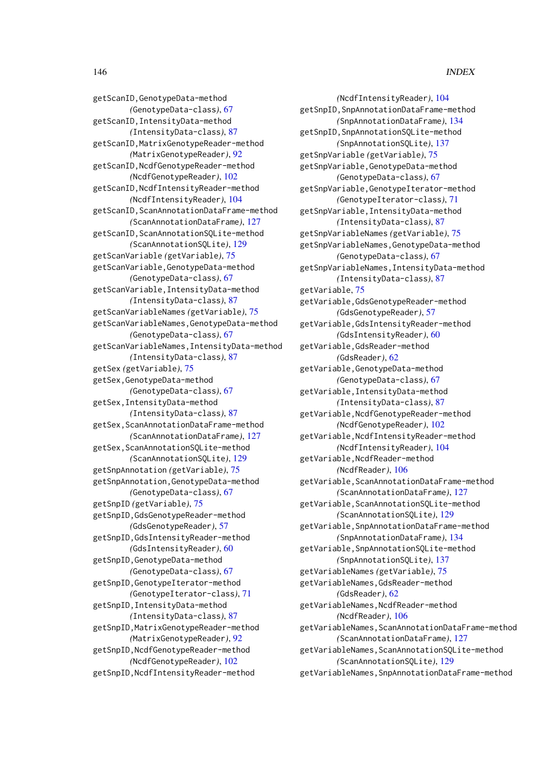getScanID,GenotypeData-method *(*GenotypeData-class*)*, [67](#page-66-0) getScanID,IntensityData-method *(*IntensityData-class*)*, [87](#page-86-0) getScanID,MatrixGenotypeReader-method *(*MatrixGenotypeReader*)*, [92](#page-91-0) getScanID,NcdfGenotypeReader-method *(*NcdfGenotypeReader*)*, [102](#page-101-0) getScanID,NcdfIntensityReader-method *(*NcdfIntensityReader*)*, [104](#page-103-0) getScanID,ScanAnnotationDataFrame-method *(*ScanAnnotationDataFrame*)*, [127](#page-126-0) getScanID, ScanAnnotationSQLite-method *(*ScanAnnotationSQLite*)*, [129](#page-128-0) getScanVariable *(*getVariable*)*, [75](#page-74-0) getScanVariable,GenotypeData-method *(*GenotypeData-class*)*, [67](#page-66-0) getScanVariable,IntensityData-method *(*IntensityData-class*)*, [87](#page-86-0) getScanVariableNames *(*getVariable*)*, [75](#page-74-0) getScanVariableNames,GenotypeData-method *(*GenotypeData-class*)*, [67](#page-66-0) getScanVariableNames,IntensityData-method *(*IntensityData-class*)*, [87](#page-86-0) getSex *(*getVariable*)*, [75](#page-74-0) getSex,GenotypeData-method *(*GenotypeData-class*)*, [67](#page-66-0) getSex,IntensityData-method *(*IntensityData-class*)*, [87](#page-86-0) getSex, ScanAnnotationDataFrame-method *(*ScanAnnotationDataFrame*)*, [127](#page-126-0) getSex,ScanAnnotationSQLite-method *(*ScanAnnotationSQLite*)*, [129](#page-128-0) getSnpAnnotation *(*getVariable*)*, [75](#page-74-0) getSnpAnnotation,GenotypeData-method *(*GenotypeData-class*)*, [67](#page-66-0) getSnpID *(*getVariable*)*, [75](#page-74-0) getSnpID,GdsGenotypeReader-method *(*GdsGenotypeReader*)*, [57](#page-56-0) getSnpID,GdsIntensityReader-method *(*GdsIntensityReader*)*, [60](#page-59-0) getSnpID,GenotypeData-method *(*GenotypeData-class*)*, [67](#page-66-0) getSnpID,GenotypeIterator-method *(*GenotypeIterator-class*)*, [71](#page-70-0) getSnpID,IntensityData-method *(*IntensityData-class*)*, [87](#page-86-0) getSnpID,MatrixGenotypeReader-method *(*MatrixGenotypeReader*)*, [92](#page-91-0) getSnpID,NcdfGenotypeReader-method *(*NcdfGenotypeReader*)*, [102](#page-101-0) getSnpID,NcdfIntensityReader-method

*(*NcdfIntensityReader*)*, [104](#page-103-0) getSnpID,SnpAnnotationDataFrame-method *(*SnpAnnotationDataFrame*)*, [134](#page-133-0) getSnpID,SnpAnnotationSQLite-method *(*SnpAnnotationSQLite*)*, [137](#page-136-0) getSnpVariable *(*getVariable*)*, [75](#page-74-0) getSnpVariable,GenotypeData-method *(*GenotypeData-class*)*, [67](#page-66-0) getSnpVariable,GenotypeIterator-method *(*GenotypeIterator-class*)*, [71](#page-70-0) getSnpVariable,IntensityData-method *(*IntensityData-class*)*, [87](#page-86-0) getSnpVariableNames *(*getVariable*)*, [75](#page-74-0) getSnpVariableNames,GenotypeData-method *(*GenotypeData-class*)*, [67](#page-66-0) getSnpVariableNames,IntensityData-method *(*IntensityData-class*)*, [87](#page-86-0) getVariable, [75](#page-74-0) getVariable,GdsGenotypeReader-method *(*GdsGenotypeReader*)*, [57](#page-56-0) getVariable,GdsIntensityReader-method *(*GdsIntensityReader*)*, [60](#page-59-0) getVariable,GdsReader-method *(*GdsReader*)*, [62](#page-61-0) getVariable,GenotypeData-method *(*GenotypeData-class*)*, [67](#page-66-0) getVariable,IntensityData-method *(*IntensityData-class*)*, [87](#page-86-0) getVariable,NcdfGenotypeReader-method *(*NcdfGenotypeReader*)*, [102](#page-101-0) getVariable,NcdfIntensityReader-method *(*NcdfIntensityReader*)*, [104](#page-103-0) getVariable,NcdfReader-method *(*NcdfReader*)*, [106](#page-105-0) getVariable, ScanAnnotationDataFrame-method *(*ScanAnnotationDataFrame*)*, [127](#page-126-0) getVariable,ScanAnnotationSQLite-method *(*ScanAnnotationSQLite*)*, [129](#page-128-0) getVariable,SnpAnnotationDataFrame-method *(*SnpAnnotationDataFrame*)*, [134](#page-133-0) getVariable,SnpAnnotationSQLite-method *(*SnpAnnotationSQLite*)*, [137](#page-136-0) getVariableNames *(*getVariable*)*, [75](#page-74-0) getVariableNames,GdsReader-method *(*GdsReader*)*, [62](#page-61-0) getVariableNames,NcdfReader-method *(*NcdfReader*)*, [106](#page-105-0) getVariableNames,ScanAnnotationDataFrame-method *(*ScanAnnotationDataFrame*)*, [127](#page-126-0) getVariableNames,ScanAnnotationSQLite-method *(*ScanAnnotationSQLite*)*, [129](#page-128-0) getVariableNames,SnpAnnotationDataFrame-method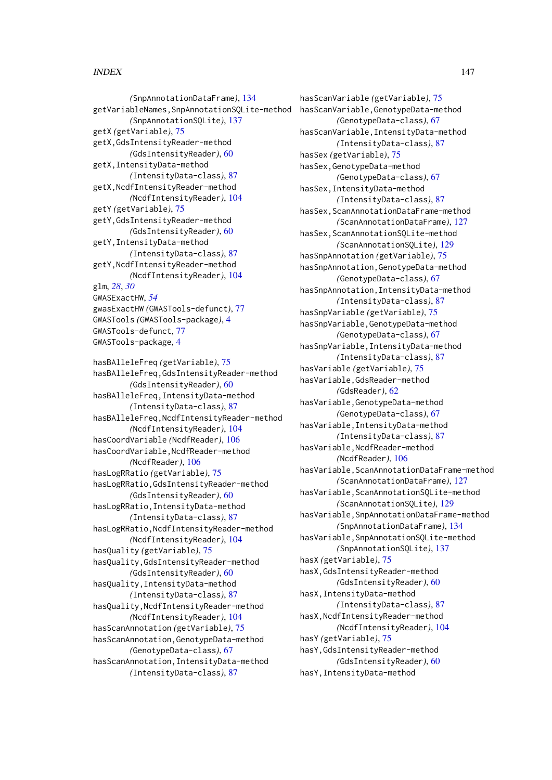*(*SnpAnnotationDataFrame*)*, [134](#page-133-0) getVariableNames,SnpAnnotationSQLite-method *(*SnpAnnotationSQLite*)*, [137](#page-136-0) getX *(*getVariable*)*, [75](#page-74-0) getX,GdsIntensityReader-method *(*GdsIntensityReader*)*, [60](#page-59-0) getX,IntensityData-method *(*IntensityData-class*)*, [87](#page-86-0) getX,NcdfIntensityReader-method *(*NcdfIntensityReader*)*, [104](#page-103-0) getY *(*getVariable*)*, [75](#page-74-0) getY,GdsIntensityReader-method *(*GdsIntensityReader*)*, [60](#page-59-0) getY,IntensityData-method *(*IntensityData-class*)*, [87](#page-86-0) getY,NcdfIntensityReader-method *(*NcdfIntensityReader*)*, [104](#page-103-0) glm, *[28](#page-27-0)*, *[30](#page-29-0)* GWASExactHW, *[54](#page-53-0)* gwasExactHW *(*GWASTools-defunct*)*, [77](#page-76-0) GWASTools *(*GWASTools-package*)*, [4](#page-3-0) GWASTools-defunct, [77](#page-76-0) GWASTools-package, [4](#page-3-0) hasBAlleleFreq *(*getVariable*)*, [75](#page-74-0) hasBAlleleFreq,GdsIntensityReader-method *(*GdsIntensityReader*)*, [60](#page-59-0) hasBAlleleFreq,IntensityData-method *(*IntensityData-class*)*, [87](#page-86-0) hasBAlleleFreq,NcdfIntensityReader-method *(*NcdfIntensityReader*)*, [104](#page-103-0) hasCoordVariable *(*NcdfReader*)*, [106](#page-105-0) hasCoordVariable,NcdfReader-method *(*NcdfReader*)*, [106](#page-105-0) hasLogRRatio *(*getVariable*)*, [75](#page-74-0) hasLogRRatio,GdsIntensityReader-method *(*GdsIntensityReader*)*, [60](#page-59-0) hasLogRRatio,IntensityData-method *(*IntensityData-class*)*, [87](#page-86-0) hasLogRRatio,NcdfIntensityReader-method *(*NcdfIntensityReader*)*, [104](#page-103-0) hasQuality *(*getVariable*)*, [75](#page-74-0) hasQuality,GdsIntensityReader-method *(*GdsIntensityReader*)*, [60](#page-59-0) hasQuality,IntensityData-method *(*IntensityData-class*)*, [87](#page-86-0) hasQuality,NcdfIntensityReader-method *(*NcdfIntensityReader*)*, [104](#page-103-0) hasScanAnnotation *(*getVariable*)*, [75](#page-74-0) hasScanAnnotation,GenotypeData-method *(*GenotypeData-class*)*, [67](#page-66-0) hasScanAnnotation,IntensityData-method *(*IntensityData-class*)*, [87](#page-86-0)

hasScanVariable *(*getVariable*)*, [75](#page-74-0) hasScanVariable,GenotypeData-method *(*GenotypeData-class*)*, [67](#page-66-0) hasScanVariable,IntensityData-method *(*IntensityData-class*)*, [87](#page-86-0) hasSex *(*getVariable*)*, [75](#page-74-0) hasSex,GenotypeData-method *(*GenotypeData-class*)*, [67](#page-66-0) hasSex,IntensityData-method *(*IntensityData-class*)*, [87](#page-86-0) hasSex.ScanAnnotationDataFrame-method *(*ScanAnnotationDataFrame*)*, [127](#page-126-0) hasSex,ScanAnnotationSQLite-method *(*ScanAnnotationSQLite*)*, [129](#page-128-0) hasSnpAnnotation *(*getVariable*)*, [75](#page-74-0) hasSnpAnnotation,GenotypeData-method *(*GenotypeData-class*)*, [67](#page-66-0) hasSnpAnnotation,IntensityData-method *(*IntensityData-class*)*, [87](#page-86-0) hasSnpVariable *(*getVariable*)*, [75](#page-74-0) hasSnpVariable,GenotypeData-method *(*GenotypeData-class*)*, [67](#page-66-0) hasSnpVariable,IntensityData-method *(*IntensityData-class*)*, [87](#page-86-0) hasVariable *(*getVariable*)*, [75](#page-74-0) hasVariable,GdsReader-method *(*GdsReader*)*, [62](#page-61-0) hasVariable,GenotypeData-method *(*GenotypeData-class*)*, [67](#page-66-0) hasVariable,IntensityData-method *(*IntensityData-class*)*, [87](#page-86-0) hasVariable,NcdfReader-method *(*NcdfReader*)*, [106](#page-105-0) hasVariable, ScanAnnotationDataFrame-method *(*ScanAnnotationDataFrame*)*, [127](#page-126-0) hasVariable,ScanAnnotationSQLite-method *(*ScanAnnotationSQLite*)*, [129](#page-128-0) hasVariable,SnpAnnotationDataFrame-method *(*SnpAnnotationDataFrame*)*, [134](#page-133-0) hasVariable,SnpAnnotationSQLite-method *(*SnpAnnotationSQLite*)*, [137](#page-136-0) hasX *(*getVariable*)*, [75](#page-74-0) hasX,GdsIntensityReader-method *(*GdsIntensityReader*)*, [60](#page-59-0) hasX,IntensityData-method *(*IntensityData-class*)*, [87](#page-86-0) hasX,NcdfIntensityReader-method *(*NcdfIntensityReader*)*, [104](#page-103-0) hasY *(*getVariable*)*, [75](#page-74-0) hasY,GdsIntensityReader-method *(*GdsIntensityReader*)*, [60](#page-59-0) hasY,IntensityData-method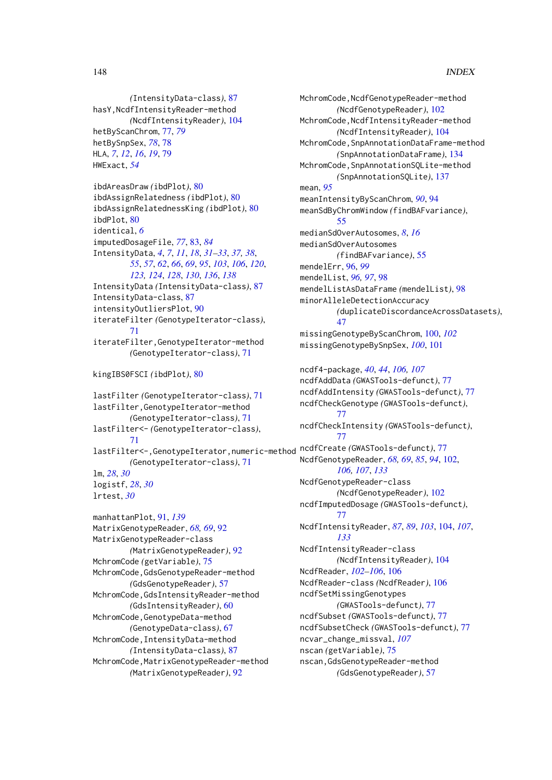*(*IntensityData-class*)*, [87](#page-86-0) hasY,NcdfIntensityReader-method *(*NcdfIntensityReader*)*, [104](#page-103-0) hetByScanChrom, [77,](#page-76-0) *[79](#page-78-0)* hetBySnpSex, *[78](#page-77-0)*, [78](#page-77-0) HLA, *[7](#page-6-0)*, *[12](#page-11-0)*, *[16](#page-15-0)*, *[19](#page-18-0)*, [79](#page-78-0) HWExact, *[54](#page-53-0)*

```
ibdAreasDraw (ibdPlot), 80
ibdAssignRelatedness (ibdPlot), 80
ibdAssignRelatednessKing (ibdPlot), 80
ibdPlot, 80
identical, 6
imputedDosageFile, 77, 83, 84
IntensityData, 4, 7, 11, 18, 31–33, 37, 38,
        55, 57, 62, 66, 69, 95, 103, 106, 120,
         123, 124, 128, 130, 136, 138
IntensityData (IntensityData-class), 87
IntensityData-class, 87
intensityOutliersPlot, 90
iterateFilter (GenotypeIterator-class),
        71
iterateFilter,GenotypeIterator-method
        (GenotypeIterator-class), 71
```

```
kingIBS0FSCI (ibdPlot), 80
```
lastFilter *(*GenotypeIterator-class*)*, [71](#page-70-0) lastFilter,GenotypeIterator-method *(*GenotypeIterator-class*)*, [71](#page-70-0) lastFilter<- *(*GenotypeIterator-class*)*, [71](#page-70-0) lastFilter<-,GenotypeIterator,numeric-method *(*GenotypeIterator-class*)*, [71](#page-70-0) lm, *[28](#page-27-0)*, *[30](#page-29-0)* logistf, *[28](#page-27-0)*, *[30](#page-29-0)* lrtest, *[30](#page-29-0)*

manhattanPlot, [91,](#page-90-0) *[139](#page-138-0)* MatrixGenotypeReader, *[68,](#page-67-0) [69](#page-68-0)*, [92](#page-91-0) MatrixGenotypeReader-class *(*MatrixGenotypeReader*)*, [92](#page-91-0) MchromCode *(*getVariable*)*, [75](#page-74-0) MchromCode,GdsGenotypeReader-method *(*GdsGenotypeReader*)*, [57](#page-56-0) MchromCode,GdsIntensityReader-method *(*GdsIntensityReader*)*, [60](#page-59-0) MchromCode,GenotypeData-method *(*GenotypeData-class*)*, [67](#page-66-0) MchromCode,IntensityData-method *(*IntensityData-class*)*, [87](#page-86-0) MchromCode, MatrixGenotypeReader-method *(*MatrixGenotypeReader*)*, [92](#page-91-0)

MchromCode,NcdfGenotypeReader-method *(*NcdfGenotypeReader*)*, [102](#page-101-0) MchromCode,NcdfIntensityReader-method *(*NcdfIntensityReader*)*, [104](#page-103-0) MchromCode,SnpAnnotationDataFrame-method *(*SnpAnnotationDataFrame*)*, [134](#page-133-0) MchromCode, SnpAnnotationSQLite-method *(*SnpAnnotationSQLite*)*, [137](#page-136-0) mean, *[95](#page-94-0)* meanIntensityByScanChrom, *[90](#page-89-0)*, [94](#page-93-0) meanSdByChromWindow *(*findBAFvariance*)*, [55](#page-54-0) medianSdOverAutosomes, *[8](#page-7-0)*, *[16](#page-15-0)* medianSdOverAutosomes *(*findBAFvariance*)*, [55](#page-54-0) mendelErr, [96,](#page-95-0) *[99](#page-98-0)* mendelList, *[96,](#page-95-0) [97](#page-96-0)*, [98](#page-97-0) mendelListAsDataFrame *(*mendelList*)*, [98](#page-97-0) minorAlleleDetectionAccuracy *(*duplicateDiscordanceAcrossDatasets*)*, [47](#page-46-0) missingGenotypeByScanChrom, [100,](#page-99-0) *[102](#page-101-0)* missingGenotypeBySnpSex, *[100](#page-99-0)*, [101](#page-100-0) ncdf4-package, *[40](#page-39-0)*, *[44](#page-43-0)*, *[106,](#page-105-0) [107](#page-106-0)* ncdfAddData *(*GWASTools-defunct*)*, [77](#page-76-0) ncdfAddIntensity *(*GWASTools-defunct*)*, [77](#page-76-0) ncdfCheckGenotype *(*GWASTools-defunct*)*, [77](#page-76-0) ncdfCheckIntensity *(*GWASTools-defunct*)*, [77](#page-76-0) ncdfCreate *(*GWASTools-defunct*)*, [77](#page-76-0) NcdfGenotypeReader, *[68,](#page-67-0) [69](#page-68-0)*, *[85](#page-84-0)*, *[94](#page-93-0)*, [102,](#page-101-0) *[106,](#page-105-0) [107](#page-106-0)*, *[133](#page-132-0)* NcdfGenotypeReader-class *(*NcdfGenotypeReader*)*, [102](#page-101-0) ncdfImputedDosage *(*GWASTools-defunct*)*, [77](#page-76-0) NcdfIntensityReader, *[87](#page-86-0)*, *[89](#page-88-0)*, *[103](#page-102-0)*, [104,](#page-103-0) *[107](#page-106-0)*, *[133](#page-132-0)* NcdfIntensityReader-class *(*NcdfIntensityReader*)*, [104](#page-103-0) NcdfReader, *[102](#page-101-0)[–106](#page-105-0)*, [106](#page-105-0) NcdfReader-class *(*NcdfReader*)*, [106](#page-105-0) ncdfSetMissingGenotypes

*(*GWASTools-defunct*)*, [77](#page-76-0) ncdfSubset *(*GWASTools-defunct*)*, [77](#page-76-0) ncdfSubsetCheck *(*GWASTools-defunct*)*, [77](#page-76-0) ncvar\_change\_missval, *[107](#page-106-0)* nscan *(*getVariable*)*, [75](#page-74-0) nscan,GdsGenotypeReader-method *(*GdsGenotypeReader*)*, [57](#page-56-0)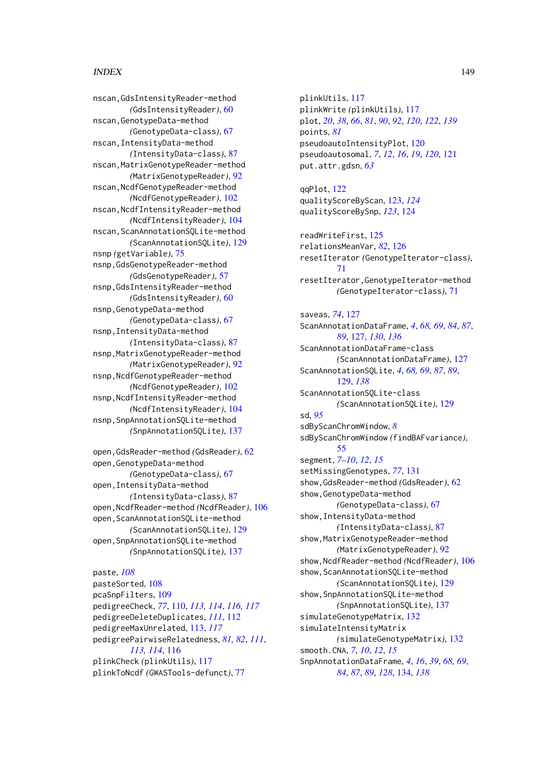# INDEX 2008 2012 149

nscan,GdsIntensityReader-method *(*GdsIntensityReader*)*, [60](#page-59-0) nscan,GenotypeData-method *(*GenotypeData-class*)*, [67](#page-66-0) nscan,IntensityData-method *(*IntensityData-class*)*, [87](#page-86-0) nscan,MatrixGenotypeReader-method *(*MatrixGenotypeReader*)*, [92](#page-91-0) nscan,NcdfGenotypeReader-method *(*NcdfGenotypeReader*)*, [102](#page-101-0) nscan,NcdfIntensityReader-method *(*NcdfIntensityReader*)*, [104](#page-103-0) nscan,ScanAnnotationSQLite-method *(*ScanAnnotationSQLite*)*, [129](#page-128-0) nsnp *(*getVariable*)*, [75](#page-74-0) nsnp,GdsGenotypeReader-method *(*GdsGenotypeReader*)*, [57](#page-56-0) nsnp,GdsIntensityReader-method *(*GdsIntensityReader*)*, [60](#page-59-0) nsnp,GenotypeData-method *(*GenotypeData-class*)*, [67](#page-66-0) nsnp,IntensityData-method *(*IntensityData-class*)*, [87](#page-86-0) nsnp,MatrixGenotypeReader-method *(*MatrixGenotypeReader*)*, [92](#page-91-0) nsnp,NcdfGenotypeReader-method *(*NcdfGenotypeReader*)*, [102](#page-101-0) nsnp,NcdfIntensityReader-method *(*NcdfIntensityReader*)*, [104](#page-103-0) nsnp,SnpAnnotationSQLite-method *(*SnpAnnotationSQLite*)*, [137](#page-136-0)

```
open,GdsReader-method (GdsReader), 62
open,GenotypeData-method
        (GenotypeData-class), 67
open,IntensityData-method
        (IntensityData-class), 87
open,NcdfReader-method (NcdfReader), 106
open, ScanAnnotationSQLite-method
        (ScanAnnotationSQLite), 129
open,SnpAnnotationSQLite-method
        (SnpAnnotationSQLite), 137
```
paste, *[108](#page-107-0)* pasteSorted, [108](#page-107-0) pcaSnpFilters, [109](#page-108-0) pedigreeCheck, *[77](#page-76-0)*, [110,](#page-109-0) *[113,](#page-112-0) [114](#page-113-0)*, *[116,](#page-115-0) [117](#page-116-0)* pedigreeDeleteDuplicates, *[111](#page-110-0)*, [112](#page-111-0) pedigreeMaxUnrelated, [113,](#page-112-0) *[117](#page-116-0)* pedigreePairwiseRelatedness, *[81,](#page-80-0) [82](#page-81-0)*, *[111](#page-110-0)*, *[113,](#page-112-0) [114](#page-113-0)*, [116](#page-115-0) plinkCheck *(*plinkUtils*)*, [117](#page-116-0) plinkToNcdf *(*GWASTools-defunct*)*, [77](#page-76-0)

plinkUtils, [117](#page-116-0) plinkWrite *(*plinkUtils*)*, [117](#page-116-0) plot, *[20](#page-19-0)*, *[38](#page-37-0)*, *[66](#page-65-0)*, *[81](#page-80-0)*, *[90](#page-89-0)*, *[92](#page-91-0)*, *[120](#page-119-0)*, *[122](#page-121-0)*, *[139](#page-138-0)* points, *[81](#page-80-0)* pseudoautoIntensityPlot, [120](#page-119-0) pseudoautosomal, *[7](#page-6-0)*, *[12](#page-11-0)*, *[16](#page-15-0)*, *[19](#page-18-0)*, *[120](#page-119-0)*, [121](#page-120-0) put.attr.gdsn, *[63](#page-62-0)* qqPlot, [122](#page-121-0) qualityScoreByScan, [123,](#page-122-0) *[124](#page-123-0)* qualityScoreBySnp, *[123](#page-122-0)*, [124](#page-123-0) readWriteFirst, [125](#page-124-0) relationsMeanVar, *[82](#page-81-0)*, [126](#page-125-0) resetIterator *(*GenotypeIterator-class*)*, [71](#page-70-0) resetIterator,GenotypeIterator-method *(*GenotypeIterator-class*)*, [71](#page-70-0) saveas, *[74](#page-73-0)*, [127](#page-126-0) ScanAnnotationDataFrame, *[4](#page-3-0)*, *[68,](#page-67-0) [69](#page-68-0)*, *[84](#page-83-0)*, *[87](#page-86-0)*, *[89](#page-88-0)*, [127,](#page-126-0) *[130](#page-129-0)*, *[136](#page-135-0)* ScanAnnotationDataFrame-class *(*ScanAnnotationDataFrame*)*, [127](#page-126-0) ScanAnnotationSQLite, *[4](#page-3-0)*, *[68,](#page-67-0) [69](#page-68-0)*, *[87](#page-86-0)*, *[89](#page-88-0)*, [129,](#page-128-0) *[138](#page-137-0)* ScanAnnotationSQLite-class *(*ScanAnnotationSQLite*)*, [129](#page-128-0) sd, *[95](#page-94-0)* sdByScanChromWindow, *[8](#page-7-0)* sdByScanChromWindow *(*findBAFvariance*)*, [55](#page-54-0) segment, *[7](#page-6-0)[–10](#page-9-0)*, *[12](#page-11-0)*, *[15](#page-14-0)* setMissingGenotypes, *[77](#page-76-0)*, [131](#page-130-0) show,GdsReader-method *(*GdsReader*)*, [62](#page-61-0) show,GenotypeData-method *(*GenotypeData-class*)*, [67](#page-66-0) show,IntensityData-method *(*IntensityData-class*)*, [87](#page-86-0) show,MatrixGenotypeReader-method *(*MatrixGenotypeReader*)*, [92](#page-91-0) show,NcdfReader-method *(*NcdfReader*)*, [106](#page-105-0) show,ScanAnnotationSQLite-method *(*ScanAnnotationSQLite*)*, [129](#page-128-0) show,SnpAnnotationSQLite-method *(*SnpAnnotationSQLite*)*, [137](#page-136-0) simulateGenotypeMatrix, [132](#page-131-0) simulateIntensityMatrix *(*simulateGenotypeMatrix*)*, [132](#page-131-0) smooth.CNA, *[7](#page-6-0)*, *[10](#page-9-0)*, *[12](#page-11-0)*, *[15](#page-14-0)* SnpAnnotationDataFrame, *[4](#page-3-0)*, *[16](#page-15-0)*, *[39](#page-38-0)*, *[68,](#page-67-0) [69](#page-68-0)*, *[84](#page-83-0)*, *[87](#page-86-0)*, *[89](#page-88-0)*, *[128](#page-127-0)*, [134,](#page-133-0) *[138](#page-137-0)*